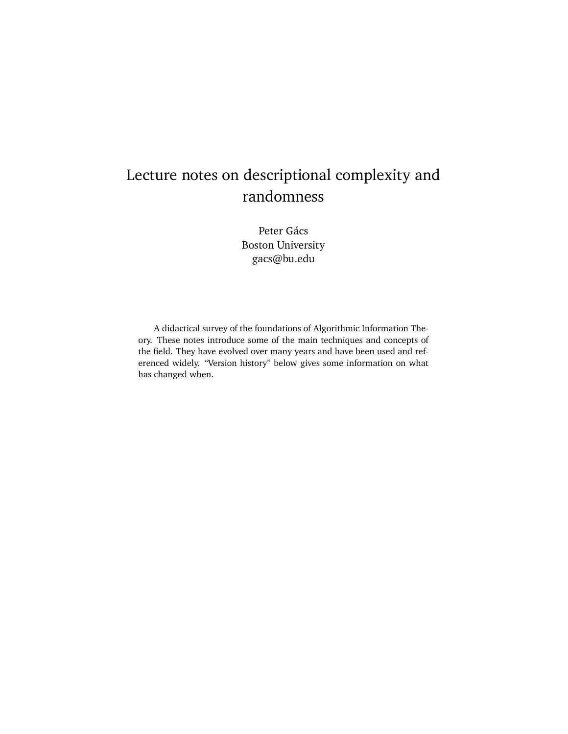# Lecture notes on descriptional complexity and randomness

Peter Gács Boston University gacs@bu.edu

A didactical survey of the foundations of Algorithmic Information Theory. These notes introduce some of the main techniques and concepts of the field. They have evolved over many years and have been used and referenced widely. "Version history" below gives some information on what has changed when.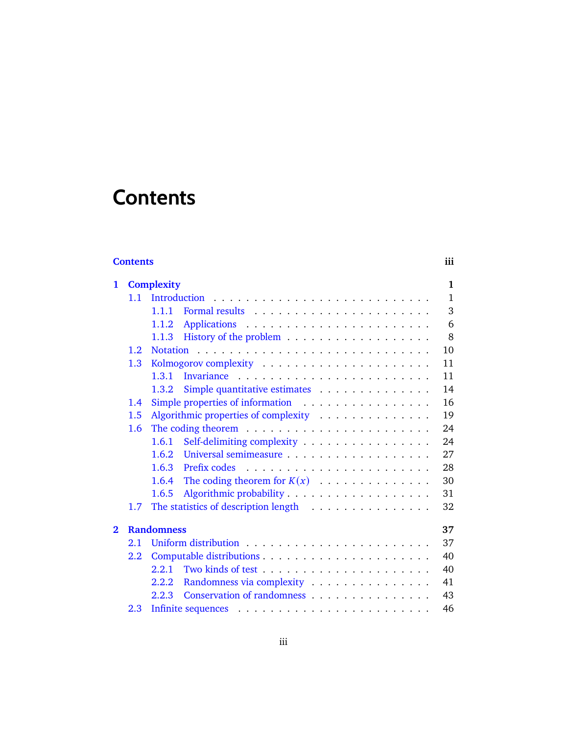# <span id="page-2-0"></span>**Contents**

# **[Contents](#page-2-0) iii**

| $\mathbf{1}$            |                         | <b>Complexity</b><br>$\mathbf{1}$            |
|-------------------------|-------------------------|----------------------------------------------|
|                         | 1.1                     | $\mathbf{1}$                                 |
|                         |                         | 3<br>1.1.1                                   |
|                         |                         | 6<br>1.1.2                                   |
|                         |                         | 8<br>1.1.3                                   |
|                         | 1.2 <sub>1</sub>        | 10                                           |
|                         | 1.3                     | 11                                           |
|                         |                         | 1.3.1<br>11                                  |
|                         |                         | Simple quantitative estimates<br>14<br>1.3.2 |
|                         | $1.4^{\circ}$           | Simple properties of information<br>16       |
|                         | 1.5                     | Algorithmic properties of complexity<br>19   |
|                         | 1.6                     | 24                                           |
|                         |                         | Self-delimiting complexity<br>24<br>1.6.1    |
|                         |                         | 27<br>1.6.2                                  |
|                         |                         | Prefix codes<br>28<br>1.6.3                  |
|                         |                         | The coding theorem for $K(x)$<br>30<br>1.6.4 |
|                         |                         | 31<br>1.6.5                                  |
|                         | 1.7                     | The statistics of description length<br>32   |
| $\overline{\mathbf{2}}$ | <b>Randomness</b><br>37 |                                              |
|                         | 2.1                     | 37                                           |
|                         | $2.2^{\circ}$           | 40                                           |
|                         |                         | 2.2.1<br>40                                  |
|                         |                         | 2.2.2 Randomness via complexity<br>41        |
|                         |                         | Conservation of randomness<br>2.2.3<br>43    |
|                         | 2.3                     | 46                                           |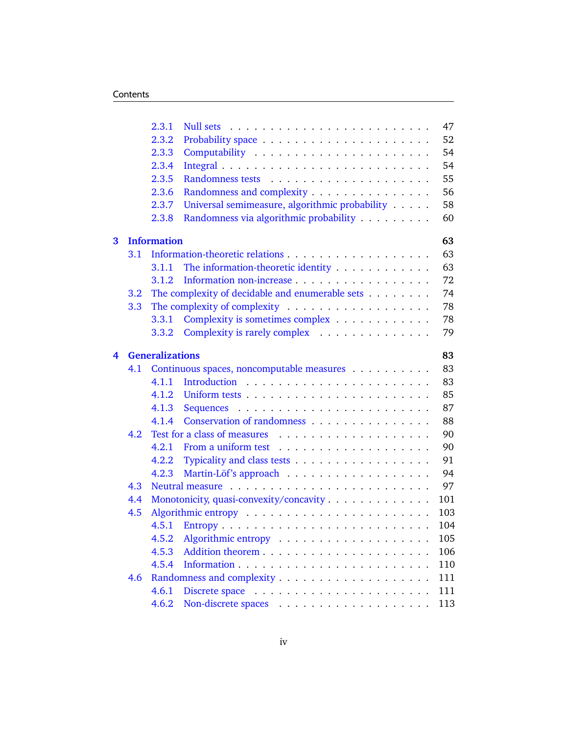|   |                          | 2.3.1                                          | 47                                                    |  |  |  |  |  |  |  |
|---|--------------------------|------------------------------------------------|-------------------------------------------------------|--|--|--|--|--|--|--|
|   |                          | 2.3.2                                          | 52                                                    |  |  |  |  |  |  |  |
|   |                          | 2.3.3                                          | 54                                                    |  |  |  |  |  |  |  |
|   |                          | 2.3.4                                          | 54                                                    |  |  |  |  |  |  |  |
|   |                          | 2.3.5                                          | 55                                                    |  |  |  |  |  |  |  |
|   |                          | 2.3.6                                          | 56<br>Randomness and complexity                       |  |  |  |  |  |  |  |
|   |                          | 2.3.7                                          | Universal semimeasure, algorithmic probability<br>58  |  |  |  |  |  |  |  |
|   |                          | 2.3.8                                          | Randomness via algorithmic probability<br>60          |  |  |  |  |  |  |  |
| 3 | <b>Information</b><br>63 |                                                |                                                       |  |  |  |  |  |  |  |
|   | 3.1                      |                                                | 63                                                    |  |  |  |  |  |  |  |
|   |                          | 3.1.1                                          | The information-theoretic identity<br>63              |  |  |  |  |  |  |  |
|   |                          | 3.1.2                                          | Information non-increase<br>72                        |  |  |  |  |  |  |  |
|   | $3.2\phantom{0}$         |                                                | The complexity of decidable and enumerable sets<br>74 |  |  |  |  |  |  |  |
|   | 3.3                      |                                                | 78                                                    |  |  |  |  |  |  |  |
|   |                          | 3.3.1                                          | Complexity is sometimes complex<br>78                 |  |  |  |  |  |  |  |
|   |                          | 3.3.2                                          | Complexity is rarely complex<br>79                    |  |  |  |  |  |  |  |
| 4 |                          | <b>Generalizations</b>                         | 83                                                    |  |  |  |  |  |  |  |
|   | 4.1                      |                                                | 83<br>Continuous spaces, noncomputable measures       |  |  |  |  |  |  |  |
|   |                          | 4.1.1                                          | 83                                                    |  |  |  |  |  |  |  |
|   |                          |                                                | 85                                                    |  |  |  |  |  |  |  |
|   |                          | 4.1.3                                          | 87                                                    |  |  |  |  |  |  |  |
|   |                          | 4.1.4                                          | Conservation of randomness<br>88                      |  |  |  |  |  |  |  |
|   | 4.2                      |                                                | 90                                                    |  |  |  |  |  |  |  |
|   |                          | 4.2.1                                          | 90                                                    |  |  |  |  |  |  |  |
|   |                          | 4.2.2                                          | Typicality and class tests<br>91                      |  |  |  |  |  |  |  |
|   |                          | 4.2.3                                          | 94                                                    |  |  |  |  |  |  |  |
|   | 4.3                      |                                                | 97                                                    |  |  |  |  |  |  |  |
|   | 4.4                      | 101<br>Monotonicity, quasi-convexity/concavity |                                                       |  |  |  |  |  |  |  |
|   | 4.5                      |                                                | 103                                                   |  |  |  |  |  |  |  |
|   |                          | 4.5.1                                          | 104                                                   |  |  |  |  |  |  |  |
|   |                          | 4.5.2                                          | 105                                                   |  |  |  |  |  |  |  |
|   |                          | 4.5.3                                          | 106                                                   |  |  |  |  |  |  |  |
|   |                          | 4.5.4                                          | 110                                                   |  |  |  |  |  |  |  |
|   | 4.6                      |                                                | 111                                                   |  |  |  |  |  |  |  |
|   |                          | 4.6.1                                          | 111                                                   |  |  |  |  |  |  |  |
|   |                          | 4.6.2                                          | 113                                                   |  |  |  |  |  |  |  |
|   |                          |                                                |                                                       |  |  |  |  |  |  |  |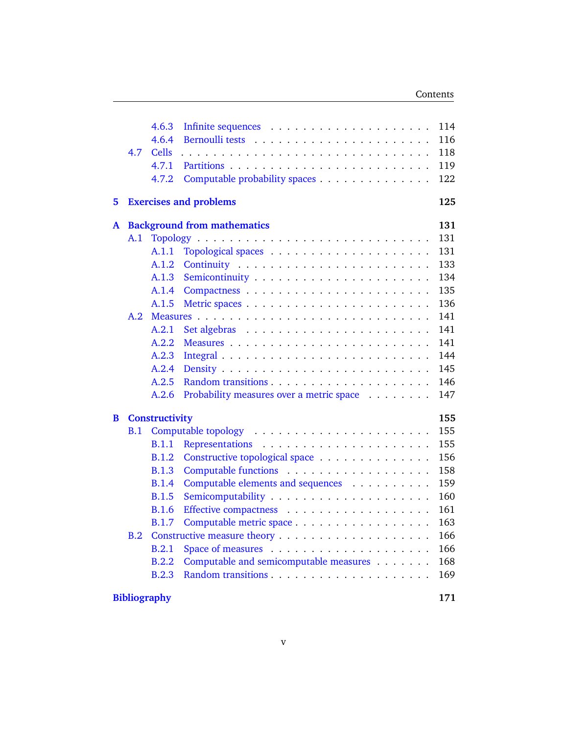|                     | 4.7                                | 4.6.3<br>4.6.4<br>Cells<br>4.7.1<br>4.7.2 | Computable probability spaces            | 114<br>116<br>118<br>119<br>122 |  |  |  |  |  |
|---------------------|------------------------------------|-------------------------------------------|------------------------------------------|---------------------------------|--|--|--|--|--|
| 5                   | <b>Exercises and problems</b>      |                                           |                                          |                                 |  |  |  |  |  |
| A                   | <b>Background from mathematics</b> |                                           |                                          |                                 |  |  |  |  |  |
|                     | A.1                                |                                           |                                          | 131                             |  |  |  |  |  |
|                     |                                    | A.1.1                                     |                                          | 131                             |  |  |  |  |  |
|                     |                                    | A.1.2                                     |                                          | 133                             |  |  |  |  |  |
|                     |                                    | A.1.3                                     |                                          | 134                             |  |  |  |  |  |
|                     |                                    | A.1.4                                     |                                          | 135                             |  |  |  |  |  |
|                     |                                    | A.1.5                                     |                                          | 136                             |  |  |  |  |  |
|                     | A.2                                |                                           |                                          | 141                             |  |  |  |  |  |
|                     |                                    | A.2.1                                     |                                          | 141                             |  |  |  |  |  |
|                     |                                    | A.2.2                                     |                                          | 141                             |  |  |  |  |  |
|                     |                                    | A.2.3                                     |                                          | 144                             |  |  |  |  |  |
|                     |                                    | A.2.4                                     |                                          | 145                             |  |  |  |  |  |
|                     |                                    | A.2.5                                     |                                          | 146                             |  |  |  |  |  |
|                     |                                    | A.2.6                                     | Probability measures over a metric space | 147                             |  |  |  |  |  |
| B                   | <b>Constructivity</b><br>155       |                                           |                                          |                                 |  |  |  |  |  |
|                     | B.1                                |                                           |                                          | 155                             |  |  |  |  |  |
|                     |                                    | <b>B.1.1</b>                              |                                          | 155                             |  |  |  |  |  |
|                     |                                    | <b>B.1.2</b>                              | Constructive topological space           | 156                             |  |  |  |  |  |
|                     |                                    | <b>B.1.3</b>                              |                                          | 158                             |  |  |  |  |  |
|                     |                                    | <b>B.1.4</b>                              | Computable elements and sequences        | 159                             |  |  |  |  |  |
|                     |                                    | <b>B.1.5</b>                              |                                          | 160                             |  |  |  |  |  |
|                     |                                    | <b>B.1.6</b>                              |                                          | 161                             |  |  |  |  |  |
|                     |                                    | <b>B.1.7</b>                              | Computable metric space                  | 163                             |  |  |  |  |  |
|                     | B.2                                |                                           |                                          | 166                             |  |  |  |  |  |
|                     |                                    | <b>B.2.1</b>                              |                                          | 166                             |  |  |  |  |  |
|                     |                                    | B.2.2                                     | Computable and semicomputable measures   | 168                             |  |  |  |  |  |
|                     |                                    | B.2.3                                     |                                          | 169                             |  |  |  |  |  |
| <b>Bibliography</b> |                                    |                                           |                                          |                                 |  |  |  |  |  |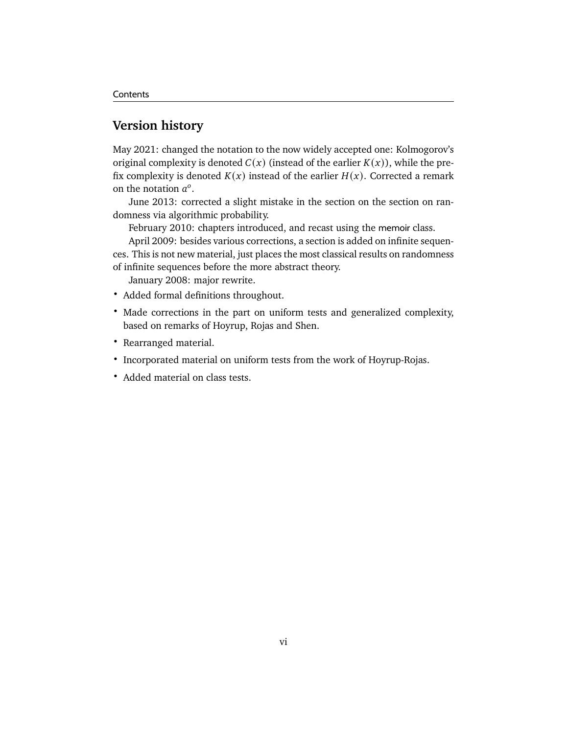# **Version history**

May 2021: changed the notation to the now widely accepted one: Kolmogorov's original complexity is denoted  $C(x)$  (instead of the earlier  $K(x)$ ), while the prefix complexity is denoted  $K(x)$  instead of the earlier  $H(x)$ . Corrected a remark on the notation  $a^0$ .

June 2013: corrected a slight mistake in the section on the section on randomness via algorithmic probability.

February 2010: chapters introduced, and recast using the memoir class.

April 2009: besides various corrections, a section is added on infinite sequences. This is not new material, just places the most classical results on randomness of infinite sequences before the more abstract theory.

January 2008: major rewrite.

- Added formal definitions throughout.
- Made corrections in the part on uniform tests and generalized complexity, based on remarks of Hoyrup, Rojas and Shen.
- Rearranged material.
- Incorporated material on uniform tests from the work of Hoyrup-Rojas.
- Added material on class tests.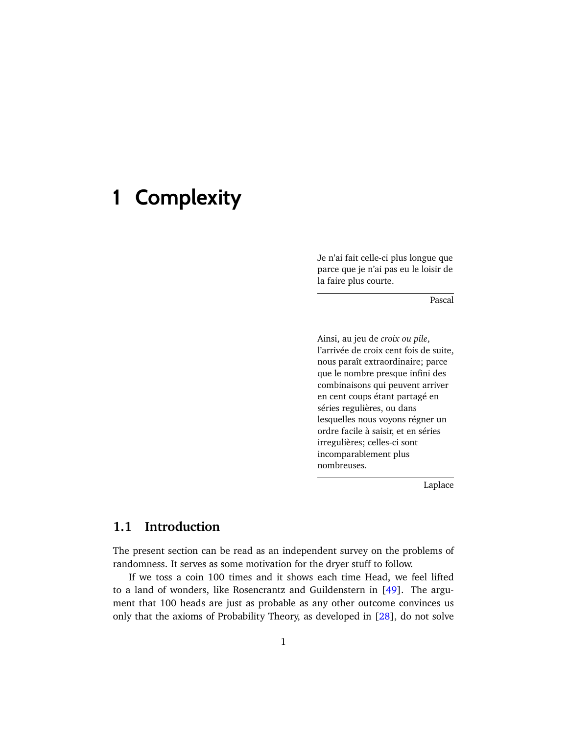# <span id="page-6-0"></span>**1 Complexity**

Je n'ai fait celle-ci plus longue que parce que je n'ai pas eu le loisir de la faire plus courte.

Pascal

Ainsi, au jeu de *croix ou pile*, l'arrivée de croix cent fois de suite, nous paraît extraordinaire; parce que le nombre presque infini des combinaisons qui peuvent arriver en cent coups étant partagé en séries regulières, ou dans lesquelles nous voyons régner un ordre facile à saisir, et en séries irregulières; celles-ci sont incomparablement plus nombreuses.

Laplace

# <span id="page-6-1"></span>**1.1 Introduction**

The present section can be read as an independent survey on the problems of randomness. It serves as some motivation for the dryer stuff to follow.

If we toss a coin 100 times and it shows each time Head, we feel lifted to a land of wonders, like Rosencrantz and Guildenstern in [\[49\]](#page-179-0). The argument that 100 heads are just as probable as any other outcome convinces us only that the axioms of Probability Theory, as developed in [\[28\]](#page-178-0), do not solve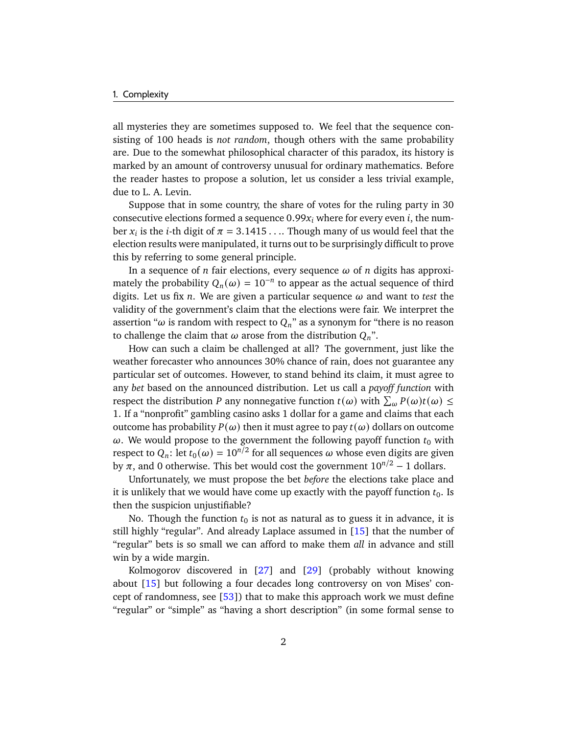all mysteries they are sometimes supposed to. We feel that the sequence consisting of 100 heads is *not random*, though others with the same probability are. Due to the somewhat philosophical character of this paradox, its history is marked by an amount of controversy unusual for ordinary mathematics. Before the reader hastes to propose a solution, let us consider a less trivial example, due to L. A. Levin.

Suppose that in some country, the share of votes for the ruling party in 30 consecutive elections formed a sequence  $0.99x_i$  where for every even i, the number  $x_i$  is the *i*-th digit of  $\pi = 3.1415...$  Though many of us would feel that the election results were manipulated, it turns out to be surprisingly difficult to prove this by referring to some general principle.

In a sequence of  $n$  fair elections, every sequence  $\omega$  of  $n$  digits has approximately the probability  $Q_n(\omega) = 10^{-n}$  to appear as the actual sequence of third digits. Let us fix  $n$ . We are given a particular sequence  $\omega$  and want to *test* the validity of the government's claim that the elections were fair. We interpret the assertion " $\omega$  is random with respect to  $Q_n$ " as a synonym for "there is no reason to challenge the claim that  $\omega$  arose from the distribution  $Q_n$ ".

How can such a claim be challenged at all? The government, just like the weather forecaster who announces 30% chance of rain, does not guarantee any particular set of outcomes. However, to stand behind its claim, it must agree to any *bet* based on the announced distribution. Let us call a *payoff function* with respect the distribution P any nonnegative function  $t(\omega)$  with  $\sum_{\omega} P(\omega) t(\omega) \leq$ 1. If a "nonprofit" gambling casino asks 1 dollar for a game and claims that each outcome has probability  $P(\omega)$  then it must agree to pay  $t(\omega)$  dollars on outcome  $\omega$ . We would propose to the government the following payoff function  $t_0$  with respect to  $Q_n$ : let  $t_0(\omega) = 10^{n/2}$  for all sequences  $\omega$  whose even digits are given by  $\pi$ , and 0 otherwise. This bet would cost the government  $10^{n/2} - 1$  dollars.

Unfortunately, we must propose the bet *before* the elections take place and it is unlikely that we would have come up exactly with the payoff function  $t_0$ . Is then the suspicion unjustifiable?

No. Though the function  $t_0$  is not as natural as to guess it in advance, it is still highly "regular". And already Laplace assumed in [\[15\]](#page-177-0) that the number of "regular" bets is so small we can afford to make them *all* in advance and still win by a wide margin.

Kolmogorov discovered in [\[27\]](#page-178-1) and [\[29\]](#page-178-2) (probably without knowing about [\[15\]](#page-177-0) but following a four decades long controversy on von Mises' concept of randomness, see [\[53\]](#page-180-0)) that to make this approach work we must define "regular" or "simple" as "having a short description" (in some formal sense to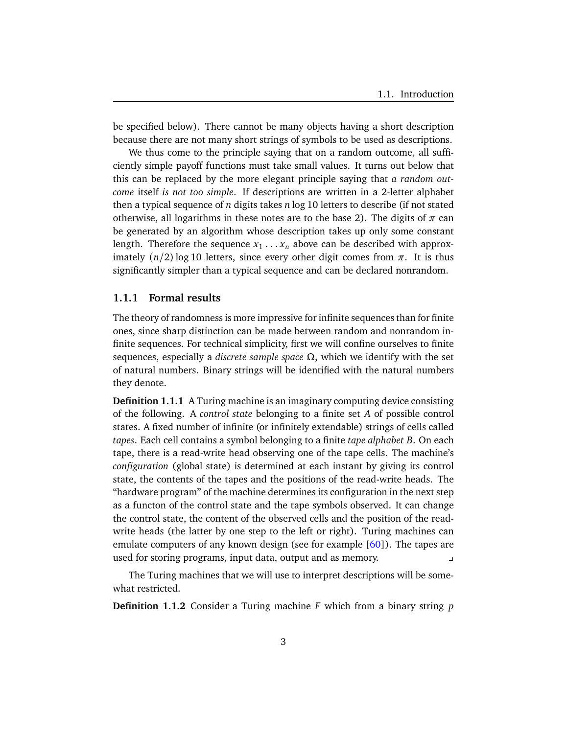be specified below). There cannot be many objects having a short description because there are not many short strings of symbols to be used as descriptions.

We thus come to the principle saying that on a random outcome, all sufficiently simple payoff functions must take small values. It turns out below that this can be replaced by the more elegant principle saying that *a random outcome* itself *is not too simple*. If descriptions are written in a 2-letter alphabet then a typical sequence of  $n$  digits takes  $n \log 10$  letters to describe (if not stated otherwise, all logarithms in these notes are to the base 2). The digits of  $\pi$  can be generated by an algorithm whose description takes up only some constant length. Therefore the sequence  $x_1 \ldots x_n$  above can be described with approximately  $(n/2)$  log 10 letters, since every other digit comes from  $\pi$ . It is thus significantly simpler than a typical sequence and can be declared nonrandom.

# <span id="page-8-0"></span>**1.1.1 Formal results**

The theory of randomness is more impressive for infinite sequences than for finite ones, since sharp distinction can be made between random and nonrandom infinite sequences. For technical simplicity, first we will confine ourselves to finite sequences, especially a *discrete sample space* Ω, which we identify with the set of natural numbers. Binary strings will be identified with the natural numbers they denote.

**Definition 1.1.1** A Turing machine is an imaginary computing device consisting of the following. A *control state* belonging to a finite set A of possible control states. A fixed number of infinite (or infinitely extendable) strings of cells called *tapes*. Each cell contains a symbol belonging to a finite *tape alphabet* . On each tape, there is a read-write head observing one of the tape cells. The machine's *configuration* (global state) is determined at each instant by giving its control state, the contents of the tapes and the positions of the read-write heads. The "hardware program" of the machine determines its configuration in the next step as a functon of the control state and the tape symbols observed. It can change the control state, the content of the observed cells and the position of the readwrite heads (the latter by one step to the left or right). Turing machines can emulate computers of any known design (see for example  $[60]$ ). The tapes are used for storing programs, input data, output and as memory.

The Turing machines that we will use to interpret descriptions will be somewhat restricted.

**Definition 1.1.2** Consider a Turing machine  $F$  which from a binary string  $p$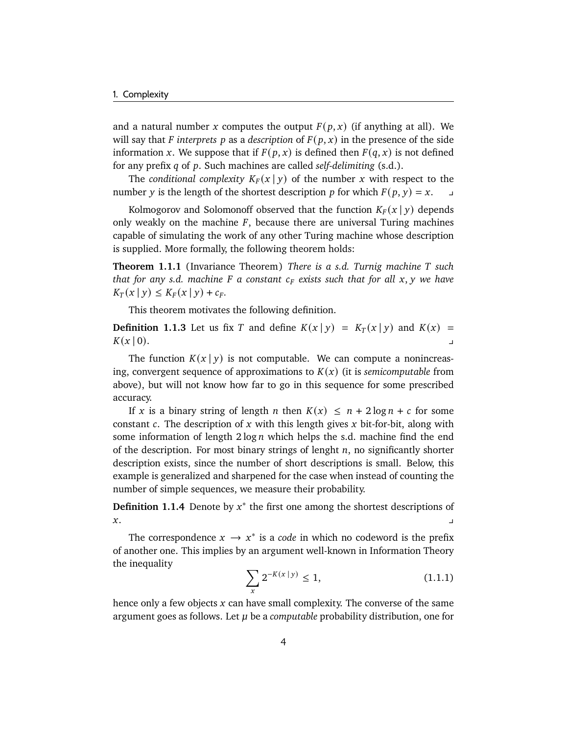and a natural number x computes the output  $F(p, x)$  (if anything at all). We will say that *F* interprets *p* as a *description* of  $F(p, x)$  in the presence of the side information x. We suppose that if  $F(p, x)$  is defined then  $F(q, x)$  is not defined for any prefix q of p. Such machines are called *self-delimiting* (s.d.).

The *conditional complexity*  $K_F(x | y)$  of the number x with respect to the number y is the length of the shortest description p for which  $F(p, y) = x$ .

Kolmogorov and Solomonoff observed that the function  $K_F(x | y)$  depends only weakly on the machine  $F$ , because there are universal Turing machines capable of simulating the work of any other Turing machine whose description is supplied. More formally, the following theorem holds:

**Theorem 1.1.1** (Invariance Theorem) *There is a s.d. Turnig machine such that for any s.d. machine*  $F$  a constant  $c_F$  exists such that for all  $x, y$  we have  $K_T(x | y) \le K_F(x | y) + c_F.$ 

This theorem motivates the following definition.

**Definition 1.1.3** Let us fix T and define  $K(x | y) = K_T(x | y)$  and  $K(x) =$  $K(x | 0).$ 

The function  $K(x | y)$  is not computable. We can compute a nonincreasing, convergent sequence of approximations to  $K(x)$  (it is *semicomputable* from above), but will not know how far to go in this sequence for some prescribed accuracy.

If x is a binary string of length n then  $K(x) \leq n + 2 \log n + c$  for some constant c. The description of x with this length gives x bit-for-bit, along with some information of length  $2 \log n$  which helps the s.d. machine find the end of the description. For most binary strings of lenght  $n$ , no significantly shorter description exists, since the number of short descriptions is small. Below, this example is generalized and sharpened for the case when instead of counting the number of simple sequences, we measure their probability.

**Definition 1.1.4** Denote by  $x^*$  the first one among the shortest descriptions of  $x$ .

<span id="page-9-0"></span>The correspondence  $x \rightarrow x^*$  is a *code* in which no codeword is the prefix of another one. This implies by an argument well-known in Information Theory the inequality

$$
\sum_{x} 2^{-K(x \, | \, y)} \le 1,\tag{1.1.1}
$$

hence only a few objects  $x$  can have small complexity. The converse of the same argument goes as follows. Let  $\mu$  be a *computable* probability distribution, one for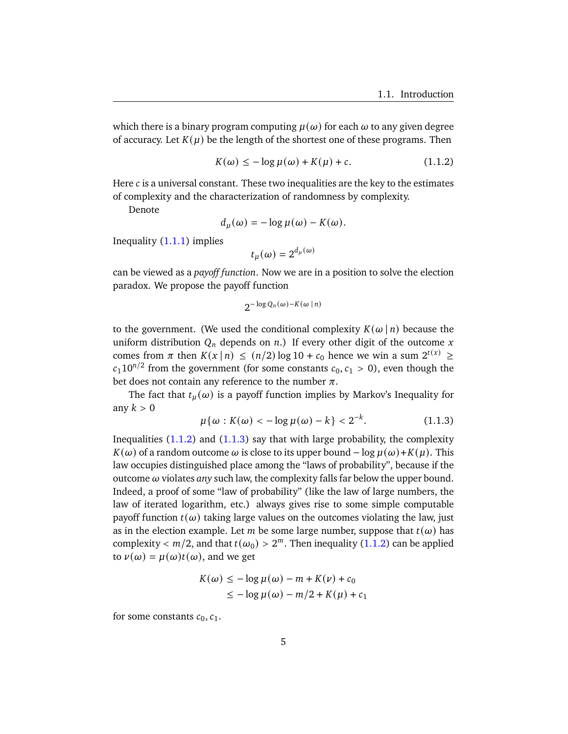which there is a binary program computing  $\mu(\omega)$  for each  $\omega$  to any given degree of accuracy. Let  $K(\mu)$  be the length of the shortest one of these programs. Then

$$
K(\omega) \le -\log \mu(\omega) + K(\mu) + c. \tag{1.1.2}
$$

Here  $c$  is a universal constant. These two inequalities are the key to the estimates of complexity and the characterization of randomness by complexity.

Denote

$$
d_{\mu}(\omega) = -\log \mu(\omega) - K(\omega).
$$

Inequality  $(1.1.1)$  implies

<span id="page-10-0"></span>
$$
t_{\mu}(\omega)=2^{d_{\mu}(\omega)}
$$

can be viewed as a *payoff function*. Now we are in a position to solve the election paradox. We propose the payoff function

$$
2^{-\log Q_n(\omega)-K(\omega\mid n)}
$$

to the government. (We used the conditional complexity  $K(\omega | n)$  because the uniform distribution  $Q_n$  depends on n.) If every other digit of the outcome x comes from  $\pi$  then  $K(x | n) \le (n/2) \log 10 + c_0$  hence we win a sum  $2^{t(x)} \ge$  $c_1 10^{n/2}$  from the government (for some constants  $c_0, c_1 > 0$ ), even though the bet does not contain any reference to the number  $\pi$ .

<span id="page-10-1"></span>The fact that  $t_u(\omega)$  is a payoff function implies by Markov's Inequality for any  $k > 0$ 

$$
\mu\{\omega : K(\omega) < -\log \mu(\omega) - k\} < 2^{-k}.
$$
 (1.1.3)

Inequalities  $(1.1.2)$  and  $(1.1.3)$  say that with large probability, the complexity  $K(\omega)$  of a random outcome  $\omega$  is close to its upper bound – log  $\mu(\omega)+K(\mu)$ . This law occupies distinguished place among the "laws of probability", because if the outcome  $\omega$  violates *any* such law, the complexity falls far below the upper bound. Indeed, a proof of some "law of probability" (like the law of large numbers, the law of iterated logarithm, etc.) always gives rise to some simple computable payoff function  $t(\omega)$  taking large values on the outcomes violating the law, just as in the election example. Let *m* be some large number, suppose that  $t(\omega)$  has complexity  $< m/2$ , and that  $t(\omega_0) > 2^m$ . Then inequality [\(1.1.2\)](#page-10-0) can be applied to  $\nu(\omega) = \mu(\omega)t(\omega)$ , and we get

$$
K(\omega) \le -\log \mu(\omega) - m + K(\nu) + c_0
$$
  

$$
\le -\log \mu(\omega) - m/2 + K(\mu) + c_1
$$

for some constants  $c_0$ ,  $c_1$ .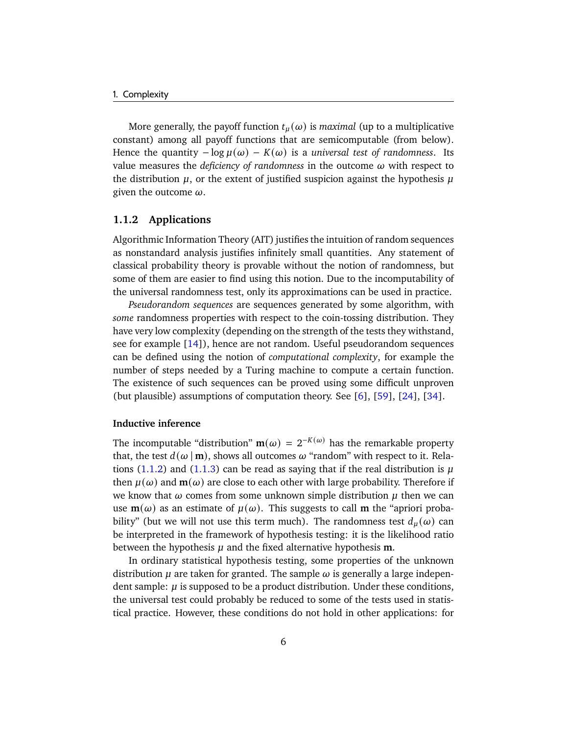More generally, the payoff function  $t<sub>\mu</sub>(\omega)$  is *maximal* (up to a multiplicative constant) among all payoff functions that are semicomputable (from below). Hence the quantity  $-\log \mu(\omega) - K(\omega)$  is a *universal test of randomness*. Its value measures the *deficiency of randomness* in the outcome  $\omega$  with respect to the distribution  $\mu$ , or the extent of justified suspicion against the hypothesis  $\mu$ given the outcome  $\omega$ .

# <span id="page-11-0"></span>**1.1.2 Applications**

Algorithmic Information Theory (AIT) justifies the intuition of random sequences as nonstandard analysis justifies infinitely small quantities. Any statement of classical probability theory is provable without the notion of randomness, but some of them are easier to find using this notion. Due to the incomputability of the universal randomness test, only its approximations can be used in practice.

*Pseudorandom sequences* are sequences generated by some algorithm, with *some* randomness properties with respect to the coin-tossing distribution. They have very low complexity (depending on the strength of the tests they withstand, see for example [\[14\]](#page-177-1)), hence are not random. Useful pseudorandom sequences can be defined using the notion of *computational complexity*, for example the number of steps needed by a Turing machine to compute a certain function. The existence of such sequences can be proved using some difficult unproven (but plausible) assumptions of computation theory. See [\[6\]](#page-176-1), [\[59\]](#page-180-2), [\[24\]](#page-178-3), [\[34\]](#page-178-4).

### **Inductive inference**

The incomputable "distribution"  $m(\omega) = 2^{-K(\omega)}$  has the remarkable property that, the test  $d(\omega | \mathbf{m})$ , shows all outcomes  $\omega$  "random" with respect to it. Rela-tions [\(1.1.2\)](#page-10-0) and [\(1.1.3\)](#page-10-1) can be read as saying that if the real distribution is  $\mu$ then  $\mu(\omega)$  and  $\mathbf{m}(\omega)$  are close to each other with large probability. Therefore if we know that  $\omega$  comes from some unknown simple distribution  $\mu$  then we can use  $m(\omega)$  as an estimate of  $\mu(\omega)$ . This suggests to call **m** the "apriori probability" (but we will not use this term much). The randomness test  $d_u(\omega)$  can be interpreted in the framework of hypothesis testing: it is the likelihood ratio between the hypothesis  $\mu$  and the fixed alternative hypothesis **m**.

In ordinary statistical hypothesis testing, some properties of the unknown distribution  $\mu$  are taken for granted. The sample  $\omega$  is generally a large independent sample:  $\mu$  is supposed to be a product distribution. Under these conditions, the universal test could probably be reduced to some of the tests used in statistical practice. However, these conditions do not hold in other applications: for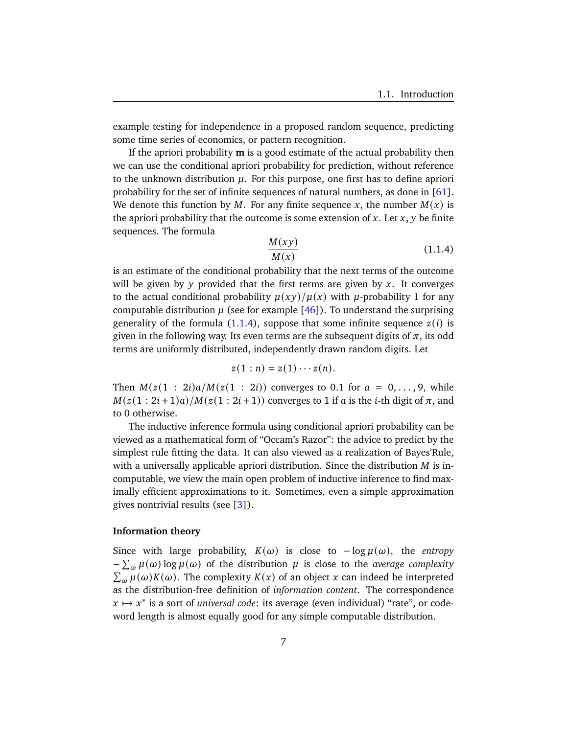example testing for independence in a proposed random sequence, predicting some time series of economics, or pattern recognition.

If the apriori probability **m** is a good estimate of the actual probability then we can use the conditional apriori probability for prediction, without reference to the unknown distribution  $\mu$ . For this purpose, one first has to define apriori probability for the set of infinite sequences of natural numbers, as done in  $[61]$ . We denote this function by M. For any finite sequence x, the number  $M(x)$  is the apriori probability that the outcome is some extension of  $x$ . Let  $x$ ,  $y$  be finite sequences. The formula

<span id="page-12-0"></span>
$$
\frac{M(xy)}{M(x)}\tag{1.1.4}
$$

is an estimate of the conditional probability that the next terms of the outcome will be given by y provided that the first terms are given by x. It converges to the actual conditional probability  $\mu(xy)/\mu(x)$  with  $\mu$ -probability 1 for any computable distribution  $\mu$  (see for example [\[46\]](#page-179-1)). To understand the surprising generality of the formula [\(1.1.4\)](#page-12-0), suppose that some infinite sequence  $z(i)$  is given in the following way. Its even terms are the subsequent digits of  $\pi$ , its odd terms are uniformly distributed, independently drawn random digits. Let

$$
z(1:n)=z(1)\cdots z(n).
$$

Then  $M(z(1 : 2i)a/M(z(1 : 2i))$  converges to 0.1 for  $a = 0, \ldots, 9$ , while  $M(z(1 : 2i + 1)a)/M(z(1 : 2i + 1))$  converges to 1 if *a* is the *i*-th digit of  $\pi$ , and to 0 otherwise.

The inductive inference formula using conditional apriori probability can be viewed as a mathematical form of "Occam's Razor": the advice to predict by the simplest rule fitting the data. It can also viewed as a realization of Bayes'Rule, with a universally applicable apriori distribution. Since the distribution  $M$  is incomputable, we view the main open problem of inductive inference to find maximally efficient approximations to it. Sometimes, even a simple approximation gives nontrivial results (see [\[3\]](#page-176-2)).

# **Information theory**

Since with large probability,  $K(\omega)$  is close to  $-\log \mu(\omega)$ , the *entropy*  $-\sum_{\omega}\mu(\omega)\log\mu(\omega)$  of the distribution  $\mu$  is close to the *average complexity*  $\sum_{\omega} \mu(\omega) K(\omega)$ . The complexity  $K(x)$  of an object x can indeed be interpreted as the distribution-free definition of *information content*. The correspondence  $x \mapsto x^*$  is a sort of *universal code*: its average (even individual) "rate", or codeword length is almost equally good for any simple computable distribution.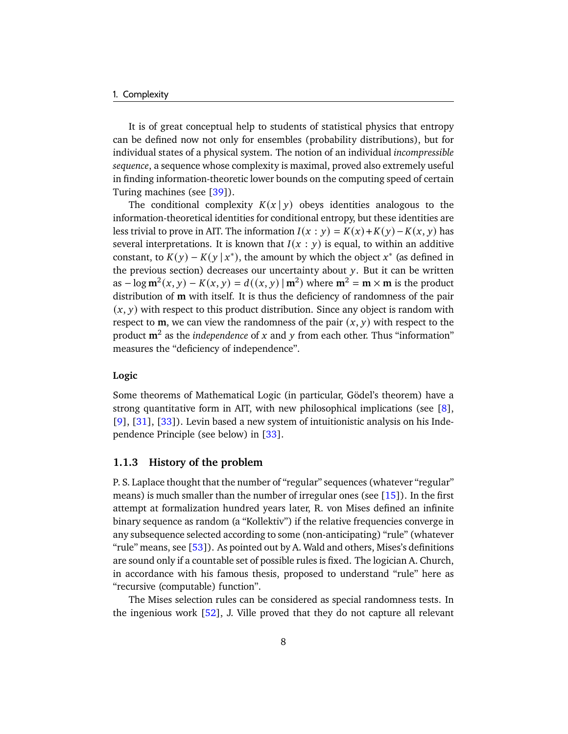#### 1. Complexity

It is of great conceptual help to students of statistical physics that entropy can be defined now not only for ensembles (probability distributions), but for individual states of a physical system. The notion of an individual *incompressible sequence*, a sequence whose complexity is maximal, proved also extremely useful in finding information-theoretic lower bounds on the computing speed of certain Turing machines (see [\[39\]](#page-179-2)).

The conditional complexity  $K(x | y)$  obeys identities analogous to the information-theoretical identities for conditional entropy, but these identities are less trivial to prove in AIT. The information  $I(x : y) = K(x) + K(y) - K(x, y)$  has several interpretations. It is known that  $I(x : y)$  is equal, to within an additive constant, to  $K(y) - K(y | x^*)$ , the amount by which the object  $x^*$  (as defined in the previous section) decreases our uncertainty about  $y$ . But it can be written as  $-\log m^2(x, y) - K(x, y) = d((x, y) | m^2)$  where  $m^2 = m \times m$  is the product distribution of **m** with itself. It is thus the deficiency of randomness of the pair  $(x, y)$  with respect to this product distribution. Since any object is random with respect to **m**, we can view the randomness of the pair  $(x, y)$  with respect to the product  $m^2$  as the *independence* of x and y from each other. Thus "information" measures the "deficiency of independence".

# **Logic**

Some theorems of Mathematical Logic (in particular, Gödel's theorem) have a strong quantitative form in AIT, with new philosophical implications (see [\[8\]](#page-176-3), [\[9\]](#page-176-4), [\[31\]](#page-178-5), [\[33\]](#page-178-6)). Levin based a new system of intuitionistic analysis on his Independence Principle (see below) in [\[33\]](#page-178-6).

#### <span id="page-13-0"></span>**1.1.3 History of the problem**

P. S. Laplace thought that the number of "regular" sequences (whatever "regular" means) is much smaller than the number of irregular ones (see  $[15]$ ). In the first attempt at formalization hundred years later, R. von Mises defined an infinite binary sequence as random (a "Kollektiv") if the relative frequencies converge in any subsequence selected according to some (non-anticipating) "rule" (whatever "rule" means, see  $[53]$ ). As pointed out by A. Wald and others, Mises's definitions are sound only if a countable set of possible rules is fixed. The logician A. Church, in accordance with his famous thesis, proposed to understand "rule" here as "recursive (computable) function".

The Mises selection rules can be considered as special randomness tests. In the ingenious work  $[52]$ , J. Ville proved that they do not capture all relevant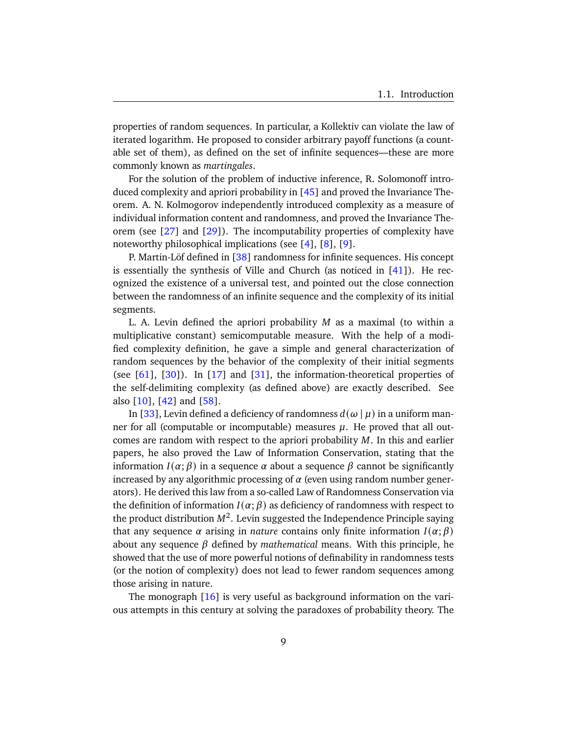properties of random sequences. In particular, a Kollektiv can violate the law of iterated logarithm. He proposed to consider arbitrary payoff functions (a countable set of them), as defined on the set of infinite sequences—these are more commonly known as *martingales*.

For the solution of the problem of inductive inference, R. Solomonoff introduced complexity and apriori probability in [\[45\]](#page-179-3) and proved the Invariance Theorem. A. N. Kolmogorov independently introduced complexity as a measure of individual information content and randomness, and proved the Invariance Theorem (see  $[27]$  and  $[29]$ ). The incomputability properties of complexity have noteworthy philosophical implications (see [\[4\]](#page-176-5), [\[8\]](#page-176-3), [\[9\]](#page-176-4).

P. Martin-Löf defined in [\[38\]](#page-179-4) randomness for infinite sequences. His concept is essentially the synthesis of Ville and Church (as noticed in [\[41\]](#page-179-5)). He recognized the existence of a universal test, and pointed out the close connection between the randomness of an infinite sequence and the complexity of its initial segments.

L. A. Levin defined the apriori probability  $M$  as a maximal (to within a multiplicative constant) semicomputable measure. With the help of a modified complexity definition, he gave a simple and general characterization of random sequences by the behavior of the complexity of their initial segments (see  $[61]$ ,  $[30]$ ). In  $[17]$  and  $[31]$ , the information-theoretical properties of the self-delimiting complexity (as defined above) are exactly described. See also [\[10\]](#page-176-6), [\[42\]](#page-179-6) and [\[58\]](#page-180-5).

In [\[33\]](#page-178-6), Levin defined a deficiency of randomness  $d(\omega | \mu)$  in a uniform manner for all (computable or incomputable) measures  $\mu$ . He proved that all outcomes are random with respect to the apriori probability  $M$ . In this and earlier papers, he also proved the Law of Information Conservation, stating that the information  $I(\alpha; \beta)$  in a sequence  $\alpha$  about a sequence  $\beta$  cannot be significantly increased by any algorithmic processing of  $\alpha$  (even using random number generators). He derived this law from a so-called Law of Randomness Conservation via the definition of information  $I(\alpha; \beta)$  as deficiency of randomness with respect to the product distribution  $M^2$ . Levin suggested the Independence Principle saying that any sequence  $\alpha$  arising in *nature* contains only finite information  $I(\alpha; \beta)$ about any sequence  $\beta$  defined by *mathematical* means. With this principle, he showed that the use of more powerful notions of definability in randomness tests (or the notion of complexity) does not lead to fewer random sequences among those arising in nature.

The monograph [\[16\]](#page-177-3) is very useful as background information on the various attempts in this century at solving the paradoxes of probability theory. The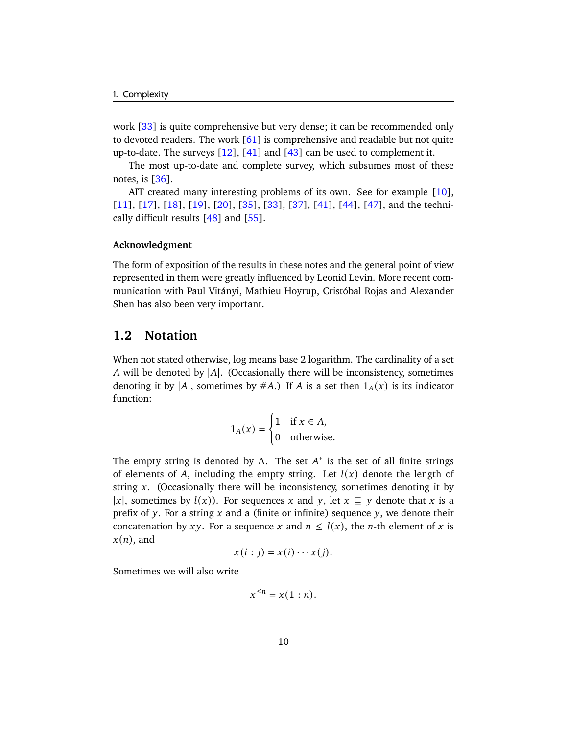work [\[33\]](#page-178-6) is quite comprehensive but very dense; it can be recommended only to devoted readers. The work [\[61\]](#page-180-3) is comprehensive and readable but not quite up-to-date. The surveys  $[12]$ ,  $[41]$  and  $[43]$  can be used to complement it.

The most up-to-date and complete survey, which subsumes most of these notes, is [\[36\]](#page-178-8).

AIT created many interesting problems of its own. See for example [\[10\]](#page-176-6), [\[11\]](#page-177-5), [\[17\]](#page-177-2), [\[18\]](#page-177-6), [\[19\]](#page-177-7), [\[20\]](#page-177-8), [\[35\]](#page-178-9), [\[33\]](#page-178-6), [\[37\]](#page-179-8), [\[41\]](#page-179-5), [\[44\]](#page-179-9), [\[47\]](#page-179-10), and the technically difficult results  $[48]$  and  $[55]$ .

# **Acknowledgment**

The form of exposition of the results in these notes and the general point of view represented in them were greatly influenced by Leonid Levin. More recent communication with Paul Vitányi, Mathieu Hoyrup, Cristóbal Rojas and Alexander Shen has also been very important.

# <span id="page-15-0"></span>**1.2 Notation**

When not stated otherwise, log means base 2 logarithm. The cardinality of a set A will be denoted by  $|A|$ . (Occasionally there will be inconsistency, sometimes denoting it by |A|, sometimes by #A.) If A is a set then  $1_A(x)$  is its indicator function:

$$
1_A(x) = \begin{cases} 1 & \text{if } x \in A, \\ 0 & \text{otherwise.} \end{cases}
$$

The empty string is denoted by  $\Lambda$ . The set  $A^*$  is the set of all finite strings of elements of A, including the empty string. Let  $l(x)$  denote the length of string  $x$ . (Occasionally there will be inconsistency, sometimes denoting it by |x|, sometimes by  $l(x)$ ). For sequences x and y, let  $x \subseteq y$  denote that x is a prefix of y. For a string  $x$  and a (finite or infinite) sequence  $y$ , we denote their concatenation by xy. For a sequence x and  $n \leq l(x)$ , the *n*-th element of x is  $x(n)$ , and

$$
x(i:j) = x(i) \cdots x(j).
$$

Sometimes we will also write

$$
x^{\leq n} = x(1:n).
$$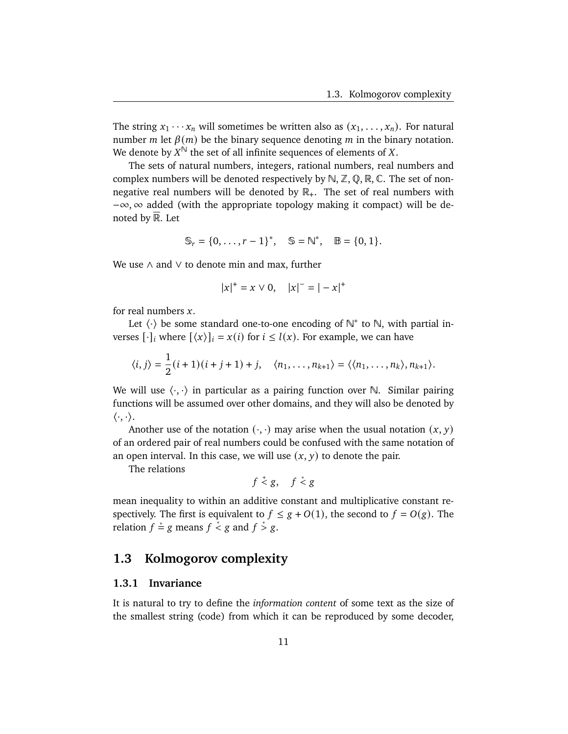The string  $x_1 \cdots x_n$  will sometimes be written also as  $(x_1, \ldots, x_n)$ . For natural number *m* let  $\beta(m)$  be the binary sequence denoting *m* in the binary notation. We denote by  $X^{\mathbb{N}}$  the set of all infinite sequences of elements of X.

The sets of natural numbers, integers, rational numbers, real numbers and complex numbers will be denoted respectively by  $\mathbb{N}, \mathbb{Z}, \mathbb{Q}, \mathbb{R}, \mathbb{C}$ . The set of nonnegative real numbers will be denoted by  $\mathbb{R}_+$ . The set of real numbers with −∞, ∞ added (with the appropriate topology making it compact) will be denoted by R. Let

$$
\mathbb{S}_r = \{0, \ldots, r-1\}^*, \quad \mathbb{S} = \mathbb{N}^*, \quad \mathbb{B} = \{0, 1\}.
$$

We use ∧ and ∨ to denote min and max, further

$$
|x|^+ = x \vee 0, \quad |x|^- = |-x|^+
$$

for real numbers  $x$ .

Let  $\langle \cdot \rangle$  be some standard one-to-one encoding of  $\mathbb{N}^*$  to  $\mathbb{N}$ , with partial inverses  $[\cdot]_i$  where  $[\langle x \rangle]_i = x(i)$  for  $i \leq l(x)$ . For example, we can have

$$
\langle i, j \rangle = \frac{1}{2} (i+1)(i+j+1) + j, \quad \langle n_1, \ldots, n_{k+1} \rangle = \langle \langle n_1, \ldots, n_k \rangle, n_{k+1} \rangle.
$$

We will use  $\langle \cdot, \cdot \rangle$  in particular as a pairing function over N. Similar pairing functions will be assumed over other domains, and they will also be denoted by  $\langle \cdot, \cdot \rangle$ .

Another use of the notation  $(\cdot, \cdot)$  may arise when the usual notation  $(x, y)$ of an ordered pair of real numbers could be confused with the same notation of an open interval. In this case, we will use  $(x, y)$  to denote the pair.

The relations

$$
f \stackrel{+}{<} g, \quad f \stackrel{*}{<} g
$$

mean inequality to within an additive constant and multiplicative constant respectively. The first is equivalent to  $f \le g + O(1)$ , the second to  $f = O(g)$ . The relation  $f \stackrel{*}{=} g$  means  $f \stackrel{*}{\le} g$  and  $f \stackrel{*}{\ge} g$ .

# <span id="page-16-0"></span>**1.3 Kolmogorov complexity**

# <span id="page-16-1"></span>**1.3.1 Invariance**

It is natural to try to define the *information content* of some text as the size of the smallest string (code) from which it can be reproduced by some decoder,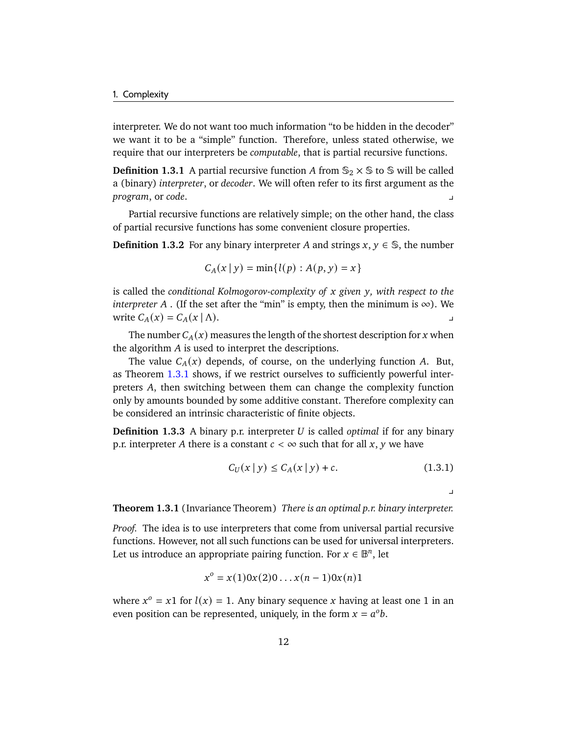interpreter. We do not want too much information "to be hidden in the decoder" we want it to be a "simple" function. Therefore, unless stated otherwise, we require that our interpreters be *computable*, that is partial recursive functions.

**Definition 1.3.1** A partial recursive function A from  $\mathbb{S}_2 \times \mathbb{S}$  to  $\mathbb{S}$  will be called a (binary) *interpreter*, or *decoder*. We will often refer to its first argument as the *program*, or *code*. y

Partial recursive functions are relatively simple; on the other hand, the class of partial recursive functions has some convenient closure properties.

**Definition 1.3.2** For any binary interpreter A and strings  $x, y \in \mathbb{S}$ , the number

$$
C_A(x | y) = \min\{l(p) : A(p, y) = x\}
$$

is called the *conditional Kolmogorov-complexity of* x given y, with respect to the *interpreter*  $A$ . (If the set after the "min" is empty, then the minimum is  $\infty$ ). We write  $C_A(x) = C_A(x | \Lambda)$ .

The number  $C_A(x)$  measures the length of the shortest description for x when the algorithm  $A$  is used to interpret the descriptions.

The value  $C_A(x)$  depends, of course, on the underlying function A. But, as Theorem [1.3.1](#page-17-0) shows, if we restrict ourselves to sufficiently powerful interpreters A, then switching between them can change the complexity function only by amounts bounded by some additive constant. Therefore complexity can be considered an intrinsic characteristic of finite objects.

**Definition 1.3.3** A binary p.r. interpreter *U* is called *optimal* if for any binary p.r. interpreter A there is a constant  $c < \infty$  such that for all x, y we have

$$
C_U(x | y) \le C_A(x | y) + c.
$$
 (1.3.1)

<span id="page-17-1"></span> $\overline{\phantom{a}}$ 

<span id="page-17-0"></span>**Theorem 1.3.1** (Invariance Theorem) *There is an optimal p.r. binary interpreter.*

*Proof.* The idea is to use interpreters that come from universal partial recursive functions. However, not all such functions can be used for universal interpreters. Let us introduce an appropriate pairing function. For  $x \in \mathbb{B}^n$ , let

$$
x^{o} = x(1)0x(2)0...x(n-1)0x(n)1
$$

where  $x^{\circ} = x1$  for  $l(x) = 1$ . Any binary sequence x having at least one 1 in an even position can be represented, uniquely, in the form  $x = a^{\circ}b$ .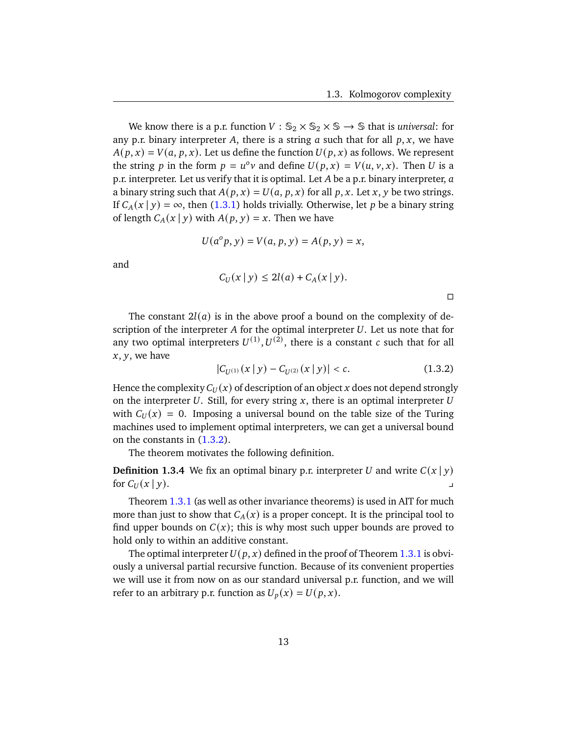We know there is a p.r. function  $V : \mathbb{S}_2 \times \mathbb{S}_2 \times \mathbb{S} \rightarrow \mathbb{S}$  that is *universal*: for any p.r. binary interpreter A, there is a string  $a$  such that for all  $p, x$ , we have  $A(p, x) = V(a, p, x)$ . Let us define the function  $U(p, x)$  as follows. We represent the string p in the form  $p = u^0 v$  and define  $U(p, x) = V(u, v, x)$ . Then U is a p.r. interpreter. Let us verify that it is optimal. Let  $A$  be a p.r. binary interpreter,  $a$ a binary string such that  $A(p, x) = U(a, p, x)$  for all p, x. Let x, y be two strings. If  $C_A(x | y) = \infty$ , then [\(1.3.1\)](#page-17-1) holds trivially. Otherwise, let p be a binary string of length  $C_A(x | y)$  with  $A(p, y) = x$ . Then we have

$$
U(a^{o} p, y) = V(a, p, y) = A(p, y) = x,
$$

and

$$
C_U(x \mid y) \le 2l(a) + C_A(x \mid y).
$$

 $\Box$ 

The constant  $2l(a)$  is in the above proof a bound on the complexity of description of the interpreter  $A$  for the optimal interpreter  $U$ . Let us note that for any two optimal interpreters  $U^{(1)}, U^{(2)},$  there is a constant c such that for all  $x, y$ , we have

<span id="page-18-0"></span>
$$
|C_{U^{(1)}}(x \mid y) - C_{U^{(2)}}(x \mid y)| < c. \tag{1.3.2}
$$

Hence the complexity  $C_U(x)$  of description of an object x does not depend strongly on the interpreter  $U$ . Still, for every string  $x$ , there is an optimal interpreter  $U$ with  $C_U(x) = 0$ . Imposing a universal bound on the table size of the Turing machines used to implement optimal interpreters, we can get a universal bound on the constants in [\(1.3.2\)](#page-18-0).

The theorem motivates the following definition.

**Definition 1.3.4** We fix an optimal binary p.r. interpreter U and write  $C(x | y)$ for  $C_U(x | y)$ .

Theorem [1.3.1](#page-17-0) (as well as other invariance theorems) is used in AIT for much more than just to show that  $C_A(x)$  is a proper concept. It is the principal tool to find upper bounds on  $C(x)$ ; this is why most such upper bounds are proved to hold only to within an additive constant.

The optimal interpreter  $U(p, x)$  defined in the proof of Theorem [1.3.1](#page-17-0) is obviously a universal partial recursive function. Because of its convenient properties we will use it from now on as our standard universal p.r. function, and we will refer to an arbitrary p.r. function as  $U_p(x) = U(p, x)$ .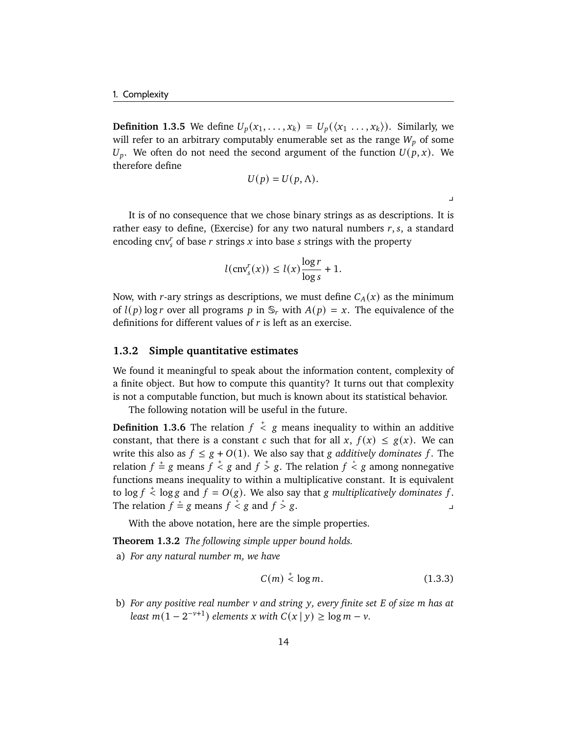**Definition 1.3.5** We define  $U_p(x_1, \ldots, x_k) = U_p(\langle x_1, \ldots, x_k \rangle)$ . Similarly, we will refer to an arbitrary computably enumerable set as the range  $W_p$  of some  $U_p$ . We often do not need the second argument of the function  $U(p, x)$ . We therefore define

$$
U(p) = U(p, \Lambda).
$$

 $\blacksquare$ 

It is of no consequence that we chose binary strings as as descriptions. It is rather easy to define, (Exercise) for any two natural numbers  $r, s$ , a standard encoding cnv<sup>r</sup> of base *r* strings *x* into base *s* strings with the property

$$
l(\text{cnv}_s^r(x)) \le l(x) \frac{\log r}{\log s} + 1.
$$

Now, with r-ary strings as descriptions, we must define  $C_A(x)$  as the minimum of  $l(p)$  log r over all programs p in  $\mathcal{S}_r$  with  $A(p) = x$ . The equivalence of the definitions for different values of  $r$  is left as an exercise.

# <span id="page-19-0"></span>**1.3.2 Simple quantitative estimates**

We found it meaningful to speak about the information content, complexity of a finite object. But how to compute this quantity? It turns out that complexity is not a computable function, but much is known about its statistical behavior.

The following notation will be useful in the future.

**Definition 1.3.6** The relation  $f \times g$  means inequality to within an additive constant, that there is a constant c such that for all  $x$ ,  $f(x) \le g(x)$ . We can write this also as  $f \leq g + O(1)$ . We also say that g additively dominates f. The relation  $f \stackrel{+}{=} g$  means  $f \stackrel{+}{<} g$  and  $f \stackrel{+}{>} g$ . The relation  $f \stackrel{*}{<} g$  among nonnegative functions means inequality to within a multiplicative constant. It is equivalent to  $\log f \stackrel{+}{\leq} \log g$  and  $\bar{f} = O(g)$ . We also say that *g* multiplicatively dominates f. The relation  $f \stackrel{*}{=} g$  means  $f \stackrel{*}{\le} g$  and  $f \stackrel{*}{>}$  $> g.$ 

With the above notation, here are the simple properties.

<span id="page-19-1"></span>**Theorem 1.3.2** *The following simple upper bound holds.*

<span id="page-19-2"></span>a) *For any natural number m, we have* 

<span id="page-19-4"></span>
$$
C(m) \stackrel{+}{\leq} \log m. \tag{1.3.3}
$$

<span id="page-19-3"></span>b) *For any positive real number and string , every finite set of size has at least*  $m(1 - 2^{-\nu+1})$  *elements x* with  $C(x | y) \ge \log m - \nu$ .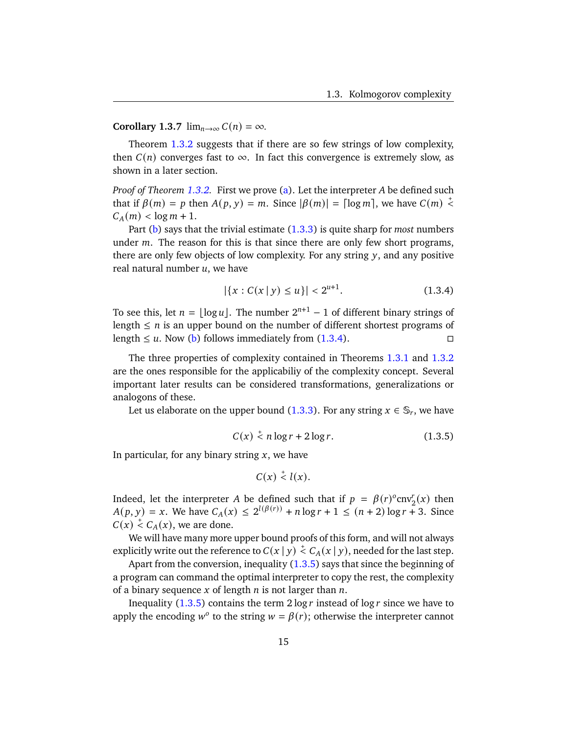# **Corollary 1.3.7**  $\lim_{n\to\infty} C(n) = \infty$ .

Theorem [1.3.2](#page-19-1) suggests that if there are so few strings of low complexity, then  $C(n)$  converges fast to  $\infty$ . In fact this convergence is extremely slow, as shown in a later section.

*Proof of Theorem [1.3.2.](#page-19-1)* First we prove [\(a\)](#page-19-2). Let the interpreter A be defined such that if  $\beta(m) = p$  then  $A(p, y) = m$ . Since  $|\beta(m)| = \lceil \log m \rceil$ , we have  $C(m) \leq$  $C_A(m) < \log m + 1.$ 

Part [\(b\)](#page-19-3) says that the trivial estimate [\(1.3.3\)](#page-19-4) is quite sharp for *most* numbers under  $m$ . The reason for this is that since there are only few short programs, there are only few objects of low complexity. For any string  $y$ , and any positive real natural number  $u$ , we have

<span id="page-20-0"></span>
$$
|\{x : C(x \mid y) \le u\}| < 2^{u+1}.\tag{1.3.4}
$$

To see this, let  $n = \lfloor \log u \rfloor$ . The number  $2^{n+1} - 1$  of different binary strings of length  $\leq n$  is an upper bound on the number of different shortest programs of length  $\le u$ . Now [\(b\)](#page-19-3) follows immediately from [\(1.3.4\)](#page-20-0).

The three properties of complexity contained in Theorems [1.3.1](#page-17-0) and [1.3.2](#page-19-1) are the ones responsible for the applicabiliy of the complexity concept. Several important later results can be considered transformations, generalizations or analogons of these.

<span id="page-20-1"></span>Let us elaborate on the upper bound [\(1.3.3\)](#page-19-4). For any string  $x \in \mathbb{S}_r$ , we have

$$
C(x) \stackrel{+}{\lt} n \log r + 2 \log r. \tag{1.3.5}
$$

In particular, for any binary string  $x$ , we have

$$
C(x) \stackrel{+}{\lt} l(x).
$$

Indeed, let the interpreter A be defined such that if  $p = \beta(r)^{o}$ cnv<sup>r</sup><sub>2</sub>(x) then  $A(p, y) = x$ . We have  $C_A(x) \leq 2^{l(\beta(r))} + n \log r + 1 \leq (n + 2) \log r + 3$ . Since  $C(x) \stackrel{+}{\leq} C_A(x)$ , we are done.

We will have many more upper bound proofs of this form, and will not always explicitly write out the reference to  $C(x|y) \stackrel{+}{<} C_A(x|y)$ , needed for the last step.

Apart from the conversion, inequality  $(1.3.5)$  says that since the beginning of a program can command the optimal interpreter to copy the rest, the complexity of a binary sequence  $x$  of length  $n$  is not larger than  $n$ .

Inequality [\(1.3.5\)](#page-20-1) contains the term  $2 \log r$  instead of  $\log r$  since we have to apply the encoding  $w^{\circ}$  to the string  $w = \beta(r)$ ; otherwise the interpreter cannot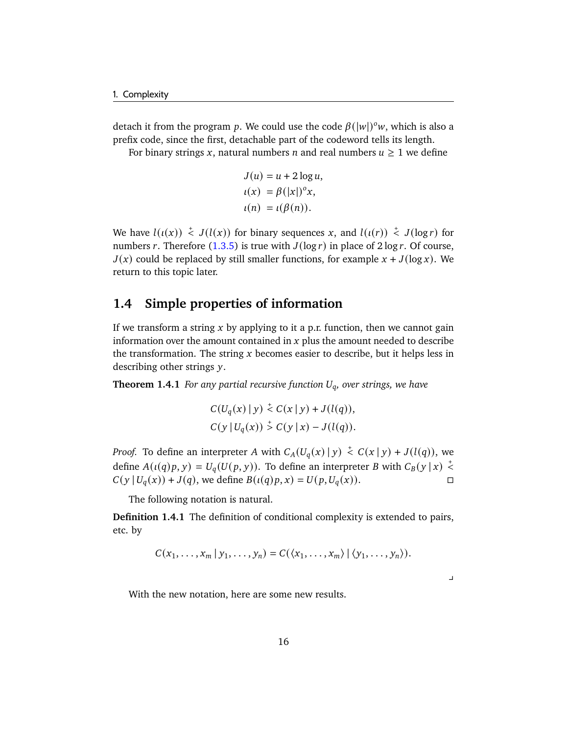detach it from the program p. We could use the code  $\beta(|w|)^{0}w$ , which is also a prefix code, since the first, detachable part of the codeword tells its length.

For binary strings x, natural numbers *n* and real numbers  $u \ge 1$  we define

$$
J(u) = u + 2 \log u,
$$
  
\n
$$
\iota(x) = \beta(|x|)^{\circ} x,
$$
  
\n
$$
\iota(n) = \iota(\beta(n)).
$$

We have  $l(\iota(x)) \stackrel{+}{\leq} J(l(x))$  for binary sequences x, and  $l(\iota(r)) \stackrel{+}{\leq} J(\log r)$  for numbers r. Therefore [\(1.3.5\)](#page-20-1) is true with  $J(\log r)$  in place of  $2 \log r$ . Of course,  $J(x)$  could be replaced by still smaller functions, for example  $x + J(\log x)$ . We return to this topic later.

# <span id="page-21-0"></span>**1.4 Simple properties of information**

If we transform a string  $x$  by applying to it a p.r. function, then we cannot gain information over the amount contained in  $x$  plus the amount needed to describe the transformation. The string  $x$  becomes easier to describe, but it helps less in describing other strings y.

<span id="page-21-1"></span>**Theorem 1.4.1** *For any partial recursive function*  $U_q$ *, over strings, we have* 

$$
C(U_q(x) | y) \leq C(x | y) + J(l(q)),
$$
  
 
$$
C(y | U_q(x)) \leq C(y | x) - J(l(q)).
$$

*Proof.* To define an interpreter A with  $C_A(U_q(x) | y) \stackrel{+}{\leq} C(x | y) + J(l(q))$ , we define  $A(\iota(q)p, y) = U_q(U(p, y))$ . To define an interpreter B with  $C_B(y|x) \leq$  $C(y | U_q(x)) + J(q)$ , we define  $B(u(q)p, x) = U(p, U_q(x))$ .

The following notation is natural.

**Definition 1.4.1** The definition of conditional complexity is extended to pairs, etc. by

$$
C(x_1,\ldots,x_m\,|\,y_1,\ldots,y_n)=C(\langle x_1,\ldots,x_m\rangle\,|\,\langle y_1,\ldots,y_n\rangle).
$$

 $\Box$ 

With the new notation, here are some new results.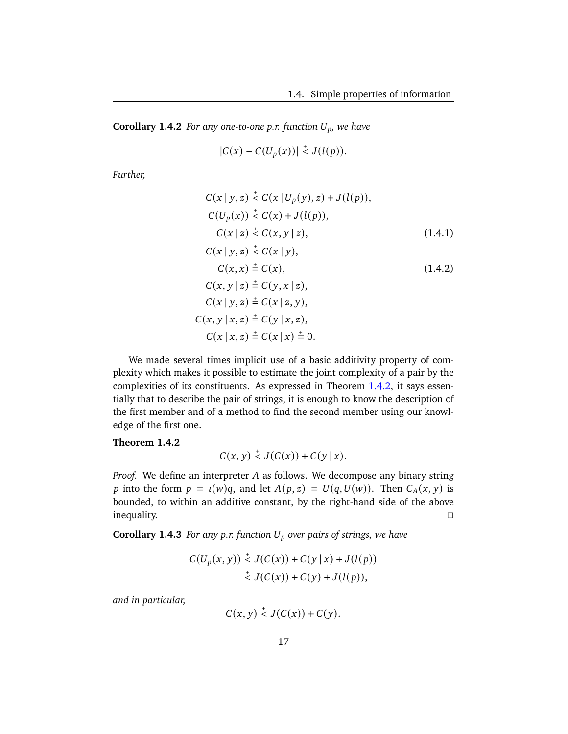<span id="page-22-1"></span>**Corollary 1.4.2** *For any one-to-one p.r. function*  $U_p$ *, we have* 

<span id="page-22-2"></span>
$$
|C(x) - C(U_p(x))| \stackrel{+}{\leq} J(l(p)).
$$

*Further,*

$$
C(x | y, z) \stackrel{+}{\leq} C(x | U_p(y), z) + J(l(p)),
$$
  
\n
$$
C(U_p(x)) \stackrel{+}{\leq} C(x) + J(l(p)),
$$
  
\n
$$
C(x | z) \stackrel{+}{\leq} C(x, y | z),
$$
  
\n
$$
C(x | y, z) \stackrel{+}{\leq} C(x | y),
$$
  
\n
$$
C(x, x) \stackrel{+}{=} C(x),
$$
  
\n
$$
C(x, y | z) \stackrel{+}{=} C(y, x | z),
$$
  
\n
$$
C(x | y, z) \stackrel{+}{=} C(x | z, y),
$$
  
\n
$$
C(x | x, z) \stackrel{+}{=} C(y | x, z),
$$
  
\n
$$
C(x | x, z) \stackrel{+}{=} C(x | x) \stackrel{+}{=} 0.
$$
  
\n(1.4.2)

We made several times implicit use of a basic additivity property of complexity which makes it possible to estimate the joint complexity of a pair by the complexities of its constituents. As expressed in Theorem [1.4.2,](#page-22-0) it says essentially that to describe the pair of strings, it is enough to know the description of the first member and of a method to find the second member using our knowledge of the first one.

<span id="page-22-0"></span>**Theorem 1.4.2**

$$
C(x, y) \stackrel{+}{\leq} J(C(x)) + C(y \mid x).
$$

*Proof.* We define an interpreter A as follows. We decompose any binary string p into the form  $p = \iota(w)q$ , and let  $A(p, z) = U(q, U(w))$ . Then  $C_A(x, y)$  is bounded, to within an additive constant, by the right-hand side of the above inequality.

<span id="page-22-3"></span>**Corollary 1.4.3** *For any p.r. function over pairs of strings, we have*

$$
C(U_p(x, y)) \stackrel{+}{\leq} J(C(x)) + C(y | x) + J(l(p))
$$
  

$$
\stackrel{+}{\leq} J(C(x)) + C(y) + J(l(p)),
$$

*and in particular,*

 $C(x, y) \stackrel{+}{\leq} J(C(x)) + C(y).$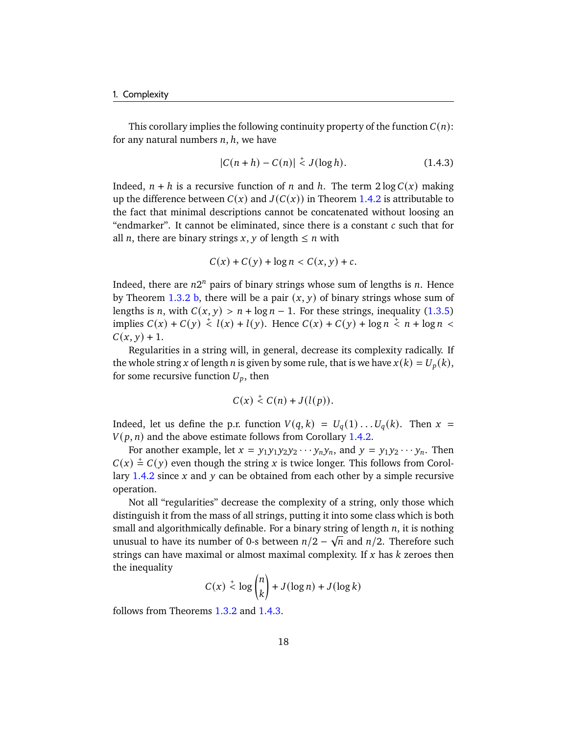This corollary implies the following continuity property of the function  $C(n)$ : for any natural numbers  $n, h$ , we have

$$
|C(n+h) - C(n)| \stackrel{+}{\leq} J(\log h). \tag{1.4.3}
$$

Indeed,  $n + h$  is a recursive function of n and h. The term  $2 \log C(x)$  making up the difference between  $C(x)$  and  $J(C(x))$  in Theorem [1.4.2](#page-22-0) is attributable to the fact that minimal descriptions cannot be concatenated without loosing an "endmarker". It cannot be eliminated, since there is a constant  $c$  such that for all *n*, there are binary strings *x*, *y* of length  $\leq n$  with

$$
C(x) + C(y) + \log n < C(x, y) + c.
$$

Indeed, there are  $n2^n$  pairs of binary strings whose sum of lengths is n. Hence by Theorem [1.3.2](#page-19-1) [b,](#page-19-3) there will be a pair  $(x, y)$  of binary strings whose sum of lengths is *n*, with  $C(x, y) > n + \log n - 1$ . For these strings, inequality [\(1.3.5\)](#page-20-1) implies  $C(x) + C(y) \le l(x) + l(y)$ . Hence  $C(x) + C(y) + \log n \le n + \log n$  $C(x, y) + 1.$ 

Regularities in a string will, in general, decrease its complexity radically. If the whole string x of length *n* is given by some rule, that is we have  $x(k) = U_p(k)$ , for some recursive function  $U_p$ , then

$$
C(x) \stackrel{+}{\leq} C(n) + J(l(p)).
$$

Indeed, let us define the p.r. function  $V(q, k) = U_q(1) \dots U_q(k)$ . Then  $x =$  $V(p, n)$  and the above estimate follows from Corollary [1.4.2.](#page-22-1)

For another example, let  $x = y_1 y_1 y_2 y_2 \cdots y_n y_n$ , and  $y = y_1 y_2 \cdots y_n$ . Then  $C(x) \stackrel{+}{=} C(y)$  even though the string x is twice longer. This follows from Corol-lary [1.4.2](#page-22-1) since  $x$  and  $y$  can be obtained from each other by a simple recursive operation.

Not all "regularities" decrease the complexity of a string, only those which distinguish it from the mass of all strings, putting it into some class which is both small and algorithmically definable. For a binary string of length  $n$ , it is nothing unusual to have its number of 0-s between  $n/2 - \sqrt{n}$  and  $n/2$ . Therefore such strings can have maximal or almost maximal complexity. If  $x$  has  $k$  zeroes then the inequality

$$
C(x) \stackrel{+}{\leq} \log \binom{n}{k} + J(\log n) + J(\log k)
$$

follows from Theorems [1.3.2](#page-19-1) and [1.4.3.](#page-24-1)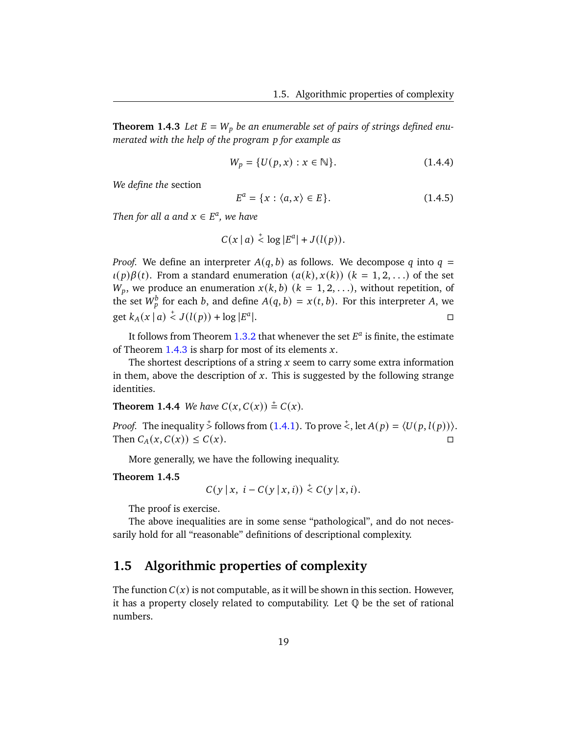<span id="page-24-1"></span>**Theorem 1.4.3** Let  $E = W_p$  be an enumerable set of pairs of strings defined enu*merated with the help of the program for example as*

<span id="page-24-4"></span><span id="page-24-2"></span>
$$
W_p = \{ U(p, x) : x \in \mathbb{N} \}. \tag{1.4.4}
$$

*We define the* section

$$
E^a = \{x : \langle a, x \rangle \in E\}.
$$
 (1.4.5)

*Then for all a and*  $x \in E^a$ , we have

$$
C(x | a) \stackrel{+}{\leq} \log |E^a| + J(l(p)).
$$

*Proof.* We define an interpreter  $A(q, b)$  as follows. We decompose q into  $q =$  $u(p)\beta(t)$ . From a standard enumeration  $(a(k), x(k))$   $(k = 1, 2, ...)$  of the set  $W_p$ , we produce an enumeration  $x(k, b)$   $(k = 1, 2, ...)$ , without repetition, of the set  $W_p^b$  for each b, and define  $A(q, b) = x(t, b)$ . For this interpreter A, we get  $k_A(x | a) \stackrel{+}{\leq} J(l(p)) + \log |E^a|$ |.<br>|- Денесі — Денесі — Денесі — Денесі — Денесі — Денесі — Денесі — Денесі — Денесі — Денесі — Денесі — Денесі —

It follows from Theorem [1.3.2](#page-19-1) that whenever the set  $E^a$  is finite, the estimate of Theorem [1.4.3](#page-24-1) is sharp for most of its elements  $x$ .

The shortest descriptions of a string  $x$  seem to carry some extra information in them, above the description of  $x$ . This is suggested by the following strange identities.

**Theorem 1.4.4** *We have*  $C(x, C(x)) \stackrel{+}{=} C(x)$ *.* 

*Proof.* The inequality  $\frac{1}{2}$  follows from [\(1.4.1\)](#page-22-2). To prove  $\frac{1}{2}$ , let  $A(p) = \langle U(p, l(p)) \rangle$ . Then  $C_A(x, C(x)) \leq C(x)$ .

More generally, we have the following inequality.

#### <span id="page-24-3"></span>**Theorem 1.4.5**

$$
C(y \mid x, i - C(y \mid x, i)) \stackrel{+}{\leq} C(y \mid x, i).
$$

The proof is exercise.

The above inequalities are in some sense "pathological", and do not necessarily hold for all "reasonable" definitions of descriptional complexity.

# <span id="page-24-0"></span>**1.5 Algorithmic properties of complexity**

The function  $C(x)$  is not computable, as it will be shown in this section. However, it has a property closely related to computability. Let  $\mathbb Q$  be the set of rational numbers.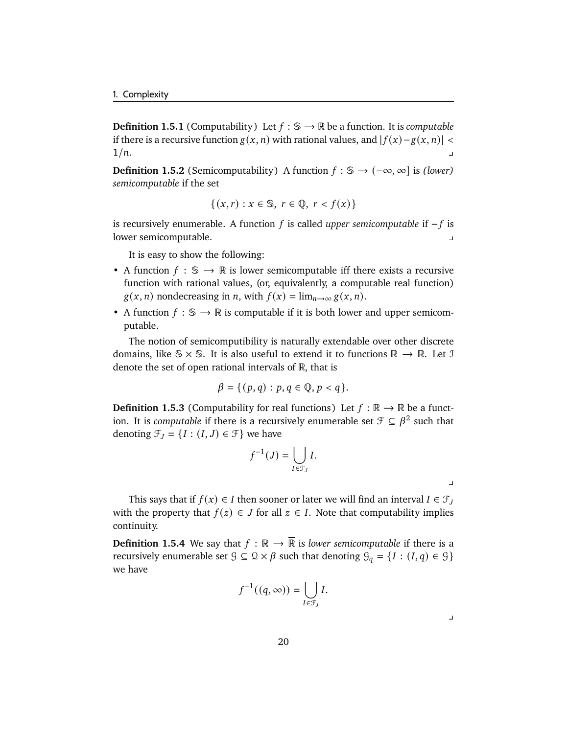**Definition 1.5.1** (Computability) Let  $f : \mathbb{S} \to \mathbb{R}$  be a function. It is *computable* if there is a recursive function  $g(x, n)$  with rational values, and  $|f(x)-g(x, n)| <$  $1/n.$ 

**Definition 1.5.2** (Semicomputability) A function  $f : \mathbb{S} \to (-\infty, \infty]$  is *(lower) semicomputable* if the set

$$
\{(x,r) : x \in \mathbb{S}, r \in \mathbb{Q}, r < f(x)\}
$$

is recursively enumerable. A function *f* is called *upper semicomputable* if −*f* is lower semicomputable. y

It is easy to show the following:

- A function  $f : \mathbb{S} \to \mathbb{R}$  is lower semicomputable iff there exists a recursive function with rational values, (or, equivalently, a computable real function)  $g(x, n)$  nondecreasing in *n*, with  $f(x) = \lim_{n \to \infty} g(x, n)$ .
- A function  $f : \mathbb{S} \to \mathbb{R}$  is computable if it is both lower and upper semicomputable.

The notion of semicomputibility is naturally extendable over other discrete domains, like  $\mathcal{S} \times \mathcal{S}$ . It is also useful to extend it to functions  $\mathbb{R} \to \mathbb{R}$ . Let J denote the set of open rational intervals of  $\mathbb R$ , that is

$$
\beta = \{ (p,q) : p,q \in \mathbb{Q}, p < q \}.
$$

**Definition 1.5.3** (Computability for real functions) Let  $f : \mathbb{R} \to \mathbb{R}$  be a function. It is *computable* if there is a recursively enumerable set  $\mathcal{F} \subseteq \beta^2$  such that denoting  $\mathcal{F}_J = \{I : (I, J) \in \mathcal{F}\}\$ we have

$$
f^{-1}(J) = \bigcup_{I \in \mathcal{F}_J} I.
$$

 $\mathbf{I}$ 

 $\blacksquare$ 

This says that if  $f(x) \in I$  then sooner or later we will find an interval  $I \in \mathcal{F}_J$ with the property that  $f(z) \in J$  for all  $z \in I$ . Note that computability implies continuity.

**Definition 1.5.4** We say that  $f : \mathbb{R} \to \overline{\mathbb{R}}$  is *lower semicomputable* if there is a recursively enumerable set  $\mathcal{G} \subseteq \mathcal{Q} \times \beta$  such that denoting  $\mathcal{G}_q = \{I : (I, q) \in \mathcal{G}\}\$ we have

$$
f^{-1}((q,\infty))=\bigcup_{I\in\mathcal{F}_J}I.
$$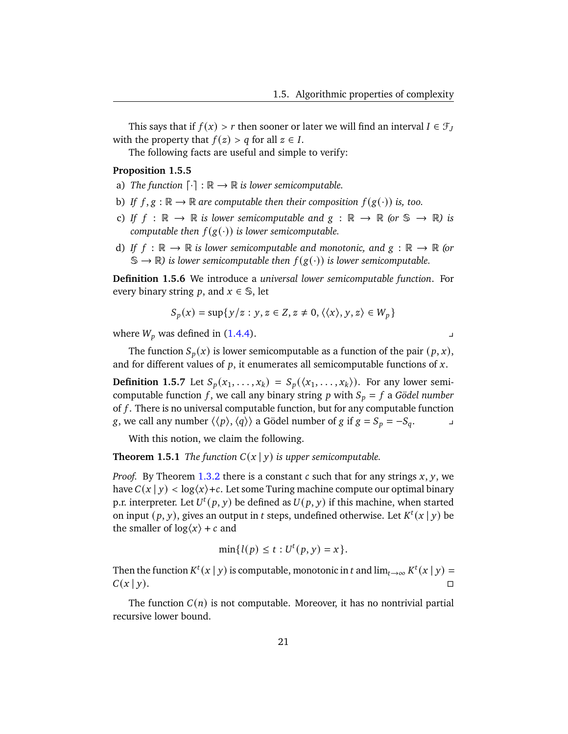This says that if  $f(x) > r$  then sooner or later we will find an interval  $I \in \mathcal{F}_J$ with the property that  $f(z) > q$  for all  $z \in I$ .

The following facts are useful and simple to verify:

#### **Proposition 1.5.5**

- a) *The function*  $\lceil \cdot \rceil : \mathbb{R} \to \mathbb{R}$  *is lower semicomputable.*
- b) *If*  $f, g : \mathbb{R} \to \mathbb{R}$  are computable then their composition  $f(g(\cdot))$  is, too.
- c) *If*  $f : \mathbb{R} \to \mathbb{R}$  *is lower semicomputable and*  $g : \mathbb{R} \to \mathbb{R}$  (or  $\mathbb{S} \to \mathbb{R}$ ) *is computable then*  $f(g(\cdot))$  *is lower semicomputable.*
- d) If  $f : \mathbb{R} \to \mathbb{R}$  *is lower semicomputable and monotonic, and*  $g : \mathbb{R} \to \mathbb{R}$  (or  $\mathbb{S} \to \mathbb{R}$ ) *is lower semicomputable then*  $f(g(\cdot))$  *is lower semicomputable.*

**Definition 1.5.6** We introduce a *universal lower semicomputable function*. For every binary string p, and  $x \in \mathbb{S}$ , let

$$
S_p(x) = \sup\{y/z : y, z \in Z, z \neq 0, \langle \langle x \rangle, y, z \rangle \in W_p\}
$$

where  $W_p$  was defined in [\(1.4.4\)](#page-24-2).

The function  $S_p(x)$  is lower semicomputable as a function of the pair  $(p, x)$ , and for different values of  $p$ , it enumerates all semicomputable functions of  $x$ .

**Definition 1.5.7** Let  $S_p(x_1, \ldots, x_k) = S_p(\langle x_1, \ldots, x_k \rangle)$ . For any lower semicomputable function f, we call any binary string  $p$  with  $S_p = f$  a *Gödel number* of  $f$ . There is no universal computable function, but for any computable function *g*, we call any number  $\langle \langle p \rangle, \langle q \rangle \rangle$  a Gödel number of *g* if  $g = S_p = -S_q$ . ⇒

With this notion, we claim the following.

<span id="page-26-0"></span>**Theorem 1.5.1** *The function*  $C(x | y)$  *is upper semicomputable.* 

*Proof.* By Theorem [1.3.2](#page-19-1) there is a constant  $c$  such that for any strings  $x$ ,  $y$ , we have  $C(x | y) < log(x) + c$ . Let some Turing machine compute our optimal binary p.r. interpreter. Let  $U^t(p, y)$  be defined as  $U(p, y)$  if this machine, when started on input  $(p, y)$ , gives an output in t steps, undefined otherwise. Let  $K^t(x | y)$  be the smaller of  $log(x) + c$  and

$$
\min\{l(p) \le t : U^t(p, y) = x\}.
$$

Then the function  $K^t(x | y)$  is computable, monotonic in t and  $\lim_{t\to\infty} K^t(x | y) =$  $C(x | y)$ .

The function  $C(n)$  is not computable. Moreover, it has no nontrivial partial recursive lower bound.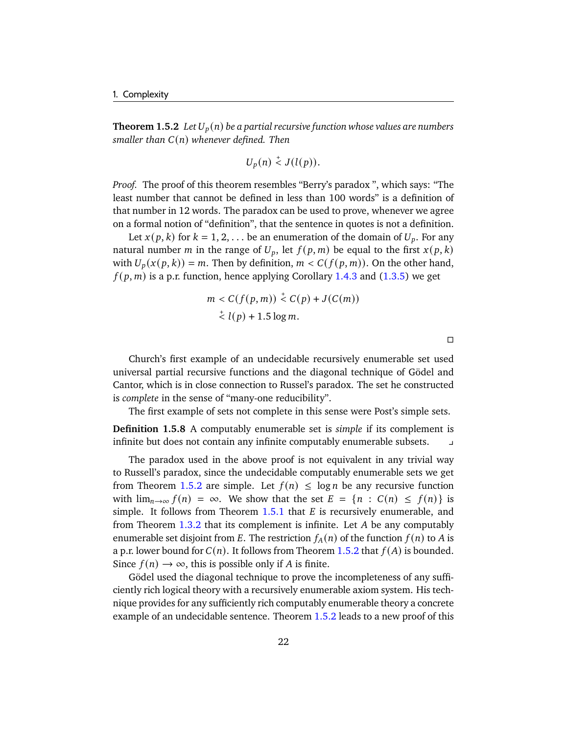<span id="page-27-0"></span>**Theorem 1.5.2** *Let*  $U_p(n)$  *be a partial recursive function whose values are numbers smaller than*  $C(n)$  *whenever defined. Then* 

$$
U_p(n) \stackrel{+}{\lt} J(l(p)).
$$

*Proof.* The proof of this theorem resembles "Berry's paradox ", which says: "The least number that cannot be defined in less than 100 words" is a definition of that number in 12 words. The paradox can be used to prove, whenever we agree on a formal notion of "definition", that the sentence in quotes is not a definition.

Let  $x(p, k)$  for  $k = 1, 2, \ldots$  be an enumeration of the domain of  $U_p$ . For any natural number *m* in the range of  $U_p$ , let  $f(p, m)$  be equal to the first  $x(p, k)$ with  $U_p(x(p, k)) = m$ . Then by definition,  $m < C(f(p, m))$ . On the other hand,  $f(p, m)$  is a p.r. function, hence applying Corollary [1.4.3](#page-22-3) and [\(1.3.5\)](#page-20-1) we get

$$
m < C(f(p, m)) \stackrel{+}{\leq} C(p) + J(C(m))
$$
\n
$$
\stackrel{+}{\leq} l(p) + 1.5 \log m.
$$

 $\Box$ 

Church's first example of an undecidable recursively enumerable set used universal partial recursive functions and the diagonal technique of Gödel and Cantor, which is in close connection to Russel's paradox. The set he constructed is *complete* in the sense of "many-one reducibility".

The first example of sets not complete in this sense were Post's simple sets.

**Definition 1.5.8** A computably enumerable set is *simple* if its complement is infinite but does not contain any infinite computably enumerable subsets.

The paradox used in the above proof is not equivalent in any trivial way to Russell's paradox, since the undecidable computably enumerable sets we get from Theorem [1.5.2](#page-27-0) are simple. Let  $f(n) \leq \log n$  be any recursive function with  $\lim_{n\to\infty} f(n) = \infty$ . We show that the set  $E = \{n : C(n) \leq f(n)\}\$ is simple. It follows from Theorem  $1.5.1$  that  $E$  is recursively enumerable, and from Theorem  $1.3.2$  that its complement is infinite. Let  $A$  be any computably enumerable set disjoint from E. The restriction  $f_A(n)$  of the function  $f(n)$  to A is a p.r. lower bound for  $C(n)$ . It follows from Theorem [1.5.2](#page-27-0) that  $f(A)$  is bounded. Since  $f(n) \to \infty$ , this is possible only if A is finite.

Gödel used the diagonal technique to prove the incompleteness of any sufficiently rich logical theory with a recursively enumerable axiom system. His technique provides for any sufficiently rich computably enumerable theory a concrete example of an undecidable sentence. Theorem [1.5.2](#page-27-0) leads to a new proof of this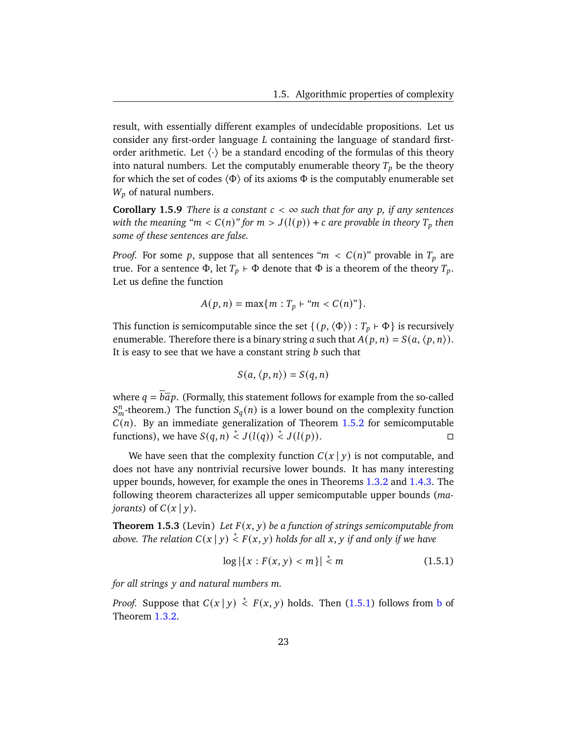result, with essentially different examples of undecidable propositions. Let us consider any first-order language  $L$  containing the language of standard firstorder arithmetic. Let  $\langle \cdot \rangle$  be a standard encoding of the formulas of this theory into natural numbers. Let the computably enumerable theory  $T_p$  be the theory for which the set of codes  $\langle \Phi \rangle$  of its axioms  $\Phi$  is the computably enumerable set  $W_p$  of natural numbers.

**Corollary 1.5.9** *There is a constant*  $c < \infty$  *such that for any p, if any sentences with the meaning "m <*  $C(n)$ *" for m >*  $J(l(p)) + c$  *are provable in theory*  $T_p$  then *some of these sentences are false.*

*Proof.* For some p, suppose that all sentences " $m < C(n)$ " provable in  $T_p$  are true. For a sentence  $\Phi$ , let  $T_p \vdash \Phi$  denote that  $\Phi$  is a theorem of the theory  $T_p$ . Let us define the function

$$
A(p, n) = \max\{m : T_p \vdash "m < C(n)"\}.
$$

This function is semicomputable since the set  $\{(p, \langle \Phi \rangle) : T_p \in \Phi\}$  is recursively enumerable. Therefore there is a binary string a such that  $A(p, n) = S(a, \langle p, n \rangle)$ . It is easy to see that we have a constant string  $b$  such that

$$
S(a, \langle p, n \rangle) = S(q, n)
$$

where  $q = b\overline{a}p$ . (Formally, this statement follows for example from the so-called  $S_m^n$ -theorem.) The function  $S_q(n)$  is a lower bound on the complexity function  $C(n)$ . By an immediate generalization of Theorem [1.5.2](#page-27-0) for semicomputable functions), we have  $S(q, n) \stackrel{+}{\leq} J(l(q)) \stackrel{+}{\leq} J(l(p)).$ 

We have seen that the complexity function  $C(x | y)$  is not computable, and does not have any nontrivial recursive lower bounds. It has many interesting upper bounds, however, for example the ones in Theorems [1.3.2](#page-19-1) and [1.4.3.](#page-24-1) The following theorem characterizes all upper semicomputable upper bounds (*majorants*) of  $C(x | y)$ .

**Theorem 1.5.3** (Levin) Let  $F(x, y)$  be a function of strings semicomputable from above. The relation  $C(x \,|\, y) \stackrel{{}_+}{\scriptstyle <} F(x, y)$  holds for all  $x, y$  if and only if we have

<span id="page-28-0"></span>
$$
\log |\{x : F(x, y) < m\}| < m \tag{1.5.1}
$$

*for all strings*  $\nu$  *and natural numbers m.* 

*Proof.* Suppose that  $C(x | y) \stackrel{+}{\leq} F(x, y)$  holds. Then [\(1.5.1\)](#page-28-0) follows from [b](#page-19-3) of Theorem [1.3.2.](#page-19-1)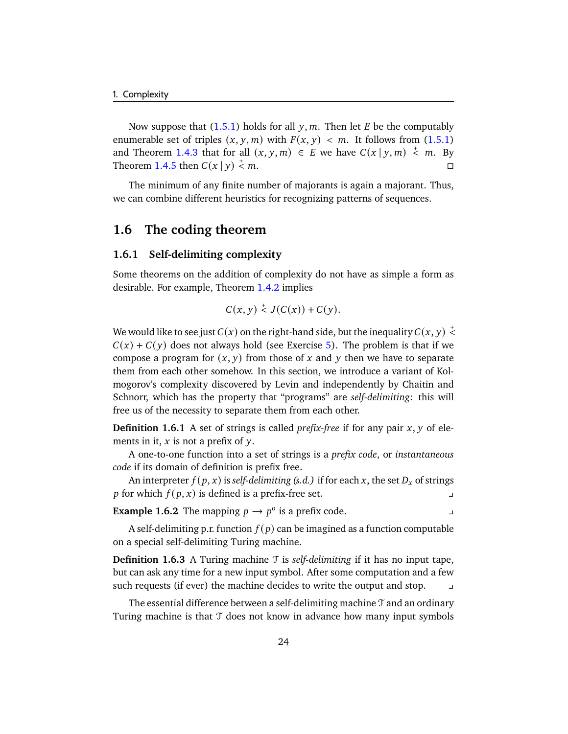Now suppose that  $(1.5.1)$  holds for all y, m. Then let E be the computably enumerable set of triples  $(x, y, m)$  with  $F(x, y) < m$ . It follows from [\(1.5.1\)](#page-28-0) and Theorem [1.4.3](#page-24-1) that for all  $(x, y, m) \in E$  we have  $C(x | y, m) \stackrel{+}{\leq} m$ . By Theorem [1.4.5](#page-24-3) then  $C(x | y) \stackrel{+}{\le} 1$  $\leq m$ .

The minimum of any finite number of majorants is again a majorant. Thus, we can combine different heuristics for recognizing patterns of sequences.

# <span id="page-29-0"></span>**1.6 The coding theorem**

# <span id="page-29-1"></span>**1.6.1 Self-delimiting complexity**

Some theorems on the addition of complexity do not have as simple a form as desirable. For example, Theorem [1.4.2](#page-22-0) implies

$$
C(x, y) \stackrel{+}{\leq} J(C(x)) + C(y).
$$

We would like to see just  $C(x)$  on the right-hand side, but the inequality  $C(x, y) \stackrel{+}{\leq}$  $C(x) + C(y)$  does not always hold (see Exercise [5\)](#page-131-0). The problem is that if we compose a program for  $(x, y)$  from those of x and y then we have to separate them from each other somehow. In this section, we introduce a variant of Kolmogorov's complexity discovered by Levin and independently by Chaitin and Schnorr, which has the property that "programs" are *self-delimiting*: this will free us of the necessity to separate them from each other.

**Definition 1.6.1** A set of strings is called *prefix-free* if for any pair  $x$ ,  $y$  of elements in it,  $x$  is not a prefix of  $y$ .

A one-to-one function into a set of strings is a *prefix code*, or *instantaneous code* if its domain of definition is prefix free.

An interpreter  $f(p, x)$  is *self-delimiting (s.d.)* if for each x, the set  $D<sub>x</sub>$  of strings *p* for which  $f(p, x)$  is defined is a prefix-free set.

**Example 1.6.2** The mapping  $p \to p^o$  is a prefix code.

A self-delimiting p.r. function  $f(p)$  can be imagined as a function computable on a special self-delimiting Turing machine.

**Definition 1.6.3** A Turing machine T is *self-delimiting* if it has no input tape, but can ask any time for a new input symbol. After some computation and a few such requests (if ever) the machine decides to write the output and stop.

The essential difference between a self-delimiting machine  $\mathcal T$  and an ordinary Turing machine is that  $\mathcal T$  does not know in advance how many input symbols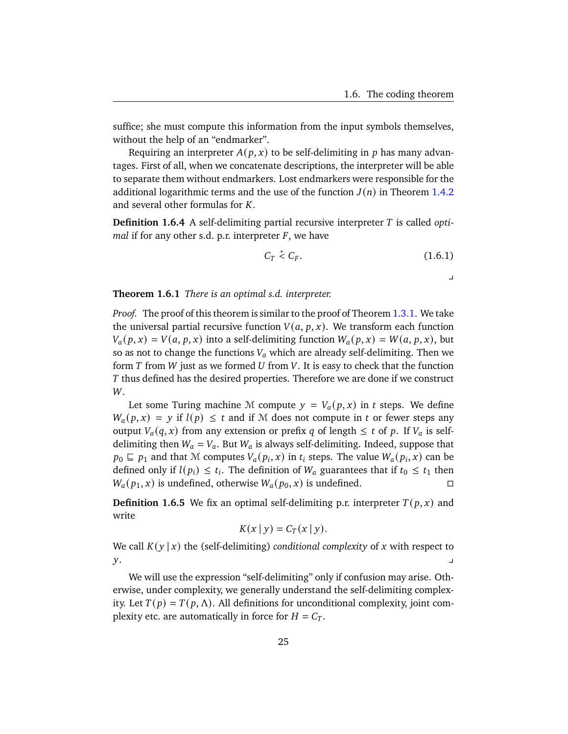suffice; she must compute this information from the input symbols themselves, without the help of an "endmarker".

Requiring an interpreter  $A(p, x)$  to be self-delimiting in p has many advantages. First of all, when we concatenate descriptions, the interpreter will be able to separate them without endmarkers. Lost endmarkers were responsible for the additional logarithmic terms and the use of the function  $J(n)$  in Theorem [1.4.2](#page-22-0) and several other formulas for  $K$ .

**Definition 1.6.4** A self-delimiting partial recursive interpreter T is called *optimal* if for any other s.d. p.r. interpreter  $F$ , we have

$$
C_T \stackrel{+}{\leq} C_F. \tag{1.6.1}
$$

 $\overline{a}$ 

<span id="page-30-0"></span>**Theorem 1.6.1** *There is an optimal s.d. interpreter.*

*Proof.* The proof of this theorem is similar to the proof of Theorem [1.3.1.](#page-17-0) We take the universal partial recursive function  $V(a, p, x)$ . We transform each function  $V_a(p, x) = V(a, p, x)$  into a self-delimiting function  $W_a(p, x) = W(a, p, x)$ , but so as not to change the functions  $V_a$  which are already self-delimiting. Then we form  $T$  from  $W$  just as we formed  $U$  from  $V$ . It is easy to check that the function T thus defined has the desired properties. Therefore we are done if we construct W.

Let some Turing machine M compute  $y = V_a(p, x)$  in t steps. We define  $W_a(p, x) = y$  if  $l(p) \le t$  and if M does not compute in t or fewer steps any output  $V_a(q, x)$  from any extension or prefix q of length  $\leq t$  of p. If  $V_a$  is selfdelimiting then  $W_a = V_a$ . But  $W_a$  is always self-delimiting. Indeed, suppose that  $p_0 \sqsubseteq p_1$  and that M computes  $V_a(p_i, x)$  in  $t_i$  steps. The value  $W_a(p_i, x)$  can be defined only if  $l(p_i) \leq t_i$ . The definition of  $W_a$  guarantees that if  $t_0 \leq t_1$  then  $W_a(p_1, x)$  is undefined, otherwise  $W_a(p_0, x)$  is undefined.

**Definition 1.6.5** We fix an optimal self-delimiting p.r. interpreter  $T(p, x)$  and write

$$
K(x | y) = C_T(x | y).
$$

We call  $K(y | x)$  the (self-delimiting) *conditional complexity* of x with respect to  $y.$ 

We will use the expression "self-delimiting" only if confusion may arise. Otherwise, under complexity, we generally understand the self-delimiting complexity. Let  $T(p) = T(p, \Lambda)$ . All definitions for unconditional complexity, joint complexity etc. are automatically in force for  $H = C_T$ .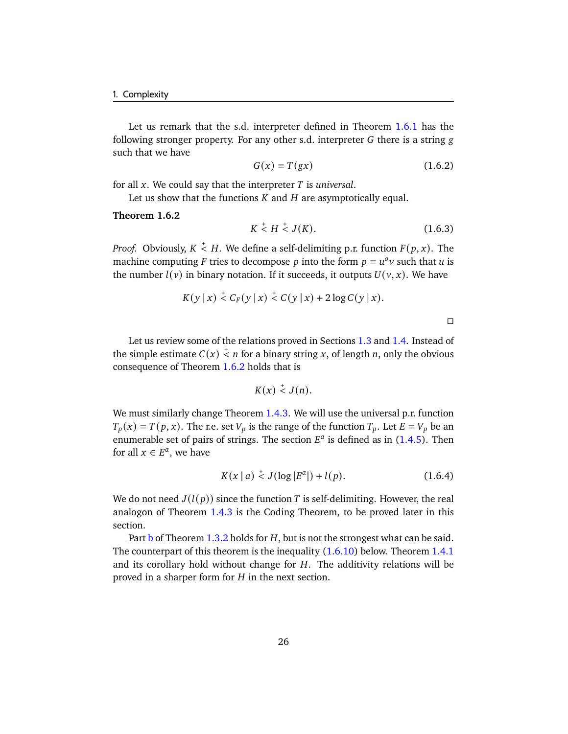Let us remark that the s.d. interpreter defined in Theorem [1.6.1](#page-30-0) has the following stronger property. For any other s.d. interpreter  $G$  there is a string  $g$ such that we have

$$
G(x) = T(gx) \tag{1.6.2}
$$

for all  $x$ . We could say that the interpreter  $T$  is *universal*.

Let us show that the functions  $K$  and  $H$  are asymptotically equal.

#### <span id="page-31-0"></span>**Theorem 1.6.2**

$$
K \stackrel{+}{\leq} H \stackrel{+}{\leq} J(K). \tag{1.6.3}
$$

*Proof.* Obviously,  $K \leq H$ . We define a self-delimiting p.r. function  $F(p, x)$ . The machine computing F tries to decompose p into the form  $p = u^{\circ}v$  such that u is the number  $l(v)$  in binary notation. If it succeeds, it outputs  $U(v, x)$ . We have

$$
K(y \mid x) \stackrel{+}{\leq} C_F(y \mid x) \stackrel{+}{\leq} C(y \mid x) + 2 \log C(y \mid x).
$$

 $\Box$ 

Let us review some of the relations proved in Sections [1.3](#page-16-0) and [1.4.](#page-21-0) Instead of the simple estimate  $C(x) \stackrel{+}{\leq} n$  for a binary string x, of length n, only the obvious consequence of Theorem [1.6.2](#page-31-0) holds that is

$$
K(x) \stackrel{+}{\leq} J(n).
$$

We must similarly change Theorem [1.4.3.](#page-24-1) We will use the universal p.r. function  $T_p(x) = T(p, x)$ . The r.e. set  $V_p$  is the range of the function  $T_p$ . Let  $E = V_p$  be an enumerable set of pairs of strings. The section  $E^a$  is defined as in [\(1.4.5\)](#page-24-4). Then for all  $x \in E^a$ , we have

$$
K(x | a) \stackrel{+}{\leq} J(\log |E^a|) + l(p). \tag{1.6.4}
$$

We do not need  $J(l(p))$  since the function T is self-delimiting. However, the real analogon of Theorem [1.4.3](#page-24-1) is the Coding Theorem, to be proved later in this section.

Part  $\frac{1}{2}$  of Theorem 1.3.2 holds for H, [b](#page-19-3)ut is not the strongest what can be said. The counterpart of this theorem is the inequality [\(1.6.10\)](#page-34-0) below. Theorem [1.4.1](#page-21-1) and its corollary hold without change for  $H$ . The additivity relations will be proved in a sharper form for  $H$  in the next section.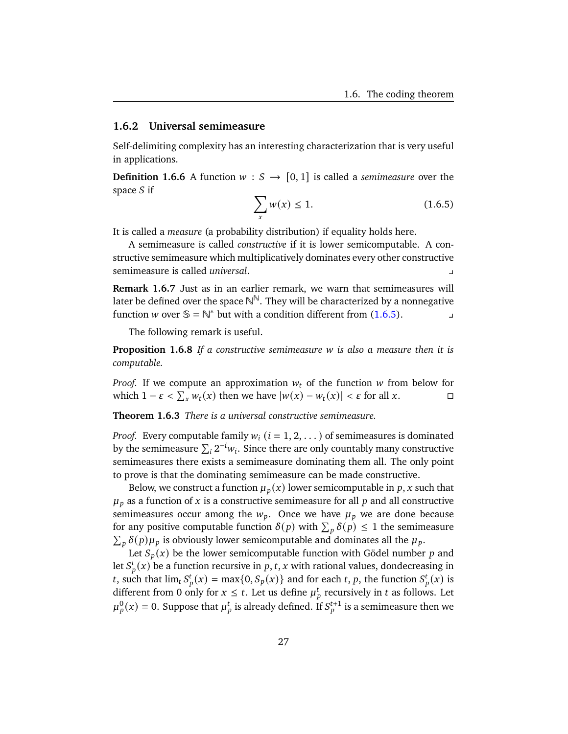#### <span id="page-32-0"></span>**1.6.2 Universal semimeasure**

Self-delimiting complexity has an interesting characterization that is very useful in applications.

<span id="page-32-1"></span>**Definition 1.6.6** A function  $w : S \rightarrow [0, 1]$  is called a *semimeasure* over the space  $S$  if

$$
\sum_{x} w(x) \le 1. \tag{1.6.5}
$$

It is called a *measure* (a probability distribution) if equality holds here.

A semimeasure is called *constructive* if it is lower semicomputable. A constructive semimeasure which multiplicatively dominates every other constructive semimeasure is called *universal*.

**Remark 1.6.7** Just as in an earlier remark, we warn that semimeasures will later be defined over the space  $\mathbb{N}^\mathbb{N}.$  They will be characterized by a nonnegative function *w* over  $\mathbb{S} = \mathbb{N}^*$  but with a condition different from [\(1.6.5\)](#page-32-1).

The following remark is useful.

**Proposition 1.6.8** *If a constructive semimeasure is also a measure then it is computable.*

*Proof.* If we compute an approximation  $w_t$  of the function w from below for which  $1 - \varepsilon < \sum_{x} w_t(x)$  then we have  $|w(x) - w_t(x)| < \varepsilon$  for all x.

<span id="page-32-2"></span>**Theorem 1.6.3** *There is a universal constructive semimeasure.*

*Proof.* Every computable family  $w_i$  ( $i = 1, 2, ...$ ) of semimeasures is dominated by the semimeasure  $\sum_i 2^{-i} w_i$ . Since there are only countably many constructive semimeasures there exists a semimeasure dominating them all. The only point to prove is that the dominating semimeasure can be made constructive.

Below, we construct a function  $\mu_p(x)$  lower semicomputable in p, x such that  $\mu_p$  as a function of x is a constructive semimeasure for all p and all constructive semimeasures occur among the  $w_p$ . Once we have  $\mu_p$  we are done because for any positive computable function  $\delta(p)$  with  $\sum_{p} \delta(p) \leq 1$  the semimeasure  $\sum_{p} \delta(p) \mu_p$  is obviously lower semicomputable and dominates all the  $\mu_p$ .

Let  $S_p(x)$  be the lower semicomputable function with Gödel number p and let  $S_p^t(x)$  be a function recursive in p, t, x with rational values, dondecreasing in t, such that  $\lim_{t} S_p^t(x) = \max\{0, S_p(x)\}\$  and for each t, p, the function  $S_p^t(x)$  is different from 0 only for  $x \le t$ . Let us define  $\mu_n^t$  recursively in t as follows. Let  $\mu^0_p(x) = 0.$  Suppose that  $\mu^t_p$  is already defined. If  $S_p^{t+1}$  is a semimeasure then we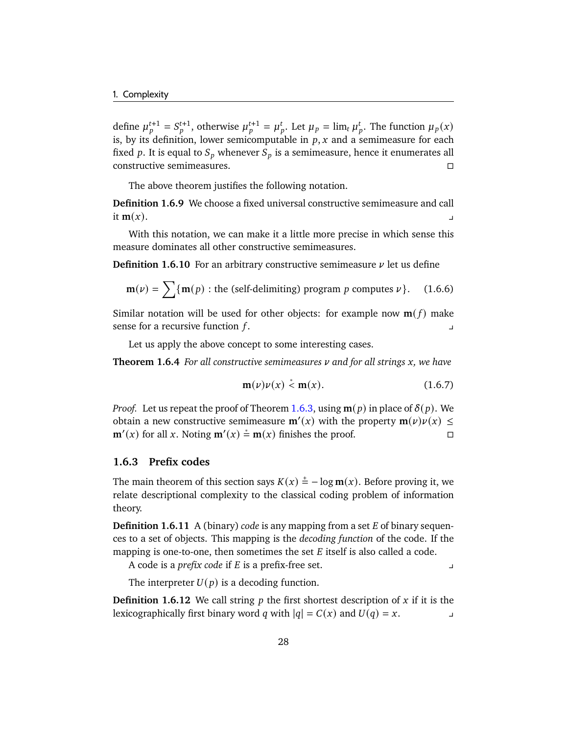define  $\mu_p^{t+1} = S_p^{t+1}$ , otherwise  $\mu_p^{t+1} = \mu_p^t$ . Let  $\mu_p = \lim_{t \to \infty} \mu_p^t$ . The function  $\mu_p(x)$ is, by its definition, lower semicomputable in  $p, x$  and a semimeasure for each fixed p. It is equal to  $S_p$  whenever  $S_p$  is a semimeasure, hence it enumerates all constructive semimeasures.

The above theorem justifies the following notation.

**Definition 1.6.9** We choose a fixed universal constructive semimeasure and call it  $\mathbf{m}(x)$ .

With this notation, we can make it a little more precise in which sense this measure dominates all other constructive semimeasures.

**Definition 1.6.10** For an arbitrary constructive semimeasure  $\nu$  let us define

$$
\mathbf{m}(\nu) = \sum \{ \mathbf{m}(p) : \text{the (self-delimiting) program } p \text{ computes } \nu \}. \tag{1.6.6}
$$

Similar notation will be used for other objects: for example now  $\mathbf{m}(f)$  make sense for a recursive function  $f$ .

Let us apply the above concept to some interesting cases.

**Theorem 1.6.4** *For all constructive semimeasures*  $\nu$  and for all strings x, we have

$$
\mathbf{m}(\nu)\nu(x) \stackrel{*}{\leq} \mathbf{m}(x). \tag{1.6.7}
$$

*Proof.* Let us repeat the proof of Theorem [1.6.3,](#page-32-2) using  $m(p)$  in place of  $\delta(p)$ . We obtain a new constructive semimeasure  $m'(x)$  with the property  $m(\nu)\nu(x) \leq$ **m**<sup> $′$ </sup>(*x*) for all *x*. Noting **m**<sup> $′$ </sup>(*x*)  $\stackrel{*}{=}$  **m**(*x*) finishes the proof.  $□$ 

# <span id="page-33-0"></span>**1.6.3 Prefix codes**

The main theorem of this section says  $K(x) \stackrel{+}{=} -\log m(x)$ . Before proving it, we relate descriptional complexity to the classical coding problem of information theory.

**Definition 1.6.11** A (binary) *code* is any mapping from a set E of binary sequences to a set of objects. This mapping is the *decoding function* of the code. If the mapping is one-to-one, then sometimes the set  $E$  itself is also called a code.

A code is a *prefix code* if *E* is a prefix-free set.

The interpreter  $U(p)$  is a decoding function.

**Definition 1.6.12** We call string  $p$  the first shortest description of  $x$  if it is the lexicographically first binary word q with  $|q| = C(x)$  and  $U(q) = x$ .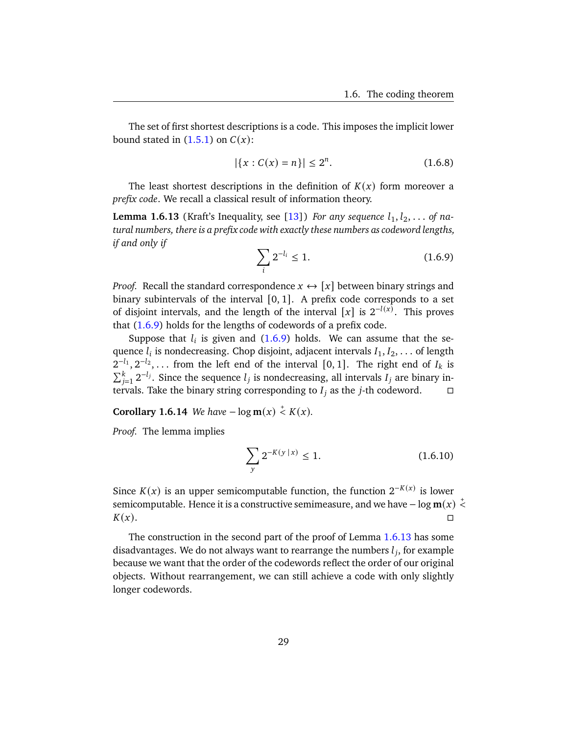The set of first shortest descriptions is a code. This imposes the implicit lower bound stated in  $(1.5.1)$  on  $C(x)$ :

$$
|\{x : C(x) = n\}| \le 2^n. \tag{1.6.8}
$$

The least shortest descriptions in the definition of  $K(x)$  form moreover a *prefix code*. We recall a classical result of information theory.

<span id="page-34-2"></span><span id="page-34-1"></span>**Lemma 1.6.13** (Kraft's Inequality, see [\[13\]](#page-177-9)) *For any sequence*  $l_1, l_2, \ldots$  *of natural numbers, there is a prefix code with exactly these numbers as codeword lengths, if and only if*

$$
\sum_{i} 2^{-l_i} \le 1. \tag{1.6.9}
$$

*Proof.* Recall the standard correspondence  $x \leftrightarrow [x]$  between binary strings and binary subintervals of the interval  $[0, 1]$ . A prefix code corresponds to a set of disjoint intervals, and the length of the interval [x] is  $2^{-l(x)}$ . This proves that [\(1.6.9\)](#page-34-1) holds for the lengths of codewords of a prefix code.

Suppose that  $l_i$  is given and  $(1.6.9)$  holds. We can assume that the sequence  $l_i$  is nondecreasing. Chop disjoint, adjacent intervals  $I_1, I_2, \ldots$  of length  $2^{-l_1}, 2^{-l_2}, \ldots$  from the left end of the interval [0, 1]. The right end of  $I_k$  is  $\sum_{j=1}^{k} 2^{-l_j}$ . Since the sequence  $l_j$  is nondecreasing, all intervals  $I_j$  are binary intervals. Take the binary string corresponding to  $I_i$  as the j-th codeword.  $\square$ 

**Corollary 1.6.14** *We have*  $-\log m(x) \le K(x)$ *.* 

*Proof.* The lemma implies

<span id="page-34-0"></span>
$$
\sum_{y} 2^{-K(y \, | \, x)} \le 1. \tag{1.6.10}
$$

Since  $K(x)$  is an upper semicomputable function, the function  $2^{-K(x)}$  is lower semicomputable. Hence it is a constructive semimeasure, and we have  $- \log m(x) < \frac{1}{x}$  $K(x)$ .

The construction in the second part of the proof of Lemma [1.6.13](#page-34-2) has some disadvantages. We do not always want to rearrange the numbers  $l_i$ , for example because we want that the order of the codewords reflect the order of our original objects. Without rearrangement, we can still achieve a code with only slightly longer codewords.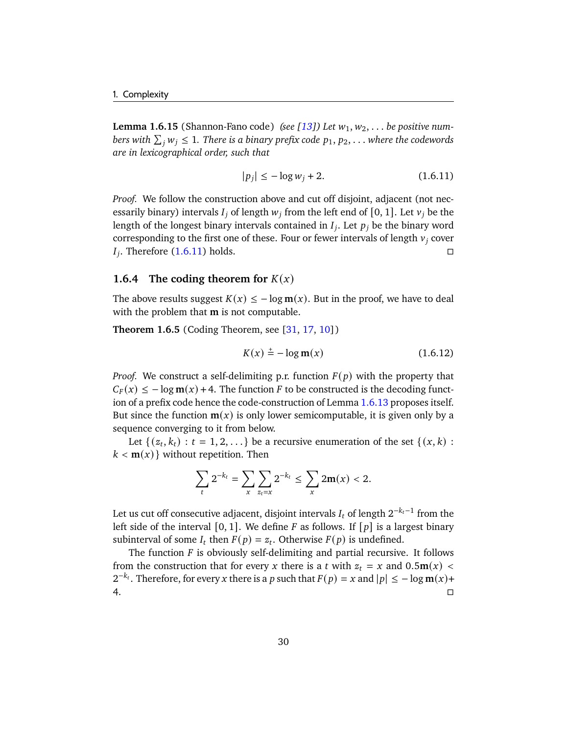**Lemma 1.6.15** (Shannon-Fano code) *(see [\[13\]](#page-177-9))* Let  $w_1, w_2, \ldots$  be positive numbers with  $\sum_j w_j \leq 1$ . There is a binary prefix code  $p_1, p_2, \ldots$  where the codewords *are in lexicographical order, such that*

<span id="page-35-1"></span>
$$
|p_i| \le -\log w_i + 2. \tag{1.6.11}
$$

*Proof.* We follow the construction above and cut off disjoint, adjacent (not necessarily binary) intervals  $I_j$  of length  $w_j$  from the left end of [0, 1]. Let  $v_j$  be the length of the longest binary intervals contained in  $I_i$ . Let  $p_i$  be the binary word corresponding to the first one of these. Four or fewer intervals of length  $v_i$  cover  $I_i$ . Therefore [\(1.6.11\)](#page-35-1) holds.

# <span id="page-35-0"></span>**1.6.4** The coding theorem for  $K(x)$

The above results suggest  $K(x) \le -\log m(x)$ . But in the proof, we have to deal with the problem that **m** is not computable.

**Theorem 1.6.5** (Coding Theorem, see [\[31,](#page-178-5) [17,](#page-177-2) [10\]](#page-176-6))

$$
K(x) \stackrel{+}{=} -\log m(x) \tag{1.6.12}
$$

*Proof.* We construct a self-delimiting p.r. function  $F(p)$  with the property that  $C_F(x) \leq -\log m(x) + 4$ . The function F to be constructed is the decoding function of a prefix code hence the code-construction of Lemma [1.6.13](#page-34-2) proposes itself. But since the function  $m(x)$  is only lower semicomputable, it is given only by a sequence converging to it from below.

Let  $\{(z_t, k_t) : t = 1, 2, \ldots\}$  be a recursive enumeration of the set  $\{(x, k) :$  $k < m(x)$  without repetition. Then

$$
\sum_{t} 2^{-k_t} = \sum_{x} \sum_{z_t=x} 2^{-k_t} \leq \sum_{x} 2m(x) < 2.
$$

Let us cut off consecutive adjacent, disjoint intervals  $I_t$  of length  $2^{-k_t-1}$  from the left side of the interval [0, 1]. We define  $F$  as follows. If  $[p]$  is a largest binary subinterval of some  $I_t$  then  $F(p) = z_t$ . Otherwise  $F(p)$  is undefined.

The function  $F$  is obviously self-delimiting and partial recursive. It follows from the construction that for every x there is a t with  $z_t = x$  and  $0.5m(x)$  <  $2^{-k_t}$ . Therefore, for every x there is a p such that  $F(p) = x$  and  $|p| \le -\log m(x) +$  $4.$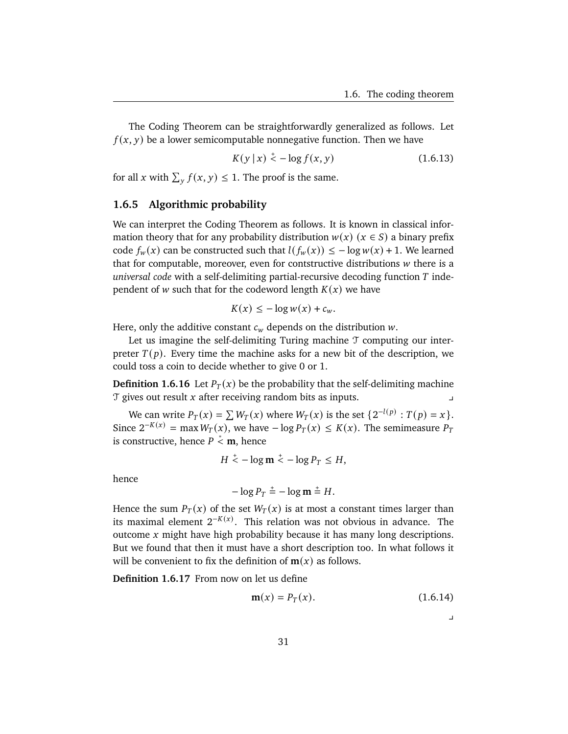The Coding Theorem can be straightforwardly generalized as follows. Let  $f(x, y)$  be a lower semicomputable nonnegative function. Then we have

<span id="page-36-0"></span>
$$
K(y | x) \stackrel{+}{\leq} -\log f(x, y) \tag{1.6.13}
$$

for all x with  $\sum_{y} f(x, y) \leq 1$ . The proof is the same.

#### **1.6.5 Algorithmic probability**

We can interpret the Coding Theorem as follows. It is known in classical information theory that for any probability distribution  $w(x)$  ( $x \in S$ ) a binary prefix code  $f_w(x)$  can be constructed such that  $l(f_w(x)) \leq -\log w(x) + 1$ . We learned that for computable, moreover, even for contstructive distributions  $w$  there is a *universal code* with a self-delimiting partial-recursive decoding function T independent of *w* such that for the codeword length  $K(x)$  we have

$$
K(x) \leq -\log w(x) + c_w.
$$

Here, only the additive constant  $c_w$  depends on the distribution  $w$ .

Let us imagine the self-delimiting Turing machine  $\mathcal T$  computing our interpreter  $T(p)$ . Every time the machine asks for a new bit of the description, we could toss a coin to decide whether to give 0 or 1.

**Definition 1.6.16** Let  $P_T(x)$  be the probability that the self-delimiting machine  $\sigma$  gives out result  $x$  after receiving random bits as inputs.

We can write  $P_T(x) = \sum W_T(x)$  where  $W_T(x)$  is the set  $\{2^{-l(p)} : T(p) = x\}.$ Since  $2^{-K(x)} = \max W_T(x)$ , we have  $-\log P_T(x) \le K(x)$ . The semimeasure  $P_T$ is constructive, hence  $P \stackrel{*}{\leq} \mathbf{m}$ , hence

$$
H \stackrel{+}{\leq} -\log m \stackrel{+}{\leq} -\log P_T \leq H,
$$

hence

$$
-\log P_T \stackrel{+}{=} -\log m \stackrel{+}{=} H.
$$

Hence the sum  $P_T(x)$  of the set  $W_T(x)$  is at most a constant times larger than its maximal element  $2^{-K(x)}$ . This relation was not obvious in advance. The outcome  $x$  might have high probability because it has many long descriptions. But we found that then it must have a short description too. In what follows it will be convenient to fix the definition of  $m(x)$  as follows.

**Definition 1.6.17** From now on let us define

$$
\mathbf{m}(x) = P_T(x). \tag{1.6.14}
$$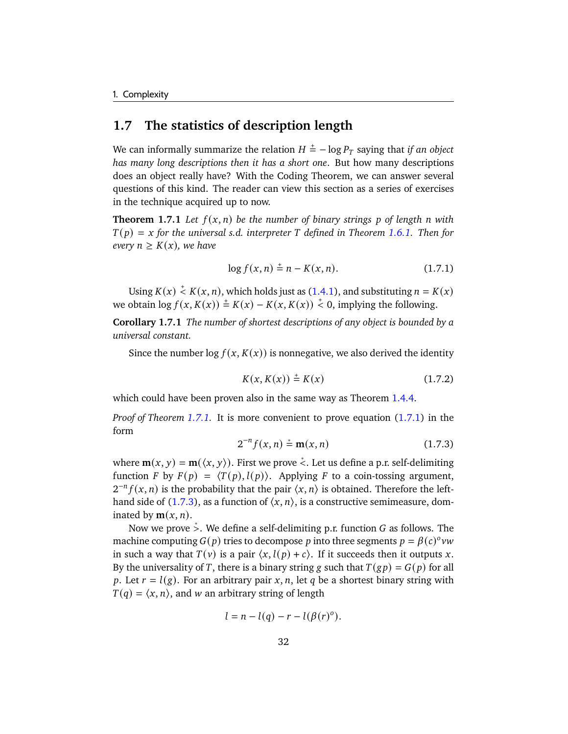## **1.7 The statistics of description length**

We can informally summarize the relation  $H \stackrel{+}{=} -\log P_T$  saying that *if an object has many long descriptions then it has a short one*. But how many descriptions does an object really have? With the Coding Theorem, we can answer several questions of this kind. The reader can view this section as a series of exercises in the technique acquired up to now.

<span id="page-37-0"></span>**Theorem 1.7.1** Let  $f(x, n)$  be the number of binary strings p of length n with  $T(p) = x$  for the universal s.d. interpreter T defined in Theorem [1.6.1.](#page-30-0) Then for *every*  $n \geq K(x)$ *, we have* 

<span id="page-37-1"></span>
$$
\log f(x, n) \stackrel{+}{=} n - K(x, n). \tag{1.7.1}
$$

Using  $K(x) \stackrel{+}{\leq} K(x, n)$ , which holds just as [\(1.4.1\)](#page-22-0), and substituting  $n = K(x)$ we obtain  $\log f(x, K(x)) \stackrel{+}{=} K(x) - K(x, K(x)) \stackrel{+}{<} 0$ , implying the following.

**Corollary 1.7.1** *The number of shortest descriptions of any object is bounded by a universal constant.*

Since the number  $\log f(x, K(x))$  is nonnegative, we also derived the identity

$$
K(x, K(x)) \stackrel{+}{=} K(x) \tag{1.7.2}
$$

which could have been proven also in the same way as Theorem [1.4.4.](#page-24-0)

<span id="page-37-2"></span>*Proof of Theorem [1.7.1.](#page-37-0)* It is more convenient to prove equation [\(1.7.1\)](#page-37-1) in the form

$$
2^{-n} f(x, n) \stackrel{*}{=} \mathbf{m}(x, n) \tag{1.7.3}
$$

where  $\mathbf{m}(x, y) = \mathbf{m}(\langle x, y \rangle)$ . First we prove  $\stackrel{*}{\le}$ . Let us define a p.r. self-delimiting function F by  $F(p) = \langle T(p), l(p) \rangle$ . Applying F to a coin-tossing argument,  $2^{-n} f(x, n)$  is the probability that the pair  $\langle x, n \rangle$  is obtained. Therefore the left-hand side of [\(1.7.3\)](#page-37-2), as a function of  $\langle x, n \rangle$ , is a constructive semimeasure, dominated by  $m(x, n)$ .

Now we prove  $\stackrel{*}{\gt}$ . We define a self-delimiting p.r. function G as follows. The machine computing  $G(p)$  tries to decompose p into three segments  $p = \beta(c)^{\circ}vw$ in such a way that  $T(v)$  is a pair  $\langle x, l(p) + c \rangle$ . If it succeeds then it outputs x. By the universality of T, there is a binary string g such that  $T(gp) = G(p)$  for all p. Let  $r = l(g)$ . For an arbitrary pair x, n, let q be a shortest binary string with  $T(q) = \langle x, n \rangle$ , and w an arbitrary string of length

$$
l = n - l(q) - r - l(\beta(r)^{o}).
$$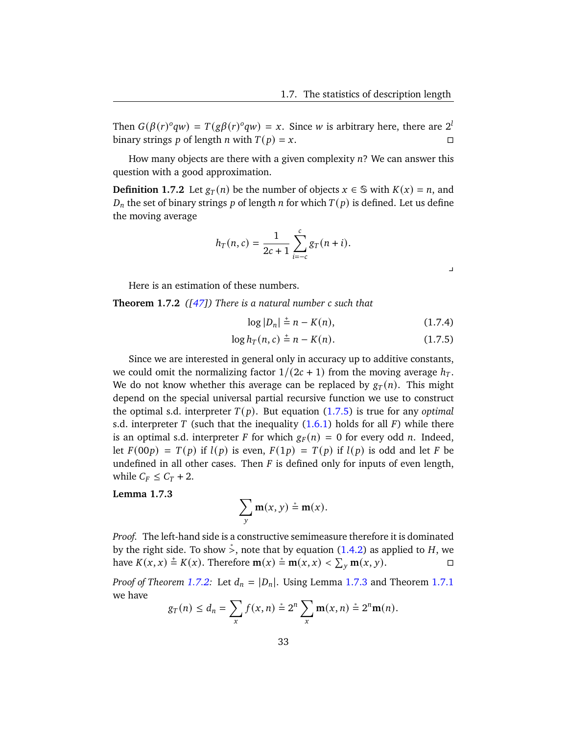Then  $G(\beta(r)^{o}qw) = T(g\beta(r)^{o}qw) = x$ . Since w is arbitrary here, there are  $2^{l}$ binary strings p of length n with  $T(p) = x$ .

How many objects are there with a given complexity  $n$ ? We can answer this question with a good approximation.

**Definition 1.7.2** Let  $g_T(n)$  be the number of objects  $x \in \mathbb{S}$  with  $K(x) = n$ , and  $D_n$  the set of binary strings p of length n for which  $T(p)$  is defined. Let us define the moving average

$$
h_T(n,c) = \frac{1}{2c+1} \sum_{i=-c}^{c} g_T(n+i).
$$

<span id="page-38-3"></span><span id="page-38-0"></span> $\perp$ 

Here is an estimation of these numbers.

<span id="page-38-1"></span>**Theorem 1.7.2** *([\[47\]](#page-179-0)) There is a natural number such that*

$$
\log |D_n| = n - K(n),
$$
 (1.7.4)

$$
\log h_T(n, c) \stackrel{+}{=} n - K(n). \tag{1.7.5}
$$

Since we are interested in general only in accuracy up to additive constants, we could omit the normalizing factor  $1/(2c + 1)$  from the moving average  $h_T$ . We do not know whether this average can be replaced by  $g_T(n)$ . This might depend on the special universal partial recursive function we use to construct the optimal s.d. interpreter  $T(p)$ . But equation  $(1.7.5)$  is true for any *optimal* s.d. interpreter T (such that the inequality  $(1.6.1)$  holds for all F) while there is an optimal s.d. interpreter F for which  $g_F(n) = 0$  for every odd n. Indeed, let  $F(00p) = T(p)$  if  $l(p)$  is even,  $F(1p) = T(p)$  if  $l(p)$  is odd and let F be undefined in all other cases. Then  $F$  is defined only for inputs of even length, while  $C_F \leq C_T + 2$ .

<span id="page-38-2"></span>**Lemma 1.7.3**

$$
\sum_{y} \mathbf{m}(x, y) \stackrel{*}{=} \mathbf{m}(x).
$$

*Proof.* The left-hand side is a constructive semimeasure therefore it is dominated by the right side. To show  $\dot{\phi}$ , note that by equation [\(1.4.2\)](#page-22-1) as applied to H, we have  $K(x, x) \stackrel{+}{=} K(x)$ . Therefore  $m(x) \stackrel{+}{=} m(x, x) < \sum_{y} m(x, y)$ .

*Proof of Theorem [1.7.2:](#page-38-1)* Let  $d_n = |D_n|$ . Using Lemma [1.7.3](#page-38-2) and Theorem [1.7.1](#page-37-0) we have

$$
g_T(n) \leq d_n = \sum_{x} f(x, n) \stackrel{*}{=} 2^n \sum_{x} \mathbf{m}(x, n) \stackrel{*}{=} 2^n \mathbf{m}(n).
$$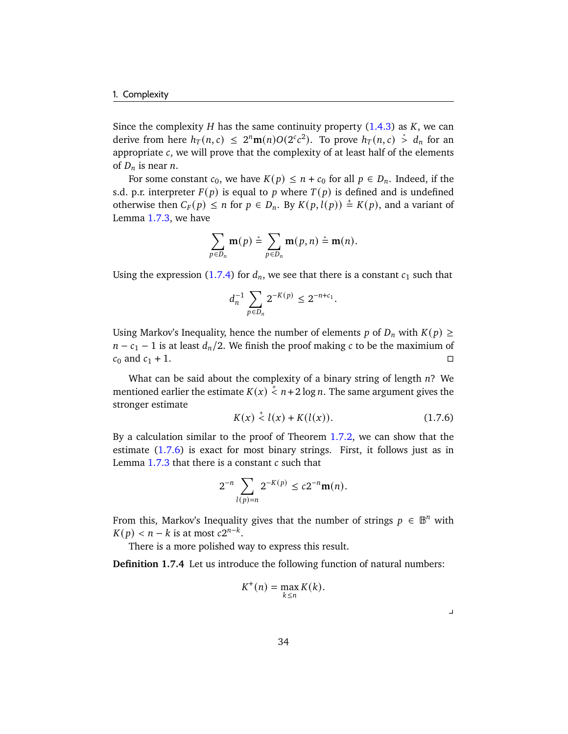Since the complexity  $H$  has the same continuity property  $(1.4.3)$  as  $K$ , we can derive from here  $h_T(n, c) \leq 2^n \mathbf{m}(n) O(2^c c^2)$ . To prove  $h_T(n, c) \stackrel{*}{>} d_n$  for an appropriate  $c$ , we will prove that the complexity of at least half of the elements of  $D_n$  is near *n*.

For some constant  $c_0$ , we have  $K(p) \le n + c_0$  for all  $p \in D_n$ . Indeed, if the s.d. p.r. interpreter  $F(p)$  is equal to p where  $T(p)$  is defined and is undefined otherwise then  $C_F(p) \le n$  for  $p \in D_n$ . By  $K(p, l(p)) \stackrel{+}{=} K(p)$ , and a variant of Lemma [1.7.3,](#page-38-2) we have

$$
\sum_{p\in D_n} \mathbf{m}(p) \stackrel{*}{=} \sum_{p\in D_n} \mathbf{m}(p,n) \stackrel{*}{=} \mathbf{m}(n).
$$

Using the expression [\(1.7.4\)](#page-38-3) for  $d_n$ , we see that there is a constant  $c_1$  such that

$$
d_n^{-1} \sum_{p \in D_n} 2^{-K(p)} \leq 2^{-n+c_1}.
$$

Using Markov's Inequality, hence the number of elements p of  $D_n$  with  $K(p) \geq$  $n - c_1 - 1$  is at least  $d_n/2$ . We finish the proof making c to be the maximium of  $c_0$  and  $c_1 + 1$ .

What can be said about the complexity of a binary string of length  $n$ ? We mentioned earlier the estimate  $K(x) \stackrel{+}{\leq} n+2 \log n$ . The same argument gives the stronger estimate

<span id="page-39-0"></span>
$$
K(x) \stackrel{+}{\leq} l(x) + K(l(x)). \tag{1.7.6}
$$

By a calculation similar to the proof of Theorem [1.7.2,](#page-38-1) we can show that the estimate [\(1.7.6\)](#page-39-0) is exact for most binary strings. First, it follows just as in Lemma  $1.7.3$  that there is a constant  $c$  such that

$$
2^{-n}\sum_{l(p)=n}2^{-K(p)}\leq c2^{-n}\mathbf{m}(n).
$$

From this, Markov's Inequality gives that the number of strings  $p \in \mathbb{B}^n$  with  $K(p) < n - k$  is at most  $c2^{n-k}$ .

There is a more polished way to express this result.

**Definition 1.7.4** Let us introduce the following function of natural numbers:

$$
K^+(n) = \max_{k \le n} K(k).
$$

 $\perp$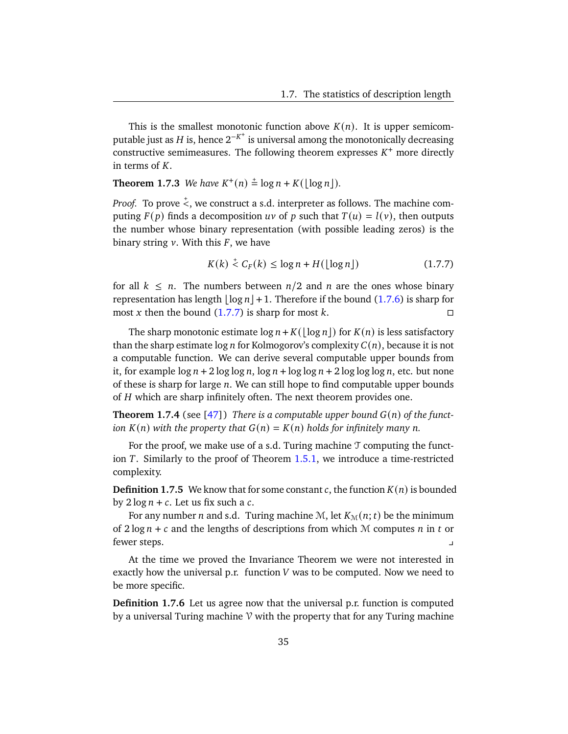This is the smallest monotonic function above  $K(n)$ . It is upper semicomputable just as H is, hence  $2^{-K^+}$  is universal among the monotonically decreasing constructive semimeasures. The following theorem expresses  $K^+$  more directly in terms of  $K$ .

**Theorem 1.7.3** We have  $K^+(n) \stackrel{+}{=} \log n + K(\lfloor \log n \rfloor)$ .

*Proof.* To prove  $\stackrel{+}{\le}$ , we construct a s.d. interpreter as follows. The machine computing  $F(p)$  finds a decomposition uv of p such that  $T(u) = l(v)$ , then outputs the number whose binary representation (with possible leading zeros) is the binary string  $v$ . With this  $F$ , we have

<span id="page-40-0"></span>
$$
K(k) \stackrel{+}{\leq} C_F(k) \leq \log n + H(\lfloor \log n \rfloor) \tag{1.7.7}
$$

for all  $k \leq n$ . The numbers between  $n/2$  and  $n$  are the ones whose binary representation has length  $\vert \log n \vert +1$ . Therefore if the bound [\(1.7.6\)](#page-39-0) is sharp for most x then the bound  $(1.7.7)$  is sharp for most k.

The sharp monotonic estimate  $\log n + K(\log n)$  for  $K(n)$  is less satisfactory than the sharp estimate  $\log n$  for Kolmogorov's complexity  $C(n)$ , because it is not a computable function. We can derive several computable upper bounds from it, for example  $\log n + 2 \log \log n$ ,  $\log n + \log \log n + 2 \log \log \log n$ , etc. but none of these is sharp for large  $n$ . We can still hope to find computable upper bounds of  $H$  which are sharp infinitely often. The next theorem provides one.

<span id="page-40-1"></span>**Theorem 1.7.4** (see [\[47\]](#page-179-0)) *There is a computable upper bound*  $G(n)$  *of the function*  $K(n)$  *with the property that*  $G(n) = K(n)$  *holds for infinitely many n*.

For the proof, we make use of a s.d. Turing machine  $\mathcal T$  computing the function  $T$ . Similarly to the proof of Theorem [1.5.1,](#page-26-0) we introduce a time-restricted complexity.

**Definition 1.7.5** We know that for some constant c, the function  $K(n)$  is bounded by  $2 \log n + c$ . Let us fix such a c.

For any number *n* and s.d. Turing machine M, let  $K<sub>M</sub>(n; t)$  be the minimum of  $2 \log n + c$  and the lengths of descriptions from which M computes *n* in *t* or fewer steps. y

At the time we proved the Invariance Theorem we were not interested in exactly how the universal p.r. function  $V$  was to be computed. Now we need to be more specific.

**Definition 1.7.6** Let us agree now that the universal p.r. function is computed by a universal Turing machine  $V$  with the property that for any Turing machine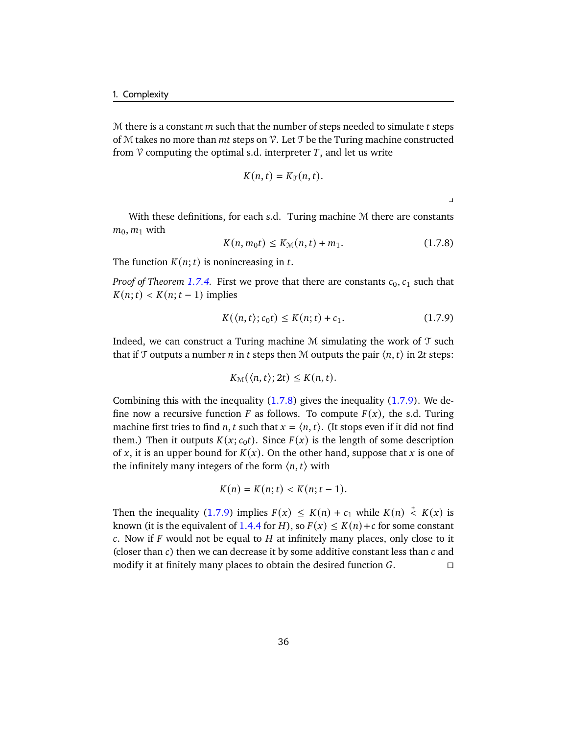$M$  there is a constant  $m$  such that the number of steps needed to simulate  $t$  steps of  $M$  takes no more than  $mt$  steps on  $V$ . Let  $T$  be the Turing machine constructed from  $\mathcal V$  computing the optimal s.d. interpreter T, and let us write

$$
K(n,t)=K_{\mathfrak{I}}(n,t).
$$

 $\overline{\mathbf{r}}$ 

<span id="page-41-0"></span>With these definitions, for each s.d. Turing machine M there are constants  $m_0, m_1$  with

$$
K(n, m_0 t) \le K_{\mathcal{M}}(n, t) + m_1. \tag{1.7.8}
$$

The function  $K(n; t)$  is nonincreasing in t.

*Proof of Theorem [1.7.4.](#page-40-1)* First we prove that there are constants  $c_0$ ,  $c_1$  such that  $K(n; t) < K(n; t-1)$  implies

<span id="page-41-1"></span>
$$
K(\langle n, t \rangle; c_0 t) \le K(n; t) + c_1. \tag{1.7.9}
$$

Indeed, we can construct a Turing machine  $M$  simulating the work of  $T$  such that if T outputs a number *n* in *t* steps then M outputs the pair  $\langle n, t \rangle$  in 2*t* steps:

$$
K_{\mathcal{M}}(\langle n,t\rangle;2t)\leq K(n,t).
$$

Combining this with the inequality [\(1.7.8\)](#page-41-0) gives the inequality [\(1.7.9\)](#page-41-1). We define now a recursive function F as follows. To compute  $F(x)$ , the s.d. Turing machine first tries to find *n*, *t* such that  $x = \langle n, t \rangle$ . (It stops even if it did not find them.) Then it outputs  $K(x; c_0t)$ . Since  $F(x)$  is the length of some description of x, it is an upper bound for  $K(x)$ . On the other hand, suppose that x is one of the infinitely many integers of the form  $\langle n, t \rangle$  with

$$
K(n) = K(n; t) < K(n; t-1).
$$

Then the inequality [\(1.7.9\)](#page-41-1) implies  $F(x) \leq K(n) + c_1$  while  $K(n) \leq K(x)$  is known (it is the equivalent of [1.4.4](#page-24-0) for H), so  $F(x) \le K(n) + c$  for some constant c. Now if  $F$  would not be equal to  $H$  at infinitely many places, only close to it (closer than  $c$ ) then we can decrease it by some additive constant less than  $c$  and modify it at finitely many places to obtain the desired function  $G$ .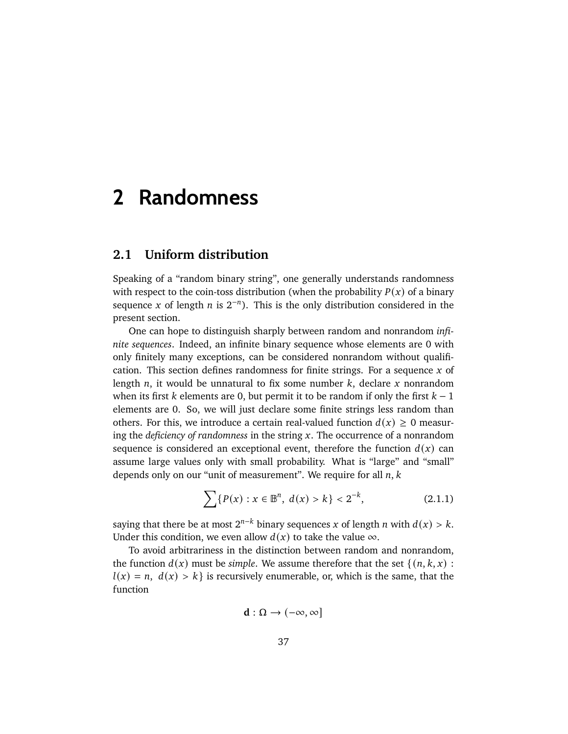# **2 Randomness**

## <span id="page-42-1"></span>**2.1 Uniform distribution**

Speaking of a "random binary string", one generally understands randomness with respect to the coin-toss distribution (when the probability  $P(x)$  of a binary sequence x of length  $n$  is  $2^{-n}$ ). This is the only distribution considered in the present section.

One can hope to distinguish sharply between random and nonrandom *infinite sequences*. Indeed, an infinite binary sequence whose elements are 0 with only finitely many exceptions, can be considered nonrandom without qualification. This section defines randomness for finite strings. For a sequence  $x$  of length  $n$ , it would be unnatural to fix some number  $k$ , declare  $x$  nonrandom when its first  $k$  elements are 0, but permit it to be random if only the first  $k - 1$ elements are 0. So, we will just declare some finite strings less random than others. For this, we introduce a certain real-valued function  $d(x) \ge 0$  measuring the *deficiency of randomness* in the string x. The occurrence of a nonrandom sequence is considered an exceptional event, therefore the function  $d(x)$  can assume large values only with small probability. What is "large" and "small" depends only on our "unit of measurement". We require for all  $n, k$ 

<span id="page-42-0"></span>
$$
\sum \{ P(x) : x \in \mathbb{B}^n, \ d(x) > k \} < 2^{-k}, \tag{2.1.1}
$$

saying that there be at most  $2^{n-k}$  binary sequences x of length n with  $d(x) > k$ . Under this condition, we even allow  $d(x)$  to take the value  $\infty$ .

To avoid arbitrariness in the distinction between random and nonrandom, the function  $d(x)$  must be *simple*. We assume therefore that the set  $\{(n, k, x) :$  $l(x) = n$ ,  $d(x) > k$  is recursively enumerable, or, which is the same, that the function

$$
d:\Omega\to(-\infty,\infty]
$$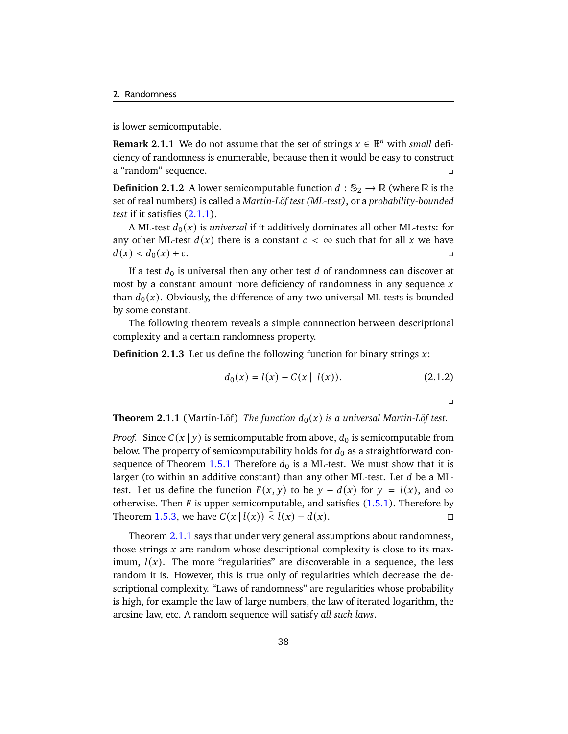is lower semicomputable.

**Remark 2.1.1** We do not assume that the set of strings  $x \in \mathbb{B}^n$  with *small* deficiency of randomness is enumerable, because then it would be easy to construct a "random" sequence.

**Definition 2.1.2** A lower semicomputable function  $d : \mathbb{S}_2 \to \mathbb{R}$  (where  $\mathbb{R}$  is the set of real numbers) is called a *Martin-Löf test (ML-test)*, or a *probability-bounded test* if it satisfies [\(2.1.1\)](#page-42-0).

A ML-test  $d_0(x)$  is *universal* if it additively dominates all other ML-tests: for any other ML-test  $d(x)$  there is a constant  $c < \infty$  such that for all x we have  $d(x) < d_0(x) + c.$ 

If a test  $d_0$  is universal then any other test d of randomness can discover at most by a constant amount more deficiency of randomness in any sequence  $x$ than  $d_0(x)$ . Obviously, the difference of any two universal ML-tests is bounded by some constant.

The following theorem reveals a simple connnection between descriptional complexity and a certain randomness property.

**Definition 2.1.3** Let us define the following function for binary strings  $x$ :

$$
d_0(x) = l(x) - C(x | l(x)).
$$
\n(2.1.2)

<span id="page-43-1"></span> $\overline{\phantom{0}}$ 

<span id="page-43-0"></span>**Theorem 2.1.1** (Martin-Löf) *The function*  $d_0(x)$  *is a universal Martin-Löf test.* 

*Proof.* Since  $C(x | y)$  is semicomputable from above,  $d_0$  is semicomputable from below. The property of semicomputability holds for  $d_0$  as a straightforward con-sequence of Theorem [1.5.1](#page-26-0) Therefore  $d_0$  is a ML-test. We must show that it is larger (to within an additive constant) than any other ML-test. Let  $d$  be a MLtest. Let us define the function  $F(x, y)$  to be  $y - d(x)$  for  $y = l(x)$ , and  $\infty$ otherwise. Then  $F$  is upper semicomputable, and satisfies  $(1.5.1)$ . Therefore by Theorem [1.5.3,](#page-28-1) we have  $C(x | l(x)) \stackrel{\dagger}{\le} l(x) - d(x)$ .

Theorem [2.1.1](#page-43-0) says that under very general assumptions about randomness, those strings  $x$  are random whose descriptional complexity is close to its maximum,  $l(x)$ . The more "regularities" are discoverable in a sequence, the less random it is. However, this is true only of regularities which decrease the descriptional complexity. "Laws of randomness" are regularities whose probability is high, for example the law of large numbers, the law of iterated logarithm, the arcsine law, etc. A random sequence will satisfy *all such laws*.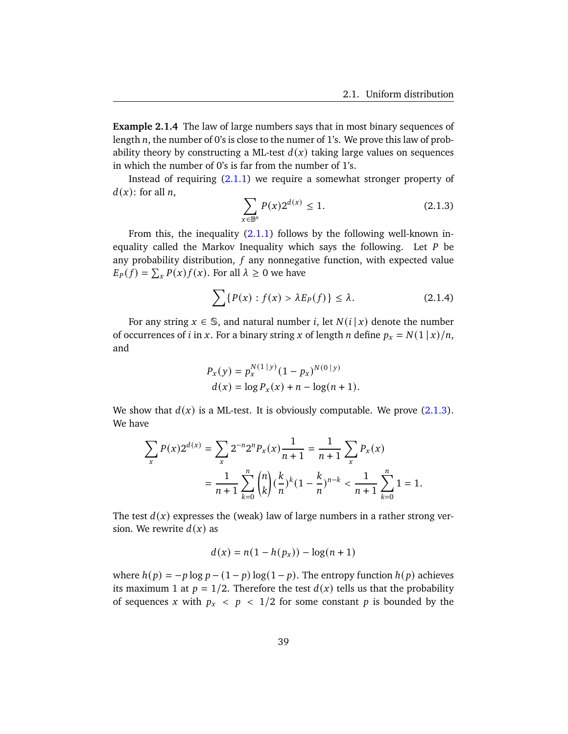**Example 2.1.4** The law of large numbers says that in most binary sequences of length  $n$ , the number of 0's is close to the numer of 1's. We prove this law of probability theory by constructing a ML-test  $d(x)$  taking large values on sequences in which the number of 0's is far from the number of 1's.

Instead of requiring [\(2.1.1\)](#page-42-0) we require a somewhat stronger property of  $d(x)$ : for all *n*,

<span id="page-44-1"></span><span id="page-44-0"></span>
$$
\sum_{x \in \mathbb{B}^n} P(x) 2^{d(x)} \le 1.
$$
 (2.1.3)

From this, the inequality  $(2.1.1)$  follows by the following well-known inequality called the Markov Inequality which says the following. Let  $P$  be any probability distribution,  $f$  any nonnegative function, with expected value  $E_P(f) = \sum_{x} P(x) f(x)$ . For all  $\lambda \geq 0$  we have

$$
\sum \{ P(x) : f(x) > \lambda E_P(f) \} \le \lambda.
$$
 (2.1.4)

For any string  $x \in \mathbb{S}$ , and natural number *i*, let  $N(i | x)$  denote the number of occurrences of *i* in *x*. For a binary string *x* of length *n* define  $p_x = N(1 | x)/n$ , and

$$
P_x(y) = p_x^{N(1|y)} (1 - p_x)^{N(0|y)}
$$
  
 
$$
d(x) = \log P_x(x) + n - \log(n + 1).
$$

We show that  $d(x)$  is a ML-test. It is obviously computable. We prove  $(2.1.3)$ . We have

$$
\sum_{x} P(x) 2^{d(x)} = \sum_{x} 2^{-n} 2^{n} P_{x}(x) \frac{1}{n+1} = \frac{1}{n+1} \sum_{x} P_{x}(x)
$$

$$
= \frac{1}{n+1} \sum_{k=0}^{n} {n \choose k} (\frac{k}{n})^{k} (1 - \frac{k}{n})^{n-k} < \frac{1}{n+1} \sum_{k=0}^{n} 1 = 1.
$$

The test  $d(x)$  expresses the (weak) law of large numbers in a rather strong version. We rewrite  $d(x)$  as

$$
d(x) = n(1 - h(p_x)) - \log(n + 1)
$$

where  $h(p) = -p \log p - (1-p) \log(1-p)$ . The entropy function  $h(p)$  achieves its maximum 1 at  $p = 1/2$ . Therefore the test  $d(x)$  tells us that the probability of sequences x with  $p_x < p < 1/2$  for some constant p is bounded by the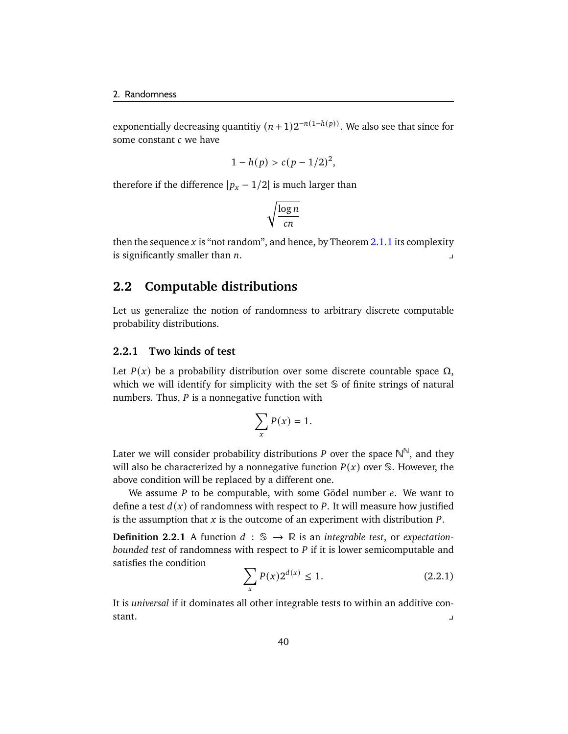exponentially decreasing quantitiy  $(n + 1)2^{-n(1-h(p))}$ . We also see that since for some constant  $c$  we have

$$
1 - h(p) > c(p - 1/2)^2,
$$

therefore if the difference  $|p_x - 1/2|$  is much larger than

$$
\sqrt{\frac{\log n}{cn}}
$$

then the sequence x is "not random", and hence, by Theorem [2.1.1](#page-43-0) its complexity is significantly smaller than  $n$ .

## <span id="page-45-1"></span>**2.2 Computable distributions**

Let us generalize the notion of randomness to arbitrary discrete computable probability distributions.

### **2.2.1 Two kinds of test**

Let  $P(x)$  be a probability distribution over some discrete countable space  $\Omega$ , which we will identify for simplicity with the set S of finite strings of natural numbers. Thus,  $P$  is a nonnegative function with

$$
\sum_{x} P(x) = 1.
$$

Later we will consider probability distributions P over the space  $\mathbb{N}^{\mathbb{N}}$ , and they will also be characterized by a nonnegative function  $P(x)$  over S. However, the above condition will be replaced by a different one.

We assume  $P$  to be computable, with some Gödel number  $e$ . We want to define a test  $d(x)$  of randomness with respect to P. It will measure how justified is the assumption that  $x$  is the outcome of an experiment with distribution  $P$ .

**Definition 2.2.1** A function  $d : \mathbb{S} \to \mathbb{R}$  is an *integrable test*, or *expectationbounded test* of randomness with respect to *P* if it is lower semicomputable and satisfies the condition

<span id="page-45-0"></span>
$$
\sum_{x} P(x) 2^{d(x)} \le 1.
$$
 (2.2.1)

It is *universal* if it dominates all other integrable tests to within an additive constant.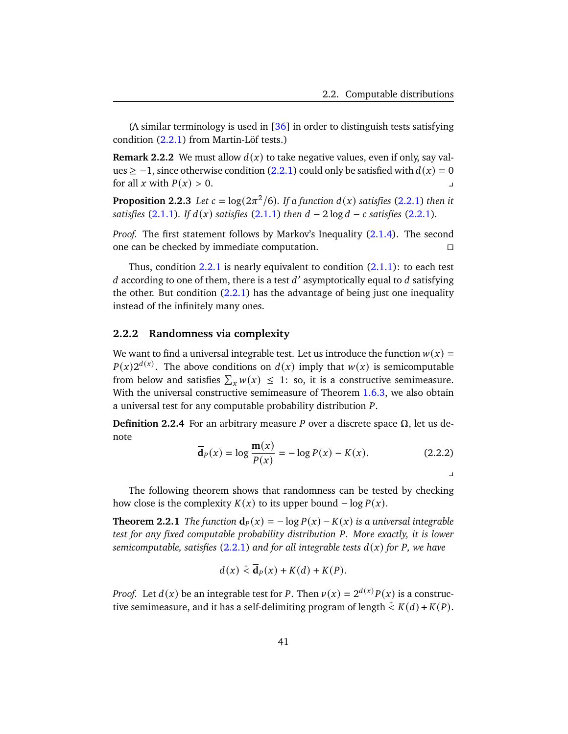(A similar terminology is used in  $[36]$  in order to distinguish tests satisfying condition [\(2.2.1\)](#page-45-0) from Martin-Löf tests.)

**Remark 2.2.2** We must allow  $d(x)$  to take negative values, even if only, say val-ues ≥ −1, since otherwise condition [\(2.2.1\)](#page-45-0) could only be satisfied with  $d(x) = 0$ for all x with  $P(x) > 0$ .

<span id="page-46-1"></span>**Proposition 2.2.3** *Let*  $c = \log(2\pi^2/6)$ *. If a function d(x) satisfies* [\(2.2.1\)](#page-45-0) *then it satisfies* [\(2.1.1\)](#page-42-0)*. If*  $d(x)$  *satisfies* (2.1.1) *then*  $d - 2 \log d - c$  *satisfies* [\(2.2.1\)](#page-45-0)*.* 

*Proof.* The first statement follows by Markov's Inequality [\(2.1.4\)](#page-44-1). The second one can be checked by immediate computation.

Thus, condition [2.2.1](#page-45-0) is nearly equivalent to condition  $(2.1.1)$ : to each test d according to one of them, there is a test  $d'$  asymptotically equal to  $d$  satisfying the other. But condition  $(2.2.1)$  has the advantage of being just one inequality instead of the infinitely many ones.

#### **2.2.2 Randomness via complexity**

We want to find a universal integrable test. Let us introduce the function  $w(x) =$  $P(x)2^{d(x)}$ . The above conditions on  $d(x)$  imply that  $w(x)$  is semicomputable from below and satisfies  $\sum_x w(x) \leq 1$ : so, it is a constructive semimeasure. With the universal constructive semimeasure of Theorem [1.6.3,](#page-32-0) we also obtain a universal test for any computable probability distribution P.

**Definition 2.2.4** For an arbitrary measure P over a discrete space  $\Omega$ , let us denote

$$
\overline{\mathbf{d}}_P(x) = \log \frac{\mathbf{m}(x)}{P(x)} = -\log P(x) - K(x). \tag{2.2.2}
$$

 $\overline{a}$ 

The following theorem shows that randomness can be tested by checking how close is the complexity  $K(x)$  to its upper bound  $-\log P(x)$ .

<span id="page-46-0"></span>**Theorem 2.2.1** *The function*  $\overline{\mathbf{d}}_P(x) = -\log P(x) - K(x)$  *is a universal integrable test for any fixed computable probability distribution P. More exactly, it is lower semicomputable, satisfies* [\(2.2.1\)](#page-45-0) and for all integrable tests  $d(x)$  for P, we have

$$
d(x) \stackrel{+}{\leq} \overline{\mathbf{d}}_P(x) + K(d) + K(P).
$$

*Proof.* Let  $d(x)$  be an integrable test for P. Then  $\nu(x) = 2^{d(x)}P(x)$  is a constructive semimeasure, and it has a self-delimiting program of length  $\frac{1}{\leq} K(d) + K(P)$ .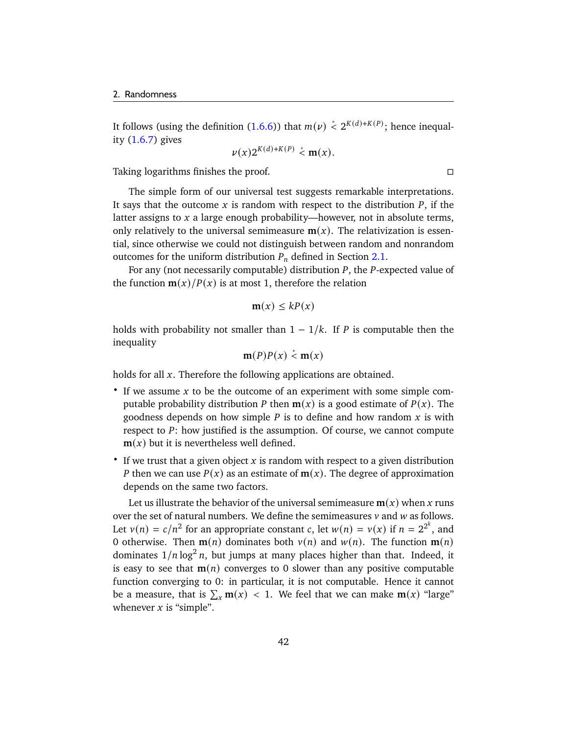It follows (using the definition [\(1.6.6\)](#page-33-0)) that  $m(\nu) \stackrel{*}{\leq} 2^{K(d)+K(P)}$ ; hence inequality [\(1.6.7\)](#page-33-1) gives

$$
\nu(x)2^{K(d)+K(P)} < \mathbf{m}(x).
$$

Taking logarithms finishes the proof.

The simple form of our universal test suggests remarkable interpretations. It says that the outcome x is random with respect to the distribution  $P$ , if the latter assigns to  $x$  a large enough probability—however, not in absolute terms, only relatively to the universal semimeasure  $m(x)$ . The relativization is essential, since otherwise we could not distinguish between random and nonrandom outcomes for the uniform distribution  $P_n$  defined in Section [2.1.](#page-42-1)

For any (not necessarily computable) distribution  $P$ , the  $P$ -expected value of the function  $\mathbf{m}(x)/P(x)$  is at most 1, therefore the relation

$$
\mathbf{m}(x) \leq kP(x)
$$

holds with probability not smaller than  $1 - 1/k$ . If P is computable then the inequality

$$
\mathbf{m}(P)P(x) \stackrel{*}{\leq} \mathbf{m}(x)
$$

holds for all  $x$ . Therefore the following applications are obtained.

- $\bullet$  If we assume x to be the outcome of an experiment with some simple computable probability distribution P then  $m(x)$  is a good estimate of  $P(x)$ . The goodness depends on how simple  $P$  is to define and how random  $x$  is with respect to  $P$ : how justified is the assumption. Of course, we cannot compute  **but it is nevertheless well defined.**
- If we trust that a given object x is random with respect to a given distribution P then we can use  $P(x)$  as an estimate of  $m(x)$ . The degree of approximation depends on the same two factors.

Let us illustrate the behavior of the universal semimeasure  $m(x)$  when x runs over the set of natural numbers. We define the semimeasures  $v$  and  $w$  as follows. Let  $v(n) = c/n^2$  for an appropriate constant c, let  $w(n) = v(x)$  if  $n = 2^{2^k}$ , and 0 otherwise. Then  $\mathbf{m}(n)$  dominates both  $v(n)$  and  $w(n)$ . The function  $\mathbf{m}(n)$ dominates  $1/n \log^2 n$ , but jumps at many places higher than that. Indeed, it is easy to see that  $m(n)$  converges to 0 slower than any positive computable function converging to 0: in particular, it is not computable. Hence it cannot be a measure, that is  $\sum_{x} m(x) < 1$ . We feel that we can make  $m(x)$  "large" whenever  $x$  is "simple".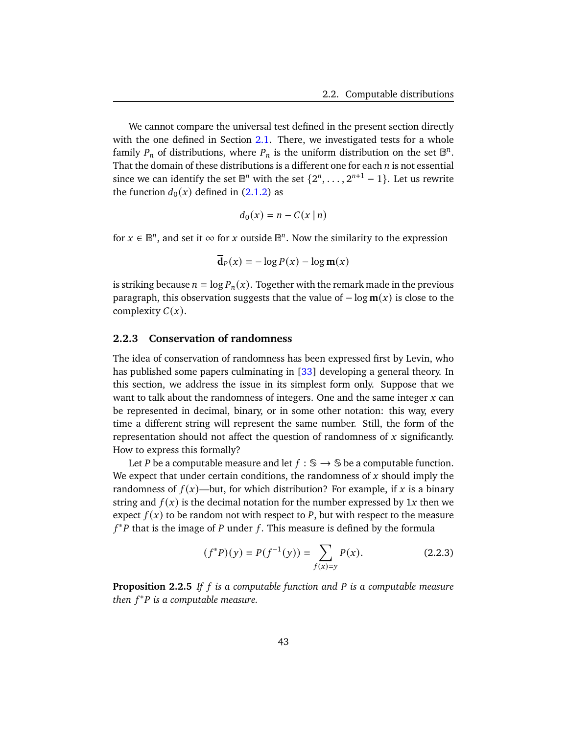We cannot compare the universal test defined in the present section directly with the one defined in Section [2.1.](#page-42-1) There, we investigated tests for a whole family  $P_n$  of distributions, where  $P_n$  is the uniform distribution on the set  $\mathbb{B}^n$ . That the domain of these distributions is a different one for each  $n$  is not essential since we can identify the set  $\mathbb{B}^n$  with the set  $\{2^n, \ldots, 2^{n+1} - 1\}$ . Let us rewrite the function  $d_0(x)$  defined in [\(2.1.2\)](#page-43-1) as

$$
d_0(x) = n - C(x \mid n)
$$

for  $x \in \mathbb{B}^n$ , and set it  $\infty$  for x outside  $\mathbb{B}^n$ . Now the similarity to the expression

$$
\mathbf{d}_P(x) = -\log P(x) - \log \mathbf{m}(x)
$$

is striking because  $n = \log P_n(x)$ . Together with the remark made in the previous paragraph, this observation suggests that the value of  $-\log m(x)$  is close to the complexity  $C(x)$ .

#### **2.2.3 Conservation of randomness**

The idea of conservation of randomness has been expressed first by Levin, who has published some papers culminating in [\[33\]](#page-178-1) developing a general theory. In this section, we address the issue in its simplest form only. Suppose that we want to talk about the randomness of integers. One and the same integer  $x$  can be represented in decimal, binary, or in some other notation: this way, every time a different string will represent the same number. Still, the form of the representation should not affect the question of randomness of  $x$  significantly. How to express this formally?

Let *P* be a computable measure and let  $f : \mathbb{S} \to \mathbb{S}$  be a computable function. We expect that under certain conditions, the randomness of  $x$  should imply the randomness of  $f(x)$ —but, for which distribution? For example, if x is a binary string and  $f(x)$  is the decimal notation for the number expressed by 1x then we expect  $f(x)$  to be random not with respect to P, but with respect to the measure  $f^*P$  that is the image of P under f. This measure is defined by the formula

$$
(f^*P)(y) = P(f^{-1}(y)) = \sum_{f(x)=y} P(x).
$$
 (2.2.3)

**Proposition 2.2.5** *If is a computable function and is a computable measure then* <sup>∗</sup> *is a computable measure.*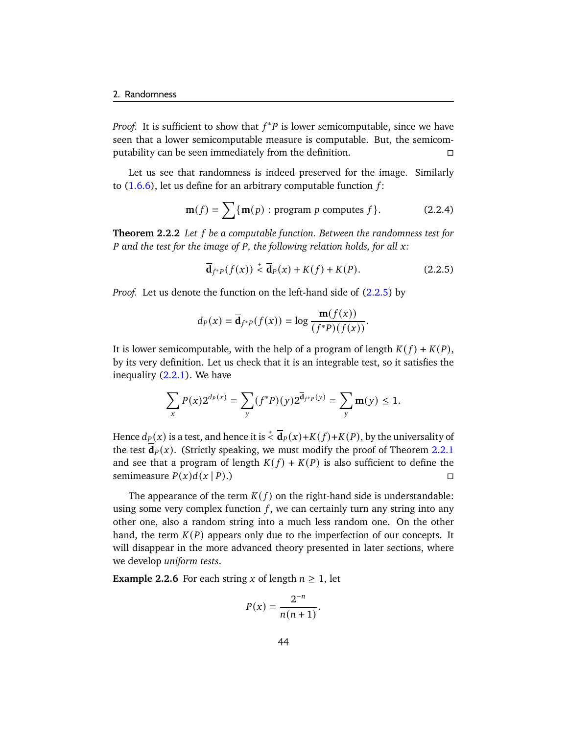*Proof.* It is sufficient to show that  $f^*P$  is lower semicomputable, since we have seen that a lower semicomputable measure is computable. But, the semicomputability can be seen immediately from the definition.

Let us see that randomness is indeed preserved for the image. Similarly to  $(1.6.6)$ , let us define for an arbitrary computable function f:

$$
\mathbf{m}(f) = \sum \{ \mathbf{m}(p) : \text{program } p \text{ computes } f \}. \tag{2.2.4}
$$

<span id="page-49-1"></span>**Theorem 2.2.2** *Let be a computable function. Between the randomness test for P* and the test for the image of *P*, the following relation holds, for all *x*:

<span id="page-49-0"></span>
$$
\overline{\mathbf{d}}_{f^*P}(f(x)) \stackrel{\text{+}}{\leq} \overline{\mathbf{d}}_P(x) + K(f) + K(P). \tag{2.2.5}
$$

*Proof.* Let us denote the function on the left-hand side of  $(2.2.5)$  by

$$
d_P(x) = \overline{\mathbf{d}}_{f^*P}(f(x)) = \log \frac{\mathbf{m}(f(x))}{(f^*P)(f(x))}.
$$

It is lower semicomputable, with the help of a program of length  $K(f) + K(P)$ , by its very definition. Let us check that it is an integrable test, so it satisfies the inequality [\(2.2.1\)](#page-45-0). We have

$$
\sum_{x} P(x) 2^{d_P(x)} = \sum_{y} (f^*P)(y) 2^{\overline{d}_{f^*P}(y)} = \sum_{y} \mathbf{m}(y) \le 1.
$$

Hence  $d_P(x)$  is a test, and hence it is  $\frac{1}{2}\overline{\mathbf{d}}_P(x)+K(f)+K(P),$  by the universality of the test  $\overline{\mathbf{d}}_p(x)$ . (Strictly speaking, we must modify the proof of Theorem [2.2.1](#page-46-0) and see that a program of length  $K(f) + K(P)$  is also sufficient to define the semimeasure  $P(x)d(x|P)$ .)

The appearance of the term  $K(f)$  on the right-hand side is understandable: using some very complex function  $f$ , we can certainly turn any string into any other one, also a random string into a much less random one. On the other hand, the term  $K(P)$  appears only due to the imperfection of our concepts. It will disappear in the more advanced theory presented in later sections, where we develop *uniform tests*.

**Example 2.2.6** For each string x of length  $n \geq 1$ , let

$$
P(x) = \frac{2^{-n}}{n(n+1)}.
$$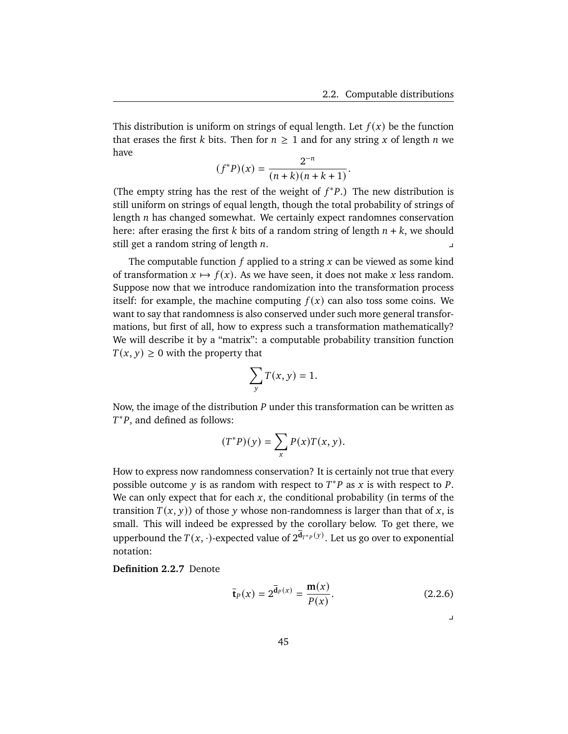This distribution is uniform on strings of equal length. Let  $f(x)$  be the function that erases the first k bits. Then for  $n \geq 1$  and for any string x of length n we have

$$
(f^*P)(x) = \frac{2^{-n}}{(n+k)(n+k+1)}.
$$

(The empty string has the rest of the weight of  $f^*P$ .) The new distribution is still uniform on strings of equal length, though the total probability of strings of length  $n$  has changed somewhat. We certainly expect randomnes conservation here: after erasing the first k bits of a random string of length  $n + k$ , we should still get a random string of length  $n$ .

The computable function  $f$  applied to a string  $x$  can be viewed as some kind of transformation  $x \mapsto f(x)$ . As we have seen, it does not make x less random. Suppose now that we introduce randomization into the transformation process itself: for example, the machine computing  $f(x)$  can also toss some coins. We want to say that randomness is also conserved under such more general transformations, but first of all, how to express such a transformation mathematically? We will describe it by a "matrix": a computable probability transition function  $T(x, y) \ge 0$  with the property that

$$
\sum_{y} T(x, y) = 1.
$$

Now, the image of the distribution  $P$  under this transformation can be written as  $T^*P$ , and defined as follows:

$$
(T^*P)(y) = \sum_x P(x)T(x, y).
$$

How to express now randomness conservation? It is certainly not true that every possible outcome y is as random with respect to  $T^*P$  as x is with respect to P. We can only expect that for each  $x$ , the conditional probability (in terms of the transition  $T(x, y)$  of those y whose non-randomness is larger than that of x, is small. This will indeed be expressed by the corollary below. To get there, we upperbound the  $T(x, \cdot)$ -expected value of  $2^{\overline{\mathbf{d}}_{T^*P}(y)}$ . Let us go over to exponential notation:

**Definition 2.2.7** Denote

$$
\bar{\mathbf{t}}_P(x) = 2^{\bar{\mathbf{d}}_P(x)} = \frac{\mathbf{m}(x)}{P(x)}.
$$
 (2.2.6)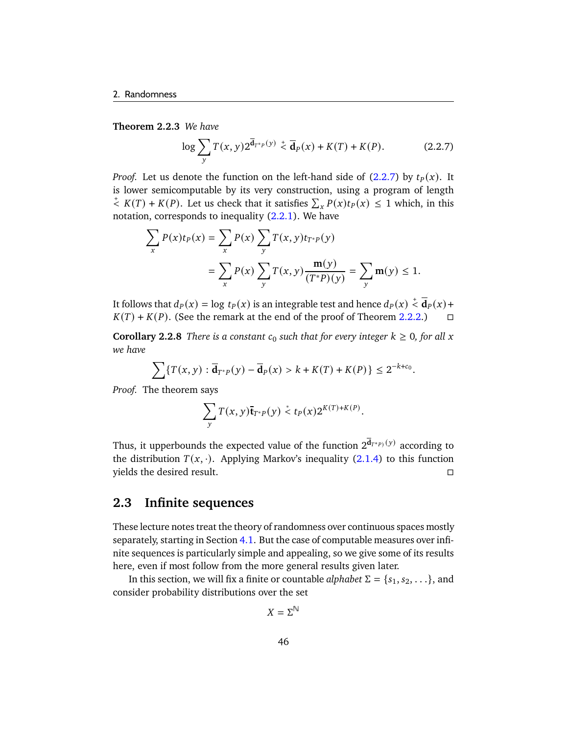**Theorem 2.2.3** *We have*

<span id="page-51-0"></span>
$$
\log \sum_{y} T(x, y) 2^{\bar{\mathbf{d}}_{T^{*p}}(y)} \stackrel{+}{\leq} \bar{\mathbf{d}}_{P}(x) + K(T) + K(P). \tag{2.2.7}
$$

*Proof.* Let us denote the function on the left-hand side of  $(2.2.7)$  by  $t<sub>P</sub>(x)$ . It is lower semicomputable by its very construction, using a program of length  $\overline{f}$   $K(T) + K(P)$ . Let us check that it satisfies  $\sum_{x} P(x) t_{P}(x) \leq 1$  which, in this notation, corresponds to inequality [\(2.2.1\)](#page-45-0). We have

$$
\sum_{x} P(x)t_{P}(x) = \sum_{x} P(x) \sum_{y} T(x, y)t_{T^{*}P}(y)
$$
  
= 
$$
\sum_{x} P(x) \sum_{y} T(x, y) \frac{\mathbf{m}(y)}{(T^{*}P)(y)} = \sum_{y} \mathbf{m}(y) \le 1.
$$

It follows that  $d_P(x) = \log t_P(x)$  is an integrable test and hence  $d_P(x) \stackrel{+}{\leq} \overline{\mathbf{d}}_P(x) +$  $K(T) + K(P)$ . (See the remark at the end of the proof of Theorem [2.2.2.](#page-49-1))  $\Box$ 

**Corollary 2.2.8** *There is a constant*  $c_0$  *such that for every integer*  $k \geq 0$ *, for all* x *we have*

$$
\sum \{T(x, y) : \overline{\mathbf{d}}_{T^*P}(y) - \overline{\mathbf{d}}_P(x) > k + K(T) + K(P)\} \leq 2^{-k + c_0}.
$$

*Proof.* The theorem says

$$
\sum_{y} T(x, y) \overline{\mathbf{t}}_{T^*P}(y) \stackrel{*}{\leq} t_P(x) 2^{K(T)+K(P)}.
$$

Thus, it upperbounds the expected value of the function  $2^{\overline{\mathbf{d}}_{T^{*}P}({y})}$  according to the distribution  $T(x, \cdot)$ . Applying Markov's inequality [\(2.1.4\)](#page-44-1) to this function yields the desired result.

## **2.3 Infinite sequences**

These lecture notes treat the theory of randomness over continuous spaces mostly separately, starting in Section [4.1.](#page-88-0) But the case of computable measures over infinite sequences is particularly simple and appealing, so we give some of its results here, even if most follow from the more general results given later.

In this section, we will fix a finite or countable *alphabet*  $\Sigma = \{s_1, s_2, \ldots\}$ , and consider probability distributions over the set

$$
X=\Sigma^{\mathbb{N}}
$$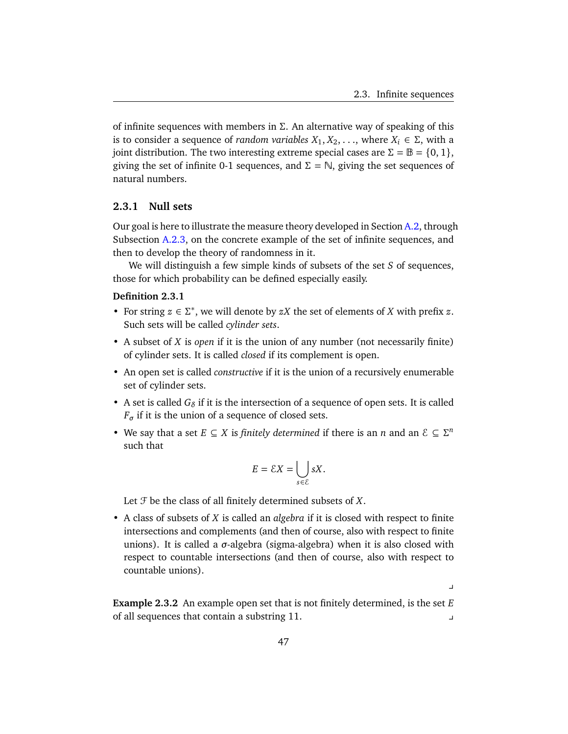$\overline{a}$ 

of infinite sequences with members in  $\Sigma$ . An alternative way of speaking of this is to consider a sequence of *random variables*  $X_1, X_2, \ldots$ , where  $X_i \in \Sigma$ , with a joint distribution. The two interesting extreme special cases are  $\Sigma = \mathbb{B} = \{0, 1\}$ , giving the set of infinite 0-1 sequences, and  $\Sigma = \mathbb{N}$ , giving the set sequences of natural numbers.

#### **2.3.1 Null sets**

Our goal is here to illustrate the measure theory developed in Section [A.2,](#page-146-0) through Subsection [A.2.3,](#page-149-0) on the concrete example of the set of infinite sequences, and then to develop the theory of randomness in it.

We will distinguish a few simple kinds of subsets of the set  $S$  of sequences, those for which probability can be defined especially easily.

#### **Definition 2.3.1**

- For string  $z \in \Sigma^*$ , we will denote by  $zX$  the set of elements of X with prefix  $z$ . Such sets will be called *cylinder sets*.
- A subset of X is *open* if it is the union of any number (not necessarily finite) of cylinder sets. It is called *closed* if its complement is open.
- An open set is called *constructive* if it is the union of a recursively enumerable set of cylinder sets.
- A set is called  $G_{\delta}$  if it is the intersection of a sequence of open sets. It is called  $F_{\sigma}$  if it is the union of a sequence of closed sets.
- We say that a set  $E \subseteq X$  is *finitely determined* if there is an *n* and an  $\mathcal{E} \subseteq \Sigma^n$ such that

$$
E = \mathcal{E}X = \bigcup_{s \in \mathcal{E}} sX.
$$

Let  $\mathcal F$  be the class of all finitely determined subsets of  $X$ .

• A class of subsets of X is called an *algebra* if it is closed with respect to finite intersections and complements (and then of course, also with respect to finite unions). It is called a  $\sigma$ -algebra (sigma-algebra) when it is also closed with respect to countable intersections (and then of course, also with respect to countable unions).

**Example 2.3.2** An example open set that is not finitely determined, is the set E of all sequences that contain a substring 11. y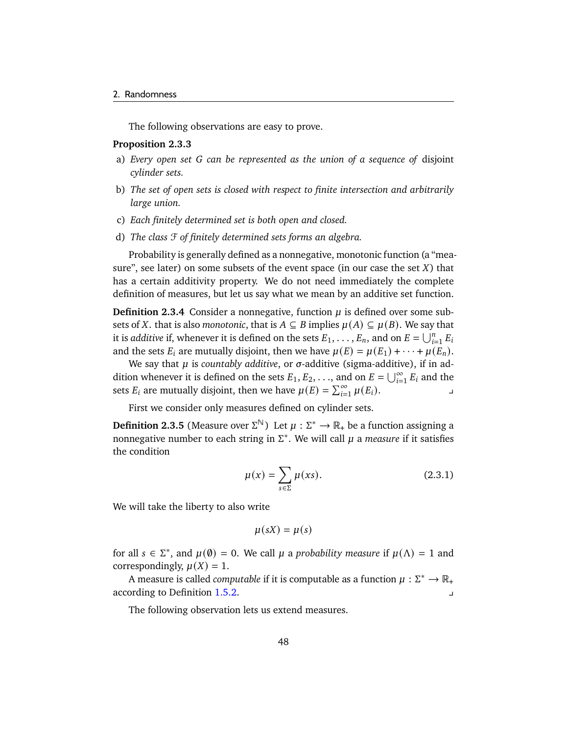The following observations are easy to prove.

#### **Proposition 2.3.3**

- a) *Every open set can be represented as the union of a sequence of* disjoint *cylinder sets.*
- b) *The set of open sets is closed with respect to finite intersection and arbitrarily large union.*
- c) *Each finitely determined set is both open and closed.*
- d) *The class* F *of finitely determined sets forms an algebra.*

Probability is generally defined as a nonnegative, monotonic function (a "measure", see later) on some subsets of the event space (in our case the set  $X$ ) that has a certain additivity property. We do not need immediately the complete definition of measures, but let us say what we mean by an additive set function.

**Definition 2.3.4** Consider a nonnegative, function  $\mu$  is defined over some subsets of X. that is also *monotonic*, that is  $A \subseteq B$  implies  $\mu(A) \subseteq \mu(B)$ . We say that it is *additive* if, whenever it is defined on the sets  $E_1, \ldots, E_n$ , and on  $E = \bigcup_{i=1}^n E_i$ and the sets  $E_i$  are mutually disjoint, then we have  $\mu(E) = \mu(E_1) + \cdots + \mu(E_n)$ .

We say that  $\mu$  is *countably additive*, or  $\sigma$ -additive (sigma-additive), if in addition whenever it is defined on the sets  $E_1, E_2, \ldots$ , and on  $E = \bigcup_{i=1}^{\infty} E_i$  and the sets  $E_i$  are mutually disjoint, then we have  $\mu(E) = \sum_{i=1}^{\infty} \mu(E_i)$ .

First we consider only measures defined on cylinder sets.

**Definition 2.3.5** (Measure over  $\Sigma^{\mathbb{N}}$ ) Let  $\mu : \Sigma^* \to \mathbb{R}_+$  be a function assigning a nonnegative number to each string in  $\Sigma^*$ . We will call  $\mu$  a *measure* if it satisfies the condition

<span id="page-53-0"></span>
$$
\mu(x) = \sum_{s \in \Sigma} \mu(xs). \tag{2.3.1}
$$

We will take the liberty to also write

$$
\mu(sX) = \mu(s)
$$

for all  $s \in \Sigma^*$ , and  $\mu(\emptyset) = 0$ . We call  $\mu$  a *probability measure* if  $\mu(\Lambda) = 1$  and correspondingly,  $\mu(X) = 1$ .

A measure is called *computable* if it is computable as a function  $\mu : \Sigma^* \to \mathbb{R}_+$ according to Definition [1.5.2.](#page-25-0)

The following observation lets us extend measures.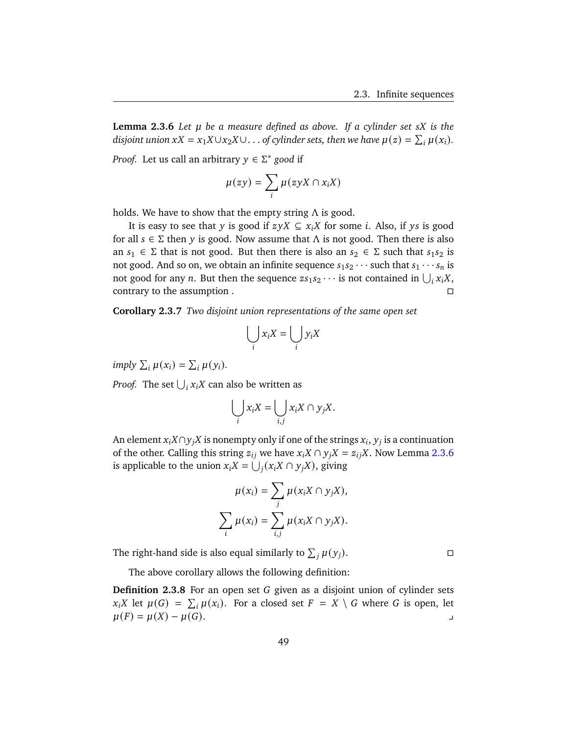<span id="page-54-0"></span>**Lemma 2.3.6** *Let be a measure defined as above. If a cylinder set is the disjoint union*  $xX = x_1X \cup x_2X \cup ...$  *of cylinder sets, then we have*  $\mu(z) = \sum_i \mu(x_i)$ *.* 

*Proof.* Let us call an arbitrary  $y \in \Sigma^*$  good if

$$
\mu(zy) = \sum_i \mu(zyX \cap x_iX)
$$

holds. We have to show that the empty string  $\Lambda$  is good.

It is easy to see that y is good if  $zyX \subseteq x_iX$  for some *i*. Also, if ys is good for all  $s \in \Sigma$  then y is good. Now assume that  $\Lambda$  is not good. Then there is also an  $s_1 \in \Sigma$  that is not good. But then there is also an  $s_2 \in \Sigma$  such that  $s_1s_2$  is not good. And so on, we obtain an infinite sequence  $s_1 s_2 \cdots$  such that  $s_1 \cdots s_n$  is not good for any *n*. But then the sequence  $zs_1s_2 \cdots$  is not contained in  $\bigcup_i x_i X$ , contrary to the assumption .

**Corollary 2.3.7** *Two disjoint union representations of the same open set*

$$
\bigcup_i x_i X = \bigcup_i y_i X
$$

*imply*  $\sum_i \mu(x_i) = \sum_i \mu(y_i)$ .

*Proof.* The set  $\bigcup_i x_i X$  can also be written as

$$
\bigcup_i x_i X = \bigcup_{i,j} x_i X \cap y_j X.
$$

An element  $x_i X \cap y_j X$  is nonempty only if one of the strings  $x_i, y_j$  is a continuation of the other. Calling this string  $z_{ij}$  we have  $x_iX \cap y_jX = z_{ij}X$ . Now Lemma [2.3.6](#page-54-0) is applicable to the union  $x_i X = \bigcup_i (x_i X \cap y_j X)$ , giving

$$
\mu(x_i) = \sum_j \mu(x_i X \cap y_j X),
$$
  

$$
\sum_i \mu(x_i) = \sum_{i,j} \mu(x_i X \cap y_j X).
$$

The right-hand side is also equal similarly to  $\sum_i \mu(y_i)$ .

The above corollary allows the following definition:

**Definition 2.3.8** For an open set G given as a disjoint union of cylinder sets  $x_i X$  let  $\mu(G) = \sum_i \mu(x_i)$ . For a closed set  $F = X \setminus G$  where G is open, let  $\mu(F) = \mu(X) - \mu(G).$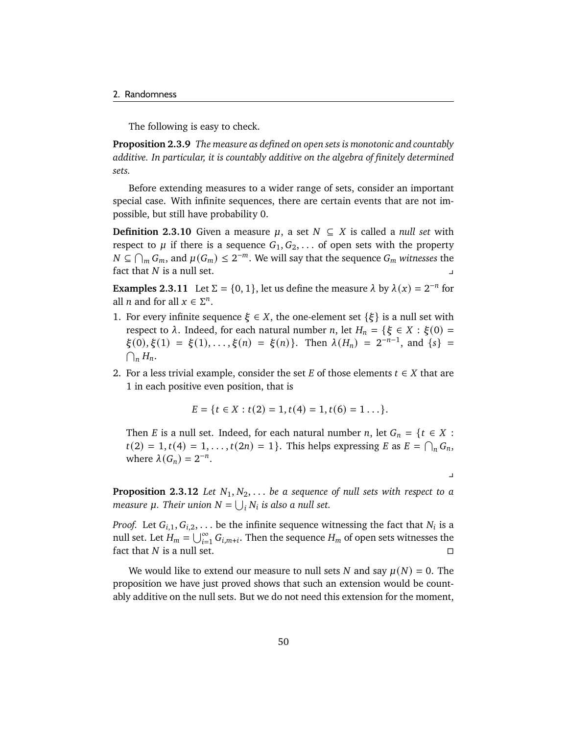The following is easy to check.

**Proposition 2.3.9** *The measure as defined on open sets is monotonic and countably additive. In particular, it is countably additive on the algebra of finitely determined sets.*

Before extending measures to a wider range of sets, consider an important special case. With infinite sequences, there are certain events that are not impossible, but still have probability 0.

**Definition 2.3.10** Given a measure  $\mu$ , a set  $N \subseteq X$  is called a *null set* with respect to  $\mu$  if there is a sequence  $G_1, G_2, \ldots$  of open sets with the property  $N \subseteq \bigcap_m G_m$ , and  $\mu(G_m) \leq 2^{-m}$ . We will say that the sequence  $G_m$  witnesses the fact that  $N$  is a null set.

<span id="page-55-1"></span>**Examples 2.3.11** Let  $\Sigma = \{0, 1\}$ , let us define the measure  $\lambda$  by  $\lambda(x) = 2^{-n}$  for all *n* and for all  $x \in \Sigma^n$ .

- <span id="page-55-0"></span>1. For every infinite sequence  $\xi \in X$ , the one-element set  $\{\xi\}$  is a null set with respect to  $\lambda$ . Indeed, for each natural number *n*, let  $H_n = \{ \xi \in X : \xi(0) = \}$  $\xi(0), \xi(1) = \xi(1), \ldots, \xi(n) = \xi(n)$ . Then  $\lambda(H_n) = 2^{-n-1}$ , and  $\{s\} =$  $\bigcap_n H_n$ .
- <span id="page-55-2"></span>2. For a less trivial example, consider the set E of those elements  $t \in X$  that are 1 in each positive even position, that is

$$
E = \{t \in X : t(2) = 1, t(4) = 1, t(6) = 1 \ldots\}.
$$

Then *E* is a null set. Indeed, for each natural number *n*, let  $G_n = \{ t \in X :$  $t(2) = 1, t(4) = 1, ..., t(2n) = 1$ . This helps expressing E as  $E = \bigcap_n G_n$ , where  $\lambda(G_n) = 2^{-n}$ .

 $\overline{a}$ 

**Proposition 2.3.12** *Let*  $N_1, N_2, \ldots$  *be a sequence of null sets with respect to a measure*  $\mu$ *. Their union*  $N = \bigcup_i N_i$  *is also a null set.* 

*Proof.* Let  $G_{i,1}, G_{i,2}, \ldots$  be the infinite sequence witnessing the fact that  $N_i$  is a null set. Let  $H_m = \bigcup_{i=1}^\infty G_{i,m+i}.$  Then the sequence  $H_m$  of open sets witnesses the fact that  $N$  is a null set.

We would like to extend our measure to null sets N and say  $\mu(N) = 0$ . The proposition we have just proved shows that such an extension would be countably additive on the null sets. But we do not need this extension for the moment,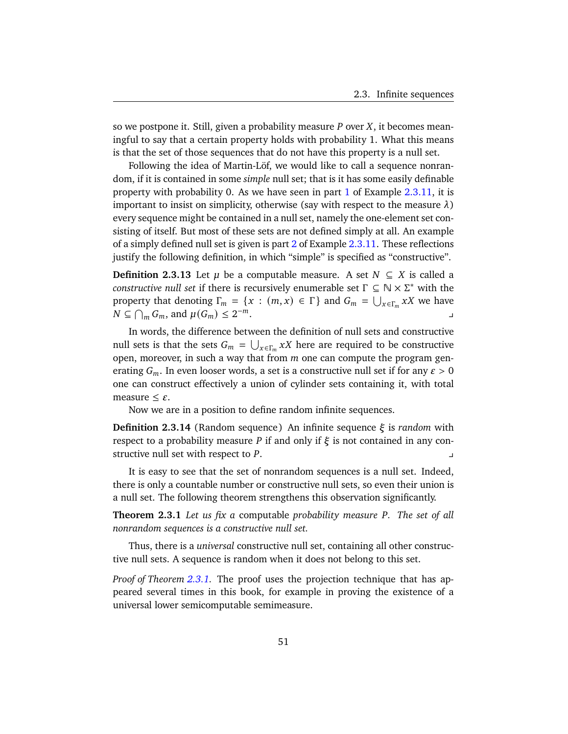so we postpone it. Still, given a probability measure  $P$  over  $X$ , it becomes meaningful to say that a certain property holds with probability 1. What this means is that the set of those sequences that do not have this property is a null set.

Following the idea of Martin-Löf, we would like to call a sequence nonrandom, if it is contained in some *simple* null set; that is it has some easily definable property with probability 0. As we have seen in part  $1$  of Example  $2.3.11$ , it is important to insist on simplicity, otherwise (say with respect to the measure  $\lambda$ ) every sequence might be contained in a null set, namely the one-element set consisting of itself. But most of these sets are not defined simply at all. An example of a simply defined null set is given is part [2](#page-55-2) of Example [2.3.11.](#page-55-1) These reflections justify the following definition, in which "simple" is specified as "constructive".

**Definition 2.3.13** Let  $\mu$  be a computable measure. A set  $N \subseteq X$  is called a *constructive null set* if there is recursively enumerable set  $\Gamma \subseteq \mathbb{N} \times \Sigma^*$  with the property that denoting  $\Gamma_m = \{x : (m, x) \in \Gamma\}$  and  $G_m = \bigcup_{x \in \Gamma_m} xX$  we have  $N \subseteq \bigcap_m G_m$ , and  $\mu(G_m) \leq 2$  $-m$ .  $\Box$ 

In words, the difference between the definition of null sets and constructive null sets is that the sets  $G_m = \bigcup_{x \in \Gamma_m} xX$  here are required to be constructive open, moreover, in such a way that from  $m$  one can compute the program generating  $G_m$ . In even looser words, a set is a constructive null set if for any  $\varepsilon > 0$ one can construct effectively a union of cylinder sets containing it, with total measure  $\leq \varepsilon$ .

Now we are in a position to define random infinite sequences.

**Definition 2.3.14** (Random sequence) An infinite sequence  $\xi$  is *random* with respect to a probability measure P if and only if  $\xi$  is not contained in any constructive null set with respect to  $P$ .

It is easy to see that the set of nonrandom sequences is a null set. Indeed, there is only a countable number or constructive null sets, so even their union is a null set. The following theorem strengthens this observation significantly.

<span id="page-56-0"></span>**Theorem 2.3.1** *Let us fix a computable probability measure P. The set of all nonrandom sequences is a constructive null set.*

Thus, there is a *universal* constructive null set, containing all other constructive null sets. A sequence is random when it does not belong to this set.

*Proof of Theorem [2.3.1.](#page-56-0)* The proof uses the projection technique that has appeared several times in this book, for example in proving the existence of a universal lower semicomputable semimeasure.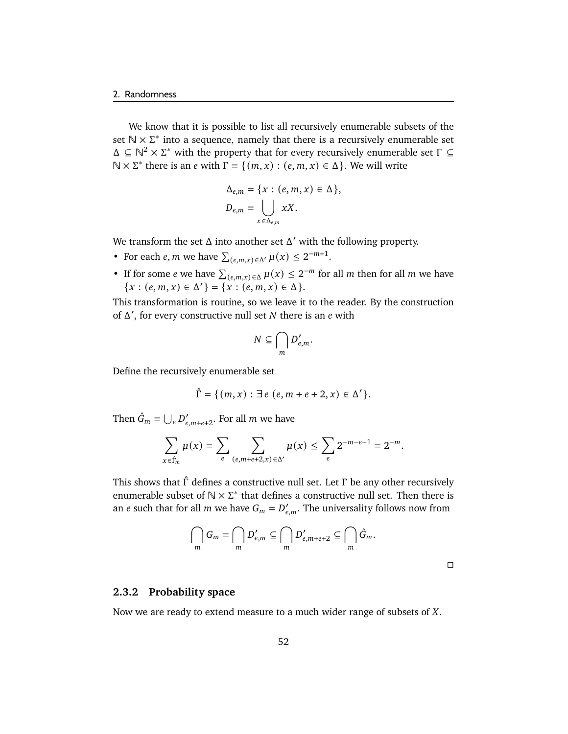We know that it is possible to list all recursively enumerable subsets of the set  $\mathbb{N} \times \Sigma^*$  into a sequence, namely that there is a recursively enumerable set  $\Delta \subseteq \mathbb{N}^2 \times \Sigma^*$  with the property that for every recursively enumerable set  $\Gamma \subseteq$  $\mathbb{N} \times \Sigma^*$  there is an *e* with  $\Gamma = \{ (m, x) : (e, m, x) \in \Delta \}$ . We will write

$$
\Delta_{e,m} = \{x : (e, m, x) \in \Delta\},
$$
  

$$
D_{e,m} = \bigcup_{x \in \Delta_{e,m}} xX.
$$

We transform the set  $\Delta$  into another set  $\Delta'$  with the following property.

- For each *e*, *m* we have  $\sum_{(e,m,x)\in\Delta'} \mu(x) \leq 2^{-m+1}$ .
- If for some *e* we have  $\sum_{(e,m,x)\in\Delta}\mu(x) \leq 2^{-m}$  for all *m* then for all *m* we have  ${x : (e, m, x) \in \Delta'} = {x : (e, m, x) \in \Delta}.$

This transformation is routine, so we leave it to the reader. By the construction of  $\Delta'$ , for every constructive null set N there is an  $e$  with

$$
N\subseteq \bigcap_m D'_{e,m}.
$$

Define the recursively enumerable set

$$
\hat{\Gamma} = \{ (m, x) : \exists e (e, m + e + 2, x) \in \Delta' \}.
$$

Then  $\hat{G}_m = \bigcup_e D'_{e,m+e+2}$ . For all m we have

$$
\sum_{x \in \hat{\Gamma}_m} \mu(x) = \sum_{e} \sum_{(e,m+e+2,x) \in \Delta'} \mu(x) \le \sum_{e} 2^{-m-e-1} = 2^{-m}.
$$

This shows that  $\hat{\Gamma}$  defines a constructive null set. Let  $\Gamma$  be any other recursively enumerable subset of  $\mathbb{N} \times \Sigma^*$  that defines a constructive null set. Then there is an *e* such that for all *m* we have  $G_m = D'_{e.m}$ . The universality follows now from

$$
\bigcap_m G_m = \bigcap_m D'_{e,m} \subseteq \bigcap_m D'_{e,m+e+2} \subseteq \bigcap_m \hat{G}_m.
$$

#### **2.3.2 Probability space**

Now we are ready to extend measure to a much wider range of subsets of  $X$ .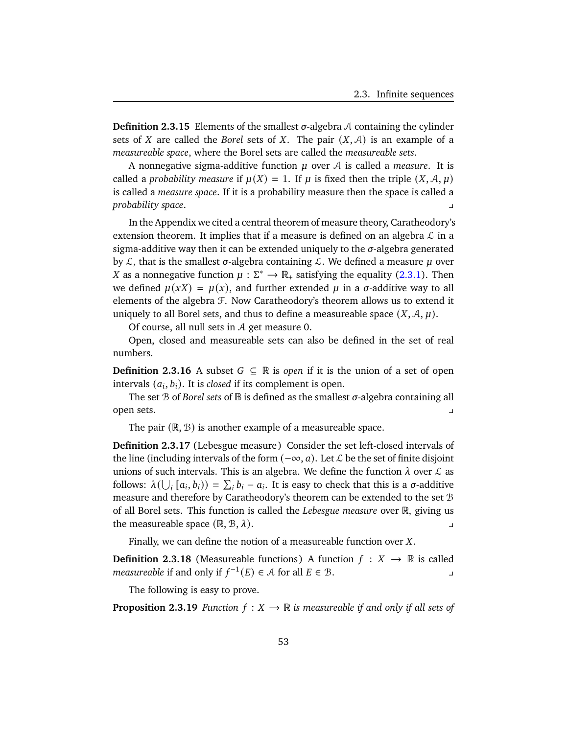**Definition 2.3.15** Elements of the smallest  $\sigma$ -algebra A containing the cylinder sets of X are called the *Borel* sets of X. The pair  $(X, \mathcal{A})$  is an example of a *measureable space*, where the Borel sets are called the *measureable sets*.

A nonnegative sigma-additive function  $\mu$  over  $\mathcal A$  is called a *measure*. It is called a *probability measure* if  $\mu(X) = 1$ . If  $\mu$  is fixed then the triple  $(X, \mathcal{A}, \mu)$ is called a *measure space*. If it is a probability measure then the space is called a *probability space*. y

In the Appendix we cited a central theorem of measure theory, Caratheodory's extension theorem. It implies that if a measure is defined on an algebra  $\mathcal L$  in a sigma-additive way then it can be extended uniquely to the  $\sigma$ -algebra generated by  $\mathcal{L}$ , that is the smallest  $\sigma$ -algebra containing  $\mathcal{L}$ . We defined a measure  $\mu$  over X as a nonnegative function  $\mu : \Sigma^* \to \mathbb{R}_+$  satisfying the equality [\(2.3.1\)](#page-53-0). Then we defined  $\mu(xx) = \mu(x)$ , and further extended  $\mu$  in a  $\sigma$ -additive way to all elements of the algebra F. Now Caratheodory's theorem allows us to extend it uniquely to all Borel sets, and thus to define a measureable space  $(X, \mathcal{A}, \mu)$ .

Of course, all null sets in A get measure 0.

Open, closed and measureable sets can also be defined in the set of real numbers.

**Definition 2.3.16** A subset  $G \subseteq \mathbb{R}$  is *open* if it is the union of a set of open intervals  $(a_i, b_i)$ . It is *closed* if its complement is open.

The set  $B$  of *Borel sets* of  $B$  is defined as the smallest  $\sigma$ -algebra containing all open sets. y

The pair  $(\mathbb{R}, \mathcal{B})$  is another example of a measureable space.

**Definition 2.3.17** (Lebesgue measure) Consider the set left-closed intervals of the line (including intervals of the form  $(-\infty, a)$ ). Let  $\mathcal L$  be the set of finite disjoint unions of such intervals. This is an algebra. We define the function  $\lambda$  over  $\mathcal L$  as follows:  $\lambda(\bigcup_i [a_i, b_i)) = \sum_i b_i - a_i$ . It is easy to check that this is a  $\sigma$ -additive measure and therefore by Caratheodory's theorem can be extended to the set B of all Borel sets. This function is called the *Lebesgue measure* over R, giving us the measureable space  $(\mathbb{R}, \mathcal{B}, \lambda)$ .

Finally, we can define the notion of a measureable function over  $X$ .

**Definition 2.3.18** (Measureable functions) A function  $f : X \rightarrow \mathbb{R}$  is called *measureable* if and only if  $f^{-1}(E) \in A$  for all  $E \in B$ .

The following is easy to prove.

**Proposition 2.3.19** *Function*  $f: X \to \mathbb{R}$  *is measureable if and only if all sets of*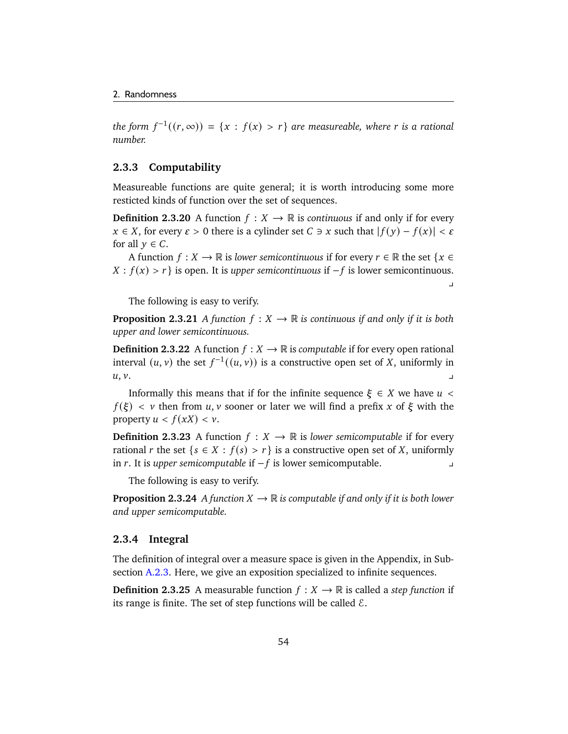the form  $f^{-1}((r, \infty)) = \{x : f(x) > r\}$  are measureable, where r is a rational *number.*

### **2.3.3 Computability**

Measureable functions are quite general; it is worth introducing some more resticted kinds of function over the set of sequences.

**Definition 2.3.20** A function  $f : X \to \mathbb{R}$  is *continuous* if and only if for every  $x \in X$ , for every  $\varepsilon > 0$  there is a cylinder set  $C \ni x$  such that  $|f(y) - f(x)| < \varepsilon$ for all  $y \in C$ .

A function  $f : X \to \mathbb{R}$  is *lower semicontinuous* if for every  $r \in \mathbb{R}$  the set  $\{x \in \mathbb{R}^n : f(x) \in \mathbb{R}^n : f(x) \in \mathbb{R}^n\}$  $X : f(x) > r$  is open. It is *upper semicontinuous* if  $-f$  is lower semicontinuous.  $\mathbf{y}$ 

The following is easy to verify.

**Proposition 2.3.21** *A function*  $f: X \to \mathbb{R}$  *is continuous if and only if it is both upper and lower semicontinuous.*

**Definition 2.3.22** A function  $f: X \to \mathbb{R}$  is *computable* if for every open rational interval  $(u, v)$  the set  $f^{-1}((u, v))$  is a constructive open set of X, uniformly in  $u, v.$ 

Informally this means that if for the infinite sequence  $\xi \in X$  we have  $u <$  $f(\xi) < v$  then from u, v sooner or later we will find a prefix x of  $\xi$  with the property  $u < f(xX) < v$ .

**Definition 2.3.23** A function  $f: X \to \mathbb{R}$  is *lower semicomputable* if for every rational *r* the set { $s \in X : f(s) > r$ } is a constructive open set of X, uniformly in . It is *upper semicomputable* if − is lower semicomputable. y

The following is easy to verify.

**Proposition 2.3.24** *A function*  $X \to \mathbb{R}$  *is computable if and only if it is both lower and upper semicomputable.*

#### **2.3.4 Integral**

The definition of integral over a measure space is given in the Appendix, in Subsection [A.2.3.](#page-149-0) Here, we give an exposition specialized to infinite sequences.

**Definition 2.3.25** A measurable function  $f : X \to \mathbb{R}$  is called a *step function* if its range is finite. The set of step functions will be called  $\mathcal{E}$ .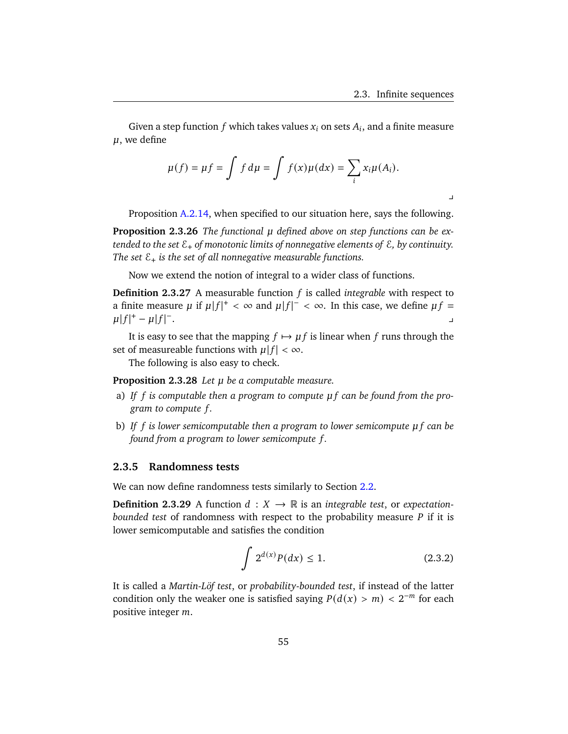Given a step function  $f$  which takes values  $x_i$  on sets  $A_i$ , and a finite measure  $\mu$ , we define

$$
\mu(f) = \mu f = \int f d\mu = \int f(x) \mu(dx) = \sum_i x_i \mu(A_i).
$$

 $\mathbf{I}$ 

Proposition [A.2.14,](#page-149-1) when specified to our situation here, says the following.

**Proposition 2.3.26** *The functional defined above on step functions can be extended to the set* E+ *of monotonic limits of nonnegative elements of* E*, by continuity. The set*  $\mathcal{E}_+$  *is the set of all nonnegative measurable functions.* 

Now we extend the notion of integral to a wider class of functions.

**Definition 2.3.27** A measurable function  $f$  is called *integrable* with respect to a finite measure  $\mu$  if  $\mu |f|^+ < \infty$  and  $\mu |f|^+ < \infty$ . In this case, we define  $\mu f =$  $\mu |f|^{+} - \mu |f|^{-}$ . We also a set of the set of the set of the set of the set of the set of the set of the set of the set of the<br>The set of the set of the set of the set of the set of the set of the set of the set of the set of the set of

It is easy to see that the mapping  $f \mapsto \mu f$  is linear when f runs through the set of measureable functions with  $\mu | f | < \infty$ .

The following is also easy to check.

**Proposition 2.3.28** *Let be a computable measure.*

- a) *If is computable then a program to compute can be found from the program to compute .*
- b) *If is lower semicomputable then a program to lower semicompute can be found from a program to lower semicompute .*

#### **2.3.5 Randomness tests**

We can now define randomness tests similarly to Section [2.2.](#page-45-1)

**Definition 2.3.29** A function  $d : X \to \mathbb{R}$  is an *integrable test*, or *expectationbounded test* of randomness with respect to the probability measure *P* if it is lower semicomputable and satisfies the condition

$$
\int 2^{d(x)} P(dx) \le 1.
$$
 (2.3.2)

It is called a *Martin-Löf test*, or *probability-bounded test*, if instead of the latter condition only the weaker one is satisfied saying  $P(d(x) > m) < 2^{-m}$  for each positive integer  $m$ .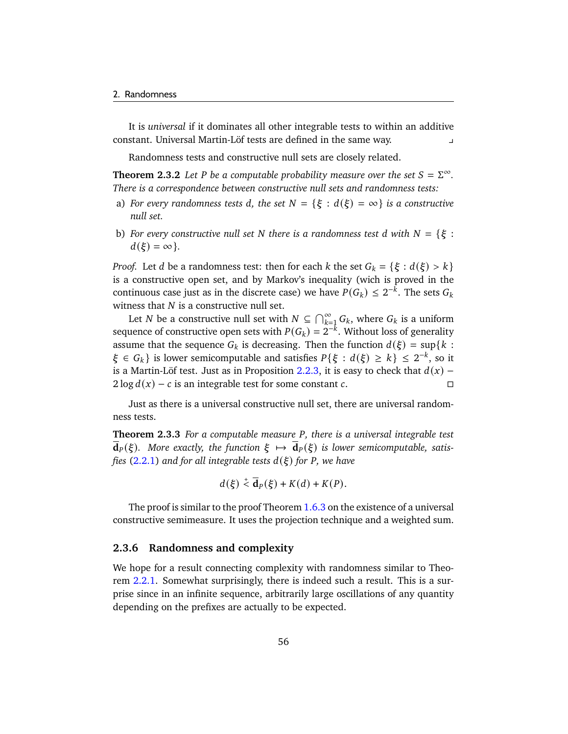It is *universal* if it dominates all other integrable tests to within an additive constant. Universal Martin-Löf tests are defined in the same way. y

Randomness tests and constructive null sets are closely related.

**Theorem 2.3.2** Let P be a computable probability measure over the set  $S = \Sigma^{\infty}$ . *There is a correspondence between constructive null sets and randomness tests:*

- a) *For every randomness tests d, the set*  $N = \{\xi : d(\xi) = \infty\}$  *is a constructive null set.*
- b) *For every constructive null set N* there is a randomness test d with  $N = \{\xi :$  $d(\xi) = \infty$  }.

*Proof.* Let *d* be a randomness test: then for each *k* the set  $G_k = \{\xi : d(\xi) > k\}$ is a constructive open set, and by Markov's inequality (wich is proved in the continuous case just as in the discrete case) we have  $P(G_k) \leq 2^{-k}$ . The sets  $G_k$ witness that  $N$  is a constructive null set.

Let N be a constructive null set with  $N \subseteq \bigcap_{k=1}^{\infty} G_k$ , where  $G_k$  is a uniform sequence of constructive open sets with  $P(G_k) = 2^{-k}$ . Without loss of generality assume that the sequence  $G_k$  is decreasing. Then the function  $d(\xi) = \sup\{k :$  $\xi \in G_k$  is lower semicomputable and satisfies  $P\{\xi : d(\xi) \geq k\} \leq 2^{-k}$ , so it is a Martin-Löf test. Just as in Proposition [2.2.3,](#page-46-1) it is easy to check that  $d(x)$  –  $2 \log d(x) - c$  is an integrable test for some constant c.

Just as there is a universal constructive null set, there are universal randomness tests.

<span id="page-61-0"></span>**Theorem 2.3.3** For a computable measure P, there is a universal integrable test  $d_P(\xi)$ . More exactly, the function  $\xi \mapsto d_P(\xi)$  is lower semicomputable, satis*fies* [\(2.2.1\)](#page-45-0) and for all integrable tests  $d(\xi)$  for P, we have

$$
d(\xi) \stackrel{+}{\leq} \overline{\mathbf{d}}_P(\xi) + K(d) + K(P).
$$

The proof is similar to the proof Theorem  $1.6.3$  on the existence of a universal constructive semimeasure. It uses the projection technique and a weighted sum.

#### **2.3.6 Randomness and complexity**

We hope for a result connecting complexity with randomness similar to Theorem [2.2.1.](#page-46-0) Somewhat surprisingly, there is indeed such a result. This is a surprise since in an infinite sequence, arbitrarily large oscillations of any quantity depending on the prefixes are actually to be expected.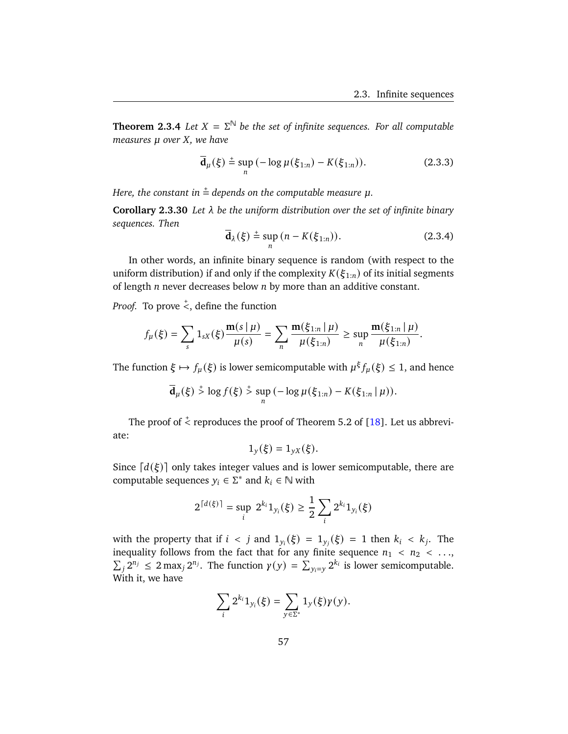**Theorem 2.3.4** *Let*  $X = \Sigma^{\mathbb{N}}$  *be the set of infinite sequences. For all computable measures*  $\mu$  *over*  $X$ *, we have* 

$$
\overline{\mathbf{d}}_{\mu}(\xi) \stackrel{+}{=} \sup_{n} \left( -\log \mu(\xi_{1:n}) - K(\xi_{1:n}) \right). \tag{2.3.3}
$$

Here, the constant in  $\stackrel{+}{=}$  depends on the computable measure  $\mu$ .

**Corollary 2.3.30** *Let be the uniform distribution over the set of infinite binary sequences. Then*

$$
\overline{\mathbf{d}}_{\lambda}(\xi) \stackrel{+}{=} \sup_{n} (n - K(\xi_{1:n})). \tag{2.3.4}
$$

In other words, an infinite binary sequence is random (with respect to the uniform distribution) if and only if the complexity  $K(\xi_{1:n})$  of its initial segments of length  $n$  never decreases below  $n$  by more than an additive constant.

*Proof.* To prove  $\stackrel{+}{<}$ , define the function

$$
f_{\mu}(\xi) = \sum_{s} 1_{sX}(\xi) \frac{\mathbf{m}(s \mid \mu)}{\mu(s)} = \sum_{n} \frac{\mathbf{m}(\xi_{1:n} \mid \mu)}{\mu(\xi_{1:n})} \ge \sup_{n} \frac{\mathbf{m}(\xi_{1:n} \mid \mu)}{\mu(\xi_{1:n})}.
$$

The function  $\xi \mapsto f_u(\xi)$  is lower semicomputable with  $\mu^{\xi} f_u(\xi) \leq 1$ , and hence

$$
\overline{\mathbf{d}}_{\mu}(\xi) \stackrel{+}{>} \log f(\xi) \stackrel{+}{>} \sup_{n} (-\log \mu(\xi_{1:n}) - K(\xi_{1:n} | \mu)).
$$

The proof of  $\stackrel{+}{\leq}$  reproduces the proof of Theorem 5.2 of [\[18\]](#page-177-0). Let us abbreviate:

$$
1_y(\xi) = 1_{yX}(\xi).
$$

Since  $\lceil d(\xi) \rceil$  only takes integer values and is lower semicomputable, there are computable sequences  $y_i \in \Sigma^*$  and  $k_i \in \mathbb{N}$  with

$$
2^{\lceil d(\xi) \rceil} = \sup_i 2^{k_i} 1_{y_i}(\xi) \ge \frac{1}{2} \sum_i 2^{k_i} 1_{y_i}(\xi)
$$

with the property that if  $i < j$  and  $1_{y_i}(\xi) = 1_{y_i}(\xi) = 1$  then  $k_i < k_j$ . The inequality follows from the fact that for any finite sequence  $n_1 < n_2 < ...$  $\sum_{j} 2^{n_j} \leq 2 \max_j 2^{n_j}$ . The function  $\gamma(y) = \sum_{y_i = y} 2^{k_i}$  is lower semicomputable. With it, we have

$$
\sum_i 2^{k_i} 1_{y_i}(\xi) = \sum_{y \in \Sigma^*} 1_y(\xi) \gamma(y).
$$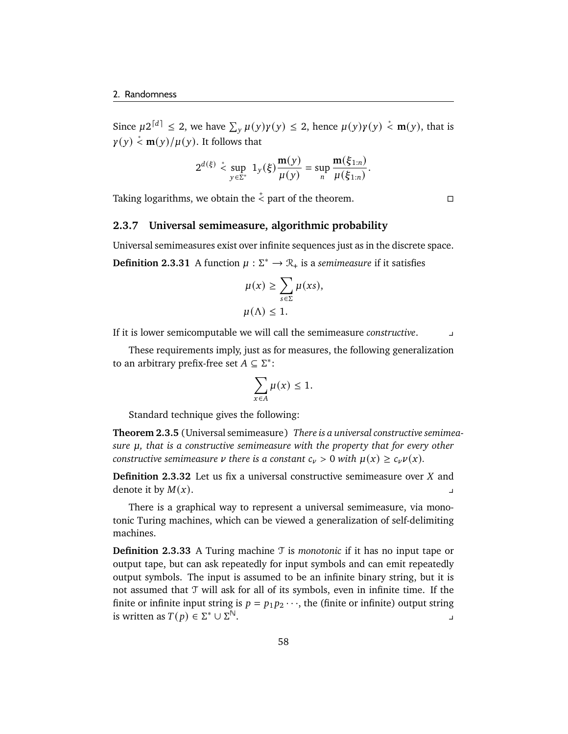Since  $\mu 2^{\lceil d \rceil} \leq 2$ , we have  $\sum_{y} \mu(y) \gamma(y) \leq 2$ , hence  $\mu(y) \gamma(y) \stackrel{*}{\leq} \mathbf{m}(y)$ , that is  $\gamma(y) \stackrel{*}{<} \mathbf{m}(y)/\mu(y)$ . It follows that

$$
2^{d(\xi)} \overset{*}{\leq} \sup_{y \in \Sigma^*} 1_y(\xi) \frac{\mathbf{m}(y)}{\mu(y)} = \sup_n \frac{\mathbf{m}(\xi_{1:n})}{\mu(\xi_{1:n})}.
$$

Taking logarithms, we obtain the  $\stackrel{+}{\leftarrow}$  part of the theorem.

#### **2.3.7 Universal semimeasure, algorithmic probability**

Universal semimeasures exist over infinite sequences just as in the discrete space. **Definition 2.3.31** A function  $\mu : \Sigma^* \to \mathbb{R}_+$  is a *semimeasure* if it satisfies

$$
\mu(x) \ge \sum_{s \in \Sigma} \mu(xs),
$$
  

$$
\mu(\Lambda) \le 1.
$$

If it is lower semicomputable we will call the semimeasure *constructive*. y

These requirements imply, just as for measures, the following generalization to an arbitrary prefix-free set  $A \subseteq \Sigma^*$ :

$$
\sum_{x \in A} \mu(x) \le 1.
$$

Standard technique gives the following:

**Theorem 2.3.5** (Universal semimeasure) *There is a universal constructive semimeasure*  $\mu$ , that is a constructive semimeasure with the property that for every other *constructive semimeasure*  $\nu$  there is a constant  $c_{\nu} > 0$  with  $\mu(x) \geq c_{\nu} \nu(x)$ .

**Definition 2.3.32** Let us fix a universal constructive semimeasure over  $X$  and denote it by  $M(x)$ .

There is a graphical way to represent a universal semimeasure, via monotonic Turing machines, which can be viewed a generalization of self-delimiting machines.

**Definition 2.3.33** A Turing machine T is *monotonic* if it has no input tape or output tape, but can ask repeatedly for input symbols and can emit repeatedly output symbols. The input is assumed to be an infinite binary string, but it is not assumed that T will ask for all of its symbols, even in infinite time. If the finite or infinite input string is  $p = p_1 p_2 \cdots$ , the (finite or infinite) output string is written as  $T(p) \in \Sigma^* \cup \Sigma$  $\sim$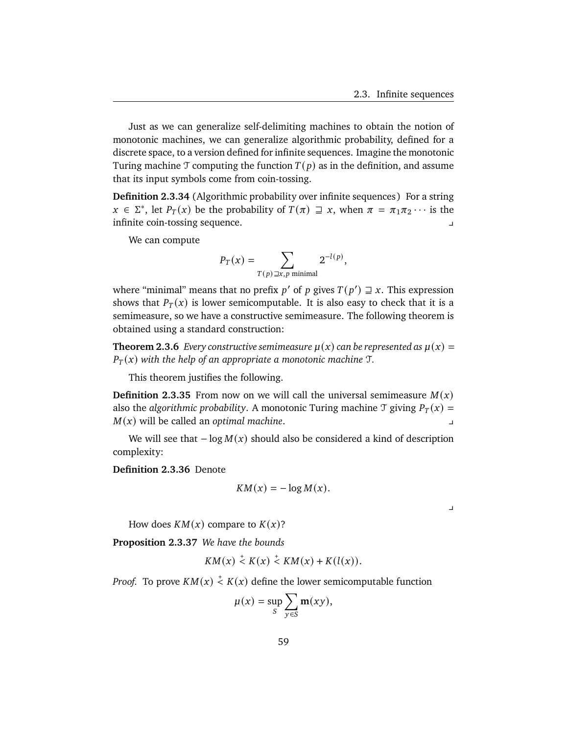Just as we can generalize self-delimiting machines to obtain the notion of monotonic machines, we can generalize algorithmic probability, defined for a discrete space, to a version defined for infinite sequences. Imagine the monotonic Turing machine T computing the function  $T(p)$  as in the definition, and assume that its input symbols come from coin-tossing.

**Definition 2.3.34** (Algorithmic probability over infinite sequences) For a string  $x \in \Sigma^*$ , let  $P_T(x)$  be the probability of  $T(\pi) \supseteq x$ , when  $\pi = \pi_1 \pi_2 \cdots$  is the infinite coin-tossing sequence.

We can compute

$$
P_T(x) = \sum_{T(p) \supseteq x, p \text{ minimal}} 2^{-l(p)},
$$

where "minimal" means that no prefix  $p'$  of  $p$  gives  $T(p') \supseteq x$ . This expression shows that  $P_T(x)$  is lower semicomputable. It is also easy to check that it is a semimeasure, so we have a constructive semimeasure. The following theorem is obtained using a standard construction:

**Theorem 2.3.6** *Every constructive semimeasure*  $\mu(x)$  *can be represented as*  $\mu(x)$  =  $P_T(x)$  with the help of an appropriate a monotonic machine  $T$ .

This theorem justifies the following.

**Definition 2.3.35** From now on we will call the universal semimeasure  $M(x)$ also the *algorithmic probability*. A monotonic Turing machine  $\mathcal{T}$  giving  $P_T(x) =$  $M(x)$  will be called an *optimal machine*.

We will see that  $-\log M(x)$  should also be considered a kind of description complexity:

**Definition 2.3.36** Denote

$$
KM(x) = -\log M(x).
$$

 $\overline{a}$ 

How does  $KM(x)$  compare to  $K(x)$ ?

<span id="page-64-0"></span>**Proposition 2.3.37** *We have the bounds*

$$
KM(x) \stackrel{+}{\leq} K(x) \stackrel{+}{\leq} KM(x) + K(l(x)).
$$

*Proof.* To prove  $KM(x) \stackrel{+}{\leq} K(x)$  define the lower semicomputable function

$$
\mu(x) = \sup_{S} \sum_{y \in S} \mathbf{m}(xy),
$$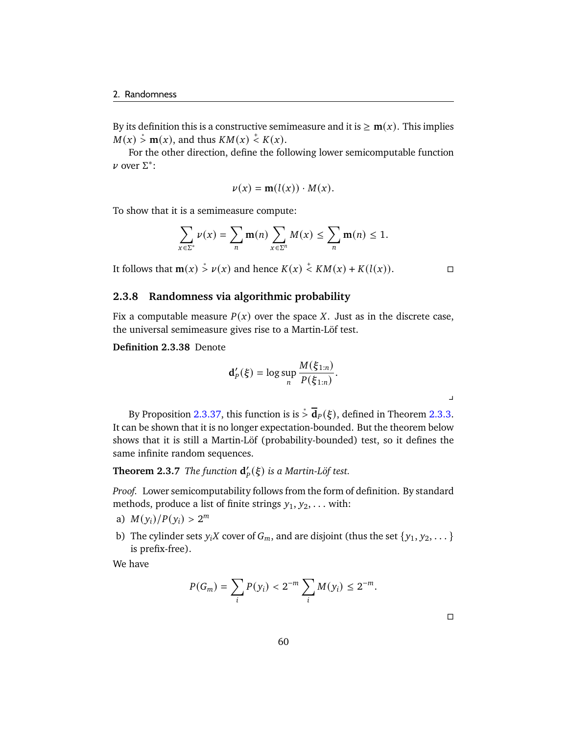By its definition this is a constructive semimeasure and it is  $\geq m(x)$ . This implies  $M(x) \stackrel{*}{\geq} \mathbf{m}(x)$ , and thus  $KM(x) \stackrel{+}{\leq} K(x)$ .

For the other direction, define the following lower semicomputable function  $ν$  over  $Σ^*$ :

$$
\nu(x) = \mathbf{m}(l(x)) \cdot M(x).
$$

To show that it is a semimeasure compute:

$$
\sum_{x \in \Sigma^*} \nu(x) = \sum_n \mathbf{m}(n) \sum_{x \in \Sigma^n} M(x) \le \sum_n \mathbf{m}(n) \le 1.
$$

It follows that **m**(*x*)  $\stackrel{*}{\geq}$  *v*(*x*) and hence *K*(*x*)  $\stackrel{*}{\leq}$  *KM*(*x*) + *K*(*l*(*x*)). □

 $\overline{a}$ 

### **2.3.8 Randomness via algorithmic probability**

Fix a computable measure  $P(x)$  over the space X. Just as in the discrete case, the universal semimeasure gives rise to a Martin-Löf test.

**Definition 2.3.38** Denote

$$
\mathbf{d}'_P(\xi) = \log \sup_n \frac{M(\xi_{1:n})}{P(\xi_{1:n})}.
$$

By Proposition [2.3.37,](#page-64-0) this function is is  $\frac{1}{2}$   $\overline{d}_P(\xi)$ , defined in Theorem [2.3.3.](#page-61-0) It can be shown that it is no longer expectation-bounded. But the theorem below shows that it is still a Martin-Löf (probability-bounded) test, so it defines the same infinite random sequences.

**Theorem 2.3.7** *The function*  $\mathbf{d}'_p(\xi)$  *is a Martin-Löf test.* 

*Proof.* Lower semicomputability follows from the form of definition. By standard methods, produce a list of finite strings  $y_1, y_2, \ldots$  with:

- a)  $M(y_i)/P(y_i) > 2^m$
- b) The cylinder sets  $y_iX$  cover of  $G_m$ , and are disjoint (thus the set  $\{y_1, y_2, \dots\}$ is prefix-free).

We have

$$
P(G_m) = \sum_i P(y_i) < 2^{-m} \sum_i M(y_i) \leq 2^{-m}.
$$

 $\Box$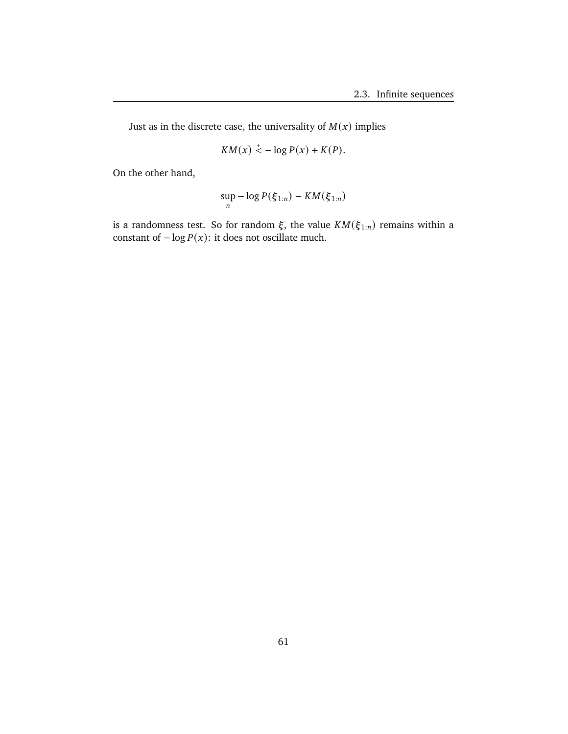Just as in the discrete case, the universality of  $M(x)$  implies

$$
KM(x) \stackrel{+}{\leq} -\log P(x) + K(P).
$$

On the other hand,

$$
\sup_n -\log P(\xi_{1:n}) - KM(\xi_{1:n})
$$

is a randomness test. So for random  $\xi$ , the value  $KM(\xi_{1:n})$  remains within a constant of  $-\log P(x)$ : it does not oscillate much.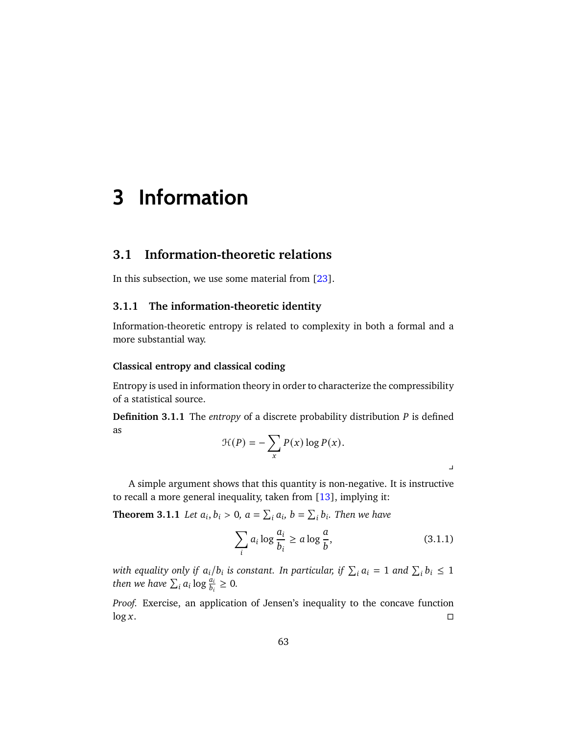# **3 Information**

## **3.1 Information-theoretic relations**

In this subsection, we use some material from [\[23\]](#page-177-1).

### **3.1.1 The information-theoretic identity**

Information-theoretic entropy is related to complexity in both a formal and a more substantial way.

### **Classical entropy and classical coding**

Entropy is used in information theory in order to characterize the compressibility of a statistical source.

**Definition 3.1.1** The *entropy* of a discrete probability distribution  $P$  is defined as

$$
\mathcal{H}(P) = -\sum_{x} P(x) \log P(x).
$$

A simple argument shows that this quantity is non-negative. It is instructive to recall a more general inequality, taken from [\[13\]](#page-177-2), implying it:

<span id="page-68-0"></span>**Theorem 3.1.1** Let  $a_i, b_i > 0$ ,  $a = \sum_i a_i$ ,  $b = \sum_i b_i$ . Then we have

$$
\sum_{i} a_i \log \frac{a_i}{b_i} \ge a \log \frac{a}{b},\tag{3.1.1}
$$

 $\mathbf{\mathbf{\mathbf{\mathbf{\mathbf{\mathbf{\mathbf{\mathbf{I}}}}}}}$ 

with equality only if  $a_i/b_i$  is constant. In particular, if  $\sum_i a_i = 1$  and  $\sum_i b_i \leq 1$ *then we have*  $\sum_i a_i \log \frac{a_i}{b_i} \geq 0$ .

*Proof.* Exercise, an application of Jensen's inequality to the concave function  $\log x$ .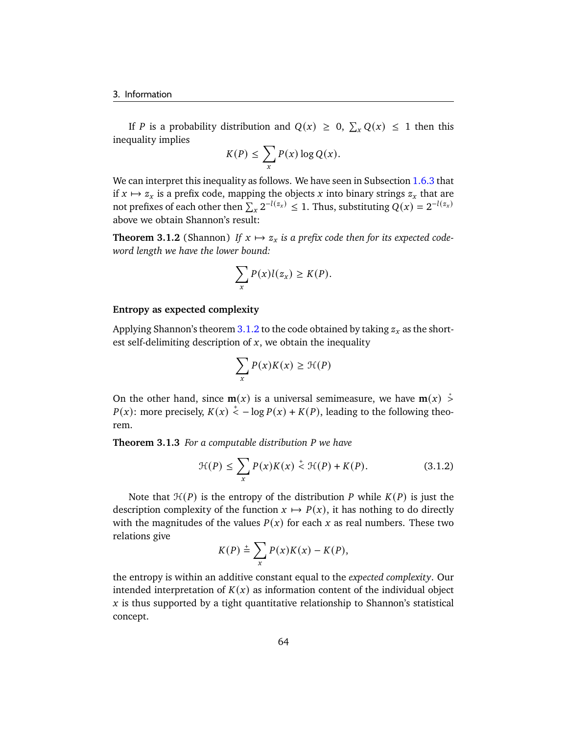If P is a probability distribution and  $Q(x) \ge 0$ ,  $\sum_{x} Q(x) \le 1$  then this inequality implies

$$
K(P) \leq \sum_{x} P(x) \log Q(x).
$$

We can interpret this inequality as follows. We have seen in Subsection [1.6.3](#page-33-2) that if  $x \mapsto z_x$  is a prefix code, mapping the objects x into binary strings  $z_x$  that are not prefixes of each other then  $\sum_{x} 2^{-l(z_x)} \leq 1$ . Thus, substituting  $Q(x) = 2^{-l(z_x)}$ above we obtain Shannon's result:

<span id="page-69-0"></span>**Theorem 3.1.2** (Shannon) If  $x \mapsto z_x$  is a prefix code then for its expected code*word length we have the lower bound:*

$$
\sum_{x} P(x)l(z_x) \geq K(P).
$$

#### **Entropy as expected complexity**

Applying Shannon's theorem [3.1.2](#page-69-0) to the code obtained by taking  $z_x$  as the shortest self-delimiting description of  $x$ , we obtain the inequality

$$
\sum_{x} P(x)K(x) \geq \mathcal{H}(P)
$$

On the other hand, since  $m(x)$  is a universal semimeasure, we have  $m(x) \stackrel{*}{\geq} 0$  $P(x)$ : more precisely,  $K(x) \le -\log P(x) + K(P)$ , leading to the following theorem.

**Theorem 3.1.3** *For a computable distribution we have*

$$
\mathcal{H}(P) \le \sum_{x} P(x)K(x) \stackrel{+}{\le} \mathcal{H}(P) + K(P). \tag{3.1.2}
$$

Note that  $\mathcal{H}(P)$  is the entropy of the distribution P while  $K(P)$  is just the description complexity of the function  $x \mapsto P(x)$ , it has nothing to do directly with the magnitudes of the values  $P(x)$  for each x as real numbers. These two relations give

$$
K(P) \stackrel{+}{=} \sum_{x} P(x)K(x) - K(P),
$$

the entropy is within an additive constant equal to the *expected complexity*. Our intended interpretation of  $K(x)$  as information content of the individual object  $\dot{x}$  is thus supported by a tight quantitative relationship to Shannon's statistical concept.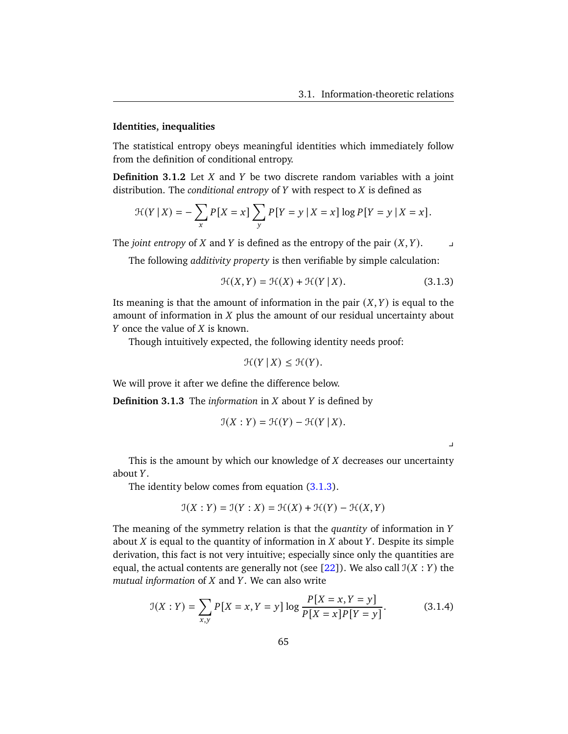#### **Identities, inequalities**

The statistical entropy obeys meaningful identities which immediately follow from the definition of conditional entropy.

**Definition 3.1.2** Let  $X$  and  $Y$  be two discrete random variables with a joint distribution. The *conditional entropy* of  $Y$  with respect to  $X$  is defined as

$$
\mathcal{H}(Y | X) = -\sum_{x} P[X = x] \sum_{y} P[Y = y | X = x] \log P[Y = y | X = x].
$$

 $\Gamma$ The *joint entropy* of *X* and *Y* is defined as the entropy of the pair  $(X, Y)$ .

The following *additivity property* is then verifiable by simple calculation:

$$
\mathcal{H}(X,Y) = \mathcal{H}(X) + \mathcal{H}(Y \mid X). \tag{3.1.3}
$$

Its meaning is that the amount of information in the pair  $(X, Y)$  is equal to the amount of information in  $X$  plus the amount of our residual uncertainty about  $Y$  once the value of  $X$  is known.

Though intuitively expected, the following identity needs proof:

$$
\mathcal{H}(Y \mid X) \leq \mathcal{H}(Y).
$$

We will prove it after we define the difference below.

**Definition 3.1.3** The *information* in  $X$  about  $Y$  is defined by

$$
\mathfrak{I}(X:Y)=\mathfrak{H}(Y)-\mathfrak{H}(Y\mid X).
$$

<span id="page-70-1"></span><span id="page-70-0"></span>

This is the amount by which our knowledge of  $X$  decreases our uncertainty about Y.

The identity below comes from equation  $(3.1.3)$ .

$$
\mathfrak{I}(X:Y) = \mathfrak{I}(Y:X) = \mathfrak{H}(X) + \mathfrak{H}(Y) - \mathfrak{H}(X,Y)
$$

The meaning of the symmetry relation is that the *quantity* of information in about  $X$  is equal to the quantity of information in  $X$  about  $Y$ . Despite its simple derivation, this fact is not very intuitive; especially since only the quantities are equal, the actual contents are generally not (see [\[22\]](#page-177-3)). We also call  $\mathfrak{I}(X : Y)$  the  $mutual information of  $X$  and  $Y$ . We can also write$ 

$$
\mathcal{I}(X:Y) = \sum_{x,y} P[X=x, Y=y] \log \frac{P[X=x, Y=y]}{P[X=x]P[Y=y]}.
$$
 (3.1.4)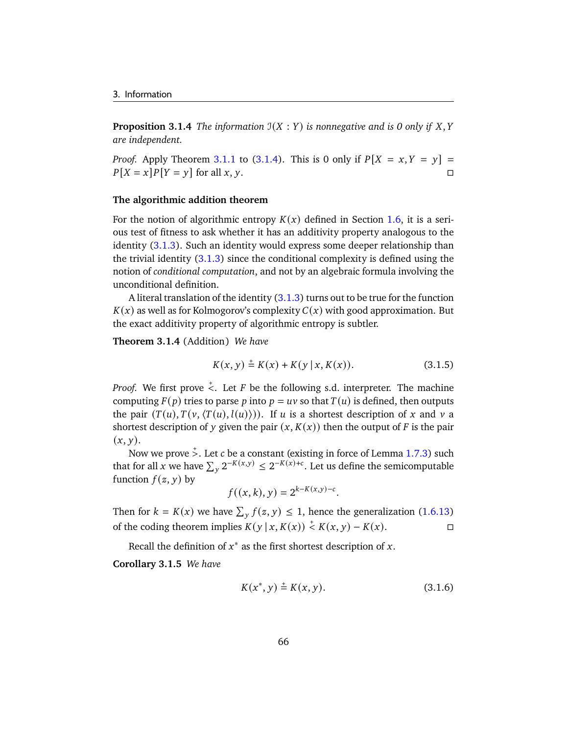**Proposition 3.1.4** *The information*  $J(X : Y)$  *is nonnegative and is 0 only if*  $X, Y$ *are independent.*

*Proof.* Apply Theorem [3.1.1](#page-68-0) to [\(3.1.4\)](#page-70-1). This is 0 only if  $P[X = x, Y = y] =$  $P[X = x]P[Y = y]$  for all  $x, y$ .

#### **The algorithmic addition theorem**

For the notion of algorithmic entropy  $K(x)$  defined in Section [1.6,](#page-29-0) it is a serious test of fitness to ask whether it has an additivity property analogous to the identity [\(3.1.3\)](#page-70-0). Such an identity would express some deeper relationship than the trivial identity [\(3.1.3\)](#page-70-0) since the conditional complexity is defined using the notion of *conditional computation*, and not by an algebraic formula involving the unconditional definition.

A literal translation of the identity [\(3.1.3\)](#page-70-0) turns out to be true for the function  $K(x)$  as well as for Kolmogorov's complexity  $C(x)$  with good approximation. But the exact additivity property of algorithmic entropy is subtler.

**Theorem 3.1.4** (Addition) *We have*

$$
K(x, y) \stackrel{+}{=} K(x) + K(y | x, K(x)).
$$
\n(3.1.5)

*Proof.* We first prove  $\stackrel{+}{\le}$ . Let *F* be the following s.d. interpreter. The machine computing  $F(p)$  tries to parse p into  $p = uv$  so that  $T(u)$  is defined, then outputs the pair  $(T(u), T(v, \langle T(u), l(u)\rangle))$ . If u is a shortest description of x and v a shortest description of y given the pair  $(x, K(x))$  then the output of F is the pair  $(x, y)$ .

Now we prove  $\stackrel{+}{>}$ . Let  $c$  be a constant (existing in force of Lemma [1.7.3\)](#page-38-2) such that for all x we have  $\sum_{y} 2^{-K(x,y)} \leq 2^{-K(x)+c}$ . Let us define the semicomputable function  $f(z, y)$  by

$$
f((x,k),y) = 2^{k-K(x,y)-c}.
$$

Then for  $k = K(x)$  we have  $\sum_{y} f(z, y) \leq 1$ , hence the generalization [\(1.6.13\)](#page-36-0) of the coding theorem implies  $K(y | x, K(x)) \stackrel{+}{\leq} K(x, y) - K(x)$ . □

Recall the definition of  $x^*$  as the first shortest description of x.

**Corollary 3.1.5** *We have*

$$
K(x^*, y) \stackrel{+}{=} K(x, y). \tag{3.1.6}
$$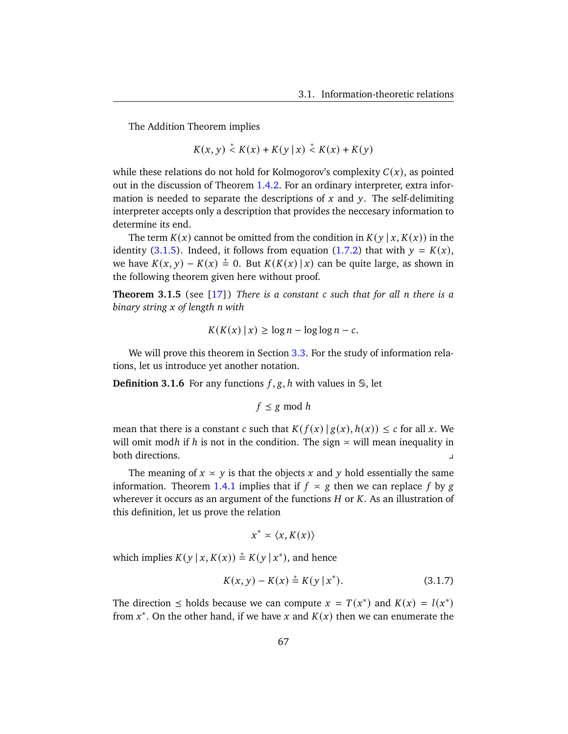The Addition Theorem implies

$$
K(x, y) \stackrel{+}{\leq} K(x) + K(y | x) \stackrel{+}{\leq} K(x) + K(y)
$$

while these relations do not hold for Kolmogorov's complexity  $C(x)$ , as pointed out in the discussion of Theorem [1.4.2.](#page-22-0) For an ordinary interpreter, extra information is needed to separate the descriptions of  $x$  and  $y$ . The self-delimiting interpreter accepts only a description that provides the neccesary information to determine its end.

The term  $K(x)$  cannot be omitted from the condition in  $K(y | x, K(x))$  in the identity [\(3.1.5\)](#page-71-0). Indeed, it follows from equation [\(1.7.2\)](#page-37-0) that with  $y = K(x)$ , we have  $K(x, y) - K(x) \stackrel{+}{=} 0$ . But  $K(K(x) | x)$  can be quite large, as shown in the following theorem given here without proof.

<span id="page-72-1"></span>**Theorem 3.1.5** (see [\[17\]](#page-177-0)) *There is a constant such that for all there is a binary string of length with*

$$
K(K(x) \mid x) \ge \log n - \log \log n - c.
$$

We will prove this theorem in Section [3.3.](#page-83-0) For the study of information relations, let us introduce yet another notation.

**Definition 3.1.6** For any functions  $f$ ,  $g$ ,  $h$  with values in  $\mathcal{S}$ , let

$$
f \leq g \bmod h
$$

mean that there is a constant c such that  $K(f(x) | g(x), h(x)) \leq c$  for all x. We will omit modh if h is not in the condition. The sign  $\times$  will mean inequality in both directions. y

The meaning of  $x \times y$  is that the objects x and y hold essentially the same information. Theorem [1.4.1](#page-21-0) implies that if  $f \times g$  then we can replace f by g wherever it occurs as an argument of the functions  $H$  or  $K$ . As an illustration of this definition, let us prove the relation

<span id="page-72-0"></span>
$$
x^* \times \langle x, K(x) \rangle
$$

which implies  $K(y | x, K(x)) \stackrel{+}{=} K(y | x^*)$ , and hence

$$
K(x, y) - K(x) \stackrel{+}{=} K(y | x^*).
$$
 (3.1.7)

The direction  $\leq$  holds because we can compute  $x = T(x^*)$  and  $K(x) = l(x^*)$ from  $x^*$ . On the other hand, if we have x and  $K(x)$  then we can enumerate the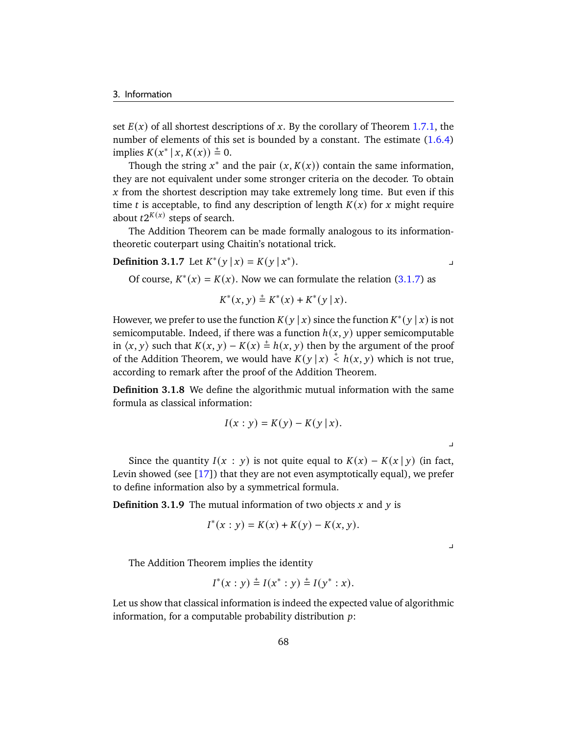set  $E(x)$  of all shortest descriptions of x. By the corollary of Theorem [1.7.1,](#page-37-1) the number of elements of this set is bounded by a constant. The estimate  $(1.6.4)$ implies  $K(x^* | x, K(x)) \stackrel{+}{=} 0$ .

Though the string  $x^*$  and the pair  $(x, K(x))$  contain the same information, they are not equivalent under some stronger criteria on the decoder. To obtain  $x$  from the shortest description may take extremely long time. But even if this time *t* is acceptable, to find any description of length  $K(x)$  for  $x$  might require about  $t2^{K(x)}$  steps of search.

The Addition Theorem can be made formally analogous to its informationtheoretic couterpart using Chaitin's notational trick.

**Definition 3.1.7** Let  $K^*(y | x) = K(y | x^*)$ 

 $\blacksquare$ ).

Of course,  $K^*(x) = K(x)$ . Now we can formulate the relation [\(3.1.7\)](#page-72-0) as

$$
K^*(x, y) \stackrel{+}{=} K^*(x) + K^*(y \mid x).
$$

However, we prefer to use the function  $K(y | x)$  since the function  $K^*(y | x)$  is not semicomputable. Indeed, if there was a function  $h(x, y)$  upper semicomputable in  $\langle x, y \rangle$  such that  $K(x, y) - K(x) \stackrel{+}{=} h(x, y)$  then by the argument of the proof of the Addition Theorem, we would have  $K(y | x) \stackrel{+}{\leq} h(x, y)$  which is not true, according to remark after the proof of the Addition Theorem.

**Definition 3.1.8** We define the algorithmic mutual information with the same formula as classical information:

$$
I(x : y) = K(y) - K(y | x).
$$

y

Since the quantity  $I(x : y)$  is not quite equal to  $K(x) - K(x | y)$  (in fact, Levin showed (see [\[17\]](#page-177-0)) that they are not even asymptotically equal), we prefer to define information also by a symmetrical formula.

**Definition 3.1.9** The mutual information of two objects  $x$  and  $y$  is

$$
I^*(x : y) = K(x) + K(y) - K(x, y).
$$

 $\overline{\phantom{a}}$ 

The Addition Theorem implies the identity

$$
I^*(x : y) \stackrel{+}{=} I(x^* : y) \stackrel{+}{=} I(y^* : x).
$$

Let us show that classical information is indeed the expected value of algorithmic information, for a computable probability distribution  $p$ :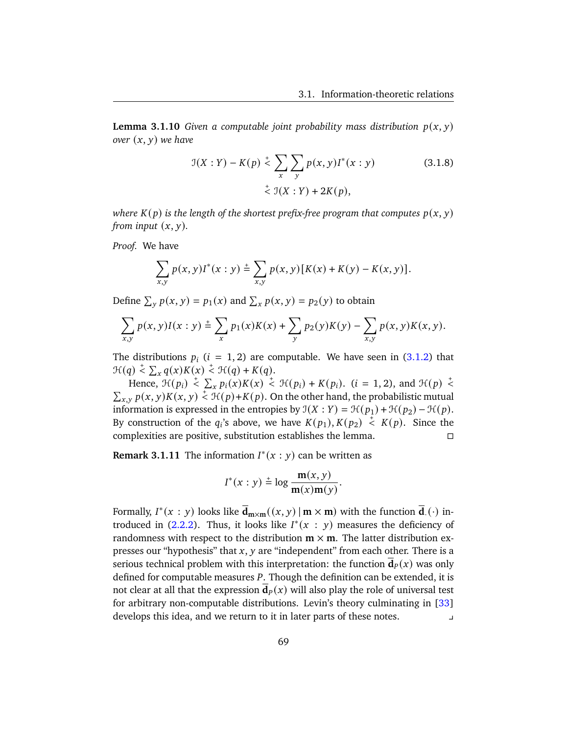**Lemma 3.1.10** *Given a computable joint probability mass distribution*  $p(x, y)$ *over*  $(x, y)$  *we have* 

$$
\mathcal{I}(X:Y) - K(p) \stackrel{+}{\leq} \sum_{x} \sum_{y} p(x, y) I^*(x: y) \tag{3.1.8}
$$
  

$$
\stackrel{+}{\leq} \mathcal{I}(X:Y) + 2K(p),
$$

*where*  $K(p)$  *is the length of the shortest prefix-free program that computes*  $p(x, y)$ *from input*  $(x, y)$ *.* 

*Proof.* We have

$$
\sum_{x,y} p(x,y)I^*(x:y) \stackrel{+}{=} \sum_{x,y} p(x,y) [K(x) + K(y) - K(x,y)].
$$

Define  $\sum_{y} p(x, y) = p_1(x)$  and  $\sum_{x} p(x, y) = p_2(y)$  to obtain

$$
\sum_{x,y} p(x,y)I(x:y) \stackrel{+}{=} \sum_{x} p_1(x)K(x) + \sum_{y} p_2(y)K(y) - \sum_{x,y} p(x,y)K(x,y).
$$

The distributions  $p_i$  ( $i = 1, 2$ ) are computable. We have seen in [\(3.1.2\)](#page-69-0) that  $\mathcal{H}(q) \stackrel{+}{\leq} \sum_{x} q(x) K(x) \stackrel{+}{\leq} \mathcal{H}(q) + K(q).$ 

Hence,  $\mathcal{H}(p_i) \leq \sum_{x} p_i(x) K(x) \leq \mathcal{H}(p_i) + K(p_i)$ . (*i* = 1, 2), and  $\mathcal{H}(p) \leq$  $\sum_{x,y} p(x, y) K(x, y) \leq \mathcal{H}(p) + K(p)$ . On the other hand, the probabilistic mutual information is expressed in the entropies by  $\mathfrak{I}(X : Y) = \mathfrak{H}(p_1) + \mathfrak{H}(p_2) - \mathfrak{H}(p)$ . By construction of the  $q_i$ 's above, we have  $K(p_1), K(p_2) \stackrel{+}{\leq} K(p)$ . Since the complexities are positive, substitution establishes the lemma.

<span id="page-74-0"></span>**Remark 3.1.11** The information  $I^*(x : y)$  can be written as

$$
I^*(x:y) \stackrel{+}{=} \log \frac{m(x,y)}{m(x)m(y)}.
$$

Formally,  $I^*(x : y)$  looks like  $\overline{\mathbf{d}}_{\mathbf{m}\times\mathbf{m}}((x, y) \,|\, \mathbf{m}\times\mathbf{m})$  with the function  $\overline{\mathbf{d}}_{\cdot}(\cdot)$  introduced in  $(2.2.2)$ . Thus, it looks like  $I^*(x : y)$  measures the deficiency of randomness with respect to the distribution  $m \times m$ . The latter distribution expresses our "hypothesis" that  $x$ ,  $y$  are "independent" from each other. There is a serious technical problem with this interpretation: the function  $d_p(x)$  was only defined for computable measures P. Though the definition can be extended, it is not clear at all that the expression  $\mathbf{d}_p(x)$  will also play the role of universal test for arbitrary non-computable distributions. Levin's theory culminating in [\[33\]](#page-178-0) develops this idea, and we return to it in later parts of these notes. y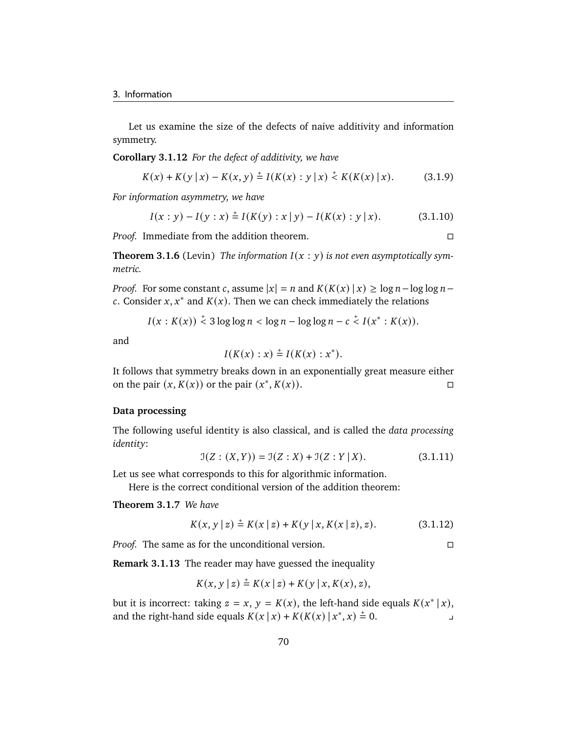Let us examine the size of the defects of naive additivity and information symmetry.

**Corollary 3.1.12** *For the defect of additivity, we have*

$$
K(x) + K(y | x) - K(x, y) \stackrel{+}{=} I(K(x) : y | x) \stackrel{+}{\leq} K(K(x) | x).
$$
 (3.1.9)

*For information asymmetry, we have*

$$
I(x : y) - I(y : x) \stackrel{+}{=} I(K(y) : x | y) - I(K(x) : y | x).
$$
 (3.1.10)

*Proof.* Immediate from the addition theorem.

**Theorem 3.1.6** (Levin) The information  $I(x : y)$  is not even asymptotically sym*metric.*

*Proof.* For some constant c, assume  $|x| = n$  and  $K(K(x) | x) \ge \log n - \log \log n$ c. Consider  $x, x^*$  and  $K(x)$ . Then we can check immediately the relations

$$
I(x:K(x)) \stackrel{+}{\leq} 3\log\log n < \log n - \log\log n - c \stackrel{+}{\leq} I(x^*:K(x)).
$$

and

$$
I(K(x):x) \stackrel{+}{=} I(K(x):x^*).
$$

It follows that symmetry breaks down in an exponentially great measure either on the pair  $(x, K(x))$  or the pair  $(x^*, K(x))$ .

#### **Data processing**

The following useful identity is also classical, and is called the *data processing identity*:

$$
\mathfrak{I}(Z:(X,Y)) = \mathfrak{I}(Z:X) + \mathfrak{I}(Z:Y|X). \tag{3.1.11}
$$

Let us see what corresponds to this for algorithmic information.

Here is the correct conditional version of the addition theorem:

**Theorem 3.1.7** *We have*

<span id="page-75-0"></span>
$$
K(x, y | z) \stackrel{+}{=} K(x | z) + K(y | x, K(x | z), z).
$$
 (3.1.12)

*Proof.* The same as for the unconditional version. □

**Remark 3.1.13** The reader may have guessed the inequality

$$
K(x, y | z) \stackrel{+}{=} K(x | z) + K(y | x, K(x), z),
$$

but it is incorrect: taking  $z = x$ ,  $y = K(x)$ , the left-hand side equals  $K(x^* | x)$ , and the right-hand side equals  $K(x | x) + K(K(x) | x^*, x) = 0.$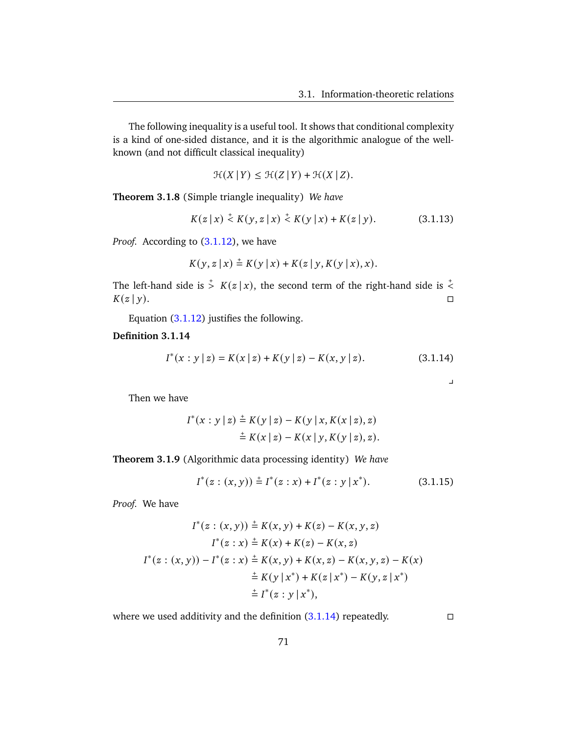The following inequality is a useful tool. It shows that conditional complexity is a kind of one-sided distance, and it is the algorithmic analogue of the wellknown (and not difficult classical inequality)

<span id="page-76-2"></span>
$$
\mathcal{H}(X | Y) \le \mathcal{H}(Z | Y) + \mathcal{H}(X | Z).
$$

**Theorem 3.1.8** (Simple triangle inequality) *We have*

$$
K(z | x) \stackrel{+}{\leq} K(y, z | x) \stackrel{+}{\leq} K(y | x) + K(z | y). \tag{3.1.13}
$$

*Proof.* According to  $(3.1.12)$ , we have

$$
K(y, z | x) \stackrel{+}{=} K(y | x) + K(z | y, K(y | x), x).
$$

The left-hand side is  $\frac{1}{2}$   $K(z|x)$ , the second term of the right-hand side is  $\frac{1}{2}$  $K(z | y).$ 

Equation [\(3.1.12\)](#page-75-0) justifies the following.

#### <span id="page-76-0"></span>**Definition 3.1.14**

$$
I^*(x : y | z) = K(x | z) + K(y | z) - K(x, y | z).
$$
 (3.1.14)

<span id="page-76-1"></span> $\perp$ 

Then we have

$$
I^*(x : y | z) \stackrel{+}{=} K(y | z) - K(y | x, K(x | z), z)
$$
  

$$
\stackrel{+}{=} K(x | z) - K(x | y, K(y | z), z).
$$

**Theorem 3.1.9** (Algorithmic data processing identity) *We have*

$$
I^*(z:(x,y)) \stackrel{+}{=} I^*(z:x) + I^*(z:y|x^*).
$$
 (3.1.15)

*Proof.* We have

$$
I^*(z:(x,y)) \stackrel{+}{=} K(x,y) + K(z) - K(x,y,z)
$$

$$
I^*(z:x) \stackrel{+}{=} K(x) + K(z) - K(x,z)
$$

$$
I^*(z:(x,y)) - I^*(z:x) \stackrel{+}{=} K(x,y) + K(x,z) - K(x,y,z) - K(x)
$$

$$
\stackrel{+}{=} K(y|x^*) + K(z|x^*) - K(y,z|x^*)
$$

$$
\stackrel{+}{=} I^*(z:y|x^*),
$$

where we used additivity and the definition  $(3.1.14)$  repeatedly.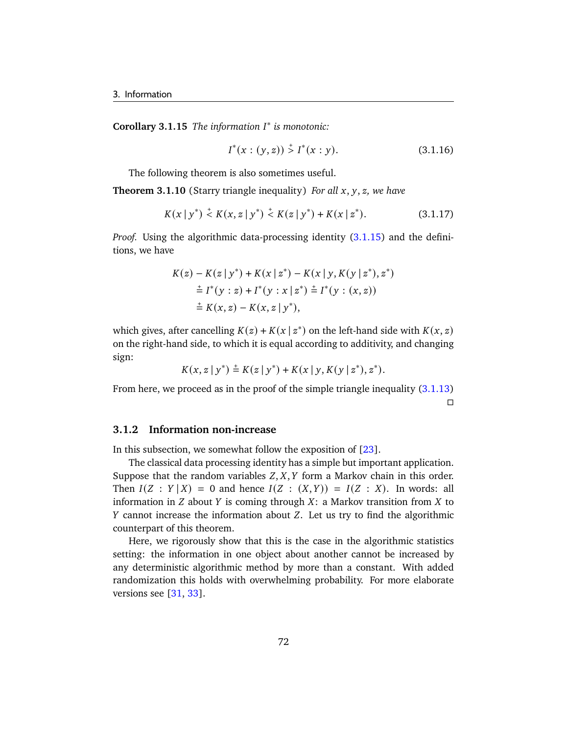**Corollary 3.1.15** *The information* ∗ *is monotonic:*

<span id="page-77-0"></span>
$$
I^*(x:(y,z)) \stackrel{+}{>} I^*(x:y). \tag{3.1.16}
$$

The following theorem is also sometimes useful.

**Theorem 3.1.10** (Starry triangle inequality) *For all x, y, z, we have* 

$$
K(x | y^*) \stackrel{+}{\leq} K(x, z | y^*) \stackrel{+}{\leq} K(z | y^*) + K(x | z^*).
$$
 (3.1.17)

*Proof.* Using the algorithmic data-processing identity [\(3.1.15\)](#page-76-1) and the definitions, we have

$$
K(z) - K(z | y^*) + K(x | z^*) - K(x | y, K(y | z^*), z^*)
$$
  
\n
$$
\stackrel{+}{=} I^*(y : z) + I^*(y : x | z^*) \stackrel{+}{=} I^*(y : (x, z))
$$
  
\n
$$
\stackrel{+}{=} K(x, z) - K(x, z | y^*),
$$

which gives, after cancelling  $K(z) + K(x | z^*)$  on the left-hand side with  $K(x, z)$ on the right-hand side, to which it is equal according to additivity, and changing sign:

$$
K(x, z | y^*) \stackrel{+}{=} K(z | y^*) + K(x | y, K(y | z^*), z^*).
$$

From here, we proceed as in the proof of the simple triangle inequality [\(3.1.13\)](#page-76-2)  $\Box$ 

#### **3.1.2 Information non-increase**

In this subsection, we somewhat follow the exposition of  $[23]$ .

The classical data processing identity has a simple but important application. Suppose that the random variables  $Z, X, Y$  form a Markov chain in this order. Then  $I(Z : Y | X) = 0$  and hence  $I(Z : (X, Y)) = I(Z : X)$ . In words: all information in  $Z$  about  $Y$  is coming through  $X$ : a Markov transition from  $X$  to  $Y$  cannot increase the information about  $Z$ . Let us try to find the algorithmic counterpart of this theorem.

Here, we rigorously show that this is the case in the algorithmic statistics setting: the information in one object about another cannot be increased by any deterministic algorithmic method by more than a constant. With added randomization this holds with overwhelming probability. For more elaborate versions see [\[31,](#page-178-1) [33\]](#page-178-0).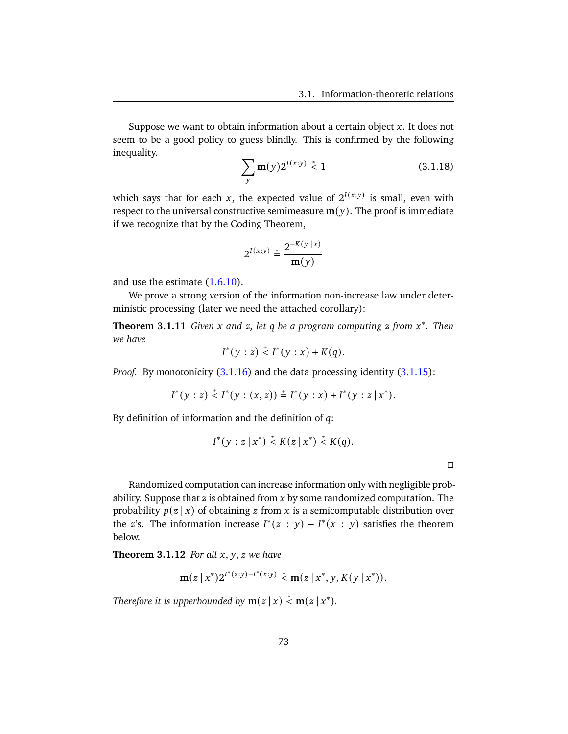<span id="page-78-0"></span>Suppose we want to obtain information about a certain object  $x$ . It does not seem to be a good policy to guess blindly. This is confirmed by the following inequality.

$$
\sum_{y} \mathbf{m}(y) 2^{I(x:y)} \stackrel{*}{\leq} 1 \tag{3.1.18}
$$

which says that for each x, the expected value of  $2^{I(x:y)}$  is small, even with respect to the universal constructive semimeasure  $m(y)$ . The proof is immediate if we recognize that by the Coding Theorem,

$$
2^{I(x:y)} \stackrel{*}{=} \frac{2^{-K(y|x)}}{\mathbf{m}(y)}
$$

and use the estimate [\(1.6.10\)](#page-34-0).

We prove a strong version of the information non-increase law under deterministic processing (later we need the attached corollary):

**Theorem 3.1.11** *Given x* and *z*, let *q* be a program computing *z* from *x*<sup>\*</sup>. Then *we have*

$$
I^*(y : z) \stackrel{+}{\leq} I^*(y : x) + K(q).
$$

*Proof.* By monotonicity [\(3.1.16\)](#page-77-0) and the data processing identity [\(3.1.15\)](#page-76-1):

$$
I^*(y:z) \stackrel{+}{\leq} I^*(y:(x,z)) \stackrel{+}{=} I^*(y:x) + I^*(y:z \mid x^*).
$$

By definition of information and the definition of  $q$ :

$$
I^*(y: z \mid x^*) \stackrel{+}{\leq} K(z \mid x^*) \stackrel{+}{\leq} K(q).
$$

 $\Box$ 

Randomized computation can increase information only with negligible probability. Suppose that  $z$  is obtained from  $x$  by some randomized computation. The probability  $p(z | x)$  of obtaining z from x is a semicomputable distribution over the z's. The information increase  $I^*(z : y) - I^*(x : y)$  satisfies the theorem below.

**Theorem 3.1.12** *For all*  $x, y, z$  *we have* 

$$
\mathbf{m}(z|x^*)2^{I^*(z:y)-I^*(x:y)} < \mathbf{m}(z|x^*,y,K(y|x^*)).
$$

*Therefore it is upperbounded by*  $m(z | x) \stackrel{*}{\leq} m(z | x^*)$ *.*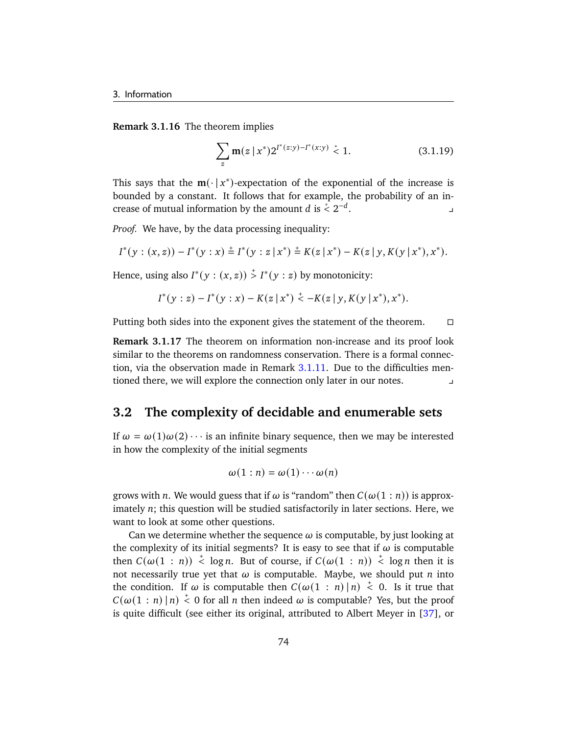**Remark 3.1.16** The theorem implies

$$
\sum_{z} \mathbf{m}(z \mid x^*) 2^{I^*(z:y) - I^*(x:y)} \stackrel{*}{\leq} 1. \tag{3.1.19}
$$

This says that the  $m(\cdot | x^*)$ -expectation of the exponential of the increase is bounded by a constant. It follows that for example, the probability of an increase of mutual information by the amount *d* is  $\stackrel{*}{\leq} 2^{-d}$ . The set of  $\mathbb{Z}$  is the set of  $\mathbb{Z}$ 

*Proof.* We have, by the data processing inequality:

$$
I^*(y:(x, z))-I^*(y:x) \doteq I^*(y: z \mid x^*) \doteq K(z \mid x^*) - K(z \mid y, K(y \mid x^*), x^*).
$$

Hence, using also  $I^*(y:(x, z)) \overset{+}{>} I^*(y:z)$  by monotonicity:

$$
I^*(y:z) - I^*(y:x) - K(z|x^*) \leq -K(z|y,K(y|x^*),x^*).
$$

Putting both sides into the exponent gives the statement of the theorem.  $\Box$ 

**Remark 3.1.17** The theorem on information non-increase and its proof look similar to the theorems on randomness conservation. There is a formal connection, via the observation made in Remark [3.1.11.](#page-74-0) Due to the difficulties mentioned there, we will explore the connection only later in our notes. y

## **3.2 The complexity of decidable and enumerable sets**

If  $\omega = \omega(1)\omega(2) \cdots$  is an infinite binary sequence, then we may be interested in how the complexity of the initial segments

$$
\omega(1:n) = \omega(1)\cdots\omega(n)
$$

grows with *n*. We would guess that if  $\omega$  is "random" then  $C(\omega(1:n))$  is approximately  $n$ ; this question will be studied satisfactorily in later sections. Here, we want to look at some other questions.

Can we determine whether the sequence  $\omega$  is computable, by just looking at the complexity of its initial segments? It is easy to see that if  $\omega$  is computable then  $C(\omega(1 : n)) \stackrel{+}{\leq} \log n$ . But of course, if  $C(\omega(1 : n)) \stackrel{+}{\leq} \log n$  then it is not necessarily true yet that  $\omega$  is computable. Maybe, we should put *n* into the condition. If  $\omega$  is computable then  $C(\omega(1:n) | n) \leq 0$ . Is it true that  $C(\omega(1:n) | n) \stackrel{+}{\leq} 0$  for all *n* then indeed  $\omega$  is computable? Yes, but the proof is quite difficult (see either its original, attributed to Albert Meyer in [\[37\]](#page-179-0), or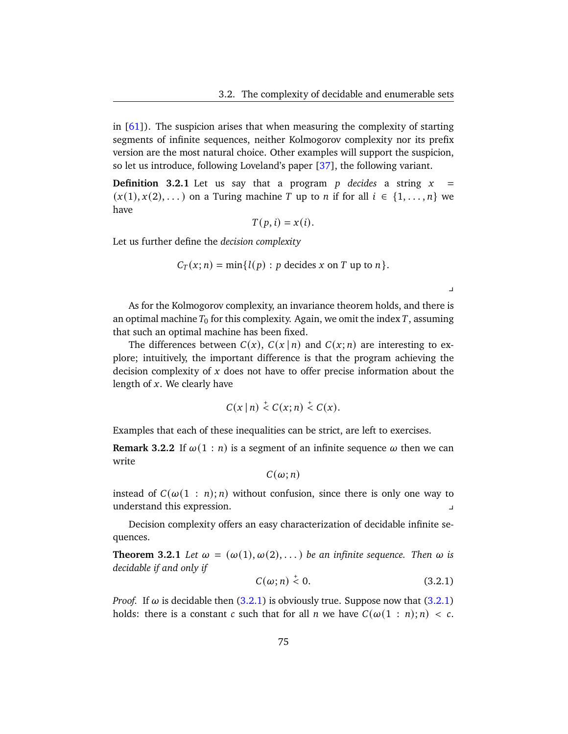$\mathbf{y}$ 

in  $[61]$ ). The suspicion arises that when measuring the complexity of starting segments of infinite sequences, neither Kolmogorov complexity nor its prefix version are the most natural choice. Other examples will support the suspicion, so let us introduce, following Loveland's paper [\[37\]](#page-179-0), the following variant.

**Definition 3.2.1** Let us say that a program  $p$  decides a string  $x =$  $(x(1), x(2), ...)$  on a Turing machine T up to n if for all  $i \in \{1, ..., n\}$  we have

$$
T(p, i) = x(i).
$$

Let us further define the *decision complexity*

$$
C_T(x; n) = \min\{l(p) : p \text{ decides } x \text{ on } T \text{ up to } n\}.
$$

As for the Kolmogorov complexity, an invariance theorem holds, and there is an optimal machine  $T_0$  for this complexity. Again, we omit the index T, assuming that such an optimal machine has been fixed.

The differences between  $C(x)$ ,  $C(x | n)$  and  $C(x; n)$  are interesting to explore; intuitively, the important difference is that the program achieving the decision complexity of  $x$  does not have to offer precise information about the length of  $x$ . We clearly have

$$
C(x \mid n) \stackrel{+}{\leq} C(x;n) \stackrel{+}{\leq} C(x).
$$

Examples that each of these inequalities can be strict, are left to exercises.

**Remark 3.2.2** If  $\omega(1 : n)$  is a segment of an infinite sequence  $\omega$  then we can write

$$
C(\omega; n)
$$

instead of  $C(\omega(1 : n); n)$  without confusion, since there is only one way to understand this expression. y

Decision complexity offers an easy characterization of decidable infinite sequences.

**Theorem 3.2.1** Let  $\omega = (\omega(1), \omega(2), ...)$  be an infinite sequence. Then  $\omega$  is *decidable if and only if*

<span id="page-80-0"></span>
$$
C(\omega; n) \stackrel{+}{\leq} 0. \tag{3.2.1}
$$

*Proof.* If  $\omega$  is decidable then [\(3.2.1\)](#page-80-0) is obviously true. Suppose now that (3.2.1) holds: there is a constant c such that for all n we have  $C(\omega(1 : n); n) < c$ .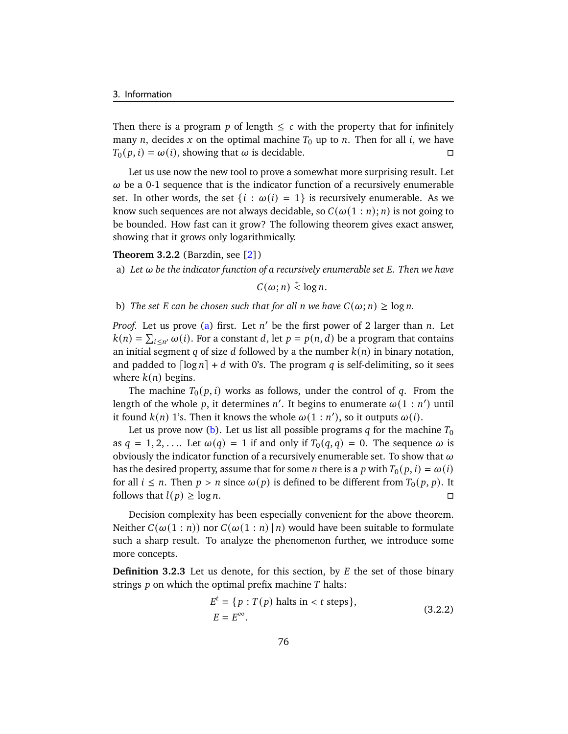Then there is a program p of length  $\leq c$  with the property that for infinitely many *n*, decides *x* on the optimal machine  $T_0$  up to *n*. Then for all *i*, we have  $T_0(p, i) = \omega(i)$ , showing that  $\omega$  is decidable.

Let us use now the new tool to prove a somewhat more surprising result. Let  $\omega$  be a 0-1 sequence that is the indicator function of a recursively enumerable set. In other words, the set  $\{i : \omega(i) = 1\}$  is recursively enumerable. As we know such sequences are not always decidable, so  $C(\omega(1:n); n)$  is not going to be bounded. How fast can it grow? The following theorem gives exact answer, showing that it grows only logarithmically.

#### **Theorem 3.2.2** (Barzdin, see [\[2\]](#page-176-0))

<span id="page-81-0"></span>a) Let  $\omega$  be the indicator function of a recursively enumerable set *E*. Then we have

 $C(\omega; n) \stackrel{+}{\leq} \log n.$ 

<span id="page-81-1"></span>b) *The set E* can be chosen such that for all n we have  $C(\omega; n) \ge \log n$ .

*Proof.* Let us prove [\(a\)](#page-81-0) first. Let  $n'$  be the first power of 2 larger than  $n$ . Let  $k(n) = \sum_{i \leq n'} \omega(i)$ . For a constant d, let  $p = p(n, d)$  be a program that contains an initial segment q of size d followed by a the number  $k(n)$  in binary notation, and padded to  $\lceil \log n \rceil + d$  with 0's. The program q is self-delimiting, so it sees where  $k(n)$  begins.

The machine  $T_0( p, i )$  works as follows, under the control of q. From the length of the whole p, it determines n'. It begins to enumerate  $\omega(1:n')$  until it found  $k(n)$  1's. Then it knows the whole  $\omega(1:n')$ , so it outputs  $\omega(i)$ .

Let us prove now [\(b\)](#page-81-1). Let us list all possible programs q for the machine  $T_0$ as  $q = 1, 2, \ldots$  Let  $\omega(q) = 1$  if and only if  $T_0(q, q) = 0$ . The sequence  $\omega$  is obviously the indicator function of a recursively enumerable set. To show that  $\omega$ has the desired property, assume that for some *n* there is a *p* with  $T_0(p, i) = \omega(i)$ for all  $i \leq n$ . Then  $p > n$  since  $\omega(p)$  is defined to be different from  $T_0(p, p)$ . It follows that  $l(p) \ge \log n$ .

Decision complexity has been especially convenient for the above theorem. Neither  $C(\omega(1:n))$  nor  $C(\omega(1:n) | n)$  would have been suitable to formulate such a sharp result. To analyze the phenomenon further, we introduce some more concepts.

**Definition 3.2.3** Let us denote, for this section, by  $E$  the set of those binary strings  $p$  on which the optimal prefix machine  $T$  halts:

<span id="page-81-2"></span>
$$
Et = {p : T(p) halts in < t steps},
$$
  
\n
$$
E = E\infty.
$$
 (3.2.2)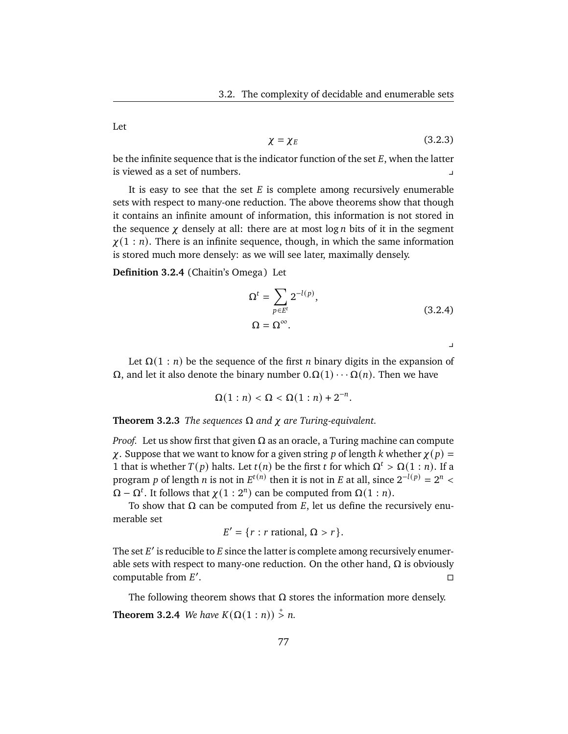<span id="page-82-1"></span>Let

$$
\chi = \chi_E \tag{3.2.3}
$$

be the infinite sequence that is the indicator function of the set  $E$ , when the latter is viewed as a set of numbers.

It is easy to see that the set  $E$  is complete among recursively enumerable sets with respect to many-one reduction. The above theorems show that though it contains an infinite amount of information, this information is not stored in the sequence  $\chi$  densely at all: there are at most log *n* bits of it in the segment  $\chi(1:n)$ . There is an infinite sequence, though, in which the same information is stored much more densely: as we will see later, maximally densely.

**Definition 3.2.4** (Chaitin's Omega) Let

<span id="page-82-0"></span>
$$
\Omega^{t} = \sum_{p \in E^{t}} 2^{-l(p)},
$$
  
\n
$$
\Omega = \Omega^{\infty}.
$$
\n(3.2.4)

.

 $\overline{v}$ 

Let  $\Omega(1:n)$  be the sequence of the first *n* binary digits in the expansion of  $Ω$ , and let it also denote the binary number  $0.Ω(1) · · · Ω(n)$ . Then we have

$$
\Omega(1:n) < \Omega < \Omega(1:n) + 2^{-n}
$$

**Theorem 3.2.3** *The sequences*  $\Omega$  *and*  $\chi$  *are Turing-equivalent.* 

*Proof.* Let us show first that given  $\Omega$  as an oracle, a Turing machine can compute  $\chi$ . Suppose that we want to know for a given string p of length k whether  $\chi(p) =$ 1 that is whether  $T(p)$  halts. Let  $t(n)$  be the first t for which  $\Omega^t > \Omega(1:n)$ . If a program p of length n is not in  $E^{t(n)}$  then it is not in E at all, since  $2^{-l(p)} = 2^n <$  $\Omega - \Omega^t$ . It follows that  $\chi(1:2^n)$  can be computed from  $\Omega(1:n)$ .

To show that  $\Omega$  can be computed from E, let us define the recursively enumerable set

$$
E' = \{r : r \text{ rational}, \Omega > r\}.
$$

The set  $E'$  is reducible to  $E$  since the latter is complete among recursively enumerable sets with respect to many-one reduction. On the other hand,  $\Omega$  is obviously computable from  $E'$ . В последните последните последните последните последните последните последните последните последните последн<br>В последните последните последните последните последните последните последните последните последните последнит

The following theorem shows that  $\Omega$  stores the information more densely. **Theorem 3.2.4** *We have*  $K(\Omega(1:n)) \stackrel{+}{\geq} n$ .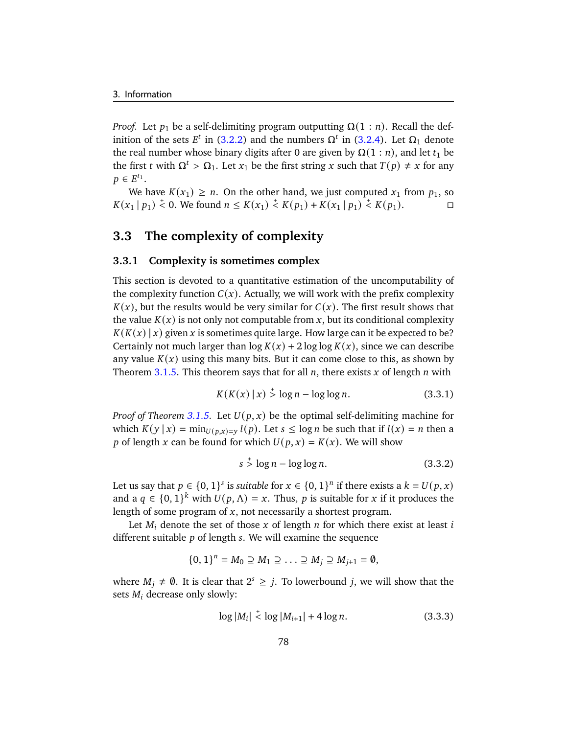*Proof.* Let  $p_1$  be a self-delimiting program outputting  $\Omega(1:n)$ . Recall the definition of the sets  $E^t$  in [\(3.2.2\)](#page-81-2) and the numbers  $\Omega^t$  in [\(3.2.4\)](#page-82-0). Let  $\Omega_1$  denote the real number whose binary digits after 0 are given by  $\Omega(1:n)$ , and let  $t_1$  be the first *t* with  $\Omega^t > \Omega_1$ . Let  $x_1$  be the first string *x* such that  $T(p) \neq x$  for any  $p \in E^{t_1}.$ 

We have  $K(x_1) \ge n$ . On the other hand, we just computed  $x_1$  from  $p_1$ , so  $K(x_1 | p_1) \stackrel{+}{\leq} 0$ . We found  $n \leq K(x_1) \stackrel{+}{\leq} K(p_1) + K(x_1 | p_1) \stackrel{+}{\leq} K(p_1)$ .

# <span id="page-83-0"></span>**3.3 The complexity of complexity**

#### **3.3.1 Complexity is sometimes complex**

This section is devoted to a quantitative estimation of the uncomputability of the complexity function  $C(x)$ . Actually, we will work with the prefix complexity  $K(x)$ , but the results would be very similar for  $C(x)$ . The first result shows that the value  $K(x)$  is not only not computable from x, but its conditional complexity  $K(K(x) | x)$  given x is sometimes quite large. How large can it be expected to be? Certainly not much larger than  $\log K(x) + 2 \log \log K(x)$ , since we can describe any value  $K(x)$  using this many bits. But it can come close to this, as shown by Theorem [3.1.5.](#page-72-1) This theorem says that for all  $n$ , there exists  $x$  of length  $n$  with

$$
K(K(x) | x) > \log n - \log \log n.
$$
 (3.3.1)

*Proof of Theorem [3.1.5.](#page-72-1)* Let  $U(p, x)$  be the optimal self-delimiting machine for which  $K(y | x) = min_{U(p,x)=y} l(p)$ . Let  $s \leq \log n$  be such that if  $l(x) = n$  then a p of length x can be found for which  $U(p, x) = K(x)$ . We will show

<span id="page-83-2"></span>
$$
s \stackrel{+}{\smile} \log n - \log \log n. \tag{3.3.2}
$$

Let us say that  $p \in \{0,1\}^s$  is *suitable* for  $x \in \{0,1\}^n$  if there exists a  $k = U(p, x)$ and a  $q \in \{0,1\}^k$  with  $U(p,\Lambda) = x$ . Thus, p is suitable for x if it produces the length of some program of  $x$ , not necessarily a shortest program.

Let  $M_i$  denote the set of those x of length  $n$  for which there exist at least i different suitable  $p$  of length  $s$ . We will examine the sequence

$$
\{0,1\}^n = M_0 \supseteq M_1 \supseteq \ldots \supseteq M_j \supseteq M_{j+1} = \emptyset,
$$

where  $M_j \neq \emptyset$ . It is clear that  $2^s \geq j$ . To lowerbound j, we will show that the sets  $M_i$  decrease only slowly:

<span id="page-83-1"></span>
$$
\log|M_i| < \log|M_{i+1}| + 4\log n. \tag{3.3.3}
$$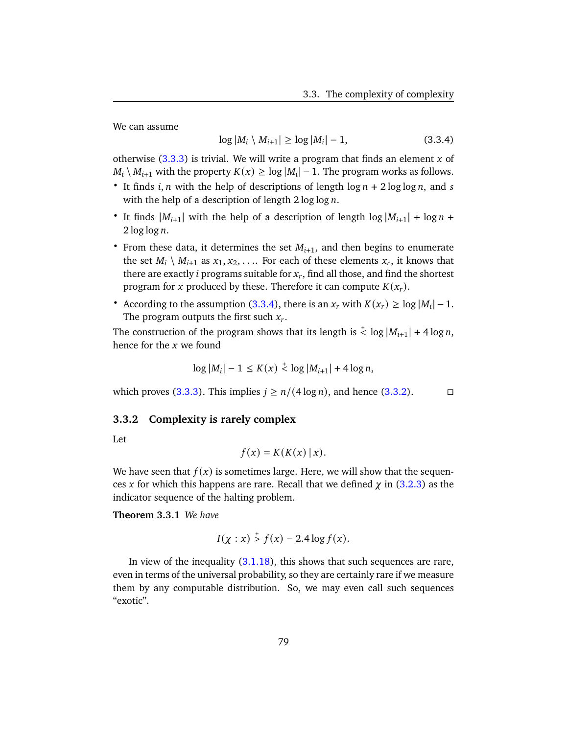We can assume

<span id="page-84-0"></span>
$$
\log|M_i \setminus M_{i+1}| \ge \log|M_i| - 1,
$$
\n(3.3.4)

otherwise  $(3.3.3)$  is trivial. We will write a program that finds an element x of  $M_i \setminus M_{i+1}$  with the property  $K(x) \ge \log |M_i| - 1$ . The program works as follows.

- It finds *i*, *n* with the help of descriptions of length  $\log n + 2 \log \log n$ , and *s* with the help of a description of length  $2 \log \log n$ .
- It finds  $|M_{i+1}|$  with the help of a description of length  $log |M_{i+1}| + log n + 1$  $2 \log \log n$ .
- From these data, it determines the set  $M_{i+1}$ , and then begins to enumerate the set  $M_i \setminus M_{i+1}$  as  $x_1, x_2, \ldots$  For each of these elements  $x_r$ , it knows that there are exactly *i* programs suitable for  $x_r$ , find all those, and find the shortest program for x produced by these. Therefore it can compute  $K(x_r)$ .
- According to the assumption [\(3.3.4\)](#page-84-0), there is an  $x_r$  with  $K(x_r) \ge \log |M_i| 1$ . The program outputs the first such  $x_r$ .

The construction of the program shows that its length is  $\stackrel{+}{\leq}$  log  $|M_{i+1}| + 4 \log n$ , hence for the  $x$  we found

$$
\log|M_i| - 1 \le K(x) \stackrel{+}{\lt} \log|M_{i+1}| + 4\log n,
$$

which proves [\(3.3.3\)](#page-83-1). This implies  $j \ge n/(4 \log n)$ , and hence [\(3.3.2\)](#page-83-2).

#### **3.3.2 Complexity is rarely complex**

Let

$$
f(x) = K(K(x) | x).
$$

We have seen that  $f(x)$  is sometimes large. Here, we will show that the sequences x for which this happens are rare. Recall that we defined  $\chi$  in [\(3.2.3\)](#page-82-1) as the indicator sequence of the halting problem.

<span id="page-84-1"></span>**Theorem 3.3.1** *We have*

$$
I(\chi : x) \stackrel{+}{>} f(x) - 2.4 \log f(x).
$$

In view of the inequality [\(3.1.18\)](#page-78-0), this shows that such sequences are rare, even in terms of the universal probability, so they are certainly rare if we measure them by any computable distribution. So, we may even call such sequences "exotic".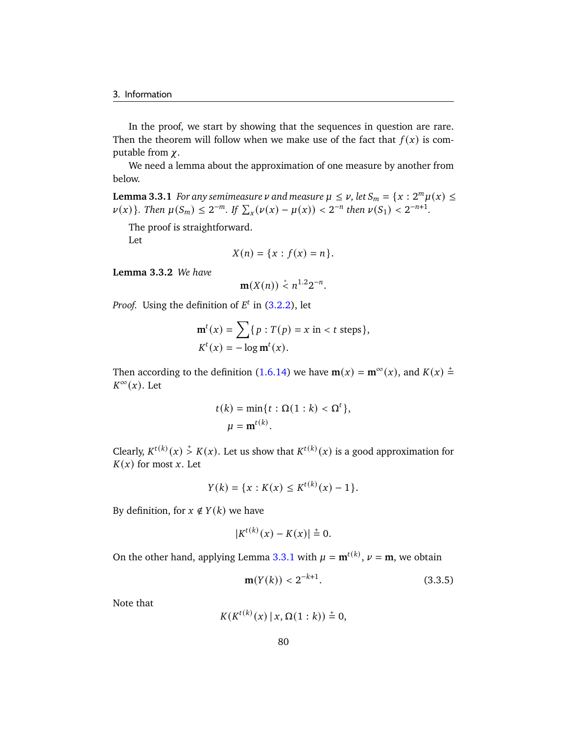In the proof, we start by showing that the sequences in question are rare. Then the theorem will follow when we make use of the fact that  $f(x)$  is computable from  $\chi$ .

We need a lemma about the approximation of one measure by another from below.

<span id="page-85-0"></span>**Lemma 3.3.1** *For any semimeasure*  $\nu$  *and measure*  $\mu \leq \nu$ , *let*  $S_m = \{x : 2^m \mu(x) \leq \mu(x) \}$  $\nu(x)$ }. Then  $\mu(S_m) \leq 2^{-m}$ . If  $\sum_x (\nu(x) - \mu(x)) < 2^{-n}$  then  $\nu(S_1) < 2^{-n+1}$ .

The proof is straightforward. Let

$$
X(n) = \{x : f(x) = n\}.
$$

**Lemma 3.3.2** *We have*

$$
\mathbf{m}(X(n)) \stackrel{*}{<} n^{1.2} 2^{-n}.
$$

*Proof.* Using the definition of  $E^t$  in  $(3.2.2)$ , let

$$
\mathbf{m}^{t}(x) = \sum \{p : T(p) = x \text{ in } < t \text{ steps}\},
$$
  

$$
K^{t}(x) = -\log \mathbf{m}^{t}(x).
$$

Then according to the definition [\(1.6.14\)](#page-36-0) we have  $m(x) = m^{\infty}(x)$ , and  $K(x) \stackrel{+}{=}$  $K^{\infty}(x)$ . Let

$$
t(k) = \min\{t : \Omega(1 : k) < \Omega^t\},
$$
\n
$$
\mu = \mathbf{m}^{t(k)}.
$$

Clearly,  $K^{t(k)}(x) \stackrel{+}{>} K(x)$ . Let us show that  $K^{t(k)}(x)$  is a good approximation for  $K(x)$  for most x. Let

$$
Y(k) = \{x : K(x) \leq K^{t(k)}(x) - 1\}.
$$

By definition, for  $x \notin Y(k)$  we have

$$
|K^{t(k)}(x) - K(x)| \stackrel{+}{=} 0.
$$

On the other hand, applying Lemma [3.3.1](#page-85-0) with  $\mu = \mathbf{m}^{t(k)}$ ,  $\nu = \mathbf{m}$ , we obtain

<span id="page-85-1"></span>
$$
\mathbf{m}(Y(k)) < 2^{-k+1}.\tag{3.3.5}
$$

Note that

$$
K(K^{t(k)}(x) \mid x, \Omega(1:k)) \stackrel{+}{=} 0,
$$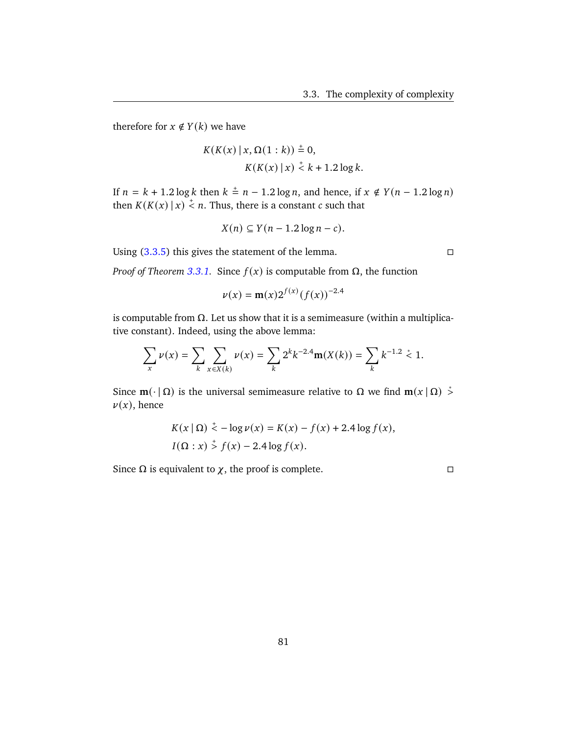therefore for  $x \notin Y(k)$  we have

$$
K(K(x) | x, \Omega(1 : k)) \stackrel{+}{=} 0,
$$
  
 
$$
K(K(x) | x) \stackrel{+}{<} k + 1.2 \log k.
$$

If  $n = k + 1.2 \log k$  then  $k = n - 1.2 \log n$ , and hence, if  $x \notin Y(n - 1.2 \log n)$ then  $K(K(x) | x) \stackrel{+}{\leq} n$ . Thus, there is a constant c such that

$$
X(n) \subseteq Y(n-1.2\log n - c).
$$

Using  $(3.3.5)$  this gives the statement of the lemma.

*Proof of Theorem [3.3.1.](#page-84-1)* Since  $f(x)$  is computable from  $\Omega$ , the function

$$
\nu(x) = \mathbf{m}(x) 2^{f(x)} (f(x))^{-2.4}
$$

is computable from  $Ω$ . Let us show that it is a semimeasure (within a multiplicative constant). Indeed, using the above lemma:

$$
\sum_{x} \nu(x) = \sum_{k} \sum_{x \in X(k)} \nu(x) = \sum_{k} 2^{k} k^{-2.4} \mathbf{m}(X(k)) = \sum_{k} k^{-1.2} \stackrel{*}{\leq} 1.
$$

Since  $\mathbf{m}(\cdot | \Omega)$  is the universal semimeasure relative to  $\Omega$  we find  $\mathbf{m}(x | \Omega) \stackrel{*}{\geq} 0$  $\nu(x)$ , hence

$$
K(x | \Omega) \stackrel{+}{\leq} -\log \nu(x) = K(x) - f(x) + 2.4 \log f(x),
$$
  
I( $\Omega : x$ )  $\stackrel{+}{\geq} f(x) - 2.4 \log f(x)$ .

Since  $\Omega$  is equivalent to  $\chi$ , the proof is complete.  $\square$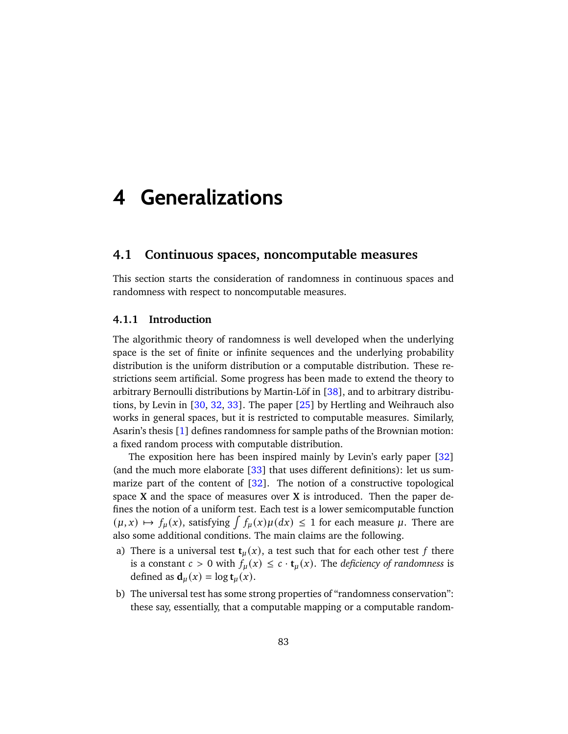# **4 Generalizations**

## **4.1 Continuous spaces, noncomputable measures**

This section starts the consideration of randomness in continuous spaces and randomness with respect to noncomputable measures.

#### **4.1.1 Introduction**

The algorithmic theory of randomness is well developed when the underlying space is the set of finite or infinite sequences and the underlying probability distribution is the uniform distribution or a computable distribution. These restrictions seem artificial. Some progress has been made to extend the theory to arbitrary Bernoulli distributions by Martin-Löf in [\[38\]](#page-179-1), and to arbitrary distributions, by Levin in [\[30,](#page-178-2) [32,](#page-178-3) [33\]](#page-178-0). The paper [\[25\]](#page-178-4) by Hertling and Weihrauch also works in general spaces, but it is restricted to computable measures. Similarly, Asarin's thesis [\[1\]](#page-176-1) defines randomness for sample paths of the Brownian motion: a fixed random process with computable distribution.

The exposition here has been inspired mainly by Levin's early paper [\[32\]](#page-178-3) (and the much more elaborate [\[33\]](#page-178-0) that uses different definitions): let us sum-marize part of the content of [\[32\]](#page-178-3). The notion of a constructive topological space **X** and the space of measures over **X** is introduced. Then the paper defines the notion of a uniform test. Each test is a lower semicomputable function  $(\mu, x) \mapsto f_{\mu}(x)$ , satisfying  $\int f_{\mu}(x) \mu(dx) \leq 1$  for each measure  $\mu$ . There are also some additional conditions. The main claims are the following.

- a) There is a universal test  $t<sub>u</sub>(x)$ , a test such that for each other test f there is a constant  $c > 0$  with  $f_{\mu}(x) \leq c \cdot t_{\mu}(x)$ . The *deficiency of randomness* is defined as  $\mathbf{d}_u(x) = \log \mathbf{t}_u(x)$ .
- b) The universal test has some strong properties of "randomness conservation": these say, essentially, that a computable mapping or a computable random-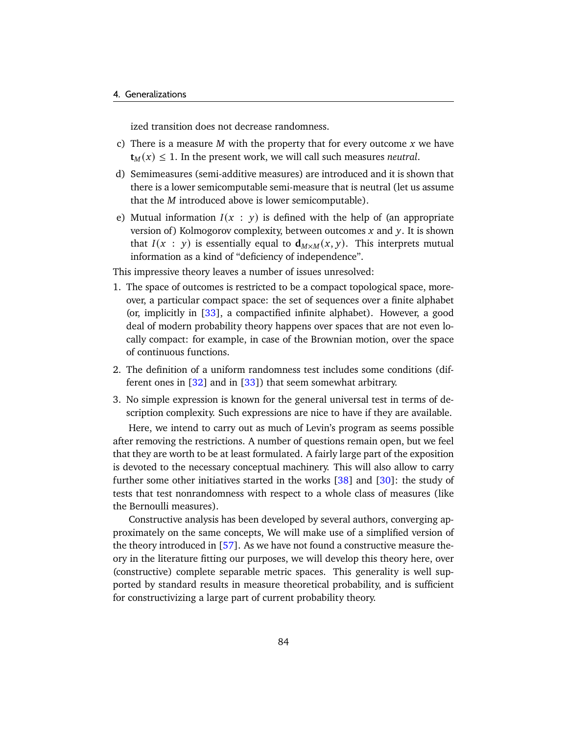ized transition does not decrease randomness.

- c) There is a measure  $M$  with the property that for every outcome  $x$  we have  $\mathbf{t}_M(x) \leq 1$ . In the present work, we will call such measures *neutral*.
- d) Semimeasures (semi-additive measures) are introduced and it is shown that there is a lower semicomputable semi-measure that is neutral (let us assume that the  $M$  introduced above is lower semicomputable).
- e) Mutual information  $I(x : y)$  is defined with the help of (an appropriate version of) Kolmogorov complexity, between outcomes  $x$  and  $y$ . It is shown that  $I(x : y)$  is essentially equal to  $d_{M \times M}(x, y)$ . This interprets mutual information as a kind of "deficiency of independence".

This impressive theory leaves a number of issues unresolved:

- 1. The space of outcomes is restricted to be a compact topological space, moreover, a particular compact space: the set of sequences over a finite alphabet (or, implicitly in [\[33\]](#page-178-0), a compactified infinite alphabet). However, a good deal of modern probability theory happens over spaces that are not even locally compact: for example, in case of the Brownian motion, over the space of continuous functions.
- 2. The definition of a uniform randomness test includes some conditions (different ones in [\[32\]](#page-178-3) and in [\[33\]](#page-178-0)) that seem somewhat arbitrary.
- 3. No simple expression is known for the general universal test in terms of description complexity. Such expressions are nice to have if they are available.

Here, we intend to carry out as much of Levin's program as seems possible after removing the restrictions. A number of questions remain open, but we feel that they are worth to be at least formulated. A fairly large part of the exposition is devoted to the necessary conceptual machinery. This will also allow to carry further some other initiatives started in the works [\[38\]](#page-179-1) and [\[30\]](#page-178-2): the study of tests that test nonrandomness with respect to a whole class of measures (like the Bernoulli measures).

Constructive analysis has been developed by several authors, converging approximately on the same concepts, We will make use of a simplified version of the theory introduced in [\[57\]](#page-180-1). As we have not found a constructive measure theory in the literature fitting our purposes, we will develop this theory here, over (constructive) complete separable metric spaces. This generality is well supported by standard results in measure theoretical probability, and is sufficient for constructivizing a large part of current probability theory.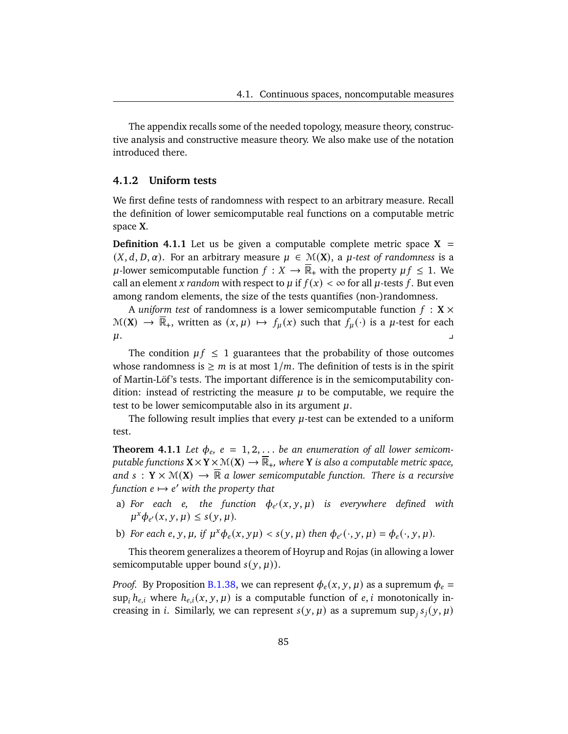The appendix recalls some of the needed topology, measure theory, constructive analysis and constructive measure theory. We also make use of the notation introduced there.

#### **4.1.2 Uniform tests**

We first define tests of randomness with respect to an arbitrary measure. Recall the definition of lower semicomputable real functions on a computable metric space **X**.

<span id="page-90-1"></span>**Definition 4.1.1** Let us be given a computable complete metric space  $X =$  $(X, d, D, \alpha)$ . For an arbitrary measure  $\mu \in \mathcal{M}(X)$ , a  $\mu$ -test of randomness is a  $\mu$ -lower semicomputable function  $f : X \to \mathbb{R}_+$  with the property  $\mu f \leq 1$ . We call an element *x* random with respect to  $\mu$  if  $f(x) < \infty$  for all  $\mu$ -tests f. But even among random elements, the size of the tests quantifies (non-)randomness.

A *uniform test* of randomness is a lower semicomputable function  $f : X \times Y$  $\mathcal{M}(\mathbf{X}) \to \overline{\mathbb{R}}_+$ , written as  $(x, \mu) \mapsto f_\mu(x)$  such that  $f_\mu(\cdot)$  is a  $\mu$ -test for each  $\mu$ .

The condition  $\mu f \leq 1$  guarantees that the probability of those outcomes whose randomness is  $\geq m$  is at most  $1/m$ . The definition of tests is in the spirit of Martin-Löf 's tests. The important difference is in the semicomputability condition: instead of restricting the measure  $\mu$  to be computable, we require the test to be lower semicomputable also in its argument  $\mu$ .

The following result implies that every  $\mu$ -test can be extended to a uniform test.

<span id="page-90-0"></span>**Theorem 4.1.1** Let  $\phi_e$ ,  $e = 1, 2, \ldots$  be an enumeration of all lower semicom*putable functions*  $X \times Y \times \mathcal{M}(X) \rightarrow \overline{\mathbb{R}}_+$ , where Y *is also a computable metric space*, and  $s: Y \times \mathcal{M}(X) \to \overline{\mathbb{R}}$  a lower semicomputable function. There is a recursive  $f$ unction  $e \mapsto e'$  with the property that

- a) For each e, the function  $\phi_{e'}(x, y, \mu)$  is everywhere defined with  $\mu^x \phi_{e'}(x, y, \mu) \leq s(y, \mu).$
- b) For each  $e, y, \mu$ , if  $\mu^x \phi_e(x, y\mu) < s(y, \mu)$  then  $\phi_{e'}(\cdot, y, \mu) = \phi_e(\cdot, y, \mu)$ .

This theorem generalizes a theorem of Hoyrup and Rojas (in allowing a lower semicomputable upper bound  $s(y, \mu)$ ).

*Proof.* By Proposition [B.1.38,](#page-169-0) we can represent  $\phi_e(x, y, \mu)$  as a supremum  $\phi_e =$ sup,  $h_{e,i}$  where  $h_{e,i}(x, y, \mu)$  is a computable function of  $e, i$  monotonically increasing in *i*. Similarly, we can represent  $s(y, \mu)$  as a supremum sup<sub>i</sub>  $s_j(y, \mu)$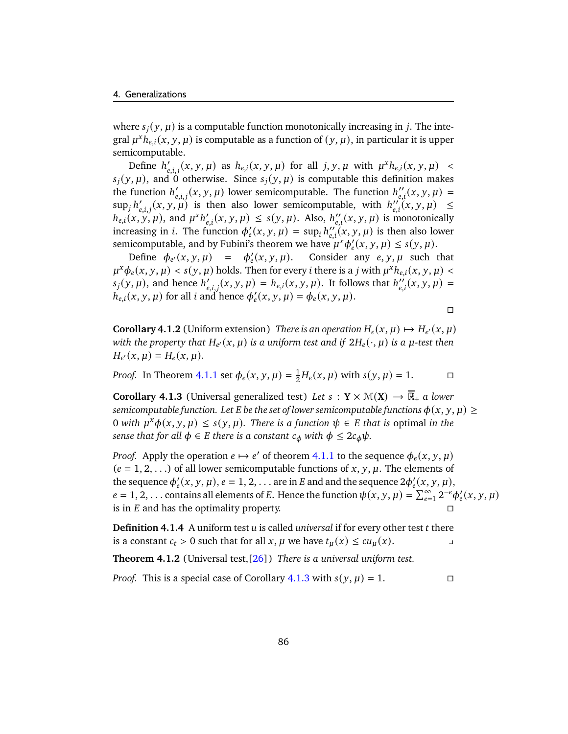where  $s_i(y, \mu)$  is a computable function monotonically increasing in *j*. The integral  $\mu^x h_{e,i}(x, y, \mu)$  is computable as a function of  $(y, \mu)$ , in particular it is upper semicomputable.

Define  $h'_{e,i,j}(x, y, \mu)$  as  $h_{e,i}(x, y, \mu)$  for all  $j, y, \mu$  with  $\mu^x h_{e,i}(x, y, \mu)$  <  $s_i(y, \mu)$ , and 0 otherwise. Since  $s_i(y, \mu)$  is computable this definition makes the function  $h'_{e,i,j}(x, y, \mu)$  lower semicomputable. The function  $h''_{e,i}(x, y, \mu) =$  $\sup_j h'_{e,i,j}(x, y, \mu)$  is then also lower semicomputable, with  $h''_{e,i}(x, y, \mu) \leq$  $h_{e,i}(x, y, \mu)$ , and  $\mu^x h'_{e,i}(x, y, \mu) \leq s(y, \mu)$ . Also,  $h''_{e,i}(x, y, \mu)$  is monotonically increasing in *i*. The function  $\phi'_e(x, y, \mu) = \sup_i h''_{e,i}(x, y, \mu)$  is then also lower semicomputable, and by Fubini's theorem we have  $\mu^x \phi'_e(x, y, \mu) \leq s(y, \mu)$ .

Define  $\phi_{e'}(x, y, \mu) = \phi'_e$ Consider any  $e, y, \mu$  such that  $\mu^x \phi_e(x, y, \mu) < s(y, \mu)$  holds. Then for every *i* there is a *j* with  $\mu^x h_{e,i}(x, y, \mu) <$  $s_j(y, \mu)$ , and hence  $h'_{e,i,j}(x, y, \mu) = h_{e,i}(x, y, \mu)$ . It follows that  $h''_{e,i}(x, y, \mu) =$  $h_{e,i}(x, y, \mu)$  for all *i* and hence  $\phi'_e(x, y, \mu) = \phi_e(x, y, \mu)$ .

$$
\Box
$$

<span id="page-91-1"></span>**Corollary 4.1.2** (Uniform extension) *There is an operation*  $H_e(x, \mu) \mapsto H_{e'}(x, \mu)$ with the property that  $H_{e'}(x, \mu)$  is a uniform test and if  $2H_e(\cdot, \mu)$  is a  $\mu$ -test then  $H_{e'}(x, \mu) = H_e(x, \mu).$ 

*Proof.* In Theorem [4.1.1](#page-90-0) set  $\phi_e(x, y, \mu) = \frac{1}{2}$  $\frac{1}{2}H_e(x,\mu)$  with  $s(y,\mu) = 1$ .  $\Box$ 

<span id="page-91-0"></span>**Corollary 4.1.3** (Universal generalized test) Let  $s : Y \times \mathcal{M}(X) \rightarrow \overline{\mathbb{R}}_+$  a lower *semicomputable function. Let*  $E$  *be the set of lower semicomputable functions*  $\phi(x, y, \mu) \ge$ 0 *with*  $\mu^x \phi(x, y, \mu) \leq s(y, \mu)$ . There is a function  $\psi \in E$  that is optimal in the *sense that for all*  $\phi \in E$  *there is a constant*  $c_{\phi}$  *with*  $\phi \leq 2c_{\phi}\psi$ *.* 

*Proof.* Apply the operation  $e \mapsto e'$  of theorem [4.1.1](#page-90-0) to the sequence  $\phi_e(x, y, \mu)$  $(e = 1, 2, ...)$  of all lower semicomputable functions of x, y,  $\mu$ . The elements of the sequence  $\phi'_e(x, y, \mu)$ ,  $e = 1, 2, \ldots$  are in E and and the sequence  $2\phi'_e(x, y, \mu)$ ,  $e = 1, 2, ...$  contains all elements of E. Hence the function  $\psi(x, y, \mu) = \sum_{e=1}^{\infty} 2^{-e} \phi'_e(x, y, \mu)$ is in  $E$  and has the optimality property.

**Definition 4.1.4** A uniform test u is called *universal* if for every other test t there is a constant  $c_t > 0$  such that for all  $x, \mu$  we have  $t_u(x) \leq c u_u(x)$ .

**Theorem 4.1.2** (Universal test,[\[26\]](#page-178-5)) *There is a universal uniform test.*

*Proof.* This is a special case of Corollary [4.1.3](#page-91-0) with  $s(y, \mu) = 1$ .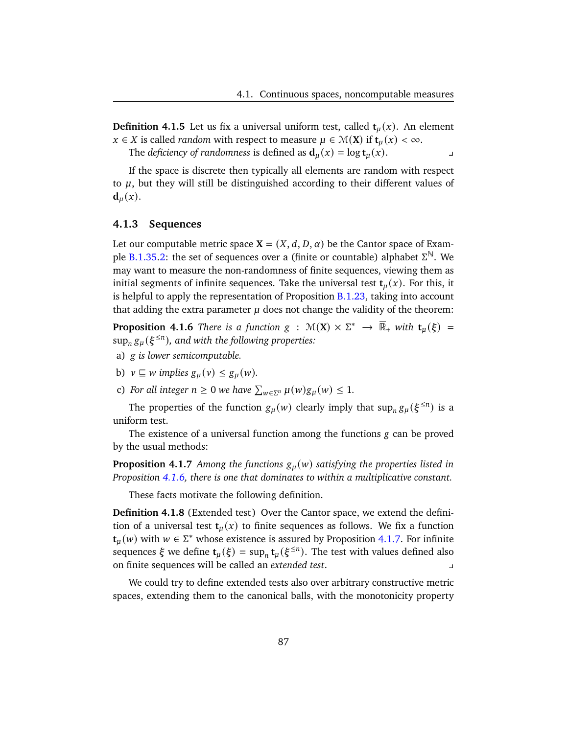**Definition 4.1.5** Let us fix a universal uniform test, called  $t<sub>u</sub>(x)$ . An element  $x \in X$  is called *random* with respect to measure  $\mu \in \mathcal{M}(X)$  if  $t_{\mu}(x) < \infty$ .

The *deficiency of randomness* is defined as  $d_u(x) = \log t_u(x)$ .

If the space is discrete then typically all elements are random with respect to  $\mu$ , but they will still be distinguished according to their different values of  $\mathbf{d}_u(x)$ .

#### **4.1.3 Sequences**

Let our computable metric space  $X = (X, d, D, \alpha)$  be the Cantor space of Exam-ple [B.1.35](#page-168-0)[.2:](#page-168-1) the set of sequences over a (finite or countable) alphabet  $\Sigma^{\mathbb{N}}$ . We may want to measure the non-randomness of finite sequences, viewing them as initial segments of infinite sequences. Take the universal test  $t<sub>u</sub>(x)$ . For this, it is helpful to apply the representation of Proposition  $B.1.23$ , taking into account that adding the extra parameter  $\mu$  does not change the validity of the theorem:

<span id="page-92-0"></span>**Proposition 4.1.6** *There is a function*  $g : \mathcal{M}(X) \times \Sigma^* \rightarrow \overline{\mathbb{R}}_+$  *with*  $t_\mu(\xi) =$  $\sup_n g_\mu(\xi^{\leq n})$ , and with the following properties:

- a) *g* is lower semicomputable.
- b)  $v \sqsubseteq w$  *implies*  $g_u(v) \leq g_u(w)$ .
- <span id="page-92-2"></span>c) For all integer  $n \geq 0$  we have  $\sum_{w \in \Sigma^n} \mu(w) g_{\mu}(w) \leq 1$ .

The properties of the function  $g_{\mu}(w)$  clearly imply that  $\sup_{n} g_{\mu}(\xi^{\leq n})$  is a uniform test.

The existence of a universal function among the functions  $g$  can be proved by the usual methods:

<span id="page-92-1"></span>**Proposition 4.1.7** *Among the functions*  $g_u(w)$  *satisfying the properties listed in Proposition [4.1.6,](#page-92-0) there is one that dominates to within a multiplicative constant.*

These facts motivate the following definition.

**Definition 4.1.8** (Extended test) Over the Cantor space, we extend the definition of a universal test  $t<sub>u</sub>(x)$  to finite sequences as follows. We fix a function **t**<sub>*u*</sub>(*w*) with *w* ∈  $\Sigma^*$  whose existence is assured by Proposition [4.1.7.](#page-92-1) For infinite sequences  $\xi$  we define  $\mathbf{t}_{\mu}(\xi) = \sup_{n} \mathbf{t}_{\mu}(\xi^{\leq n})$ . The test with values defined also on finite sequences will be called an *extended test*. y

We could try to define extended tests also over arbitrary constructive metric spaces, extending them to the canonical balls, with the monotonicity property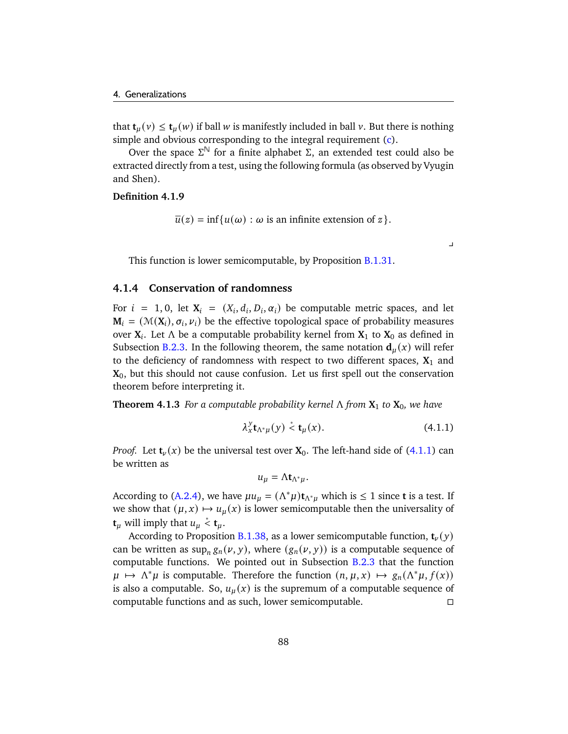that  $\mathbf{t}_{\mu}(v) \leq \mathbf{t}_{\mu}(w)$  if ball w is manifestly included in ball v. But there is nothing simple and obvious corresponding to the integral requirement [\(c\)](#page-92-2).

Over the space  $\Sigma^{\mathbb{N}}$  for a finite alphabet Σ, an extended test could also be extracted directly from a test, using the following formula (as observed by Vyugin and Shen).

#### **Definition 4.1.9**

$$
\overline{u}(z) = \inf\{u(\omega) : \omega \text{ is an infinite extension of } z\}.
$$

This function is lower semicomputable, by Proposition **[B.1.31.](#page-167-0)** 

#### **4.1.4 Conservation of randomness**

For  $i = 1, 0$ , let  $X_i = (X_i, d_i, D_i, \alpha_i)$  be computable metric spaces, and let  $M_i = (M(X_i), \sigma_i, \nu_i)$  be the effective topological space of probability measures over **X** . Let Λ be a computable probability kernel from **X**<sup>1</sup> to **X**<sup>0</sup> as defined in Subsection [B.2.3.](#page-174-0) In the following theorem, the same notation  $\mathbf{d}_u(x)$  will refer to the deficiency of randomness with respect to two different spaces,  $X_1$  and **X**0, but this should not cause confusion. Let us first spell out the conservation theorem before interpreting it.

**Theorem 4.1.3** *For a computable probability kernel*  $\Lambda$  *from*  $X_1$  *to*  $X_0$ *, we have* 

$$
\lambda_x^y \mathbf{t}_{\Lambda^* \mu}(y) \stackrel{*}{\leq} \mathbf{t}_{\mu}(x). \tag{4.1.1}
$$

<span id="page-93-0"></span> $\overline{a}$ 

*Proof.* Let  $t_{\nu}(x)$  be the universal test over  $X_0$ . The left-hand side of [\(4.1.1\)](#page-93-0) can be written as

$$
u_{\mu} = \Lambda t_{\Lambda^*\mu}.
$$

According to [\(A.2.4\)](#page-152-0), we have  $\mu u_{\mu} = (\Lambda^* \mu) t_{\Lambda^* \mu}$  which is  $\leq 1$  since **t** is a test. If we show that  $(\mu, x) \mapsto u_{\mu}(x)$  is lower semicomputable then the universality of **t**<sub>*u*</sub> will imply that  $u_u \stackrel{*}{\leq} \mathbf{t}_u$ .

According to Proposition [B.1.38,](#page-169-0) as a lower semicomputable function,  $\mathbf{t}_{\nu}(y)$ can be written as  $\sup_n g_n(v, y)$ , where  $(g_n(v, y))$  is a computable sequence of computable functions. We pointed out in Subsection [B.2.3](#page-174-0) that the function  $\mu \mapsto \Lambda^* \mu$  is computable. Therefore the function  $(n, \mu, x) \mapsto g_n(\Lambda^* \mu, f(x))$ is also a computable. So,  $u_{\mu}(x)$  is the supremum of a computable sequence of computable functions and as such, lower semicomputable.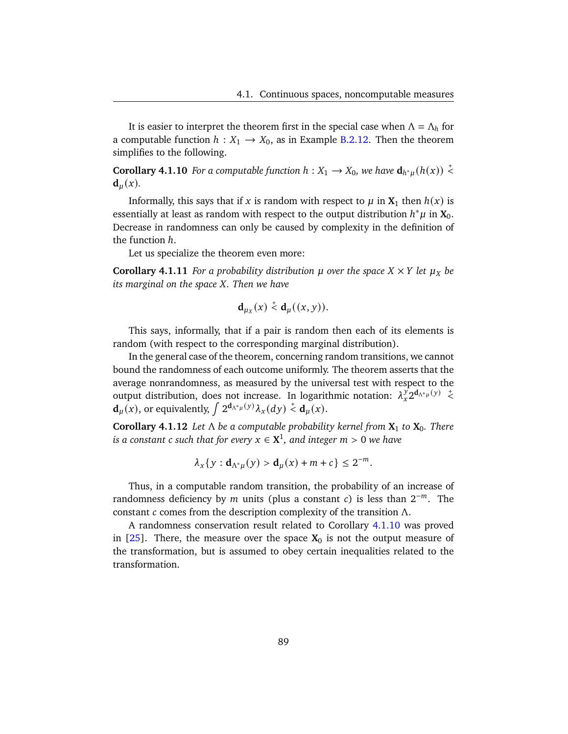It is easier to interpret the theorem first in the special case when  $\Lambda = \Lambda_h$  for a computable function  $h: X_1 \rightarrow X_0$ , as in Example [B.2.12.](#page-174-1) Then the theorem simplifies to the following.

<span id="page-94-0"></span>**Corollary 4.1.10** *For a computable function*  $h: X_1 \to X_0$ , we have  $d_{h^*\mu}(h(x)) \stackrel{+}{\leq}$  $\mathbf{d}_u(x)$ .

Informally, this says that if x is random with respect to  $\mu$  in  $X_1$  then  $h(x)$  is essentially at least as random with respect to the output distribution  $h^*\mu$  in  $\mathbf{X}_0$ . Decrease in randomness can only be caused by complexity in the definition of the function  $h$ .

Let us specialize the theorem even more:

**Corollary 4.1.11** *For a probability distribution*  $\mu$  *over the space*  $X \times Y$  *let*  $\mu_X$  *be its marginal on the space X. Then we have* 

$$
\mathbf{d}_{\mu_X}(x) \stackrel{+}{\leq} \mathbf{d}_{\mu}((x, y)).
$$

This says, informally, that if a pair is random then each of its elements is random (with respect to the corresponding marginal distribution).

In the general case of the theorem, concerning random transitions, we cannot bound the randomness of each outcome uniformly. The theorem asserts that the average nonrandomness, as measured by the universal test with respect to the output distribution, does not increase. In logarithmic notation:  $\lambda_{X}^{y} 2^{d_{\Lambda^* \mu}(y)} \leq$  $\mathbf{d}_{\mu}(x)$ , or equivalently,  $\int 2^{\mathbf{d}_{\Lambda^*\mu}(y)} \lambda_x(dy) \stackrel{+}{\leq} \mathbf{d}_{\mu}(x)$ .

**Corollary 4.1.12** *Let* Λ *be a computable probability kernel from* **X**<sup>1</sup> *to* **X**0*. There*  $i$ *s a constant*  $\mathfrak c$  *such that for every*  $x\in\mathbf X^1$ *, and integer*  $m>0$  *we have* 

$$
\lambda_x\{y: \mathbf{d}_{\Lambda^*\mu}(y) > \mathbf{d}_{\mu}(x) + m + c\} \leq 2^{-m}.
$$

Thus, in a computable random transition, the probability of an increase of randomness deficiency by  $m$  units (plus a constant  $c$ ) is less than  $2^{-m}$ . The constant  $c$  comes from the description complexity of the transition  $\Lambda$ .

A randomness conservation result related to Corollary [4.1.10](#page-94-0) was proved in  $[25]$ . There, the measure over the space  $X_0$  is not the output measure of the transformation, but is assumed to obey certain inequalities related to the transformation.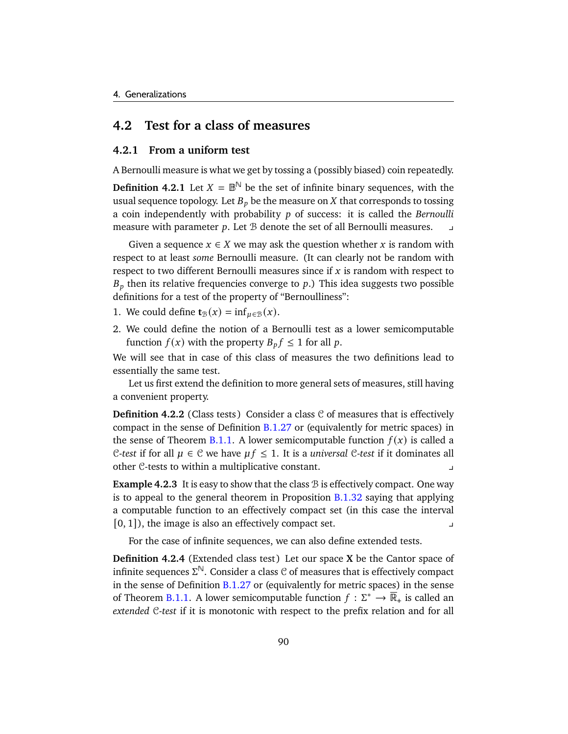## **4.2 Test for a class of measures**

#### **4.2.1 From a uniform test**

A Bernoulli measure is what we get by tossing a (possibly biased) coin repeatedly.

**Definition 4.2.1** Let  $X = \mathbb{B}^{\mathbb{N}}$  be the set of infinite binary sequences, with the usual sequence topology. Let  $B_p$  be the measure on X that corresponds to tossing a coin independently with probability p of success: it is called the *Bernoulli* measure with parameter  $p$ . Let  $B$  denote the set of all Bernoulli measures.

Given a sequence  $x \in X$  we may ask the question whether x is random with respect to at least *some* Bernoulli measure. (It can clearly not be random with respect to two different Bernoulli measures since if  $x$  is random with respect to  $B<sub>p</sub>$  then its relative frequencies converge to p.) This idea suggests two possible definitions for a test of the property of "Bernoulliness":

- 1. We could define **t**<sub>B</sub>(x) = inf<sub>u</sub>∈<sub>B</sub>(x).
- 2. We could define the notion of a Bernoulli test as a lower semicomputable function  $f(x)$  with the property  $B_p f \leq 1$  for all p.

We will see that in case of this class of measures the two definitions lead to essentially the same test.

Let us first extend the definition to more general sets of measures, still having a convenient property.

**Definition 4.2.2** (Class tests) Consider a class  $C$  of measures that is effectively compact in the sense of Definition [B.1.27](#page-167-1) or (equivalently for metric spaces) in the sense of Theorem [B.1.1.](#page-170-0) A lower semicomputable function  $f(x)$  is called a C-test if for all  $\mu \in \mathbb{C}$  we have  $\mu f \leq 1$ . It is a *universal* C-test if it dominates all other C-tests to within a multiplicative constant.

**Example 4.2.3** It is easy to show that the class  $\mathcal B$  is effectively compact. One way is to appeal to the general theorem in Proposition [B.1.32](#page-168-2) saying that applying a computable function to an effectively compact set (in this case the interval  $[0, 1]$ , the image is also an effectively compact set.

For the case of infinite sequences, we can also define extended tests.

**Definition 4.2.4** (Extended class test) Let our space **X** be the Cantor space of infinite sequences  $\Sigma^{\mathbb{N}}$ . Consider a class  $\mathcal C$  of measures that is effectively compact in the sense of Definition  $B.1.27$  or (equivalently for metric spaces) in the sense of Theorem [B.1.1.](#page-170-0) A lower semicomputable function  $f: \Sigma^* \to \overline{\mathbb{R}}_+$  is called an *extended* C-*test* if it is monotonic with respect to the prefix relation and for all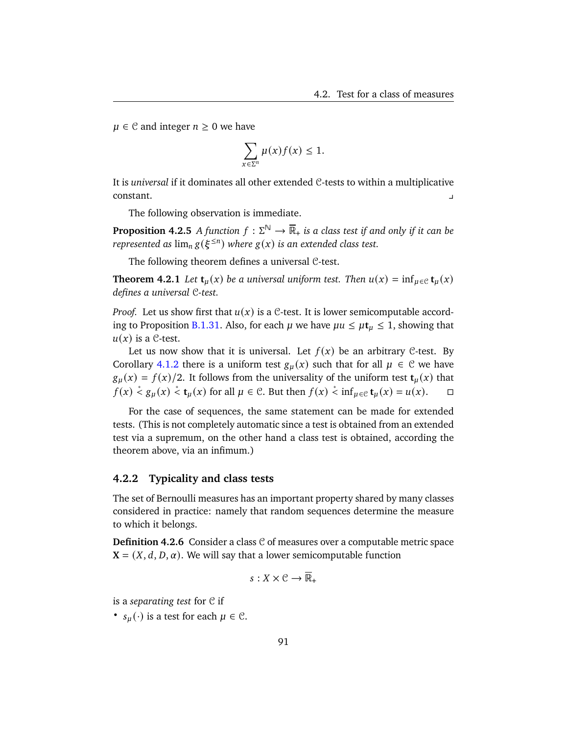$\mu \in \mathcal{C}$  and integer  $n \geq 0$  we have

$$
\sum_{x \in \Sigma^n} \mu(x) f(x) \leq 1.
$$

It is *universal* if it dominates all other extended C-tests to within a multiplicative constant.

The following observation is immediate.

**Proposition 4.2.5** *A* function  $f : \Sigma^{\mathbb{N}} \to \overline{\mathbb{R}}_+$  is a class test if and only if it can be *represented as*  $\lim_{n} g(\xi^{\leq n})$  *where*  $g(x)$  *is an extended class test.* 

The following theorem defines a universal C-test.

**Theorem 4.2.1** *Let*  $\mathbf{t}_{\mu}(x)$  *be a universal uniform test. Then*  $u(x) = \inf_{\mu \in \mathcal{C}} \mathbf{t}_{\mu}(x)$ *defines a universal* C*-test.*

*Proof.* Let us show first that  $u(x)$  is a C-test. It is lower semicomputable accord-ing to Proposition [B.1.31.](#page-167-0) Also, for each  $\mu$  we have  $\mu u \leq \mu t_{\mu} \leq 1$ , showing that  $u(x)$  is a C-test.

Let us now show that it is universal. Let  $f(x)$  be an arbitrary C-test. By Corollary [4.1.2](#page-91-1) there is a uniform test  $g_u(x)$  such that for all  $\mu \in \mathcal{C}$  we have  $g_u(x) = f(x)/2$ . It follows from the universality of the uniform test  $t_u(x)$  that  $f(x) \stackrel{*}{\le} g_{\mu}(x) \stackrel{*}{\le} \mathbf{t}_{\mu}(x)$  for all  $\mu \in \mathcal{C}$ . But then  $f(x) \stackrel{*}{\le} \inf_{\mu \in \mathcal{C}} \mathbf{t}_{\mu}(x) = u(x)$ .  $\Box$ 

For the case of sequences, the same statement can be made for extended tests. (This is not completely automatic since a test is obtained from an extended test via a supremum, on the other hand a class test is obtained, according the theorem above, via an infimum.)

#### **4.2.2 Typicality and class tests**

The set of Bernoulli measures has an important property shared by many classes considered in practice: namely that random sequences determine the measure to which it belongs.

**Definition 4.2.6** Consider a class C of measures over a computable metric space  $X = (X, d, D, \alpha)$ . We will say that a lower semicomputable function

$$
s:X\times\mathcal{C}\to\overline{\mathbb{R}}_+
$$

is a *separating test* for C if

•  $s_u(\cdot)$  is a test for each  $\mu \in \mathcal{C}$ .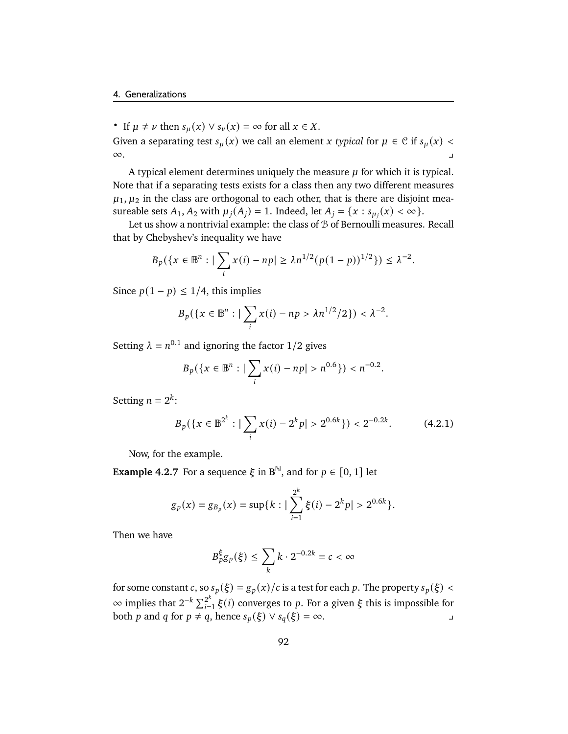• If  $\mu \neq \nu$  then  $s_{\mu}(x) \vee s_{\nu}(x) = \infty$  for all  $x \in X$ .

Given a separating test  $s_\mu(x)$  we call an element x typical for  $\mu \in \mathcal{C}$  if  $s_\mu(x)$  <  $\infty$ .

A typical element determines uniquely the measure  $\mu$  for which it is typical. Note that if a separating tests exists for a class then any two different measures  $\mu_1, \mu_2$  in the class are orthogonal to each other, that is there are disjoint measureable sets  $A_1, A_2$  with  $\mu_j(A_j) = 1$ . Indeed, let  $A_j = \{x : s_{\mu_j}(x) < \infty\}.$ 

Let us show a nontrivial example: the class of  $B$  of Bernoulli measures. Recall that by Chebyshev's inequality we have

$$
B_p(\lbrace x \in \mathbb{B}^n : \big| \sum_i x(i) - np \big| \geq \lambda n^{1/2} (p(1-p))^{1/2} \rbrace) \leq \lambda^{-2}.
$$

Since  $p(1 - p) \leq 1/4$ , this implies

$$
B_p({x \in \mathbb{B}^n : |\sum_i x(i) - np > \lambda n^{1/2}/2}) < \lambda^{-2}.
$$

Setting  $\lambda = n^{0.1}$  and ignoring the factor 1/2 gives

$$
B_p(\{x \in \mathbb{B}^n : \big| \sum_i x(i) - np \big| > n^{0.6} \}) < n^{-0.2}.
$$

Setting  $n = 2^k$ :

$$
B_p(\lbrace x \in \mathbb{B}^{2^k} : \big| \sum_i x(i) - 2^k p \big| > 2^{0.6k} \rbrace) < 2^{-0.2k}.\tag{4.2.1}
$$

Now, for the example.

**Example 4.2.7** For a sequence  $\xi$  in  $\mathbf{B}^{\mathbb{N}}$ , and for  $p \in [0, 1]$  let

$$
g_p(x) = g_{B_p}(x) = \sup\{k : |\sum_{i=1}^{2^k} \xi(i) - 2^k p| > 2^{0.6k}\}.
$$

Then we have

$$
B_p^{\xi}g_p(\xi)\leq \sum_k k\cdot 2^{-0.2k}=c<\infty
$$

for some constant c, so  $s_p(\xi) = g_p(x)/c$  is a test for each p. The property  $s_p(\xi)$  <  $\infty$  implies that 2<sup>-k</sup> ∑<sup>2<sup>k</sup></sup>  $\sum_{i=1}^{2^{\kappa}} \xi(i)$  converges to p. For a given  $\xi$  this is impossible for both *p* and *q* for *p* ≠ *q*, hence  $s_p(\xi) \vee s_q(\xi) = \infty$ .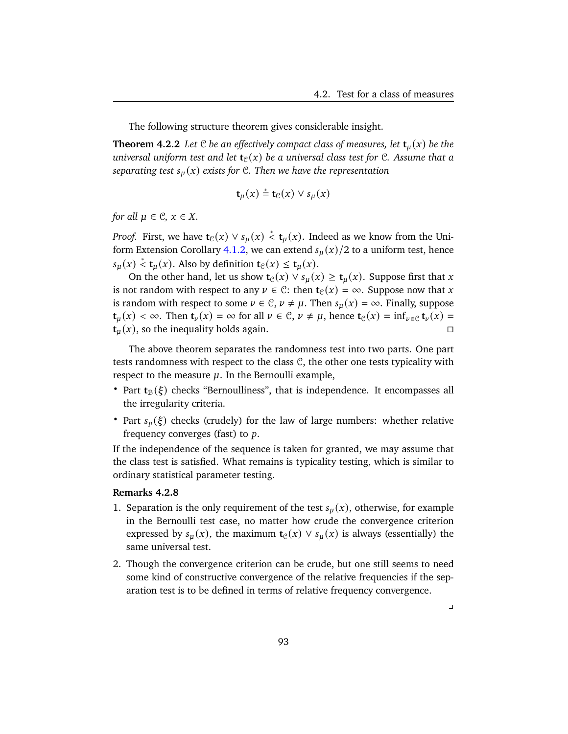The following structure theorem gives considerable insight.

**Theorem 4.2.2** Let C be an effectively compact class of measures, let  $t<sub>u</sub>(x)$  be the *universal uniform test and let*  $\mathbf{t}_{\mathcal{C}}(x)$  *be a universal class test for* C. Assume that a *separating test*  $s_u(x)$  *exists for* C*. Then we have the representation* 

$$
\mathbf{t}_{\mu}(x) \stackrel{*}{=} \mathbf{t}_{\mathcal{C}}(x) \vee s_{\mu}(x)
$$

*for all*  $\mu \in \mathcal{C}$ *,*  $x \in X$ *.* 

*Proof.* First, we have  $\mathbf{t}_{\mathcal{C}}(x) \vee s_{\mu}(x) \stackrel{*}{\leq} \mathbf{t}_{\mu}(x)$ . Indeed as we know from the Uni-form Extension Corollary [4.1.2,](#page-91-1) we can extend  $s<sub>µ</sub>(x)/2$  to a uniform test, hence  $s_{\mu}(x) \stackrel{*}{\leq} \mathbf{t}_{\mu}(x)$ . Also by definition  $\mathbf{t}_{\mathcal{C}}(x) \leq \mathbf{t}_{\mu}(x)$ .

On the other hand, let us show  $\mathbf{t}_{\mathcal{C}}(x) \vee s_{\mu}(x) \geq \mathbf{t}_{\mu}(x)$ . Suppose first that x is not random with respect to any  $\nu \in \mathcal{C}$ : then  $\mathbf{t}_{\mathcal{C}}(x) = \infty$ . Suppose now that x is random with respect to some  $\nu \in \mathcal{C}, \nu \neq \mu$ . Then  $s_{\mu}(x) = \infty$ . Finally, suppose **t**<sub>*u*</sub>(*x*) < ∞. Then **t**<sub>*v*</sub>(*x*) = ∞ for all  $\nu \in \mathcal{C}$ ,  $\nu \neq \mu$ , hence **t**<sub>*C*</sub>(*x*) = inf<sub>*v*∈*C*</sub> **t**<sub>*v*</sub>(*x*) =  $\mathbf{t}_u(x)$ , so the inequality holds again.

The above theorem separates the randomness test into two parts. One part tests randomness with respect to the class C, the other one tests typicality with respect to the measure  $\mu$ . In the Bernoulli example,

- Part  $t_{\mathcal{B}}(\xi)$  checks "Bernoulliness", that is independence. It encompasses all the irregularity criteria.
- Part  $s_p(\xi)$  checks (crudely) for the law of large numbers: whether relative frequency converges (fast) to  $p$ .

If the independence of the sequence is taken for granted, we may assume that the class test is satisfied. What remains is typicality testing, which is similar to ordinary statistical parameter testing.

#### **Remarks 4.2.8**

- 1. Separation is the only requirement of the test  $s<sub>u</sub>(x)$ , otherwise, for example in the Bernoulli test case, no matter how crude the convergence criterion expressed by  $s_u(x)$ , the maximum **t**<sub>C</sub>(x)  $\vee$   $s_u(x)$  is always (essentially) the same universal test.
- 2. Though the convergence criterion can be crude, but one still seems to need some kind of constructive convergence of the relative frequencies if the separation test is to be defined in terms of relative frequency convergence.

 $\overline{a}$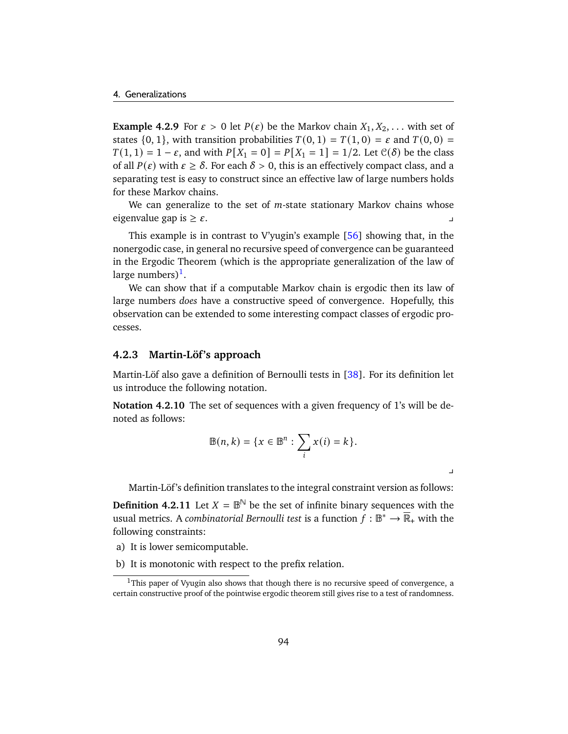**Example 4.2.9** For  $\varepsilon > 0$  let  $P(\varepsilon)$  be the Markov chain  $X_1, X_2, \ldots$  with set of states  $\{0, 1\}$ , with transition probabilities  $T(0, 1) = T(1, 0) = \varepsilon$  and  $T(0, 0) =$  $T(1, 1) = 1 - \varepsilon$ , and with  $P[X_1 = 0] = P[X_1 = 1] = 1/2$ . Let  $\mathcal{C}(\delta)$  be the class of all  $P(\varepsilon)$  with  $\varepsilon \geq \delta$ . For each  $\delta > 0$ , this is an effectively compact class, and a separating test is easy to construct since an effective law of large numbers holds for these Markov chains.

We can generalize to the set of  $m$ -state stationary Markov chains whose eigenvalue gap is  $\geq \varepsilon$ .

This example is in contrast to V'yugin's example  $[56]$  showing that, in the nonergodic case, in general no recursive speed of convergence can be guaranteed in the Ergodic Theorem (which is the appropriate generalization of the law of large numbers) $^1$  $^1$ .

We can show that if a computable Markov chain is ergodic then its law of large numbers *does* have a constructive speed of convergence. Hopefully, this observation can be extended to some interesting compact classes of ergodic processes.

#### **4.2.3 Martin-Löf's approach**

Martin-Löf also gave a definition of Bernoulli tests in [\[38\]](#page-179-1). For its definition let us introduce the following notation.

**Notation 4.2.10** The set of sequences with a given frequency of 1's will be denoted as follows:

$$
\mathbb{B}(n,k) = \{x \in \mathbb{B}^n : \sum_i x(i) = k\}.
$$

 $\overline{1}$ 

Martin-Löf 's definition translates to the integral constraint version as follows:

**Definition 4.2.11** Let  $X = \mathbb{B}^{\mathbb{N}}$  be the set of infinite binary sequences with the usual metrics. A *combinatorial Bernoulli test* is a function  $f: \mathbb{B}^* \to \overline{\mathbb{R}}_+$  with the following constraints:

- a) It is lower semicomputable.
- b) It is monotonic with respect to the prefix relation.

<span id="page-99-0"></span> $1$ This paper of Vyugin also shows that though there is no recursive speed of convergence, a certain constructive proof of the pointwise ergodic theorem still gives rise to a test of randomness.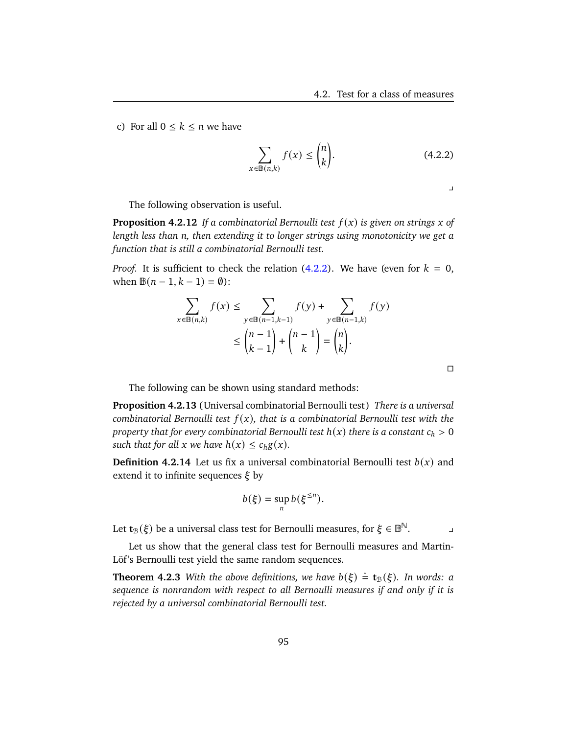c) For all  $0 \leq k \leq n$  we have

$$
\sum_{x \in \mathbb{B}(n,k)} f(x) \le \binom{n}{k}.\tag{4.2.2}
$$

<span id="page-100-0"></span> $\perp$ 

 $\Box$ 

The following observation is useful.

**Proposition 4.2.12** *If a combinatorial Bernoulli test*  $f(x)$  *is given on strings*  $x$  *of length less than n, then extending it to longer strings using monotonicity we get a function that is still a combinatorial Bernoulli test.*

*Proof.* It is sufficient to check the relation  $(4.2.2)$ . We have (even for  $k = 0$ , when  $\mathbb{B}(n-1, k-1) = \emptyset$ :

$$
\sum_{x \in \mathbb{B}(n,k)} f(x) \le \sum_{y \in \mathbb{B}(n-1,k-1)} f(y) + \sum_{y \in \mathbb{B}(n-1,k)} f(y)
$$

$$
\le {n-1 \choose k-1} + {n-1 \choose k} = {n \choose k}.
$$

The following can be shown using standard methods:

**Proposition 4.2.13** (Universal combinatorial Bernoulli test) *There is a universal combinatorial Bernoulli test*  $f(x)$ *, that is a combinatorial Bernoulli test with the property that for every combinatorial Bernoulli test*  $h(x)$  *there is a constant*  $c_h > 0$ *such that for all*  $x$  *we have*  $h(x) \leq c_h g(x)$ *.* 

**Definition 4.2.14** Let us fix a universal combinatorial Bernoulli test  $b(x)$  and extend it to infinite sequences  $\xi$  by

$$
b(\xi) = \sup_n b(\xi^{\leq n}).
$$

Let  $\mathsf{t}_\mathbb{B}(\xi)$  be a universal class test for Bernoulli measures, for  $\xi\in\mathbb{B}^\mathbb{N}.$ 

Let us show that the general class test for Bernoulli measures and Martin-Löf's Bernoulli test yield the same random sequences.

**Theorem 4.2.3** With the above definitions, we have  $b(\xi) \stackrel{*}{=} \mathbf{t}_{\mathcal{B}}(\xi)$ . In words: a *sequence is nonrandom with respect to all Bernoulli measures if and only if it is rejected by a universal combinatorial Bernoulli test.*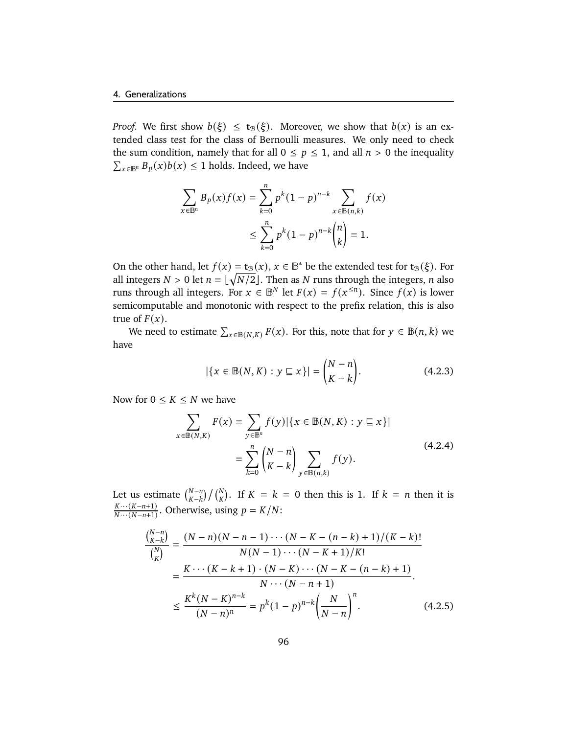*Proof.* We first show  $b(\xi) \le t_B(\xi)$ . Moreover, we show that  $b(x)$  is an extended class test for the class of Bernoulli measures. We only need to check the sum condition, namely that for all  $0 \le p \le 1$ , and all  $n > 0$  the inequality  $\sum_{x \in \mathbb{B}^n} B_p(x)b(x) \leq 1$  holds. Indeed, we have

$$
\sum_{x \in \mathbb{B}^n} B_p(x) f(x) = \sum_{k=0}^n p^k (1-p)^{n-k} \sum_{x \in \mathbb{B}(n,k)} f(x)
$$
  

$$
\leq \sum_{k=0}^n p^k (1-p)^{n-k} {n \choose k} = 1.
$$

On the other hand, let  $f(x) = \mathbf{t}_{\mathcal{B}}(x)$ ,  $x \in \mathbb{B}^*$  be the extended test for  $\mathbf{t}_{\mathcal{B}}(\xi)$ . For all integers  $N > 0$  let  $n = \lfloor \sqrt{N/2} \rfloor$ . Then as N runs through the integers, n also runs through all integers. For  $x \in \mathbb{B}^N$  let  $F(x) = f(x^{\le n})$ . Since  $f(x)$  is lower semicomputable and monotonic with respect to the prefix relation, this is also true of  $F(x)$ .

We need to estimate  $\sum_{x \in B(N,K)} F(x)$ . For this, note that for  $y \in B(n,k)$  we have

<span id="page-101-0"></span>
$$
|\{x \in \mathbb{B}(N, K) : y \sqsubseteq x\}| = \binom{N - n}{K - k}.
$$
 (4.2.3)

Now for  $0 \leq K \leq N$  we have

$$
\sum_{x \in \mathbb{B}(N,K)} F(x) = \sum_{y \in \mathbb{B}^n} f(y) |\{x \in \mathbb{B}(N,K) : y \subseteq x\}|
$$
  
= 
$$
\sum_{k=0}^n {N-n \choose K-k} \sum_{y \in \mathbb{B}(n,k)} f(y).
$$
 (4.2.4)

Let us estimate  $\binom{N-n}{K-k} / \binom{N}{K}$ . If  $K = k = 0$  then this is 1. If  $k = n$  then it is  $K\cdots(K-n+1)$  $\frac{K\cdots(K-n+1)}{N\cdots(N-n+1)}$ . Otherwise, using  $p = K/N$ :

$$
\frac{\binom{N-n}{K-k}}{\binom{N}{K}} = \frac{(N-n)(N-n-1)\cdots(N-K-(n-k)+1)/(K-k)!}{N(N-1)\cdots(N-K+1)/K!}
$$
\n
$$
= \frac{K\cdots(K-k+1)\cdot(N-K)\cdots(N-K-(n-k)+1)}{N\cdots(N-n+1)}.
$$
\n
$$
\leq \frac{K^{k}(N-K)^{n-k}}{(N-n)^{n}} = p^{k}(1-p)^{n-k} \left(\frac{N}{N-n}\right)^{n}.
$$
\n(4.2.5)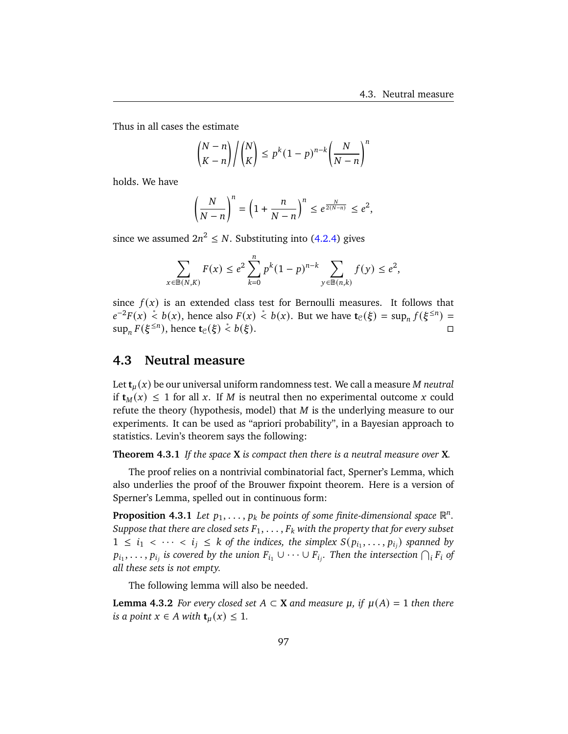Thus in all cases the estimate

$$
\binom{N-n}{K-n} / \binom{N}{K} \le p^k (1-p)^{n-k} \left(\frac{N}{N-n}\right)^n
$$

holds. We have

$$
\left(\frac{N}{N-n}\right)^n=\left(1+\frac{n}{N-n}\right)^n\leq e^{\frac{N}{2(N-n)}}\leq e^2,
$$

since we assumed  $2n^2 \leq N$ . Substituting into [\(4.2.4\)](#page-101-0) gives

$$
\sum_{x \in \mathbb{B}(N,K)} F(x) \le e^2 \sum_{k=0}^n p^k (1-p)^{n-k} \sum_{y \in \mathbb{B}(n,k)} f(y) \le e^2,
$$

since  $f(x)$  is an extended class test for Bernoulli measures. It follows that  $e^{-2}F(x) \stackrel{*}{\leq} b(x)$ , hence also  $F(x) \stackrel{*}{\leq} b(x)$ . But we have  $\mathbf{t}_{\mathcal{C}}(\xi) = \sup_{n} f(\xi^{\leq n}) =$  $\sup_n F(\xi^{\leq n})$ , hence **t**<sub>C</sub>( $\xi$ ) < *b*( $\xi$ ). □

## **4.3 Neutral measure**

Let  $\mathbf{t}_u(x)$  be our universal uniform randomness test. We call a measure *M* neutral if  $t_M(x) \leq 1$  for all x. If M is neutral then no experimental outcome x could refute the theory (hypothesis, model) that  $M$  is the underlying measure to our experiments. It can be used as "apriori probability", in a Bayesian approach to statistics. Levin's theorem says the following:

<span id="page-102-0"></span>**Theorem 4.3.1** *If the space* **X** *is compact then there is a neutral measure over* **X***.*

The proof relies on a nontrivial combinatorial fact, Sperner's Lemma, which also underlies the proof of the Brouwer fixpoint theorem. Here is a version of Sperner's Lemma, spelled out in continuous form:

<span id="page-102-2"></span>**Proposition 4.3.1** Let  $p_1, \ldots, p_k$  be points of some finite-dimensional space  $\mathbb{R}^n$ . *Suppose that there are closed sets*  $F_1, \ldots, F_k$  with the property that for every subset  $1 \leq i_1 \leq \cdots \leq i_j \leq k$  of the indices, the simplex  $S(p_{i_1}, \ldots, p_{i_j})$  spanned by  $p_{i_1}, \ldots, p_{i_j}$  is covered by the union  $F_{i_1} \cup \cdots \cup F_{i_j}$ . Then the intersection  $\bigcap_i F_i$  of *all these sets is not empty.*

The following lemma will also be needed.

<span id="page-102-1"></span>**Lemma 4.3.2** *For every closed set*  $A ⊂ X$  *and measure*  $\mu$ *, if*  $\mu(A) = 1$  *then there is a point*  $x \in A$  *with*  $\mathbf{t}_u(x) \leq 1$ *.*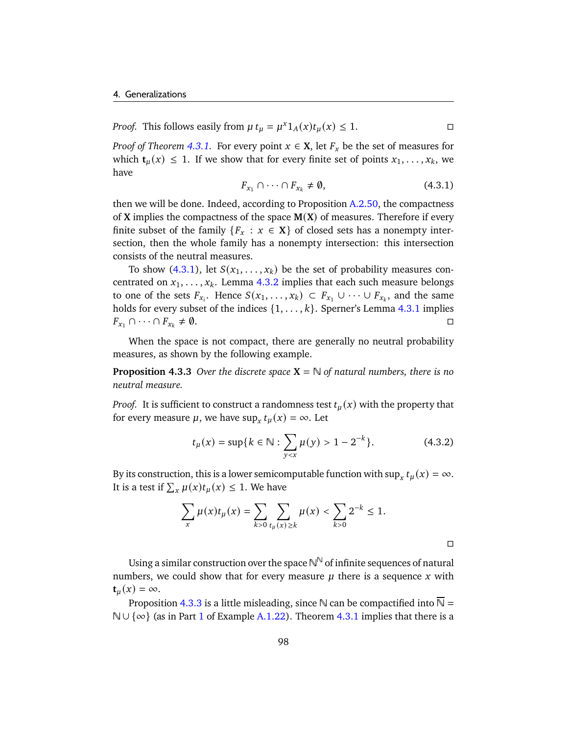*Proof.* This follows easily from  $\mu t_{\mu} = \mu^x 1_A(x) t_{\mu}(x) \le 1$ .

<span id="page-103-0"></span>*Proof of Theorem [4.3.1.](#page-102-0)* For every point  $x \in X$ , let  $F_x$  be the set of measures for which  $\mathbf{t}_u(x) \leq 1$ . If we show that for every finite set of points  $x_1, \ldots, x_k$ , we have

$$
F_{x_1} \cap \cdots \cap F_{x_k} \neq \emptyset, \tag{4.3.1}
$$

then we will be done. Indeed, according to Proposition [A.2.50,](#page-157-0) the compactness of **X** implies the compactness of the space **M**(**X**) of measures. Therefore if every finite subset of the family  $\{F_x : x \in \mathbf{X}\}\)$  of closed sets has a nonempty intersection, then the whole family has a nonempty intersection: this intersection consists of the neutral measures.

To show [\(4.3.1\)](#page-103-0), let  $S(x_1, \ldots, x_k)$  be the set of probability measures concentrated on  $x_1, \ldots, x_k$ . Lemma [4.3.2](#page-102-1) implies that each such measure belongs to one of the sets  $F_{x_i}$ . Hence  $S(x_1, \ldots, x_k) \subset F_{x_1} \cup \cdots \cup F_{x_k}$ , and the same holds for every subset of the indices  $\{1, \ldots, k\}$ . Sperner's Lemma [4.3.1](#page-102-2) implies  $F_{x_1} \cap \cdots \cap F_{x_k} \neq \emptyset.$ 

When the space is not compact, there are generally no neutral probability measures, as shown by the following example.

<span id="page-103-1"></span>**Proposition 4.3.3** *Over the discrete space*  $X = N$  *of natural numbers, there is no neutral measure.*

*Proof.* It is sufficient to construct a randomness test  $t<sub>u</sub>(x)$  with the property that for every measure  $\mu$ , we have  $\sup_x t_\mu(x) = \infty$ . Let

$$
t_{\mu}(x) = \sup\{k \in \mathbb{N} : \sum_{y < x} \mu(y) > 1 - 2^{-k}\}.\tag{4.3.2}
$$

By its construction, this is a lower semicomputable function with  $\sup_x t_\mu(x) = \infty$ . It is a test if  $\sum_{x} \mu(x) t_{\mu}(x) \leq 1$ . We have

$$
\sum_{x} \mu(x) t_{\mu}(x) = \sum_{k>0} \sum_{t_{\mu}(x) \ge k} \mu(x) < \sum_{k>0} 2^{-k} \le 1.
$$

Using a similar construction over the space  $\mathbb{N}^\mathbb{N}$  of infinite sequences of natural numbers, we could show that for every measure  $\mu$  there is a sequence  $x$  with  $t_{\mu}(x) = \infty.$ 

Proposition [4.3.3](#page-103-1) is a little misleading, since N can be compactified into  $\overline{N}$  = N∪ {∞} (as in Part [1](#page-140-0) of Example [A.1.22\)](#page-140-1). Theorem [4.3.1](#page-102-0) implies that there is a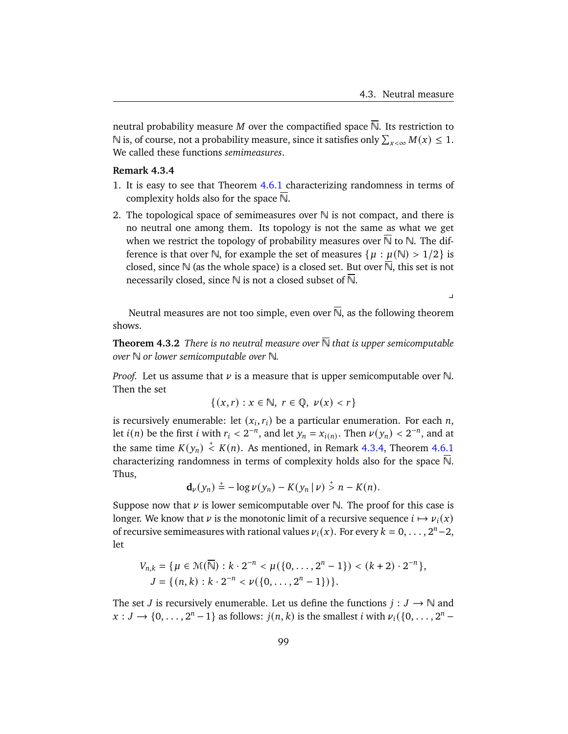$\mathbf{r}$ 

neutral probability measure *M* over the compactified space  $\overline{N}$ . Its restriction to  $\mathbb N$  is, of course, not a probability measure, since it satisfies only  $\sum_{x<\infty}M(x)\leq 1.$ We called these functions *semimeasures*.

#### <span id="page-104-0"></span>**Remark 4.3.4**

- 1. It is easy to see that Theorem [4.6.1](#page-118-0) characterizing randomness in terms of complexity holds also for the space N.
- 2. The topological space of semimeasures over  $\mathbb N$  is not compact, and there is no neutral one among them. Its topology is not the same as what we get when we restrict the topology of probability measures over  $\overline{N}$  to  $\mathbb N$ . The difference is that over N, for example the set of measures  $\{ \mu : \mu(\mathbb{N}) > 1/2 \}$  is closed, since  $\mathbb N$  (as the whole space) is a closed set. But over  $\mathbb N$ , this set is not necessarily closed, since  $\mathbb N$  is not a closed subset of  $\overline{\mathbb N}$ .

Neutral measures are not too simple, even over  $\overline{N}$ , as the following theorem shows.

**Theorem 4.3.2** *There is no neutral measure over*  $\overline{N}$  *that is upper semicomputable over* N *or lower semicomputable over* N*.*

*Proof.* Let us assume that  $\nu$  is a measure that is upper semicomputable over N. Then the set

$$
\{(x,r): x \in \mathbb{N}, r \in \mathbb{Q}, \nu(x) < r\}
$$

is recursively enumerable: let  $(x_i, r_i)$  be a particular enumeration. For each *n*, let  $i(n)$  be the first i with  $r_i < 2^{-n}$ , and let  $y_n = x_{i(n)}$ . Then  $\nu(y_n) < 2^{-n}$ , and at the same time  $K(y_n) \stackrel{+}{\leq} K(n)$ . As mentioned, in Remark [4.3.4,](#page-104-0) Theorem [4.6.1](#page-118-0) characterizing randomness in terms of complexity holds also for the space  $\overline{N}$ . Thus,

$$
\mathbf{d}_{\nu}(y_n) \stackrel{+}{=} -\log \nu(y_n) - K(y_n \,|\, \nu) \stackrel{+}{>} n - K(n).
$$

Suppose now that  $\nu$  is lower semicomputable over N. The proof for this case is longer. We know that  $\nu$  is the monotonic limit of a recursive sequence  $i \mapsto \nu_i(x)$ of recursive semimeasures with rational values  $v_i(x)$ . For every  $k = 0, \ldots, 2^n - 2$ , let

$$
V_{n,k} = \{ \mu \in \mathcal{M}(\overline{\mathbb{N}}) : k \cdot 2^{-n} < \mu(\{0, \dots, 2^n - 1\}) < (k + 2) \cdot 2^{-n} \},
$$
\n
$$
J = \{ (n, k) : k \cdot 2^{-n} < \nu(\{0, \dots, 2^n - 1\}) \}.
$$

The set *J* is recursively enumerable. Let us define the functions  $j: J \to \mathbb{N}$  and  $x: J \to \{0, \ldots, 2^n - 1\}$  as follows:  $j(n, k)$  is the smallest *i* with  $\nu_i({0, \ldots, 2^n - 1})$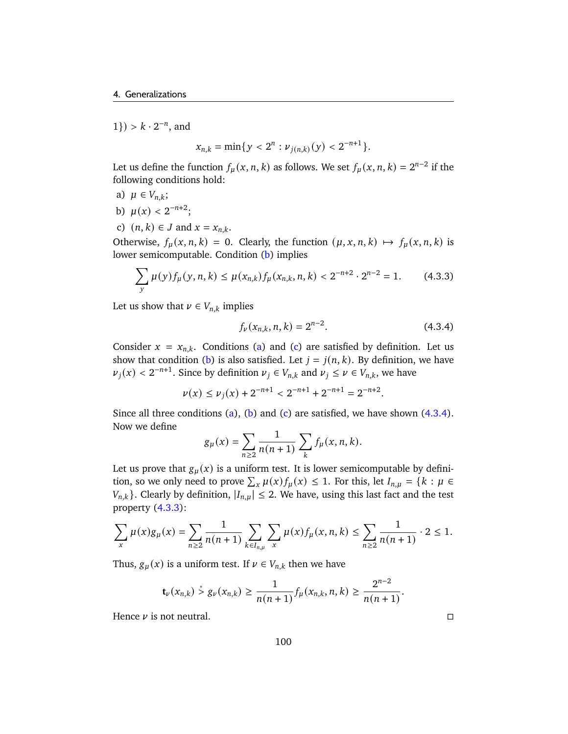$1$ }) >  $k \cdot 2^{-n}$ , and

$$
x_{n,k} = \min\{y < 2^n : \nu_{j(n,k)}(y) < 2^{-n+1}\}.
$$

Let us define the function  $f_{\mu}(x, n, k)$  as follows. We set  $f_{\mu}(x, n, k) = 2^{n-2}$  if the following conditions hold:

- <span id="page-105-1"></span>a)  $\mu \in V_{n,k}$ ;
- <span id="page-105-0"></span>b)  $\mu(x) < 2^{-n+2}$ ;
- <span id="page-105-2"></span>c)  $(n, k) \in J$  and  $x = x_{n,k}$ .

Otherwise,  $f_{\mu}(x, n, k) = 0$ . Clearly, the function  $(\mu, x, n, k) \mapsto f_{\mu}(x, n, k)$  is lower semicomputable. Condition [\(b\)](#page-105-0) implies

$$
\sum_{y} \mu(y) f_{\mu}(y, n, k) \le \mu(x_{n,k}) f_{\mu}(x_{n,k}, n, k) < 2^{-n+2} \cdot 2^{n-2} = 1. \tag{4.3.3}
$$

Let us show that  $\nu \in V_{n,k}$  implies

<span id="page-105-4"></span><span id="page-105-3"></span>
$$
f_{\nu}(x_{n,k}, n, k) = 2^{n-2}.
$$
 (4.3.4)

Consider  $x = x_{n,k}$ . Conditions [\(a\)](#page-105-1) and [\(c\)](#page-105-2) are satisfied by definition. Let us show that condition [\(b\)](#page-105-0) is also satisfied. Let  $j = j(n, k)$ . By definition, we have  $\nu_j(x) < 2^{-n+1}$ . Since by definition  $\nu_j \in V_{n,k}$  and  $\nu_j \le \nu \in V_{n,k}$ , we have

 $\nu(x) \leq \nu_i(x) + 2^{-n+1} < 2^{-n+1} + 2^{-n+1} = 2^{-n+2}.$ 

Since all three conditions [\(a\)](#page-105-1), [\(b\)](#page-105-0) and [\(c\)](#page-105-2) are satisfied, we have shown  $(4.3.4)$ . Now we define

$$
g_{\mu}(x) = \sum_{n \geq 2} \frac{1}{n(n+1)} \sum_{k} f_{\mu}(x, n, k).
$$

Let us prove that  $g_{\mu}(x)$  is a uniform test. It is lower semicomputable by definition, so we only need to prove  $\sum_{x} \mu(x) f_{\mu}(x) \leq 1$ . For this, let  $I_{n,\mu} = \{k : \mu \in$  $\{V_{n,k}\}\$ . Clearly by definition,  $|I_{n,\mu}| \leq 2$ . We have, using this last fact and the test property [\(4.3.3\)](#page-105-4):

$$
\sum_{x} \mu(x) g_{\mu}(x) = \sum_{n \geq 2} \frac{1}{n(n+1)} \sum_{k \in I_{n,\mu}} \sum_{x} \mu(x) f_{\mu}(x, n, k) \leq \sum_{n \geq 2} \frac{1}{n(n+1)} \cdot 2 \leq 1.
$$

Thus,  $g_{\mu}(x)$  is a uniform test. If  $\nu \in V_{n,k}$  then we have

$$
\mathbf{t}_{\nu}(x_{n,k}) \stackrel{*}{>} g_{\nu}(x_{n,k}) \geq \frac{1}{n(n+1)} f_{\mu}(x_{n,k}, n, k) \geq \frac{2^{n-2}}{n(n+1)}.
$$

Hence  $\nu$  is not neutral.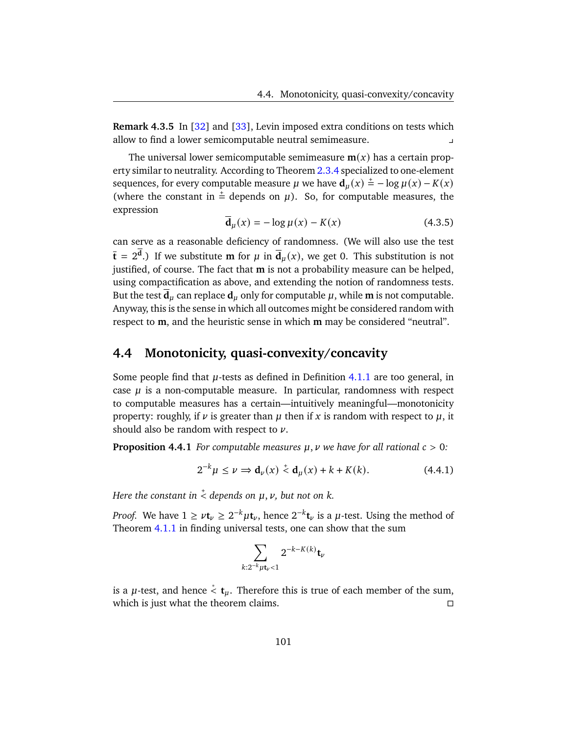**Remark 4.3.5** In [\[32\]](#page-178-3) and [\[33\]](#page-178-0), Levin imposed extra conditions on tests which allow to find a lower semicomputable neutral semimeasure. y

The universal lower semicomputable semimeasure  $m(x)$  has a certain prop-erty similar to neutrality. According to Theorem [2.3.4](#page-62-0) specialized to one-element sequences, for every computable measure  $\mu$  we have  $\mathbf{d}_{\mu}(x) \stackrel{+}{=} -\log \mu(x) - K(x)$ (where the constant in  $\pm$  depends on  $\mu$ ). So, for computable measures, the expression

$$
\overline{\mathbf{d}}_{\mu}(x) = -\log \mu(x) - K(x) \tag{4.3.5}
$$

can serve as a reasonable deficiency of randomness. (We will also use the test  $\bar{\mathbf{t}} = 2^{\mathbf{d}}$ .) If we substitute **m** for  $\mu$  in  $\bar{\mathbf{d}}_{\mu}(x)$ , we get 0. This substitution is not justified, of course. The fact that **m** is not a probability measure can be helped, using compactification as above, and extending the notion of randomness tests. But the test  $\mathbf{d}_u$  can replace  $\mathbf{d}_u$  only for computable  $\mu$ , while **m** is not computable. Anyway, this is the sense in which all outcomes might be considered random with respect to **m**, and the heuristic sense in which **m** may be considered "neutral".

# **4.4 Monotonicity, quasi-convexity/concavity**

Some people find that  $\mu$ -tests as defined in Definition [4.1.1](#page-90-1) are too general, in case  $\mu$  is a non-computable measure. In particular, randomness with respect to computable measures has a certain—intuitively meaningful—monotonicity property: roughly, if  $\nu$  is greater than  $\mu$  then if x is random with respect to  $\mu$ , it should also be random with respect to  $\nu$ .

**Proposition 4.4.1** *For computable measures*  $\mu$ ,  $\nu$  *we have for all rational*  $c > 0$ :

$$
2^{-k}\mu \le \nu \Rightarrow \mathbf{d}_{\nu}(x) \stackrel{+}{\leq} \mathbf{d}_{\mu}(x) + k + K(k). \tag{4.4.1}
$$

*Here the constant in*  $\stackrel{+}{<}$  *depends on*  $\mu, \nu,$  *but not on*  $k.$ 

*Proof.* We have  $1 \ge \nu t_{\nu} \ge 2^{-k} \mu t_{\nu}$ , hence  $2^{-k} t_{\nu}$  is a  $\mu$ -test. Using the method of Theorem [4.1.1](#page-90-0) in finding universal tests, one can show that the sum

$$
\sum_{k:2^{-k}\mu\mathbf{t}_\nu<1}2^{-k-K(k)}\mathbf{t}_\nu
$$

is a  $\mu$ -test, and hence  $\stackrel{*}{\leq} \mathbf{t}_{\mu}$ . Therefore this is true of each member of the sum, which is just what the theorem claims.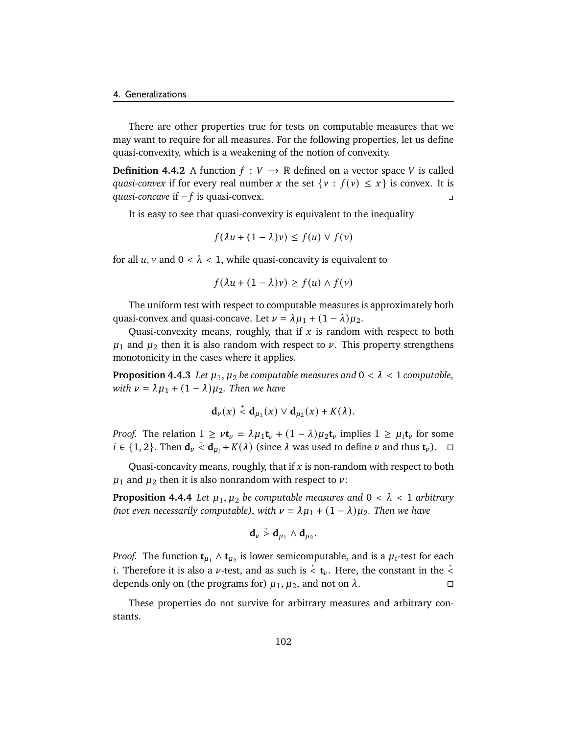There are other properties true for tests on computable measures that we may want to require for all measures. For the following properties, let us define quasi-convexity, which is a weakening of the notion of convexity.

**Definition 4.4.2** A function  $f: V \to \mathbb{R}$  defined on a vector space V is called *quasi-convex* if for every real number x the set  $\{v : f(v) \le x\}$  is convex. It is *quasi-concave* if − *f* is quasi-convex. y

It is easy to see that quasi-convexity is equivalent to the inequality

$$
f(\lambda u + (1 - \lambda)v) \le f(u) \vee f(v)
$$

for all  $u$ ,  $v$  and  $0 < \lambda < 1$ , while quasi-concavity is equivalent to

$$
f(\lambda u + (1 - \lambda)v) \ge f(u) \wedge f(v)
$$

The uniform test with respect to computable measures is approximately both quasi-convex and quasi-concave. Let  $\nu = \lambda \mu_1 + (1 - \lambda) \mu_2$ .

Quasi-convexity means, roughly, that if  $x$  is random with respect to both  $\mu_1$  and  $\mu_2$  then it is also random with respect to  $\nu$ . This property strengthens monotonicity in the cases where it applies.

**Proposition 4.4.3** *Let*  $\mu_1$ ,  $\mu_2$  *be computable measures and*  $0 < \lambda < 1$  *computable, with*  $\nu = \lambda \mu_1 + (1 - \lambda) \mu_2$ . *Then we have* 

$$
\mathbf{d}_{\nu}(x) \stackrel{+}{\leq} \mathbf{d}_{\mu_1}(x) \vee \mathbf{d}_{\mu_2}(x) + K(\lambda).
$$

*Proof.* The relation  $1 \ge vt_\nu = \lambda \mu_1 t_\nu + (1 - \lambda) \mu_2 t_\nu$  implies  $1 \ge \mu_i t_\nu$  for some  $i \in \{1, 2\}$ . Then  $\mathbf{d}_{\nu} \stackrel{+}{\sim} \mathbf{d}_{\mu_i} + K(\lambda)$  (since  $\lambda$  was used to define  $\nu$  and thus  $\mathbf{t}_{\nu}$ ).  $\Box$ 

Quasi-concavity means, roughly, that if  $x$  is non-random with respect to both  $\mu_1$  and  $\mu_2$  then it is also nonrandom with respect to  $\nu$ :

**Proposition 4.4.4** *Let*  $\mu_1, \mu_2$  *be computable measures and*  $0 < \lambda < 1$  *arbitrary (not even necessarily computable), with*  $\nu = \lambda \mu_1 + (1 - \lambda) \mu_2$ . Then we have

$$
\mathbf{d}_{\nu}\stackrel{+}{>}\mathbf{d}_{\mu_1}\wedge\mathbf{d}_{\mu_2}.
$$

*Proof.* The function  $\mathbf{t}_{\mu_1} \wedge \mathbf{t}_{\mu_2}$  is lower semicomputable, and is a  $\mu_i$ -test for each i. Therefore it is also a  $\nu$ -test, and as such is  $\stackrel{*}{<}$  **t**<sub> $\nu$ </sub>. Here, the constant in the  $\stackrel{*}{<}$ depends only on (the programs for)  $\mu_1$ ,  $\mu_2$ , and not on  $\lambda$ .

These properties do not survive for arbitrary measures and arbitrary constants.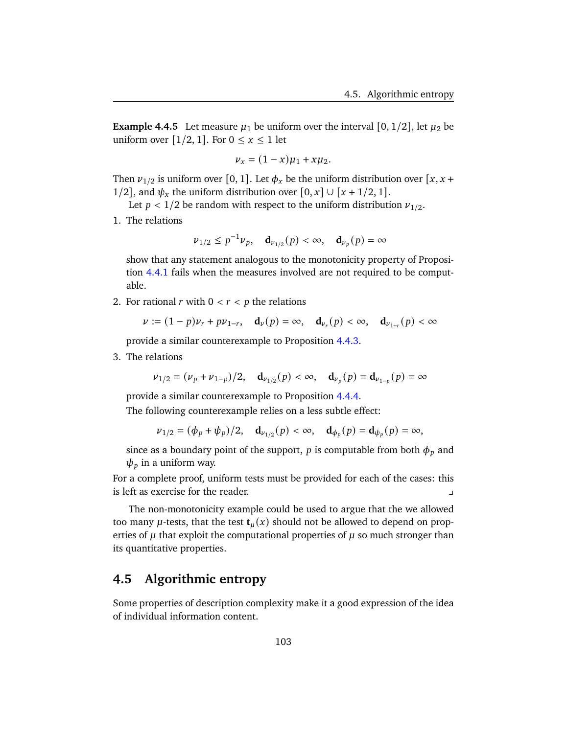**Example 4.4.5** Let measure  $\mu_1$  be uniform over the interval [0, 1/2], let  $\mu_2$  be uniform over [1/2, 1]. For  $0 \le x \le 1$  let

$$
\nu_x = (1 - x)\mu_1 + x\mu_2.
$$

Then  $v_{1/2}$  is uniform over [0, 1]. Let  $\phi_x$  be the uniform distribution over [x, x + 1/2], and  $\psi_x$  the uniform distribution over  $[0, x] \cup [x + 1/2, 1]$ .

Let  $p < 1/2$  be random with respect to the uniform distribution  $\nu_{1/2}$ .

1. The relations

$$
\nu_{1/2} \le p^{-1} \nu_p
$$
,  $\mathbf{d}_{\nu_{1/2}}(p) < \infty$ ,  $\mathbf{d}_{\nu_p}(p) = \infty$ 

show that any statement analogous to the monotonicity property of Proposition [4.4.1](#page-106-0) fails when the measures involved are not required to be computable.

2. For rational  $r$  with  $0 < r < p$  the relations

$$
\nu := (1-p)\nu_r + p\nu_{1-r}, \quad \mathbf{d}_{\nu}(p) = \infty, \quad \mathbf{d}_{\nu_r}(p) < \infty, \quad \mathbf{d}_{\nu_{1-r}}(p) < \infty
$$

provide a similar counterexample to Proposition [4.4.3.](#page-107-0)

3. The relations

$$
\nu_{1/2} = (\nu_p + \nu_{1-p})/2, \quad \mathbf{d}_{\nu_{1/2}}(p) < \infty, \quad \mathbf{d}_{\nu_p}(p) = \mathbf{d}_{\nu_{1-p}}(p) = \infty
$$

provide a similar counterexample to Proposition [4.4.4.](#page-107-1)

The following counterexample relies on a less subtle effect:

$$
\nu_{1/2} = (\phi_p + \psi_p)/2, \quad \mathbf{d}_{\nu_{1/2}}(p) < \infty, \quad \mathbf{d}_{\phi_p}(p) = \mathbf{d}_{\psi_p}(p) = \infty,
$$

since as a boundary point of the support, p is computable from both  $\phi_p$  and  $\psi_p$  in a uniform way.

For a complete proof, uniform tests must be provided for each of the cases: this is left as exercise for the reader. y

The non-monotonicity example could be used to argue that the we allowed too many  $\mu$ -tests, that the test  $\mathbf{t}_{\mu}(x)$  should not be allowed to depend on properties of  $\mu$  that exploit the computational properties of  $\mu$  so much stronger than its quantitative properties.

# **4.5 Algorithmic entropy**

Some properties of description complexity make it a good expression of the idea of individual information content.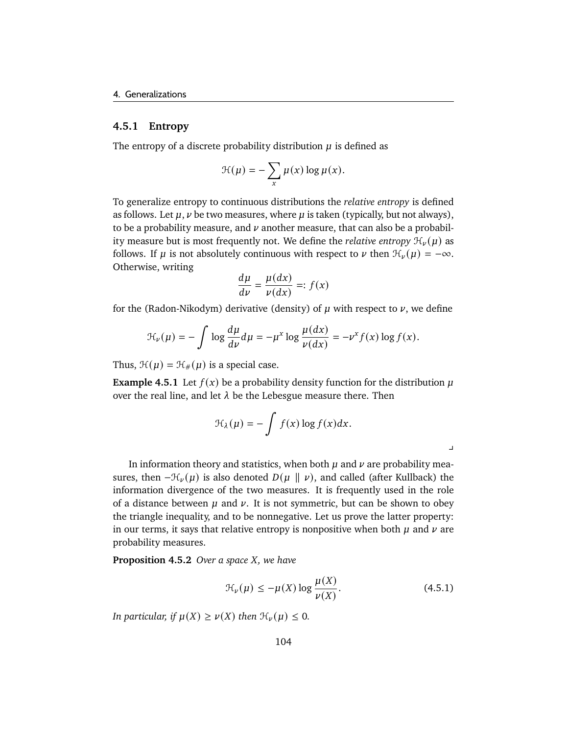### **4.5.1 Entropy**

The entropy of a discrete probability distribution  $\mu$  is defined as

$$
\mathcal{H}(\mu) = -\sum_{x} \mu(x) \log \mu(x).
$$

To generalize entropy to continuous distributions the *relative entropy* is defined as follows. Let  $\mu$ ,  $\nu$  be two measures, where  $\mu$  is taken (typically, but not always), to be a probability measure, and  $\nu$  another measure, that can also be a probability measure but is most frequently not. We define the *relative entropy*  $\mathcal{H}_{\nu}(\mu)$  as follows. If  $\mu$  is not absolutely continuous with respect to  $\nu$  then  $\mathcal{H}_{\nu}(\mu) = -\infty$ . Otherwise, writing

$$
\frac{d\mu}{d\nu} = \frac{\mu(dx)}{\nu(dx)} =: f(x)
$$

for the (Radon-Nikodym) derivative (density) of  $\mu$  with respect to  $\nu$ , we define

$$
\mathcal{H}_{\nu}(\mu) = -\int \log \frac{d\mu}{d\nu} d\mu = -\mu^{x} \log \frac{\mu(dx)}{\nu(dx)} = -\nu^{x} f(x) \log f(x).
$$

Thus,  $\mathcal{H}(\mu) = \mathcal{H}_{\#}(\mu)$  is a special case.

**Example 4.5.1** Let  $f(x)$  be a probability density function for the distribution  $\mu$ over the real line, and let  $\lambda$  be the Lebesgue measure there. Then

$$
\mathcal{H}_{\lambda}(\mu) = -\int f(x) \log f(x) dx.
$$

In information theory and statistics, when both  $\mu$  and  $\nu$  are probability measures, then  $-\mathcal{H}_{\nu}(\mu)$  is also denoted  $D(\mu \parallel \nu)$ , and called (after Kullback) the information divergence of the two measures. It is frequently used in the role of a distance between  $\mu$  and  $\nu$ . It is not symmetric, but can be shown to obey the triangle inequality, and to be nonnegative. Let us prove the latter property: in our terms, it says that relative entropy is nonpositive when both  $\mu$  and  $\nu$  are probability measures.

<span id="page-109-1"></span>**Proposition 4.5.2** *Over a space X, we have* 

<span id="page-109-0"></span>
$$
\mathcal{H}_{\nu}(\mu) \le -\mu(X) \log \frac{\mu(X)}{\nu(X)}.\tag{4.5.1}
$$

 $\overline{a}$ 

*In particular, if*  $\mu(X) \ge \nu(X)$  *then*  $\mathcal{H}_{\nu}(\mu) \le 0$ *.*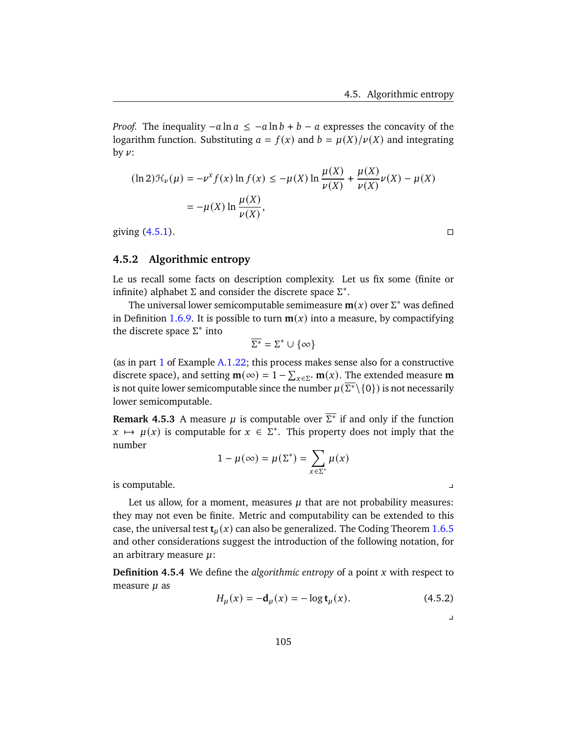*Proof.* The inequality  $-a \ln a \leq -a \ln b + b - a$  expresses the concavity of the logarithm function. Substituting  $a = f(x)$  and  $b = \mu(X)/\nu(X)$  and integrating by  $\nu$ :

$$
(\ln 2)\mathcal{H}_{\nu}(\mu) = -\nu^{x} f(x) \ln f(x) \le -\mu(X) \ln \frac{\mu(X)}{\nu(X)} + \frac{\mu(X)}{\nu(X)} \nu(X) - \mu(X)
$$

$$
= -\mu(X) \ln \frac{\mu(X)}{\nu(X)},
$$

giving  $(4.5.1)$ .

## **4.5.2 Algorithmic entropy**

Le us recall some facts on description complexity. Let us fix some (finite or infinite) alphabet  $\Sigma$  and consider the discrete space  $\Sigma^*$ .

The universal lower semicomputable semimeasure  $m(x)$  over  $\Sigma^*$  was defined in Definition [1.6.9.](#page-33-0) It is possible to turn  $m(x)$  into a measure, by compactifying the discrete space  $\Sigma^*$  into

$$
\overline{\Sigma^*} = \Sigma^* \cup \{\infty\}
$$

(as in part  $1$  of Example  $A.1.22$ ; this process makes sense also for a constructive discrete space), and setting  $\mathbf{m}(\infty) = 1 - \sum_{x \in \Sigma^*} \mathbf{m}(x)$ . The extended measure  $\mathbf{m}$ is not quite lower semicomputable since the number  $\mu(\overline{\Sigma^*}\backslash\{0\})$  is not necessarily lower semicomputable.

**Remark 4.5.3** A measure  $\mu$  is computable over  $\overline{\Sigma^*}$  if and only if the function  $x \mapsto \mu(x)$  is computable for  $x \in \Sigma^*$ . This property does not imply that the number

$$
1 - \mu(\infty) = \mu(\Sigma^*) = \sum_{x \in \Sigma^*} \mu(x)
$$

is computable. y

Let us allow, for a moment, measures  $\mu$  that are not probability measures: they may not even be finite. Metric and computability can be extended to this case, the universal test  $\mathbf{t}_{\mu}(x)$  can also be generalized. The Coding Theorem [1.6.5](#page-35-0) and other considerations suggest the introduction of the following notation, for an arbitrary measure  $\mu$ :

**Definition 4.5.4** We define the *algorithmic entropy* of a point x with respect to measure  $\mu$  as

<span id="page-110-0"></span>
$$
H_{\mu}(x) = -\mathbf{d}_{\mu}(x) = -\log \mathbf{t}_{\mu}(x). \tag{4.5.2}
$$

 $\blacksquare$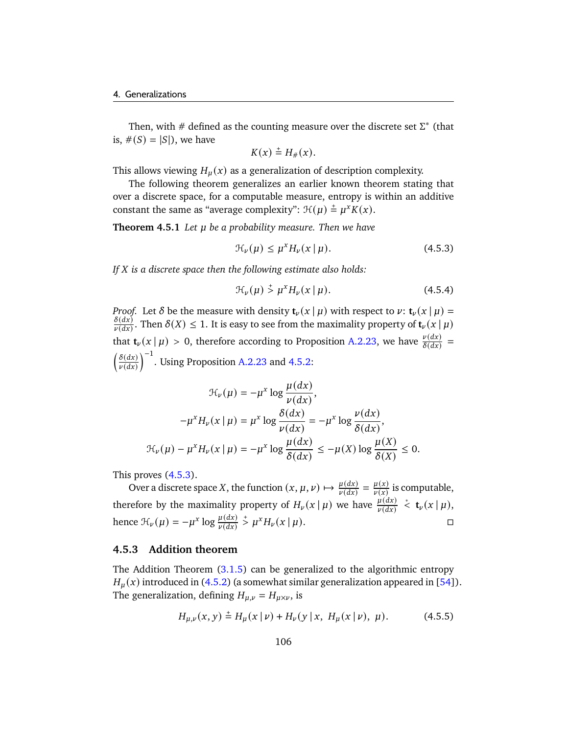Then, with  $\#$  defined as the counting measure over the discrete set  $\Sigma^*$  (that is,  $\#(S) = |S|$ , we have

$$
K(x) \stackrel{+}{=} H_{\#}(x).
$$

This allows viewing  $H<sub>\mu</sub>(x)$  as a generalization of description complexity.

The following theorem generalizes an earlier known theorem stating that over a discrete space, for a computable measure, entropy is within an additive constant the same as "average complexity":  $\mathcal{H}(\mu) \stackrel{+}{=} \mu^x K(x)$ .

**Theorem 4.5.1** *Let be a probability measure. Then we have*

<span id="page-111-0"></span>
$$
\mathcal{H}_{\nu}(\mu) \le \mu^x H_{\nu}(x \mid \mu). \tag{4.5.3}
$$

*If is a discrete space then the following estimate also holds:*

$$
\mathcal{H}_{\nu}(\mu) \stackrel{+}{\geq} \mu^x H_{\nu}(x \mid \mu). \tag{4.5.4}
$$

*Proof.* Let  $\delta$  be the measure with density  $\mathbf{t}_{\nu}(x | \mu)$  with respect to  $\nu$ :  $\mathbf{t}_{\nu}(x | \mu)$  =  $\delta(dx)$  $\frac{\delta(dx)}{\delta(dx)}$ . Then  $\delta(X) \leq 1$ . It is easy to see from the maximality property of  $\mathbf{t}_{\nu}(x \mid \mu)$ that  $\mathbf{t}_{\nu}(x | \mu) > 0$ , therefore according to Proposition [A.2.23,](#page-151-0) we have  $\frac{\nu(dx)}{\delta(dx)} =$  $\int \underline{\delta(dx)}$  $\left(\frac{\delta(dx)}{\nu(dx)}\right)^{-1}$ . Using Proposition [A.2.23](#page-151-0) and [4.5.2:](#page-109-1)

$$
\mathcal{H}_{\nu}(\mu) = -\mu^{x} \log \frac{\mu(dx)}{\nu(dx)},
$$

$$
-\mu^{x} H_{\nu}(x \mid \mu) = \mu^{x} \log \frac{\delta(dx)}{\nu(dx)} = -\mu^{x} \log \frac{\nu(dx)}{\delta(dx)},
$$

$$
\mathcal{H}_{\nu}(\mu) - \mu^{x} H_{\nu}(x \mid \mu) = -\mu^{x} \log \frac{\mu(dx)}{\delta(dx)} \le -\mu(X) \log \frac{\mu(X)}{\delta(X)} \le 0.
$$

This proves [\(4.5.3\)](#page-111-0).

Over a discrete space X, the function  $(x, \mu, \nu) \mapsto \frac{\mu(dx)}{\nu(dx)} = \frac{\mu(x)}{\nu(x)}$  $\frac{\mu(x)}{\nu(x)}$  is computable, therefore by the maximality property of  $H_{\nu}(x \mid \mu)$  we have  $\frac{\mu(dx)}{\nu(dx)}$  $\stackrel{*}{\leq}$  **t**<sub>*v*</sub>( $x \mid \mu$ ), hence  $\mathcal{H}_{\nu}(\mu) = -\mu^x \log \frac{\mu(dx)}{\nu(dx)}$  $\Rightarrow \mu^x H_\nu(x \mid \mu).$ 

## **4.5.3 Addition theorem**

The Addition Theorem [\(3.1.5\)](#page-71-0) can be generalized to the algorithmic entropy  $H_u(x)$  introduced in [\(4.5.2\)](#page-110-0) (a somewhat similar generalization appeared in [\[54\]](#page-180-0)). The generalization, defining  $H_{\mu,\nu} = H_{\mu \times \nu}$ , is

$$
H_{\mu,\nu}(x,y) \stackrel{+}{=} H_{\mu}(x \mid \nu) + H_{\nu}(y \mid x, H_{\mu}(x \mid \nu), \mu). \tag{4.5.5}
$$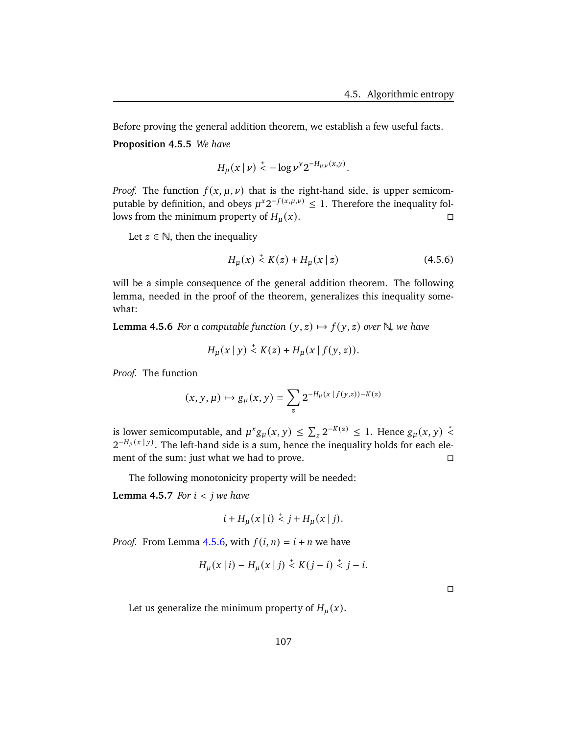<span id="page-112-3"></span>Before proving the general addition theorem, we establish a few useful facts. **Proposition 4.5.5** *We have*

$$
H_{\mu}(x \mid \nu) \leq -\log \nu^y 2^{-H_{\mu,\nu}(x,y)}.
$$

*Proof.* The function  $f(x, \mu, \nu)$  that is the right-hand side, is upper semicomputable by definition, and obeys  $\mu^x 2^{-f(x,\mu,\nu)} \leq 1$ . Therefore the inequality follows from the minimum property of  $H_u(x)$ .

Let  $z \in \mathbb{N}$ , then the inequality

<span id="page-112-2"></span>
$$
H_{\mu}(x) \stackrel{+}{\leq} K(z) + H_{\mu}(x \mid z) \tag{4.5.6}
$$

will be a simple consequence of the general addition theorem. The following lemma, needed in the proof of the theorem, generalizes this inequality somewhat:

<span id="page-112-0"></span>**Lemma 4.5.6** *For a computable function*  $(y, z) \mapsto f(y, z)$  *over*  $\mathbb{N}$ *, we have* 

$$
H_{\mu}(x \,|\, y) \stackrel{+}{\leq} K(z) + H_{\mu}(x \,|\, f(y, z)).
$$

*Proof.* The function

$$
(x,y,\mu)\mapsto g_\mu(x,y)=\sum_z 2^{-H_\mu(x\,|\,f(y,z))-K(z)}
$$

is lower semicomputable, and  $\mu^x g_\mu(x, y) \leq \sum_z 2^{-K(z)} \leq 1$ . Hence  $g_\mu(x, y) \stackrel{*}{\leq} 1$  $2^{-H_\mu(x\,|\,y)}$ . The left-hand side is a sum, hence the inequality holds for each element of the sum: just what we had to prove. □

The following monotonicity property will be needed:

<span id="page-112-1"></span>**Lemma 4.5.7** *For*  $i < j$  *we have* 

$$
i + H_u(x | i) \stackrel{+}{\leq} j + H_u(x | j).
$$

*Proof.* From Lemma [4.5.6,](#page-112-0) with  $f(i, n) = i + n$  we have

$$
H_{\mu}(x | i) - H_{\mu}(x | j) \stackrel{+}{\leq} K(j - i) \stackrel{+}{\leq} j - i.
$$

 $\Box$ 

Let us generalize the minimum property of  $H_u(x)$ .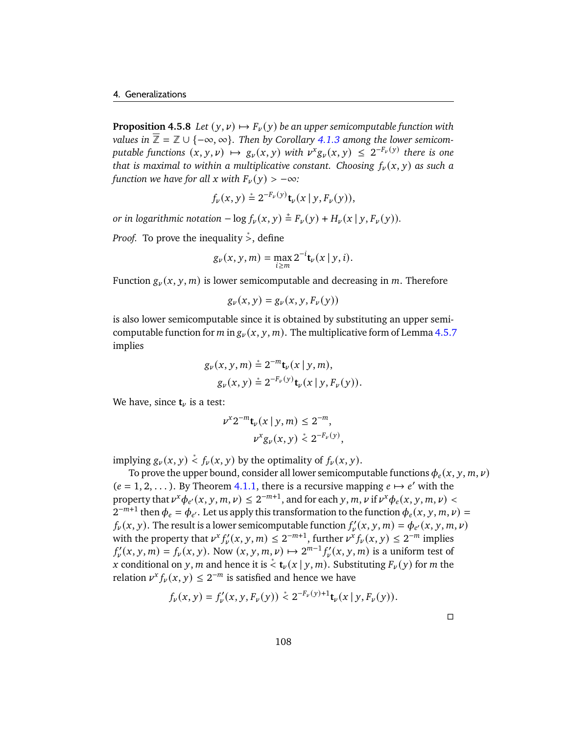<span id="page-113-0"></span>**Proposition 4.5.8** *Let*  $(y, y) \mapsto F_y(y)$  *be an upper semicomputable function with values in*  $\overline{\mathbb{Z}} = \mathbb{Z} \cup \{-\infty, \infty\}$ . Then by Corollary [4.1.3](#page-91-0) among the lower semicom*putable functions*  $(x, y, \nu) \mapsto g_{\nu}(x, y)$  *with*  $\nu^{x} g_{\nu}(x, y) \leq 2^{-F_{\nu}(y)}$  *there is one that is maximal to within a multiplicative constant. Choosing*  $f_{\nu}(x, y)$  *as such a function we have for all x with*  $F_{\nu}(y) > -\infty$ *:* 

$$
f_{\nu}(x, y) \stackrel{*}{=} 2^{-F_{\nu}(y)} \mathbf{t}_{\nu}(x | y, F_{\nu}(y)),
$$

*or in logarithmic notation*  $-\log f_{\nu}(x, y) \stackrel{+}{=} F_{\nu}(y) + H_{\nu}(x | y, F_{\nu}(y)).$ 

*Proof.* To prove the inequality > edefine

$$
g_{\nu}(x, y, m) = \max_{i \ge m} 2^{-i} \mathbf{t}_{\nu}(x \mid y, i).
$$

Function  $g_{\nu}(x, y, m)$  is lower semicomputable and decreasing in m. Therefore

$$
g_{\nu}(x,y)=g_{\nu}(x,y,F_{\nu}(y))
$$

is also lower semicomputable since it is obtained by substituting an upper semicomputable function for m in  $g_{\nu}(x, y, m)$ . The multiplicative form of Lemma [4.5.7](#page-112-1) implies

$$
g_{\nu}(x, y, m) \stackrel{*}{=} 2^{-m} \mathbf{t}_{\nu}(x | y, m),
$$
  
 
$$
g_{\nu}(x, y) \stackrel{*}{=} 2^{-F_{\nu}(y)} \mathbf{t}_{\nu}(x | y, F_{\nu}(y)).
$$

We have, since  $t_{\nu}$  is a test:

$$
\nu^{x} 2^{-m} \mathbf{t}_{\nu}(x \mid y, m) \leq 2^{-m},
$$
  

$$
\nu^{x} g_{\nu}(x, y) \stackrel{*}{\leq} 2^{-F_{\nu}(y)},
$$

implying  $g_{\nu}(x, y) \stackrel{*}{\leq} f_{\nu}(x, y)$  by the optimality of  $f_{\nu}(x, y)$ .

To prove the upper bound, consider all lower semicomputable functions  $\phi_e(x, y, m, \nu)$  $(e = 1, 2, ...)$ . By Theorem [4.1.1,](#page-90-0) there is a recursive mapping  $e \mapsto e'$  with the property that  $\nu^x \phi_{e'}(x, y, m, \nu) \leq 2^{-m+1}$ , and for each y, m,  $\nu$  if  $\nu^x \phi_e(x, y, m, \nu)$  $2^{-m+1}$  then  $\phi_e = \phi_{e'}$ . Let us apply this transformation to the function  $\phi_e(x, y, m, \nu) =$  $f_{\nu}(x, y)$ . The result is a lower semicomputable function  $f'_{\nu}(x, y, m) = \phi_{e'}(x, y, m, \nu)$ with the property that  $\nu^x f'_\nu(x, y, m) \leq 2^{-m+1}$ , further  $\nu^x f_\nu(x, y) \leq 2^{-m}$  implies  $f'_{\nu}(x, y, m) = f_{\nu}(x, y)$ . Now  $(x, y, m, \nu) \mapsto 2^{m-1} f'_{\nu}(x, y, m)$  is a uniform test of x conditional on y, m and hence it is  $\stackrel{*}{\leq}$  **t**<sub> $\nu$ </sub> (x | y, m). Substituting  $F_{\nu}(y)$  for m the relation  $\nu^x f_\nu(x, y) \leq 2^{-m}$  is satisfied and hence we have

$$
f_{\nu}(x, y) = f_{\nu}'(x, y, F_{\nu}(y)) \stackrel{*}{\le} 2^{-F_{\nu}(y)+1} \mathbf{t}_{\nu}(x \mid y, F_{\nu}(y)).
$$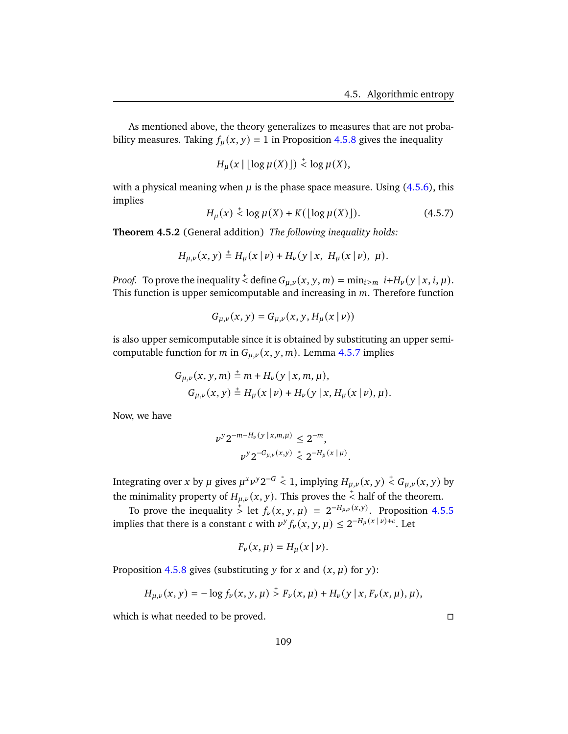As mentioned above, the theory generalizes to measures that are not probability measures. Taking  $f_{\mu}(x, y) = 1$  in Proposition [4.5.8](#page-113-0) gives the inequality

$$
H_{\mu}(x \mid \lfloor \log \mu(X) \rfloor) \stackrel{+}{\leq} \log \mu(X),
$$

with a physical meaning when  $\mu$  is the phase space measure. Using [\(4.5.6\)](#page-112-2), this implies

$$
H_{\mu}(x) \stackrel{+}{\leq} \log \mu(X) + K(\lfloor \log \mu(X) \rfloor). \tag{4.5.7}
$$

**Theorem 4.5.2** (General addition) *The following inequality holds:*

$$
H_{\mu,\nu}(x,y) \stackrel{+}{=} H_{\mu}(x \mid \nu) + H_{\nu}(y \mid x, H_{\mu}(x \mid \nu), \mu).
$$

*Proof.* To prove the inequality  $\stackrel{+}{\le}$  define  $G_{\mu,\nu}(x, y, m) = \min_{i \ge m} i + H_{\nu}(y \mid x, i, \mu)$ . This function is upper semicomputable and increasing in  $m$ . Therefore function

$$
G_{\mu,\nu}(x,y) = G_{\mu,\nu}(x,y,H_{\mu}(x \mid \nu))
$$

is also upper semicomputable since it is obtained by substituting an upper semicomputable function for *m* in  $G_{\mu,\nu}(x, y, m)$ . Lemma [4.5.7](#page-112-1) implies

$$
G_{\mu,\nu}(x, y, m) \stackrel{+}{=} m + H_{\nu}(y | x, m, \mu),
$$
  
\n
$$
G_{\mu,\nu}(x, y) \stackrel{+}{=} H_{\mu}(x | \nu) + H_{\nu}(y | x, H_{\mu}(x | \nu), \mu).
$$

Now, we have

$$
\nu^{y} 2^{-m - H_{\nu}(y | x, m, \mu)} \leq 2^{-m},
$$
  

$$
\nu^{y} 2^{-G_{\mu, \nu}(x, y)} \leq 2^{-H_{\mu}(x | \mu)}.
$$

Integrating over x by  $\mu$  gives  $\mu^x \nu^y 2^{-G} \stackrel{*}{\leq} 1$ , implying  $H_{\mu,\nu}(x,y) \stackrel{+}{\leq} G_{\mu,\nu}(x,y)$  by the minimality property of  $H_{\mu,\nu}(x, y)$ . This proves the  $\stackrel{+}{\le}$  half of the theorem.

To prove the inequality  $\stackrel{+}{\geq}$  let  $f_{\nu}(x, y, \mu) = 2^{-H_{\mu,\nu}(x, y)}$ . Proposition [4.5.5](#page-112-3) implies that there is a constant *c* with  $\nu^y f_\nu(x, y, \mu) \leq 2^{-H_\mu(x|\nu)+c}$ . Let

$$
F_{\nu}(x,\mu)=H_{\mu}(x\,|\,\nu).
$$

Proposition [4.5.8](#page-113-0) gives (substituting y for x and  $(x, \mu)$  for y):

$$
H_{\mu,\nu}(x,y) = -\log f_{\nu}(x,y,\mu) \stackrel{+}{>} F_{\nu}(x,\mu) + H_{\nu}(y \mid x, F_{\nu}(x,\mu),\mu),
$$

which is what needed to be proved.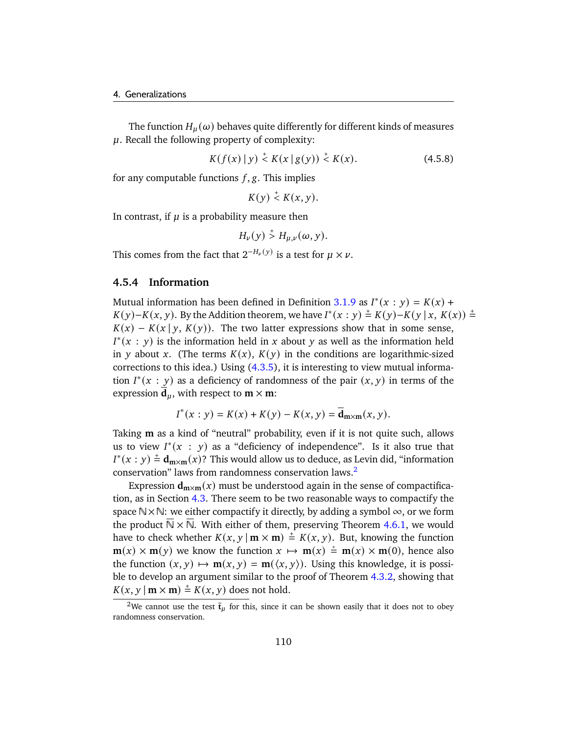The function  $H_{\mu}(\omega)$  behaves quite differently for different kinds of measures  $\mu$ . Recall the following property of complexity:

$$
K(f(x) \mid y) \stackrel{+}{\leq} K(x \mid g(y)) \stackrel{+}{\leq} K(x). \tag{4.5.8}
$$

for any computable functions  $f$ ,  $g$ . This implies

 $K(y) \stackrel{+}{\leq} K(x, y).$ 

In contrast, if  $\mu$  is a probability measure then

$$
H_{\nu}(y) \stackrel{+}{>} H_{\mu,\nu}(\omega, y).
$$

This comes from the fact that  $2^{-H_{\nu}(y)}$  is a test for  $\mu \times \nu$ .

## **4.5.4 Information**

Mutual information has been defined in Definition [3.1.9](#page-73-0) as  $I^*(x : y) = K(x) +$  $K(y)-K(x, y)$ . By the Addition theorem, we have  $I^*(x : y) \stackrel{+}{=} K(y)-K(y | x, K(x)) \stackrel{+}{=}$  $K(x) - K(x | y, K(y))$ . The two latter expressions show that in some sense,  $I^*(x : y)$  is the information held in x about y as well as the information held in y about x. (The terms  $K(x)$ ,  $K(y)$  in the conditions are logarithmic-sized corrections to this idea.) Using  $(4.3.5)$ , it is interesting to view mutual information  $I^*(x : y)$  as a deficiency of randomness of the pair  $(x, y)$  in terms of the expression  $\mathbf{d}_u$ , with respect to  $\mathbf{m} \times \mathbf{m}$ :

$$
I^*(x : y) = K(x) + K(y) - K(x, y) = \overline{\mathbf{d}}_{m \times m}(x, y).
$$

Taking **m** as a kind of "neutral" probability, even if it is not quite such, allows us to view  $I^*(x : y)$  as a "deficiency of independence". Is it also true that  $I^*(x : y) \stackrel{+}{=} \mathbf{d}_{m \times m}(x)$ ? This would allow us to deduce, as Levin did, "information conservation" laws from randomness conservation laws.[2](#page-115-0)

Expression  $d_{m \times m}(x)$  must be understood again in the sense of compactification, as in Section [4.3.](#page-102-0) There seem to be two reasonable ways to compactify the space  $\mathbb{N}\times\mathbb{N}$ : we either compactify it directly, by adding a symbol  $\infty$ , or we form the product  $N \times N$ . With either of them, preserving Theorem [4.6.1,](#page-118-0) we would have to check whether  $K(x, y | m \times m) \stackrel{+}{=} K(x, y)$ . But, knowing the function  $\mathbf{m}(x) \times \mathbf{m}(y)$  we know the function  $x \mapsto \mathbf{m}(x) \stackrel{*}{=} \mathbf{m}(x) \times \mathbf{m}(0)$ , hence also the function  $(x, y) \mapsto m(x, y) = m(\langle x, y \rangle)$ . Using this knowledge, it is possible to develop an argument similar to the proof of Theorem [4.3.2,](#page-104-0) showing that  $K(x, y | \mathbf{m} \times \mathbf{m}) \stackrel{+}{=} K(x, y)$  does not hold.

<span id="page-115-0"></span><sup>&</sup>lt;sup>2</sup>We cannot use the test  $\bar{\mathbf{t}}_{\mu}$  for this, since it can be shown easily that it does not to obey randomness conservation.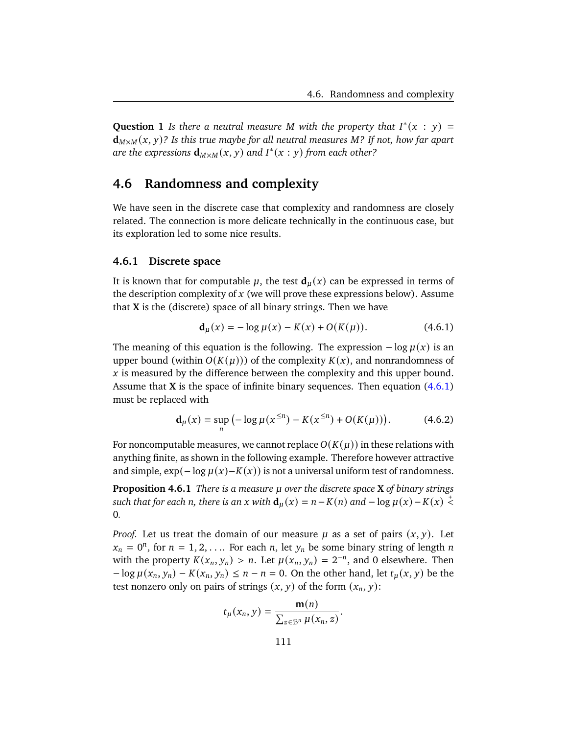**Question 1** *Is there a neutral measure M with the property that*  $I^*(x : y) =$  $d_{M \times M}(x, y)$ ? Is this true maybe for all neutral measures M? If not, how far apart are the expressions  $d_{M \times M}(x, y)$  and  $I^*(x : y)$  from each other?

# **4.6 Randomness and complexity**

We have seen in the discrete case that complexity and randomness are closely related. The connection is more delicate technically in the continuous case, but its exploration led to some nice results.

### **4.6.1 Discrete space**

It is known that for computable  $\mu$ , the test  $\mathbf{d}_{\mu}(x)$  can be expressed in terms of the description complexity of  $x$  (we will prove these expressions below). Assume that **X** is the (discrete) space of all binary strings. Then we have

<span id="page-116-0"></span>
$$
\mathbf{d}_{\mu}(x) = -\log \mu(x) - K(x) + O(K(\mu)). \tag{4.6.1}
$$

The meaning of this equation is the following. The expression  $-\log \mu(x)$  is an upper bound (within  $O(K(\mu))$ ) of the complexity  $K(x)$ , and nonrandomness of  $\dot{x}$  is measured by the difference between the complexity and this upper bound. Assume that **X** is the space of infinite binary sequences. Then equation [\(4.6.1\)](#page-116-0) must be replaced with

$$
\mathbf{d}_{\mu}(x) = \sup_{n} \left( -\log \mu(x^{\le n}) - K(x^{\le n}) + O(K(\mu)) \right). \tag{4.6.2}
$$

For noncomputable measures, we cannot replace  $O(K(\mu))$  in these relations with anything finite, as shown in the following example. Therefore however attractive and simple,  $\exp(-\log \mu(x)-K(x))$  is not a universal uniform test of randomness.

<span id="page-116-1"></span>**Proposition 4.6.1** *There is a measure over the discrete space* **X** *of binary strings such that for each n, there is an x with*  $\mathbf{d}_\mu(x) = n - K(n)$  *and*  $-\log \mu(x) - K(x) < \frac{1}{\lambda}$ 0*.*

*Proof.* Let us treat the domain of our measure  $\mu$  as a set of pairs  $(x, y)$ . Let  $x_n = 0^n$ , for  $n = 1, 2, \ldots$  For each n, let  $y_n$  be some binary string of length n with the property  $K(x_n, y_n) > n$ . Let  $\mu(x_n, y_n) = 2^{-n}$ , and 0 elsewhere. Then  $-\log \mu(x_n, y_n) - K(x_n, y_n) \le n - n = 0$ . On the other hand, let  $t_{\mu}(x, y)$  be the test nonzero only on pairs of strings  $(x, y)$  of the form  $(x_n, y)$ :

$$
t_{\mu}(x_n, y) = \frac{\mathbf{m}(n)}{\sum_{z \in \mathcal{B}^n} \mu(x_n, z)}
$$

.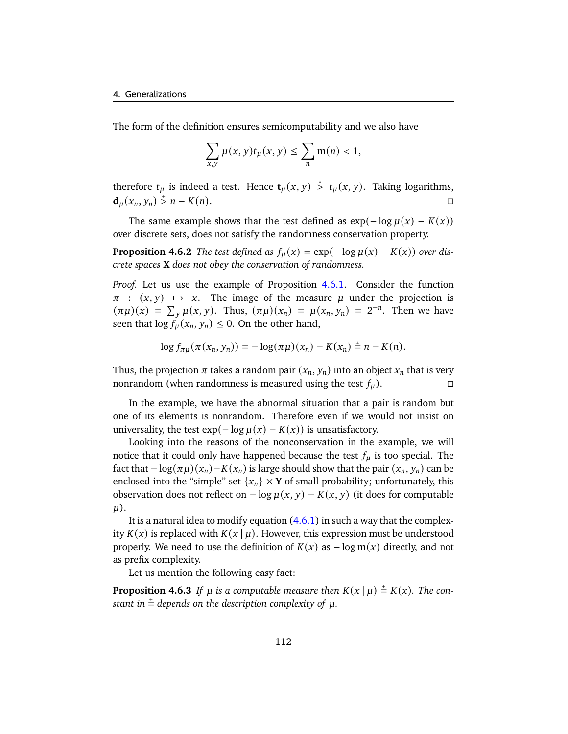The form of the definition ensures semicomputability and we also have

$$
\sum_{x,y}\mu(x,y)t_{\mu}(x,y)\leq \sum_{n}\mathbf{m}(n)<1,
$$

therefore  $t_u$  is indeed a test. Hence  $t_u(x, y) \stackrel{*}{\ge} t_u(x, y)$ . Taking logarithms,  $d_u(x_n, y_n) > n - K(n).$ 

The same example shows that the test defined as  $exp(-\log \mu(x) - K(x))$ over discrete sets, does not satisfy the randomness conservation property.

**Proposition 4.6.2** *The test defined as*  $f_\mu(x) = \exp(-\log \mu(x) - K(x))$  *over discrete spaces* **X** *does not obey the conservation of randomness.*

*Proof.* Let us use the example of Proposition [4.6.1.](#page-116-1) Consider the function  $\pi$  :  $(x, y) \mapsto x$ . The image of the measure  $\mu$  under the projection is  $(\pi \mu)(x) = \sum_{y} \mu(x, y)$ . Thus,  $(\pi \mu)(x_n) = \mu(x_n, y_n) = 2^{-n}$ . Then we have seen that  $\log f_\mu(x_n, y_n) \leq 0$ . On the other hand,

$$
\log f_{\pi\mu}(\pi(x_n, y_n)) = -\log(\pi\mu)(x_n) - K(x_n) \stackrel{+}{=} n - K(n).
$$

Thus, the projection  $\pi$  takes a random pair  $(x_n, y_n)$  into an object  $x_n$  that is very nonrandom (when randomness is measured using the test  $f_{\mu}$ ).

In the example, we have the abnormal situation that a pair is random but one of its elements is nonrandom. Therefore even if we would not insist on universality, the test  $exp(-\log \mu(x) - K(x))$  is unsatisfactory.

Looking into the reasons of the nonconservation in the example, we will notice that it could only have happened because the test  $f_{\mu}$  is too special. The fact that  $-\log(\pi\mu)(x_n) - K(x_n)$  is large should show that the pair  $(x_n, y_n)$  can be enclosed into the "simple" set  $\{x_n\} \times Y$  of small probability; unfortunately, this observation does not reflect on  $-\log \mu(x, y) - K(x, y)$  (it does for computable  $\mu$ ).

It is a natural idea to modify equation  $(4.6.1)$  in such a way that the complexity  $K(x)$  is replaced with  $K(x | \mu)$ . However, this expression must be understood properly. We need to use the definition of  $K(x)$  as  $-\log m(x)$  directly, and not as prefix complexity.

Let us mention the following easy fact:

**Proposition 4.6.3** If  $\mu$  is a computable measure then  $K(x | \mu) \stackrel{+}{=} K(x)$ . The con- $\epsilon$  *stant in*  $\stackrel{+}{=}$  *depends on the description complexity of*  $\mu$ *.*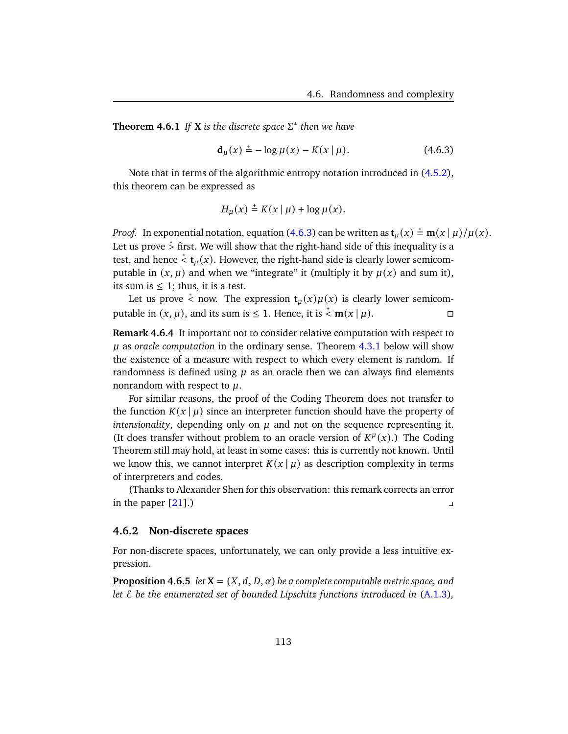<span id="page-118-0"></span>**Theorem 4.6.1** *If* **X** *is the discrete space* Σ ∗ *then we have*

<span id="page-118-1"></span>
$$
d_{\mu}(x) \stackrel{+}{=} -\log \mu(x) - K(x \mid \mu). \tag{4.6.3}
$$

Note that in terms of the algorithmic entropy notation introduced in [\(4.5.2\)](#page-110-0), this theorem can be expressed as

$$
H_{\mu}(x) \stackrel{+}{=} K(x \mid \mu) + \log \mu(x).
$$

*Proof.* In exponential notation, equation [\(4.6.3\)](#page-118-1) can be written as  $\mathbf{t}_{\mu}(x) \stackrel{*}{=} \mathbf{m}(x \mid \mu)/\mu(x)$ . Let us prove  $\stackrel{*}{>}$  first. We will show that the right-hand side of this inequality is a test, and hence  $\dot{\le} t_u(x)$ . However, the right-hand side is clearly lower semicomputable in  $(x, \mu)$  and when we "integrate" it (multiply it by  $\mu(x)$  and sum it), its sum is  $\leq 1$ ; thus, it is a test.

Let us prove  $\stackrel{*}{\leq}$  now. The expression  $\mathbf{t}_{\mu}(x)\mu(x)$  is clearly lower semicomputable in  $(x, \mu)$ , and its sum is  $\leq 1$ . Hence, it is  $\stackrel{+}{\lt}$  **m** $(x | \mu)$ .

**Remark 4.6.4** It important not to consider relative computation with respect to as *oracle computation* in the ordinary sense. Theorem [4.3.1](#page-102-1) below will show the existence of a measure with respect to which every element is random. If randomness is defined using  $\mu$  as an oracle then we can always find elements nonrandom with respect to  $\mu$ .

For similar reasons, the proof of the Coding Theorem does not transfer to the function  $K(x | \mu)$  since an interpreter function should have the property of *intensionality*, depending only on  $\mu$  and not on the sequence representing it. (It does transfer without problem to an oracle version of  $K^{\mu}(x)$ .) The Coding Theorem still may hold, at least in some cases: this is currently not known. Until we know this, we cannot interpret  $K(x | \mu)$  as description complexity in terms of interpreters and codes.

(Thanks to Alexander Shen for this observation: this remark corrects an error  $\blacksquare$  in the paper  $[21]$ .)

### **4.6.2 Non-discrete spaces**

For non-discrete spaces, unfortunately, we can only provide a less intuitive expression.

**Proposition 4.6.5** *let*  $X = (X, d, D, \alpha)$  *be a complete computable metric space, and let* E *be the enumerated set of bounded Lipschitz functions introduced in* [\(A.1.3\)](#page-144-0)*,*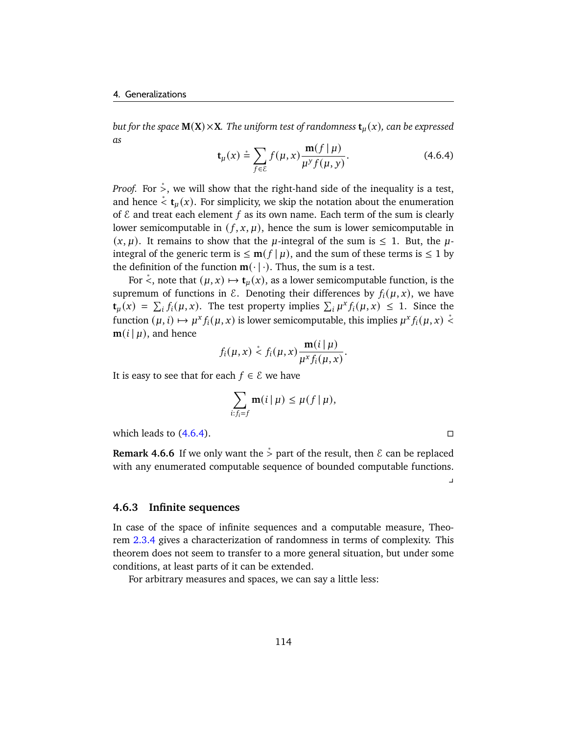<span id="page-119-0"></span>*but for the space*  $M(X) \times X$ *. The uniform test of randomness*  $t_{\mu}(x)$ *, can be expressed as*

$$
\mathbf{t}_{\mu}(x) \stackrel{*}{=} \sum_{f \in \mathcal{E}} f(\mu, x) \frac{\mathbf{m}(f \mid \mu)}{\mu^{\gamma} f(\mu, y)}.
$$
 (4.6.4)

*Proof.* For  $\dot{\varepsilon}$ , we will show that the right-hand side of the inequality is a test, and hence  $\stackrel{*}{\leq}$  **t**<sub>*u*</sub>(*x*). For simplicity, we skip the notation about the enumeration of  $\epsilon$  and treat each element  $f$  as its own name. Each term of the sum is clearly lower semicomputable in  $(f, x, \mu)$ , hence the sum is lower semicomputable in  $(x, \mu)$ . It remains to show that the  $\mu$ -integral of the sum is  $\leq 1$ . But, the  $\mu$ integral of the generic term is  $\leq$  **m**( $f | \mu$ ), and the sum of these terms is  $\leq$  1 by the definition of the function  $m(\cdot | \cdot)$ . Thus, the sum is a test.

For  $\stackrel{*}{\le}$ , note that  $(\mu, x) \mapsto \mathbf{t}_{\mu}(x)$ , as a lower semicomputable function, is the supremum of functions in  $\mathcal E$ . Denoting their differences by  $f_i(\mu, x)$ , we have  $\mathbf{t}_{\mu}(x) = \sum_{i} f_i(\mu, x)$ . The test property implies  $\sum_{i} \mu^x f_i(\mu, x) \leq 1$ . Since the function  $(\mu, i) \mapsto \mu^x f_i(\mu, x)$  is lower semicomputable, this implies  $\mu^x f_i(\mu, x) \stackrel{*}{\leq} 0$  $$ 

$$
f_i(\mu, x) \stackrel{*}{\leq} f_i(\mu, x) \frac{\mathbf{m}(i \mid \mu)}{\mu^x f_i(\mu, x)}.
$$

It is easy to see that for each  $f \in \mathcal{E}$  we have

$$
\sum_{i:f_i=f} \mathbf{m}(i\,|\,\mu) \leq \mu(f\,|\,\mu),
$$

which leads to  $(4.6.4)$ .

**Remark 4.6.6** If we only want the  $\stackrel{*}{\ge}$  part of the result, then  $\epsilon$  can be replaced with any enumerated computable sequence of bounded computable functions.

 $\overline{a}$ 

### **4.6.3 Infinite sequences**

In case of the space of infinite sequences and a computable measure, Theorem [2.3.4](#page-62-0) gives a characterization of randomness in terms of complexity. This theorem does not seem to transfer to a more general situation, but under some conditions, at least parts of it can be extended.

For arbitrary measures and spaces, we can say a little less: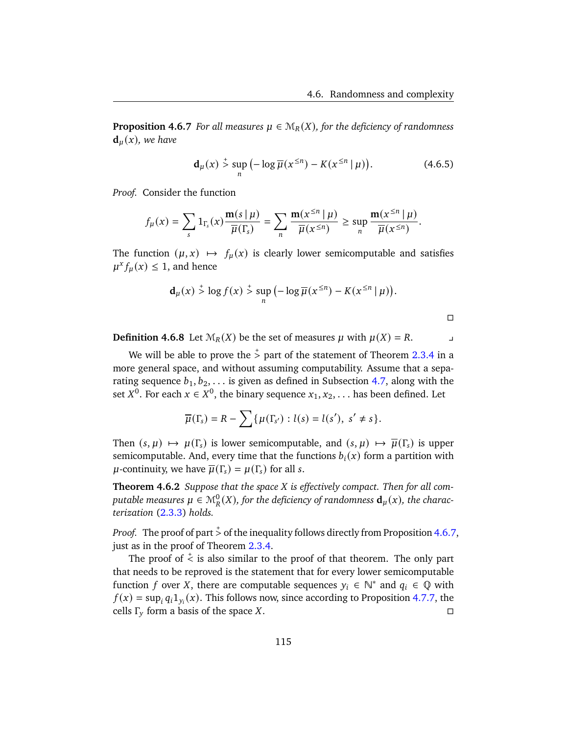<span id="page-120-0"></span>**Proposition 4.6.7** *For all measures*  $\mu \in M_R(X)$ *, for the deficiency of randomness*  $\mathbf{d}_u(x)$ , we have

$$
\mathbf{d}_{\mu}(x) \stackrel{+}{>} \sup_{n} \left( -\log \overline{\mu}(x^{\leq n}) - K(x^{\leq n} \mid \mu) \right). \tag{4.6.5}
$$

*Proof.* Consider the function

$$
f_{\mu}(x) = \sum_{s} 1_{\Gamma_{s}}(x) \frac{\mathbf{m}(s \mid \mu)}{\overline{\mu}(\Gamma_{s})} = \sum_{n} \frac{\mathbf{m}(x^{\leq n} \mid \mu)}{\overline{\mu}(x^{\leq n})} \geq \sup_{n} \frac{\mathbf{m}(x^{\leq n} \mid \mu)}{\overline{\mu}(x^{\leq n})}.
$$

The function  $(\mu, x) \mapsto f_{\mu}(x)$  is clearly lower semicomputable and satisfies  $\mu^x f_\mu(x) \leq 1$ , and hence

$$
\mathbf{d}_{\mu}(x) \stackrel{+}{>} \log f(x) \stackrel{+}{>} \sup_{n} \left( -\log \overline{\mu}(x^{\leq n}) - K(x^{\leq n} \mid \mu) \right).
$$

 $\Box$ 

**Definition 4.6.8** Let  $\mathcal{M}_R(X)$  be the set of measures  $\mu$  with  $\mu(X) = R$ .

We will be able to prove the  $\stackrel{*}{>}$  part of the statement of Theorem [2.3.4](#page-62-0) in a more general space, and without assuming computability. Assume that a separating sequence  $b_1, b_2, \ldots$  is given as defined in Subsection [4.7,](#page-123-0) along with the set  $X^0$ . For each  $x \in X^0$ , the binary sequence  $x_1, x_2, \ldots$  has been defined. Let

$$
\overline{\mu}(\Gamma_s)=R-\sum\{\mu(\Gamma_{s'}) : l(s)=l(s'), s'\neq s\}.
$$

Then  $(s, \mu) \mapsto \mu(\Gamma_s)$  is lower semicomputable, and  $(s, \mu) \mapsto \overline{\mu}(\Gamma_s)$  is upper semicomputable. And, every time that the functions  $b_i(x)$  form a partition with  $\mu$ -continuity, we have  $\overline{\mu}(\Gamma_s) = \mu(\Gamma_s)$  for all s.

**Theorem 4.6.2** *Suppose that the space is effectively compact. Then for all com*putable measures  $\mu \in \mathcal{M}_{R}^{0}(X)$ , for the deficiency of randomness  $\mathbf{d}_{\mu}(x)$ , the charac*terization* [\(2.3.3\)](#page-62-1) *holds.*

*Proof.* The proof of part  $\stackrel{+}{>}$  of the inequality follows directly from Proposition [4.6.7,](#page-120-0) just as in the proof of Theorem [2.3.4.](#page-62-0)

The proof of  $\zeta$  is also similar to the proof of that theorem. The only part that needs to be reproved is the statement that for every lower semicomputable function f over X, there are computable sequences  $y_i \in \mathbb{N}^*$  and  $q_i \in \mathbb{Q}$  with  $f(x) = \sup_i q_i 1_{y_i}(x)$ . This follows now, since according to Proposition [4.7.7,](#page-126-0) the cells  $\Gamma_v$  form a basis of the space X.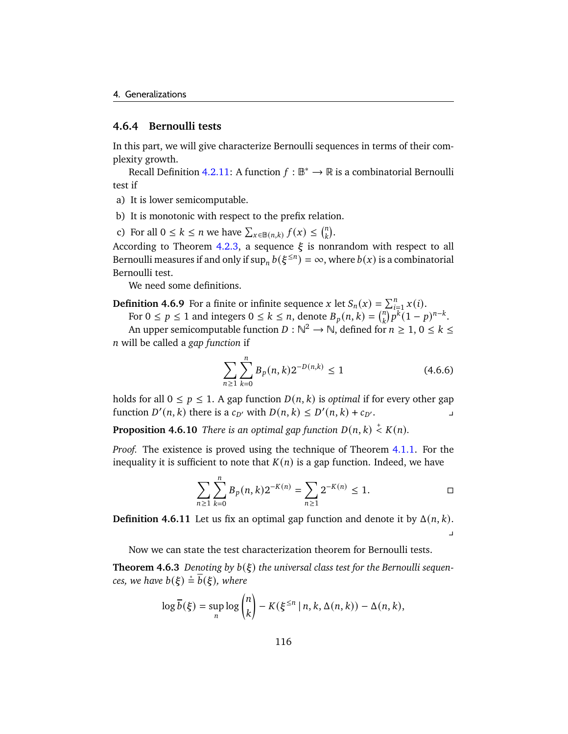### **4.6.4 Bernoulli tests**

In this part, we will give characterize Bernoulli sequences in terms of their complexity growth.

Recall Definition [4.2.11:](#page-99-0) A function  $f : \mathbb{B}^* \to \mathbb{R}$  is a combinatorial Bernoulli test if

- a) It is lower semicomputable.
- b) It is monotonic with respect to the prefix relation.

c) For all  $0 \le k \le n$  we have  $\sum_{x \in B(n,k)} f(x) \le {n \choose k}$  $\binom{n}{k}$ .

According to Theorem [4.2.3,](#page-100-0) a sequence  $\xi$  is nonrandom with respect to all Bernoulli measures if and only if  $\sup_n b(\xi^{\leq n}) = \infty$ , where  $b(x)$  is a combinatorial Bernoulli test.

We need some definitions.

**Definition 4.6.9** For a finite or infinite sequence x let  $S_n(x) = \sum_{i=1}^n x(i)$ .

For  $0 \le p \le 1$  and integers  $0 \le k \le n$ , denote  $B_p(n, k) = {n \choose k}$  $\sqrt[n]{p^k}(1-p)^{n-k}.$ 

An upper semicomputable function  $D : \mathbb{N}^2 \to \mathbb{N}$ , defined for  $n \geq 1, 0 \leq k \leq 1$ will be called a *gap function* if

$$
\sum_{n\geq 1} \sum_{k=0}^{n} B_p(n,k) 2^{-D(n,k)} \leq 1 \tag{4.6.6}
$$

holds for all  $0 \le p \le 1$ . A gap function  $D(n, k)$  is *optimal* if for every other gap function  $D'(n, k)$  there is a  $c_{D'}$  with  $D(n, k) \le D'(n, k) + c_{D'}$ .

**Proposition 4.6.10** There is an optimal gap function  $D(n, k) \stackrel{+}{\leq} K(n)$ .

*Proof.* The existence is proved using the technique of Theorem [4.1.1.](#page-90-0) For the inequality it is sufficient to note that  $K(n)$  is a gap function. Indeed, we have

$$
\sum_{n\geq 1}\sum_{k=0}^n B_p(n,k)2^{-K(n)} = \sum_{n\geq 1} 2^{-K(n)} \leq 1. \qquad \Box
$$

**Definition 4.6.11** Let us fix an optimal gap function and denote it by  $\Delta(n, k)$ .  $\overline{a}$ 

Now we can state the test characterization theorem for Bernoulli tests.

**Theorem 4.6.3** Denoting by  $b(\xi)$  the universal class test for the Bernoulli sequen*ces, we have*  $b(\xi) \stackrel{*}{=} \overline{b}(\xi)$ *, where* 

$$
\log \overline{b}(\xi) = \sup_{n} \log {n \choose k} - K(\xi^{\le n} \mid n, k, \Delta(n, k)) - \Delta(n, k),
$$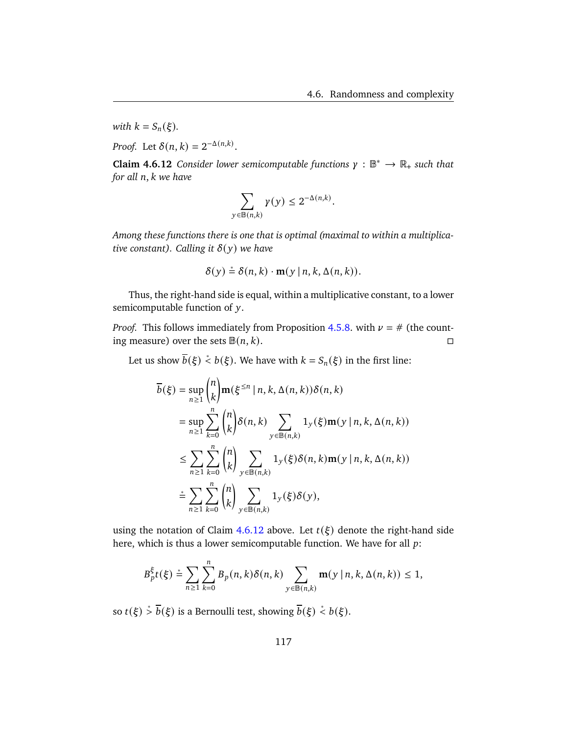*with*  $k = S_n(\xi)$ *.* 

*Proof.* Let  $\delta(n, k) = 2^{-\Delta(n,k)}$ .

<span id="page-122-0"></span>**Claim 4.6.12** *Consider lower semicomputable functions*  $\gamma : \mathbb{B}^* \to \mathbb{R}_+$  *such that for all n, k we have* 

$$
\sum_{y \in \mathbb{B}(n,k)} \gamma(y) \leq 2^{-\Delta(n,k)}.
$$

*Among these functions there is one that is optimal (maximal to within a multiplicative constant). Calling it*  $\delta(y)$  *we have* 

$$
\delta(y) \stackrel{*}{=} \delta(n,k) \cdot \mathbf{m}(y \mid n, k, \Delta(n,k)).
$$

Thus, the right-hand side is equal, within a multiplicative constant, to a lower semicomputable function of  $y$ .

*Proof.* This follows immediately from Proposition [4.5.8.](#page-113-0) with  $\nu = \#$  (the counting measure) over the sets  $\mathbb{B}(n, k)$ .

Let us show  $\overline{b}(\xi) \stackrel{*}{<} b(\xi)$ . We have with  $k = S_n(\xi)$  in the first line:

$$
\overline{b}(\xi) = \sup_{n\geq 1} {n \choose k} \mathbf{m}(\xi^{\leq n} | n, k, \Delta(n, k)) \delta(n, k)
$$
  
\n
$$
= \sup_{n\geq 1} \sum_{k=0}^{n} {n \choose k} \delta(n, k) \sum_{y \in \mathbb{B}(n,k)} 1_y(\xi) \mathbf{m}(y | n, k, \Delta(n, k))
$$
  
\n
$$
\leq \sum_{n\geq 1} \sum_{k=0}^{n} {n \choose k} \sum_{y \in \mathbb{B}(n,k)} 1_y(\xi) \delta(n, k) \mathbf{m}(y | n, k, \Delta(n, k))
$$
  
\n
$$
\stackrel{*}{=} \sum_{n\geq 1} \sum_{k=0}^{n} {n \choose k} \sum_{y \in \mathbb{B}(n,k)} 1_y(\xi) \delta(y),
$$

using the notation of Claim [4.6.12](#page-122-0) above. Let  $t(\xi)$  denote the right-hand side here, which is thus a lower semicomputable function. We have for all  $p$ :

$$
B_p^{\xi}(k) \stackrel{\ast}{=} \sum_{n \geq 1} \sum_{k=0}^n B_p(n,k) \delta(n,k) \sum_{y \in \mathbb{B}(n,k)} \mathbf{m}(y \mid n, k, \Delta(n,k)) \leq 1,
$$

so  $t(\xi) \stackrel{*}{\geq} \overline{b}(\xi)$  is a Bernoulli test, showing  $\overline{b}(\xi) \stackrel{*}{\leq} b(\xi)$ .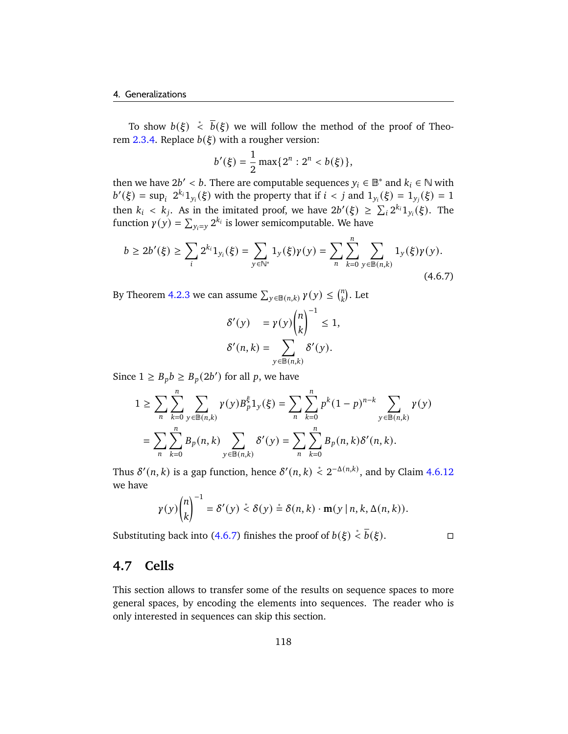To show  $b(\xi) \stackrel{*}{<} \overline{b}(\xi)$  we will follow the method of the proof of Theo-rem [2.3.4.](#page-62-0) Replace  $b(\xi)$  with a rougher version:

$$
b'(\xi) = \frac{1}{2} \max\{2^n : 2^n < b(\xi)\},
$$

then we have  $2b' < b$ . There are computable sequences  $y_i \in \mathbb{B}^*$  and  $k_i \in \mathbb{N}$  with  $b'(\xi) = \sup_i 2^{k_i} 1_{y_i}(\xi)$  with the property that if  $i < j$  and  $1_{y_i}(\xi) = 1_{y_i}(\xi) = 1$ then  $k_i < k_j$ . As in the imitated proof, we have  $2b'(\xi) \geq \sum_i 2^{k_i} 1_{y_i}(\xi)$ . The function  $\gamma(y) = \sum_{y_i=y} 2^{k_i}$  is lower semicomputable. We have

$$
b \ge 2b'(\xi) \ge \sum_{i} 2^{k_i} 1_{y_i}(\xi) = \sum_{y \in \mathbb{N}^*} 1_y(\xi) \gamma(y) = \sum_{n} \sum_{k=0}^n \sum_{y \in \mathbb{B}(n,k)} 1_y(\xi) \gamma(y).
$$
\n(4.6.7)

By Theorem [4.2.3](#page-100-0) we can assume  $\sum_{y \in B(n,k)} \gamma(y) \leq {n \choose k}$  $\binom{n}{k}$ . Let

<span id="page-123-1"></span>
$$
\delta'(y) = \gamma(y) {n \choose k}^{-1} \le 1,
$$
  

$$
\delta'(n, k) = \sum_{y \in \mathbb{B}(n, k)} \delta'(y).
$$

Since  $1 \geq B_p b \geq B_p (2b')$  for all p, we have

$$
1 \geq \sum_{n} \sum_{k=0}^{n} \sum_{y \in \mathbb{B}(n,k)} \gamma(y) B_p^{\xi} 1_y(\xi) = \sum_{n} \sum_{k=0}^{n} p^k (1-p)^{n-k} \sum_{y \in \mathbb{B}(n,k)} \gamma(y)
$$
  
= 
$$
\sum_{n} \sum_{k=0}^{n} B_p(n,k) \sum_{y \in \mathbb{B}(n,k)} \delta'(y) = \sum_{n} \sum_{k=0}^{n} B_p(n,k) \delta'(n,k).
$$

Thus  $\delta'(n, k)$  is a gap function, hence  $\delta'(n, k) \stackrel{*}{\leq} 2^{-\Delta(n, k)}$ , and by Claim [4.6.12](#page-122-0) we have

$$
\gamma(y)\binom{n}{k}^{-1} = \delta'(y) \stackrel{*}{\leq} \delta(y) \stackrel{*}{=} \delta(n,k) \cdot \mathbf{m}(y \mid n, k, \Delta(n,k)).
$$

Substituting back into [\(4.6.7\)](#page-123-1) finishes the proof of  $b(\xi) \stackrel{*}{\check{}} \overline{b}(\xi)$ . □

$$
\qquad \qquad \Box
$$

# <span id="page-123-0"></span>**4.7 Cells**

This section allows to transfer some of the results on sequence spaces to more general spaces, by encoding the elements into sequences. The reader who is only interested in sequences can skip this section.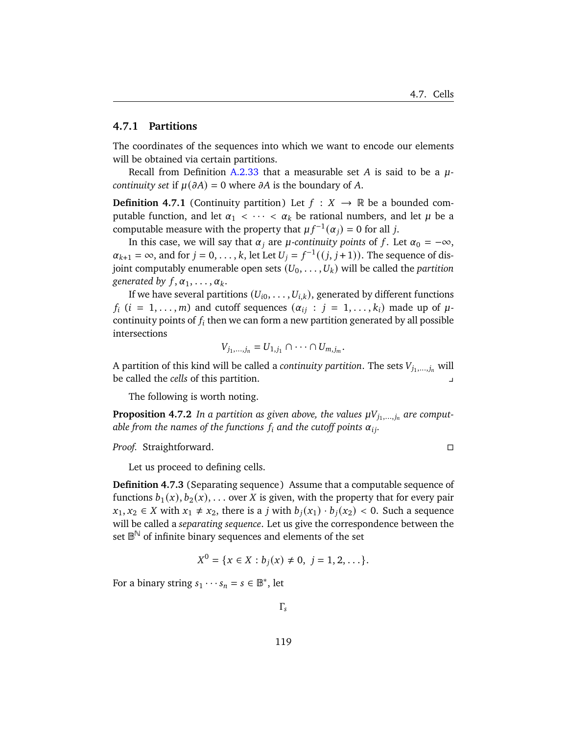### **4.7.1 Partitions**

The coordinates of the sequences into which we want to encode our elements will be obtained via certain partitions.

Recall from Definition [A.2.33](#page-154-0) that a measurable set A is said to be a  $\mu$ *continuity set* if  $\mu(\partial A) = 0$  where  $\partial A$  is the boundary of A.

**Definition 4.7.1** (Continuity partition) Let  $f : X \rightarrow \mathbb{R}$  be a bounded computable function, and let  $\alpha_1 < \cdots < \alpha_k$  be rational numbers, and let  $\mu$  be a computable measure with the property that  $\mu f^{-1}(\alpha_i) = 0$  for all j.

In this case, we will say that  $\alpha_i$  are  $\mu$ -continuity points of f. Let  $\alpha_0 = -\infty$ ,  $\alpha_{k+1} = \infty$ , and for  $j = 0, \ldots, k$ , let Let  $U_j = f^{-1}((j, j+1))$ . The sequence of disjoint computably enumerable open sets  $(U_0, \ldots, U_k)$  will be called the *partition generated by*  $f, \alpha_1, \ldots, \alpha_k$ .

If we have several partitions  $(U_{i0}, \ldots, U_{i,k})$ , generated by different functions  $f_i$  ( $i = 1, \ldots, m$ ) and cutoff sequences ( $\alpha_{ij}$  :  $j = 1, \ldots, k_i$ ) made up of  $\mu$ continuity points of  $f_i$  then we can form a new partition generated by all possible intersections

$$
V_{j_1,\ldots,j_n}=U_{1,j_1}\cap\cdots\cap U_{m,j_m}.
$$

A partition of this kind will be called a *continuity partition*. The sets  $V_{j_1,...,j_n}$  will be called the *cells* of this partition.

The following is worth noting.

**Proposition 4.7.2** In a partition as given above, the values  $\mu V_{j_1,...,j_n}$  are comput*able from the names of the functions*  $f_i$  and the cutoff points  $\alpha_{ij}$ .

*Proof.* Straightforward.

Let us proceed to defining cells.

**Definition 4.7.3** (Separating sequence) Assume that a computable sequence of functions  $b_1(x), b_2(x), \ldots$  over X is given, with the property that for every pair  $x_1, x_2 \in X$  with  $x_1 \neq x_2$ , there is a *j* with  $b_i(x_1) \cdot b_i(x_2) < 0$ . Such a sequence will be called a *separating sequence*. Let us give the correspondence between the set  $\mathbb{B}^{\mathbb{N}}$  of infinite binary sequences and elements of the set

$$
X^{0} = \{x \in X : b_{j}(x) \neq 0, j = 1, 2, \ldots\}.
$$

For a binary string  $s_1 \cdots s_n = s \in \mathbb{B}^*$ , let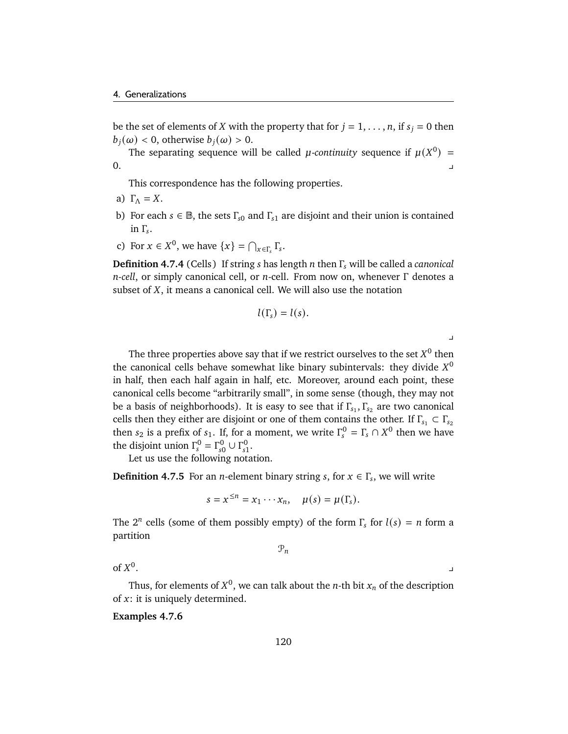be the set of elements of *X* with the property that for  $j = 1, \ldots, n$ , if  $s_j = 0$  then  $b_i(\omega) < 0$ , otherwise  $b_i(\omega) > 0$ .

The separating sequence will be called *µ*-continuity sequence if  $\mu(X^0)$  =  $0.$ 

This correspondence has the following properties.

- a)  $\Gamma_{\Lambda} = X$ .
- b) For each  $s \in \mathbb{B}$ , the sets  $\Gamma_{s0}$  and  $\Gamma_{s1}$  are disjoint and their union is contained in  $Γ_s$ .
- c) For  $x \in X^0$ , we have  $\{x\} = \bigcap_{x \in \Gamma_s} \Gamma_s$ .

**Definition 4.7.4** (Cells) If string *s* has length *n* then Γ<sub>s</sub> will be called a *canonical n-cell*, or simply canonical cell, or *n*-cell. From now on, whenever Γ denotes a subset of  $X$ , it means a canonical cell. We will also use the notation

$$
l(\Gamma_s)=l(s).
$$

y

The three properties above say that if we restrict ourselves to the set  $X^0$  then the canonical cells behave somewhat like binary subintervals: they divide  $X^0$ in half, then each half again in half, etc. Moreover, around each point, these canonical cells become "arbitrarily small", in some sense (though, they may not be a basis of neighborhoods). It is easy to see that if  $\Gamma_{s_1}, \Gamma_{s_2}$  are two canonical cells then they either are disjoint or one of them contains the other. If  $\Gamma_{s_1} \subset \Gamma_{s_2}$ then  $s_2$  is a prefix of  $s_1$ . If, for a moment, we write  $\Gamma_s^0 = \Gamma_s \cap X^0$  then we have the disjoint union  $\Gamma_s^0 = \Gamma_{s0}^0 \cup \Gamma_{s1}^0$ .

Let us use the following notation.

**Definition 4.7.5** For an *n*-element binary string *s*, for  $x \in \Gamma_s$ , we will write

$$
s = x^{\leq n} = x_1 \cdots x_n, \quad \mu(s) = \mu(\Gamma_s).
$$

The  $2^n$  cells (some of them possibly empty) of the form  $\Gamma_s$  for  $l(s) = n$  form a partition

 $\mathcal{P}_n$ 

of  $X^0$ . We also a set of the set of the set of the set of the set of the set of the set of the set of the set of the<br>The set of the set of the set of the set of the set of the set of the set of the set of the set of the set of

Thus, for elements of  $X^0$ , we can talk about the *n*-th bit  $x_n$  of the description of  $x$ : it is uniquely determined.

**Examples 4.7.6**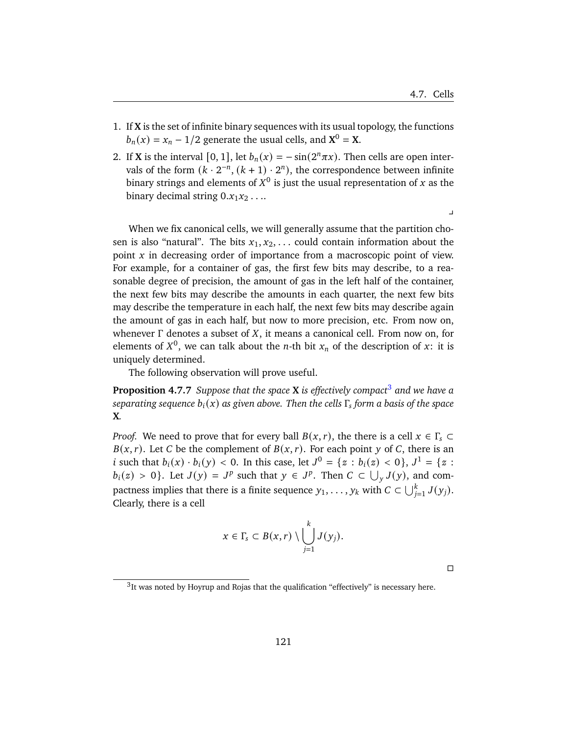- 1. If **X** is the set of infinite binary sequences with its usual topology, the functions  $b_n(x) = x_n - 1/2$  generate the usual cells, and  $X^0 = X$ .
- 2. If **X** is the interval [0, 1], let  $b_n(x) = -\sin(2^n \pi x)$ . Then cells are open intervals of the form  $(k \cdot 2^{-n}, (k + 1) \cdot 2^{n})$ , the correspondence between infinite binary strings and elements of  $X^0$  is just the usual representation of  $x$  as the binary decimal string  $0.x_1x_2...$

 $\overline{a}$ 

When we fix canonical cells, we will generally assume that the partition chosen is also "natural". The bits  $x_1, x_2, \ldots$  could contain information about the point  $x$  in decreasing order of importance from a macroscopic point of view. For example, for a container of gas, the first few bits may describe, to a reasonable degree of precision, the amount of gas in the left half of the container, the next few bits may describe the amounts in each quarter, the next few bits may describe the temperature in each half, the next few bits may describe again the amount of gas in each half, but now to more precision, etc. From now on, whenever  $\Gamma$  denotes a subset of X, it means a canonical cell. From now on, for elements of  $X^0$ , we can talk about the *n*-th bit  $x_n$  of the description of x: it is uniquely determined.

The following observation will prove useful.

<span id="page-126-0"></span>**Proposition 4.7.7** *Suppose that the space* **X** *is effectively compact*[3](#page-126-1) *and we have a*  $\mathit{separating}$  sequence  $b_i(x)$  as given above. Then the cells  $\Gamma_{\!s}$  form a basis of the space **X***.*

*Proof.* We need to prove that for every ball  $B(x, r)$ , the there is a cell  $x \in \Gamma$ <sub>s</sub>  $\subset$  $B(x, r)$ . Let C be the complement of  $B(x, r)$ . For each point y of C, there is an *i* such that  $b_i(x) \cdot b_i(y) < 0$ . In this case, let  $J^0 = \{z : b_i(z) < 0\}$ ,  $J^1 = \{z : b_i(z) \le 0\}$  $b_i(z) > 0$ . Let  $J(y) = J^p$  such that  $y \in J^p$ . Then  $C \subset \bigcup_{y} J(y)$ , and compactness implies that there is a finite sequence  $y_1, \ldots, y_k$  with  $C \subset \bigcup_{j=1}^k J(y_j).$ Clearly, there is a cell

$$
x\in \Gamma_s\subset B(x,r)\setminus\bigcup_{j=1}^k J(y_j).
$$

 $\Box$ 

<span id="page-126-1"></span> $3$ It was noted by Hoyrup and Rojas that the qualification "effectively" is necessary here.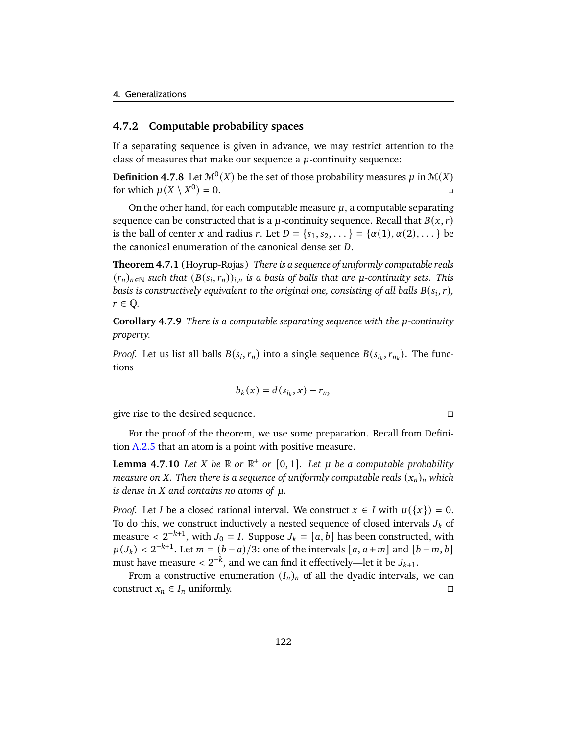## **4.7.2 Computable probability spaces**

If a separating sequence is given in advance, we may restrict attention to the class of measures that make our sequence a  $\mu$ -continuity sequence:

**Definition 4.7.8** Let  $\mathcal{M}^0(X)$  be the set of those probability measures  $\mu$  in  $\mathcal{M}(X)$ for which  $\mu(X \setminus X^0)$  $= 0.$ 

On the other hand, for each computable measure  $\mu$ , a computable separating sequence can be constructed that is a  $\mu$ -continuity sequence. Recall that  $B(x, r)$ is the ball of center x and radius r. Let  $D = \{s_1, s_2, \dots\} = \{\alpha(1), \alpha(2), \dots\}$  be the canonical enumeration of the canonical dense set  $D$ .

<span id="page-127-1"></span>**Theorem 4.7.1** (Hoyrup-Rojas) *There is a sequence of uniformly computable reals*  $(r_n)_{n \in \mathbb{N}}$  such that  $(B(s_i, r_n))_{i,n}$  is a basis of balls that are  $\mu$ -continuity sets. This basis is constructively equivalent to the original one, consisting of all balls  $B(s_i, r)$ ,  $r \in \mathbb{Q}$ .

**Corollary 4.7.9** *There is a computable separating sequence with the*  $\mu$ *-continuity property.*

*Proof.* Let us list all balls  $B(s_i, r_n)$  into a single sequence  $B(s_{i_k}, r_{n_k})$ . The functions

$$
b_k(x) = d(s_{i_k}, x) - r_{n_k}
$$

give rise to the desired sequence.

For the proof of the theorem, we use some preparation. Recall from Definition [A.2.5](#page-147-0) that an atom is a point with positive measure.

<span id="page-127-0"></span>**Lemma 4.7.10** *Let*  $X$  *be*  $\mathbb R$  *or*  $\mathbb R^+$  *or*  $[0, 1]$ *. Let*  $\mu$  *be a* computable probability *measure on X. Then there is a sequence of uniformly computable reals*  $(x_n)_n$  which  $i$ *s* dense in  $X$  and contains no atoms of  $\mu$ .

*Proof.* Let *I* be a closed rational interval. We construct  $x \in I$  with  $\mu({x}) = 0$ . To do this, we construct inductively a nested sequence of closed intervals  $J_k$  of measure  $\langle 2^{-k+1}$ , with  $J_0 = I$ . Suppose  $J_k = [a, b]$  has been constructed, with  $\mu(J_k) < 2^{-k+1}$ . Let  $m = (b-a)/3$ : one of the intervals  $[a, a+m]$  and  $[b-m, b]$ must have measure  $< 2^{-k}$ , and we can find it effectively—let it be  $J_{k+1}$ .

From a constructive enumeration  $(I_n)_n$  of all the dyadic intervals, we can construct  $x_n \in I_n$  uniformly.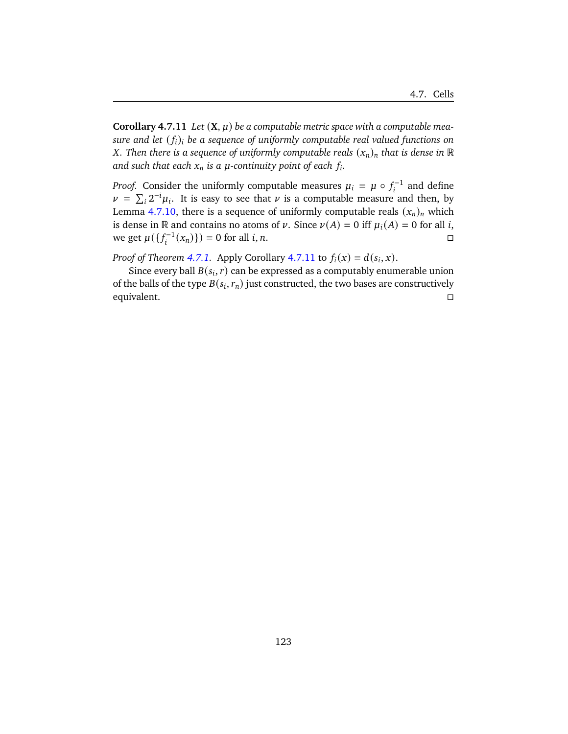<span id="page-128-0"></span>**Corollary 4.7.11** Let  $(X, \mu)$  be a computable metric space with a computable mea*sure and let*  $(f_i)_i$  be a sequence of uniformly computable real valued functions on *X*. Then there is a sequence of uniformly computable reals  $(x_n)_n$  that is dense in  $\mathbb R$ and such that each  $x_n$  is a  $\mu$ -continuity point of each  $f_i$ .

*Proof.* Consider the uniformly computable measures  $\mu_i = \mu \circ f_i^{-1}$  and define  $\nu = \sum_i 2^{-i} \mu_i$ . It is easy to see that  $\nu$  is a computable measure and then, by Lemma [4.7.10,](#page-127-0) there is a sequence of uniformly computable reals  $(x_n)_n$  which is dense in R and contains no atoms of  $\nu$ . Since  $\nu(A) = 0$  iff  $\mu_i(A) = 0$  for all i, we get  $\mu({f_i^{-1}(x_n)})$  = 0 for all *i*, *n*. □

*Proof of Theorem [4.7.1.](#page-127-1)* Apply Corollary [4.7.11](#page-128-0) to  $f_i(x) = d(s_i, x)$ .

Since every ball  $B(s_i, r)$  can be expressed as a computably enumerable union of the balls of the type  $B(s_i, r_n)$  just constructed, the two bases are constructively equivalent.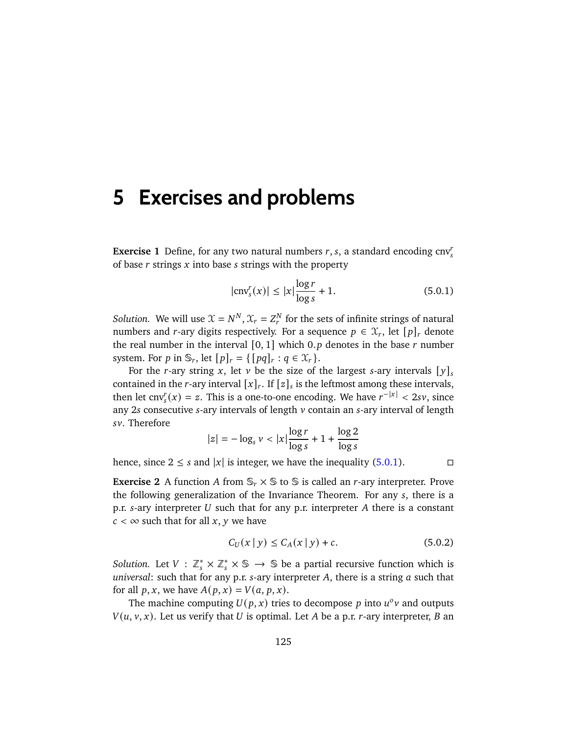# **5 Exercises and problems**

**Exercise 1** Define, for any two natural numbers  $r, s$ , a standard encoding  $\text{cnv}_s^r$ of base  $r$  strings  $x$  into base  $s$  strings with the property

<span id="page-130-0"></span>
$$
|\text{cnv}_s^r(x)| \le |x| \frac{\log r}{\log s} + 1. \tag{5.0.1}
$$

*Solution.* We will use  $\mathcal{X} = N^N$ ,  $\mathcal{X}_r = Z_r^N$  for the sets of infinite strings of natural numbers and r-ary digits respectively. For a sequence  $p \in \mathcal{X}_r$ , let  $[p]_r$  denote the real number in the interval  $[0, 1]$  which 0.p denotes in the base r number system. For p in  $\mathbb{S}_r$ , let  $[p]_r = \{ [pq]_r : q \in \mathcal{X}_r \}.$ 

For the r-ary string x, let v be the size of the largest s-ary intervals  $[y]_s$ contained in the *r*-ary interval  $[x]_r$ . If  $[z]_s$  is the leftmost among these intervals, then let cnv<sup>r</sup><sub>s</sub> $(x) = z$ . This is a one-to-one encoding. We have  $r^{-|x|} < 2sv$ , since any 2s consecutive s-ary intervals of length  $\nu$  contain an s-ary interval of length sv. Therefore

$$
|z| = -\log_s v < |x| \frac{\log r}{\log s} + 1 + \frac{\log 2}{\log s}
$$

hence, since  $2 \leq s$  and  $|x|$  is integer, we have the inequality [\(5.0.1\)](#page-130-0).

**Exercise 2** A function A from  $\mathbb{S}_r \times \mathbb{S}$  to  $\mathbb{S}$  is called an *r*-ary interpreter. Prove the following generalization of the Invariance Theorem. For any  $s$ , there is a p.r.  $s$ -ary interpreter U such that for any p.r. interpreter A there is a constant  $c < \infty$  such that for all x, y we have

<span id="page-130-1"></span>
$$
C_U(x | y) \le C_A(x | y) + c.
$$
 (5.0.2)

*Solution.* Let  $V : \mathbb{Z}_{s}^{*} \times \mathbb{Z}_{s}^{*} \times \mathbb{S} \rightarrow \mathbb{S}$  be a partial recursive function which is *universal:* such that for any p.r. s-ary interpreter A, there is a string a such that for all  $p, x$ , we have  $A(p, x) = V(a, p, x)$ .

The machine computing  $U(p, x)$  tries to decompose p into  $u^o v$  and outputs  $V(u, v, x)$ . Let us verify that U is optimal. Let A be a p.r. r-ary interpreter, B an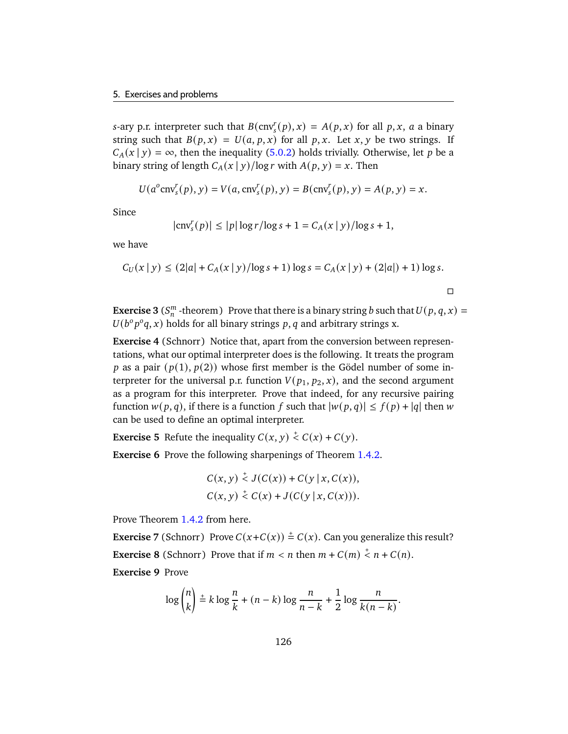s-ary p.r. interpreter such that  $B(\text{cnv}_s^r(p), x) = A(p, x)$  for all p, x, a a binary string such that  $B(p, x) = U(a, p, x)$  for all p, x. Let x, y be two strings. If  $C_A(x | y) = \infty$ , then the inequality [\(5.0.2\)](#page-130-1) holds trivially. Otherwise, let p be a binary string of length  $C_A(x | y) / \log r$  with  $A(p, y) = x$ . Then

$$
U(a^{o} \text{cnv}_{s}^{r}(p), y) = V(a, \text{cnv}_{s}^{r}(p), y) = B(\text{cnv}_{s}^{r}(p), y) = A(p, y) = x.
$$

Since

$$
|\text{cnv}_s^r(p)| \le |p| \log r / \log s + 1 = C_A(x \mid y) / \log s + 1,
$$

we have

$$
C_U(x | y) \le (2|a| + C_A(x | y) / \log s + 1) \log s = C_A(x | y) + (2|a|) + 1) \log s.
$$

 $\Box$ 

**Exercise 3** ( $S_n^m$  -theorem) Prove that there is a binary string b such that  $U(p, q, x) =$  $U(b^{\circ} p^{\circ} q, x)$  holds for all binary strings p, q and arbitrary strings x.

**Exercise 4** (Schnorr) Notice that, apart from the conversion between representations, what our optimal interpreter does is the following. It treats the program p as a pair  $(p(1), p(2))$  whose first member is the Gödel number of some interpreter for the universal p.r. function  $V(p_1, p_2, x)$ , and the second argument as a program for this interpreter. Prove that indeed, for any recursive pairing function  $w(p, q)$ , if there is a function f such that  $|w(p, q)| \leq f(p) + |q|$  then w can be used to define an optimal interpreter.

**Exercise 5** Refute the inequality  $C(x, y) \stackrel{+}{\leq} C(x) + C(y)$ .

**Exercise 6** Prove the following sharpenings of Theorem [1.4.2.](#page-22-0)

$$
C(x, y) \stackrel{+}{\leq} J(C(x)) + C(y | x, C(x)),
$$
  

$$
C(x, y) \stackrel{+}{\leq} C(x) + J(C(y | x, C(x))).
$$

Prove Theorem [1.4.2](#page-22-0) from here.

**Exercise 7** (Schnorr) Prove  $C(x+C(x)) \stackrel{+}{=} C(x)$ . Can you generalize this result? **Exercise 8** (Schnorr) Prove that if  $m < n$  then  $m + C(m) < n + C(n)$ . **Exercise 9** Prove

$$
\log \binom{n}{k} \stackrel{+}{=} k \log \frac{n}{k} + (n-k) \log \frac{n}{n-k} + \frac{1}{2} \log \frac{n}{k(n-k)}.
$$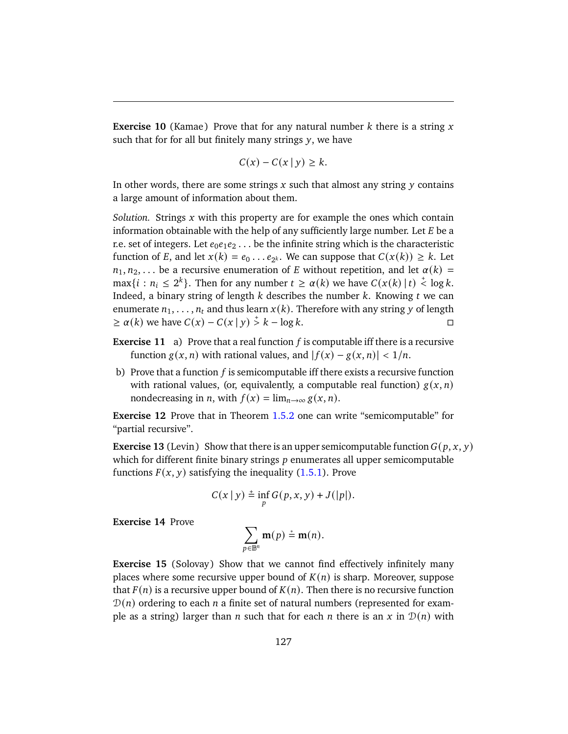<span id="page-132-0"></span>**Exercise 10** (Kamae) Prove that for any natural number  $k$  there is a string  $x$ such that for for all but finitely many strings  $y$ , we have

$$
C(x) - C(x \mid y) \ge k.
$$

In other words, there are some strings  $x$  such that almost any string  $y$  contains a large amount of information about them.

*Solution.* Strings  $x$  with this property are for example the ones which contain information obtainable with the help of any sufficiently large number. Let  $E$  be a r.e. set of integers. Let  $e_0e_1e_2 \ldots$  be the infinite string which is the characteristic function of E, and let  $x(k) = e_0 \dots e_{2^k}$ . We can suppose that  $C(x(k)) \geq k$ . Let  $n_1, n_2, \ldots$  be a recursive enumeration of E without repetition, and let  $\alpha(k)$  =  $\max\{i : n_i \leq 2^k\}$ . Then for any number  $t \geq \alpha(k)$  we have  $C(x(k) \mid t) \leq \log k$ . Indeed, a binary string of length  $k$  describes the number  $k$ . Knowing  $t$  we can enumerate  $n_1, \ldots, n_t$  and thus learn  $x(k)$ . Therefore with any string y of length  $\geq \alpha(k)$  we have  $C(x) - C(x | y) \stackrel{+}{\geq} k - \log k$ .

- **Exercise 11** a) Prove that a real function  $f$  is computable iff there is a recursive function  $g(x, n)$  with rational values, and  $|f(x) - g(x, n)| < 1/n$ .
- b) Prove that a function  $f$  is semicomputable iff there exists a recursive function with rational values, (or, equivalently, a computable real function)  $g(x, n)$ nondecreasing in *n*, with  $f(x) = \lim_{n \to \infty} g(x, n)$ .

**Exercise 12** Prove that in Theorem [1.5.2](#page-27-0) one can write "semicomputable" for "partial recursive".

**Exercise 13** (Levin) Show that there is an upper semicomputable function  $G(p, x, y)$ which for different finite binary strings  $p$  enumerates all upper semicomputable functions  $F(x, y)$  satisfying the inequality [\(1.5.1\)](#page-28-0). Prove

$$
C(x | y) \stackrel{+}{=} \inf_{p} G(p, x, y) + J(|p|).
$$

**Exercise 14** Prove

$$
\sum_{p\in\mathbb{B}^n}\mathbf{m}(p)\stackrel{*}{=}\mathbf{m}(n).
$$

**Exercise 15** (Solovay) Show that we cannot find effectively infinitely many places where some recursive upper bound of  $K(n)$  is sharp. Moreover, suppose that  $F(n)$  is a recursive upper bound of  $K(n)$ . Then there is no recursive function  $\mathcal{D}(n)$  ordering to each *n* a finite set of natural numbers (represented for example as a string) larger than *n* such that for each *n* there is an *x* in  $\mathcal{D}(n)$  with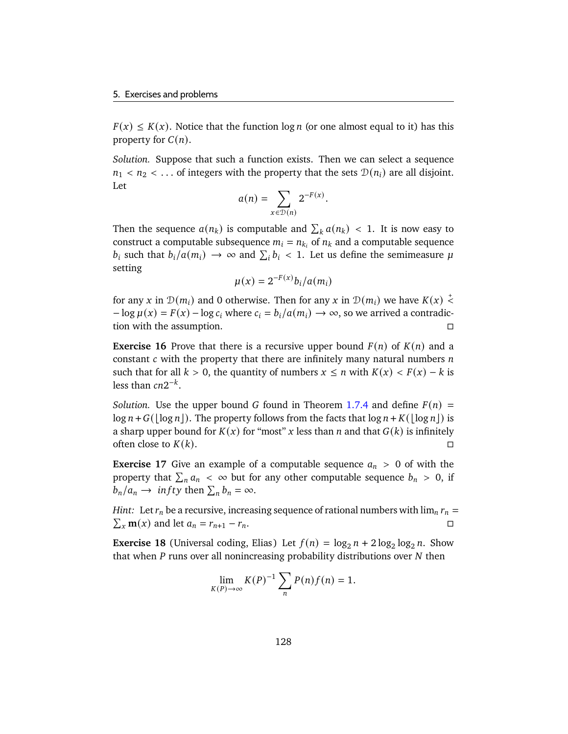$F(x) \le K(x)$ . Notice that the function  $\log n$  (or one almost equal to it) has this property for  $C(n)$ .

*Solution.* Suppose that such a function exists. Then we can select a sequence  $n_1 < n_2 < \ldots$  of integers with the property that the sets  $\mathcal{D}(n_i)$  are all disjoint. Let

$$
a(n) = \sum_{x \in \mathcal{D}(n)} 2^{-F(x)}.
$$

Then the sequence  $a(n_k)$  is computable and  $\sum_k a(n_k) < 1$ . It is now easy to construct a computable subsequence  $m_i = n_{k_i}$  of  $n_k$  and a computable sequence  $b_i$  such that  $b_i/a(m_i) \rightarrow \infty$  and  $\sum_i b_i < 1$ . Let us define the semimeasure  $\mu$ setting

$$
\mu(x) = 2^{-F(x)} b_i / a(m_i)
$$

for any x in  $\mathcal{D}(m_i)$  and 0 otherwise. Then for any x in  $\mathcal{D}(m_i)$  we have  $K(x) \stackrel{+}{\leq}$  $-\log \mu(x) = F(x) - \log c_i$  where  $c_i = b_i/a(m_i) \rightarrow \infty$ , so we arrived a contradiction with the assumption.

**Exercise 16** Prove that there is a recursive upper bound  $F(n)$  of  $K(n)$  and a constant  $c$  with the property that there are infinitely many natural numbers  $n$ such that for all  $k > 0$ , the quantity of numbers  $x \le n$  with  $K(x) < F(x) - k$  is less than  $cn2^{-k}$ .

*Solution.* Use the upper bound G found in Theorem [1.7.4](#page-40-0) and define  $F(n)$  =  $\log n + G(\log n)$ . The property follows from the facts that  $\log n + K(\log n)$  is a sharp upper bound for  $K(x)$  for "most" x less than n and that  $G(k)$  is infinitely often close to  $K(k)$ .

**Exercise 17** Give an example of a computable sequence  $a_n > 0$  of with the property that  $\sum_{n} a_n < \infty$  but for any other computable sequence  $b_n > 0$ , if  $b_n/a_n \to \inf ty$  then  $\sum_n b_n = \infty$ .

*Hint:* Let  $r_n$  be a recursive, increasing sequence of rational numbers with  $\lim_n r_n =$  $\sum_{x}$ **m**(x) and let  $a_n = r_{n+1} - r_n$ .

**Exercise 18** (Universal coding, Elias) Let  $f(n) = \log_2 n + 2 \log_2 \log_2 n$ . Show that when  $P$  runs over all nonincreasing probability distributions over  $N$  then

$$
\lim_{K(P)\to\infty} K(P)^{-1} \sum_{n} P(n) f(n) = 1.
$$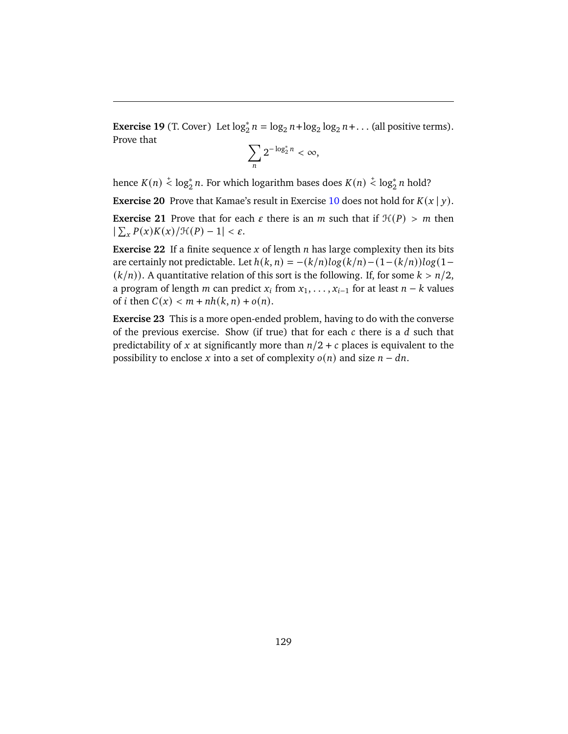**Exercise 19** (T. Cover) Let  $\log_2^n n = \log_2 n + \log_2 \log_2 n + ...$  (all positive terms). Prove that

$$
\sum_n 2^{-\log_2^* n} < \infty
$$

hence  $K(n) \stackrel{+}{\leftarrow} \log_2^* n$ . For which logarithm bases does  $K(n) \stackrel{+}{\leftarrow} \log_2^* n$  hold?

**Exercise 20** Prove that Kamae's result in Exercise [10](#page-132-0) does not hold for  $K(x | y)$ .

**Exercise 21** Prove that for each  $\varepsilon$  there is an  $m$  such that if  $\mathcal{H}(P) > m$  then |  $\sum_{x} P(x)K(x)/\mathcal{H}(P) - 1 < \varepsilon.$ 

**Exercise 22** If a finite sequence  $x$  of length  $n$  has large complexity then its bits are certainly not predictable. Let  $h(k, n) = -(k/n)log(k/n) - (1-(k/n))log(1 (k/n)$ ). A quantitative relation of this sort is the following. If, for some  $k > n/2$ , a program of length *m* can predict  $x_i$  from  $x_1, \ldots, x_{i-1}$  for at least  $n - k$  values of *i* then  $C(x) < m + nh(k, n) + o(n)$ .

**Exercise 23** This is a more open-ended problem, having to do with the converse of the previous exercise. Show (if true) that for each  $c$  there is a  $d$  such that predictability of x at significantly more than  $n/2 + c$  places is equivalent to the possibility to enclose x into a set of complexity  $o(n)$  and size  $n - dn$ .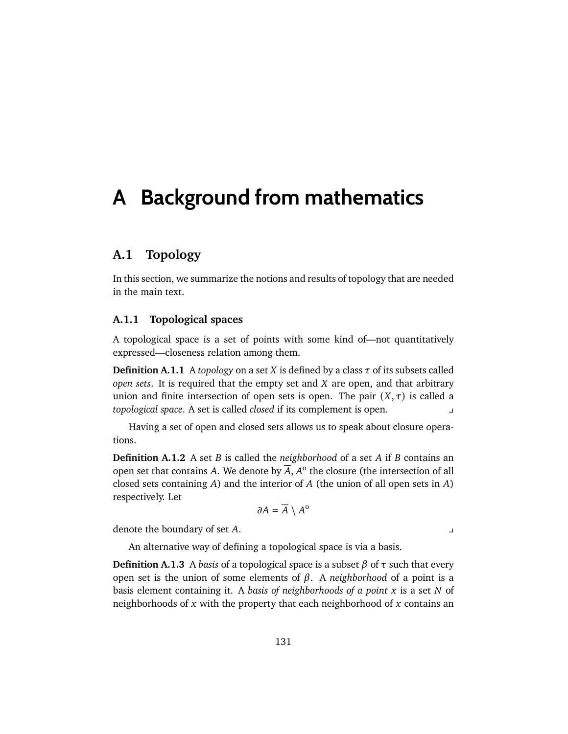# **A Background from mathematics**

# **A.1 Topology**

In this section, we summarize the notions and results of topology that are needed in the main text.

## **A.1.1 Topological spaces**

A topological space is a set of points with some kind of—not quantitatively expressed—closeness relation among them.

**Definition A.1.1** A *topology* on a set *X* is defined by a class  $\tau$  of its subsets called *open sets*. It is required that the empty set and  $X$  are open, and that arbitrary union and finite intersection of open sets is open. The pair  $(X, \tau)$  is called a *topological space*. A set is called *closed* if its complement is open. y

Having a set of open and closed sets allows us to speak about closure operations.

**Definition A.1.2** A set *B* is called the *neighborhood* of a set *A* if *B* contains an open set that contains A. We denote by  $\overline{A}$ ,  $A^{\circ}$  the closure (the intersection of all closed sets containing  $A$ ) and the interior of  $A$  (the union of all open sets in  $A$ ) respectively. Let

$$
\partial A = \overline{A} \setminus A^{\mathrm{o}}
$$

denote the boundary of set A.

An alternative way of defining a topological space is via a basis.

**Definition A.1.3** A *basis* of a topological space is a subset  $\beta$  of  $\tau$  such that every open set is the union of some elements of  $\beta$ . A *neighborhood* of a point is a basis element containing it. A *basis of neighborhoods of a point* x is a set N of neighborhoods of  $x$  with the property that each neighborhood of  $x$  contains an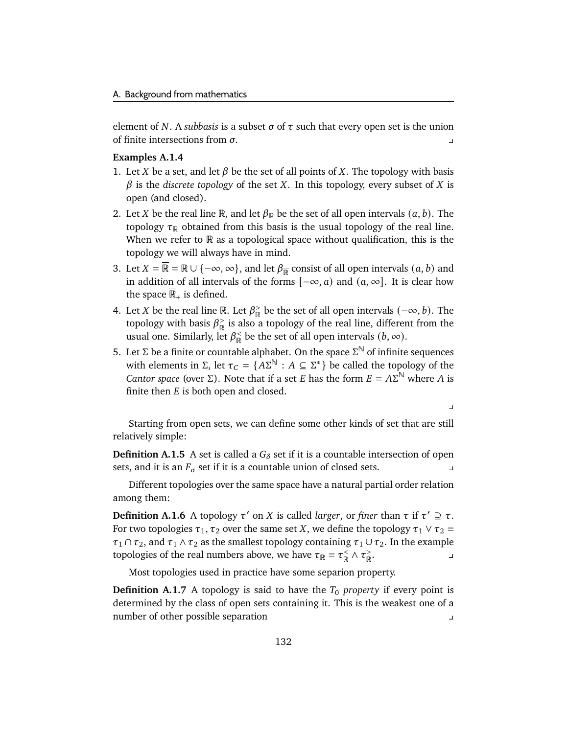element of N. A *subbasis* is a subset  $\sigma$  of  $\tau$  such that every open set is the union of finite intersections from  $\sigma$ .

### <span id="page-137-0"></span>**Examples A.1.4**

- 1. Let X be a set, and let  $\beta$  be the set of all points of X. The topology with basis  $\beta$  is the *discrete topology* of the set X. In this topology, every subset of X is open (and closed).
- 2. Let *X* be the real line R, and let  $\beta_R$  be the set of all open intervals  $(a, b)$ . The topology  $\tau_{\mathbb{R}}$  obtained from this basis is the usual topology of the real line. When we refer to  $\mathbb R$  as a topological space without qualification, this is the topology we will always have in mind.
- 3. Let  $X = \overline{\mathbb{R}} = \mathbb{R} \cup \{-\infty, \infty\}$ , and let  $\beta_{\overline{\mathbb{R}}}$  consist of all open intervals  $(a, b)$  and in addition of all intervals of the forms  $[-\infty, a)$  and  $(a, \infty]$ . It is clear how the space  $\mathbb{R}_+$  is defined.
- <span id="page-137-1"></span>4. Let *X* be the real line R. Let  $\beta_{\mathbb{R}}^>$  $\frac{p}{p}$  be the set of all open intervals  $(-\infty, b)$ . The topology with basis  $\beta_{\mathbb{R}}^>$  $\frac{1}{\mathbb{R}}$  is also a topology of the real line, different from the usual one. Similarly, let  $\beta_{\mathbb{R}}^{\lt}$  $\frac{1}{\mathbb{R}}$  be the set of all open intervals  $(b, \infty)$ .
- <span id="page-137-2"></span>5. Let Σ be a finite or countable alphabet. On the space  $\Sigma^{\mathbb{N}}$  of infinite sequences with elements in  $\Sigma$ , let  $\tau_C = \{ A \Sigma^{\mathbb{N}} : A \subseteq \Sigma^* \}$  be called the topology of the *Cantor space* (over  $\Sigma$ ). Note that if a set *E* has the form  $E = A\Sigma^{\mathbb{N}}$  where *A* is finite then  $E$  is both open and closed.

Starting from open sets, we can define some other kinds of set that are still relatively simple:

 $\overline{\phantom{a}}$ 

**Definition A.1.5** A set is called a  $G_{\delta}$  set if it is a countable intersection of open sets, and it is an  $F_{\sigma}$  set if it is a countable union of closed sets.

Different topologies over the same space have a natural partial order relation among them:

**Definition A.1.6** A topology  $\tau'$  on X is called *larger*, or *finer* than  $\tau$  if  $\tau' \supseteq \tau$ . For two topologies  $\tau_1, \tau_2$  over the same set X, we define the topology  $\tau_1 \vee \tau_2 =$  $\tau_1 \cap \tau_2$ , and  $\tau_1 \wedge \tau_2$  as the smallest topology containing  $\tau_1 \cup \tau_2$ . In the example topologies of the real numbers above, we have  $\tau_{\mathbb{R}} = \tau_{\mathbb{R}}^{\leq}$  $\frac{1}{\mathbb{R}} \wedge \tau_{\mathbb{R}}^{\geq}$ R  $\mathbf{r}$ 

Most topologies used in practice have some separion property.

**Definition A.1.7** A topology is said to have the  $T_0$  *property* if every point is determined by the class of open sets containing it. This is the weakest one of a number of other possible separation y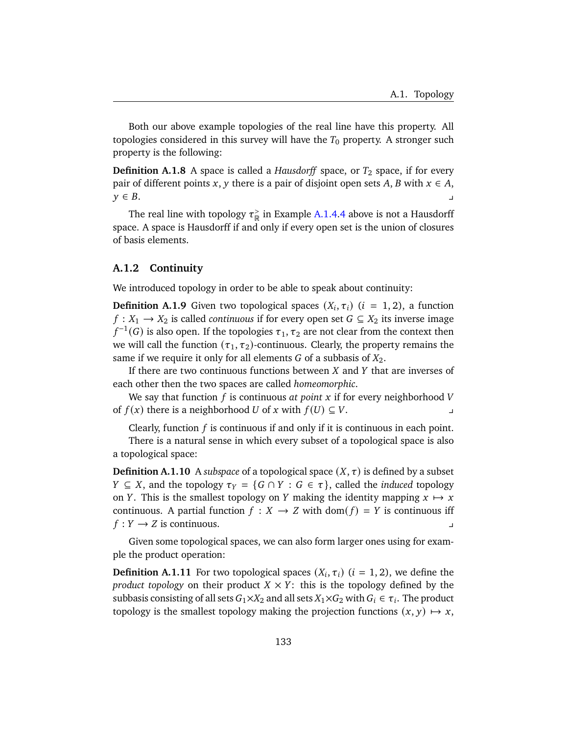Both our above example topologies of the real line have this property. All topologies considered in this survey will have the  $T_0$  property. A stronger such property is the following:

**Definition A.1.8** A space is called a *Hausdorff* space, or  $T_2$  space, if for every pair of different points x, y there is a pair of disjoint open sets A, B with  $x \in A$ ,  $y \in B$ .

The real line with topology  $\tau_{\mathbb{R}}^>$  $\frac{1}{\mathbb{R}}$  in Example [A.1.4.](#page-137-0)[4](#page-137-1) above is not a Hausdorff space. A space is Hausdorff if and only if every open set is the union of closures of basis elements.

### **A.1.2 Continuity**

We introduced topology in order to be able to speak about continuity:

**Definition A.1.9** Given two topological spaces  $(X_i, \tau_i)$   $(i = 1, 2)$ , a function  $f: X_1 \to X_2$  is called *continuous* if for every open set  $G \subseteq X_2$  its inverse image  $f^{-1}(G)$  is also open. If the topologies  $\tau_1, \tau_2$  are not clear from the context then we will call the function  $(\tau_1, \tau_2)$ -continuous. Clearly, the property remains the same if we require it only for all elements  $G$  of a subbasis of  $X_2$ .

If there are two continuous functions between  $X$  and  $Y$  that are inverses of each other then the two spaces are called *homeomorphic*.

We say that function  $f$  is continuous at point  $x$  if for every neighborhood  $V$ of  $f(x)$  there is a neighborhood U of x with  $f(U) \subseteq V$ .

Clearly, function  $f$  is continuous if and only if it is continuous in each point.

There is a natural sense in which every subset of a topological space is also a topological space:

**Definition A.1.10** A *subspace* of a topological space  $(X, \tau)$  is defined by a subset  $Y ⊆ X$ , and the topology  $\tau_Y = \{G \cap Y : G \in \tau\}$ , called the *induced* topology on Y. This is the smallest topology on Y making the identity mapping  $x \mapsto x$ continuous. A partial function  $f : X \to Z$  with dom( $f$ ) = Y is continuous iff  $f: Y \rightarrow Z$  is continuous.

Given some topological spaces, we can also form larger ones using for example the product operation:

**Definition A.1.11** For two topological spaces  $(X_i, \tau_i)$   $(i = 1, 2)$ , we define the *product topology* on their product  $X \times Y$ : this is the topology defined by the subbasis consisting of all sets  $G_1\times X_2$  and all sets  $X_1\times G_2$  with  $G_i\in \tau_i$ . The product topology is the smallest topology making the projection functions  $(x, y) \mapsto x$ ,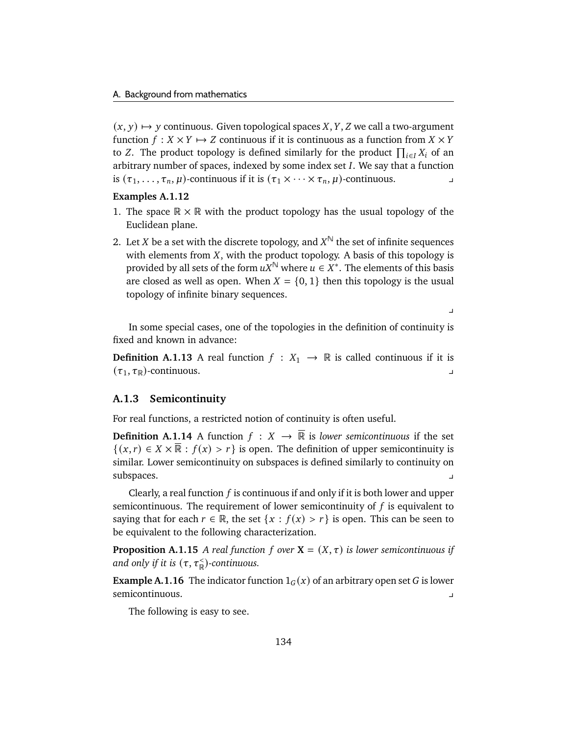$(x, y) \mapsto y$  continuous. Given topological spaces X, Y, Z we call a two-argument function  $f : X \times Y \mapsto Z$  continuous if it is continuous as a function from  $X \times Y$ to Z. The product topology is defined similarly for the product  $\prod_{i\in I} X_i$  of an arbitrary number of spaces, indexed by some index set  $I$ . We say that a function is  $(\tau_1, \ldots, \tau_n, \mu)$ -continuous if it is  $(\tau_1 \times \cdots \times \tau_n, \mu)$ -continuous.

## <span id="page-139-0"></span>**Examples A.1.12**

- 1. The space  $\mathbb{R} \times \mathbb{R}$  with the product topology has the usual topology of the Euclidean plane.
- <span id="page-139-1"></span>2. Let X be a set with the discrete topology, and  $X^{\mathbb{N}}$  the set of infinite sequences with elements from  $X$ , with the product topology. A basis of this topology is provided by all sets of the form  $uX^{\mathbb{N}}$  where  $u\in X^*.$  The elements of this basis are closed as well as open. When  $X = \{0, 1\}$  then this topology is the usual topology of infinite binary sequences.

 $\overline{a}$ 

In some special cases, one of the topologies in the definition of continuity is fixed and known in advance:

**Definition A.1.13** A real function  $f : X_1 \rightarrow \mathbb{R}$  is called continuous if it is  $(\tau_1, \tau_\mathbb{R})$ -continuous.

### **A.1.3 Semicontinuity**

For real functions, a restricted notion of continuity is often useful.

**Definition A.1.14** A function  $f: X \rightarrow \overline{\mathbb{R}}$  is *lower semicontinuous* if the set  $\{(x, r) \in X \times \overline{\mathbb{R}} : f(x) > r\}$  is open. The definition of upper semicontinuity is similar. Lower semicontinuity on subspaces is defined similarly to continuity on subspaces. y

Clearly, a real function  $f$  is continuous if and only if it is both lower and upper semicontinuous. The requirement of lower semicontinuity of  $f$  is equivalent to saying that for each  $r \in \mathbb{R}$ , the set  $\{x : f(x) > r\}$  is open. This can be seen to be equivalent to the following characterization.

**Proposition A.1.15** *A real function f* over  $X = (X, \tau)$  *is lower semicontinuous if* and only if it is  $(\tau, \tau_{\mathbb{R}}^{\lt})$ -continuous.

**Example A.1.16** The indicator function  $1_G(x)$  of an arbitrary open set G is lower semicontinuous.

The following is easy to see.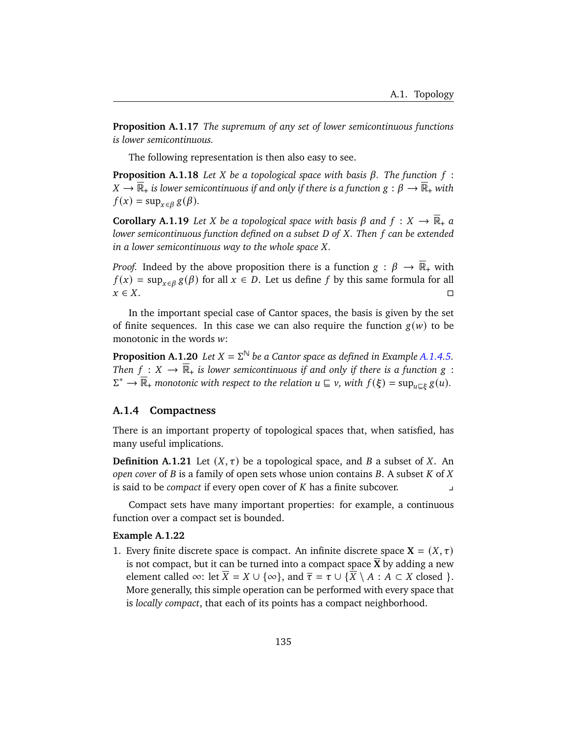**Proposition A.1.17** *The supremum of any set of lower semicontinuous functions is lower semicontinuous.*

The following representation is then also easy to see.

**Proposition A.1.18** Let *X* be a topological space with basis  $\beta$ . The function  $f$ :  $X \to \mathbb{R}_+$  *is lower semicontinuous if and only if there is a function*  $g : \beta \to \mathbb{R}_+$  *with*  $f(x) = \sup_{x \in \beta} g(\beta).$ 

**Corollary A.1.19** Let X be a topological space with basis  $\beta$  and  $f: X \to \overline{\mathbb{R}}_+$  a *lower semicontinuous function defined on a subset D of X. Then f can be extended in a lower semicontinuous way to the whole space X.* 

*Proof.* Indeed by the above proposition there is a function  $g : \beta \to \mathbb{R}_+$  with  $f(x) = \sup_{x \in \beta} g(\beta)$  for all  $x \in D$ . Let us define f by this same formula for all  $x \in X$ .

In the important special case of Cantor spaces, the basis is given by the set of finite sequences. In this case we can also require the function  $g(w)$  to be monotonic in the words  $w$ :

**Proposition A.1.20** *Let*  $X = \Sigma^{\mathbb{N}}$  *be a Cantor space as defined in Example [A.1.4.](#page-137-0)[5.](#page-137-2) Then*  $f: X \to \overline{\mathbb{R}}_+$  *is lower semicontinuous if and only if there is a function*  $g$ :  $\Sigma^* \to \overline{\mathbb{R}}_+$  monotonic with respect to the relation  $u \sqsubseteq v$ , with  $f(\xi) = \sup_{u \sqsubseteq \xi} g(u)$ .

## **A.1.4 Compactness**

There is an important property of topological spaces that, when satisfied, has many useful implications.

**Definition A.1.21** Let  $(X, \tau)$  be a topological space, and B a subset of X. An *open cover* of  $B$  is a family of open sets whose union contains  $B$ . A subset  $K$  of  $X$ is said to be *compact* if every open cover of has a finite subcover. y

Compact sets have many important properties: for example, a continuous function over a compact set is bounded.

## <span id="page-140-1"></span>**Example A.1.22**

<span id="page-140-0"></span>1. Every finite discrete space is compact. An infinite discrete space  $X = (X, \tau)$ is not compact, but it can be turned into a compact space  $\overline{X}$  by adding a new element called  $\infty$ : let  $\overline{X} = X \cup {\infty}$ , and  $\overline{\tau} = \tau \cup {\overline{X} \setminus A : A \subset X}$  closed  $}.$ More generally, this simple operation can be performed with every space that is *locally compact*, that each of its points has a compact neighborhood.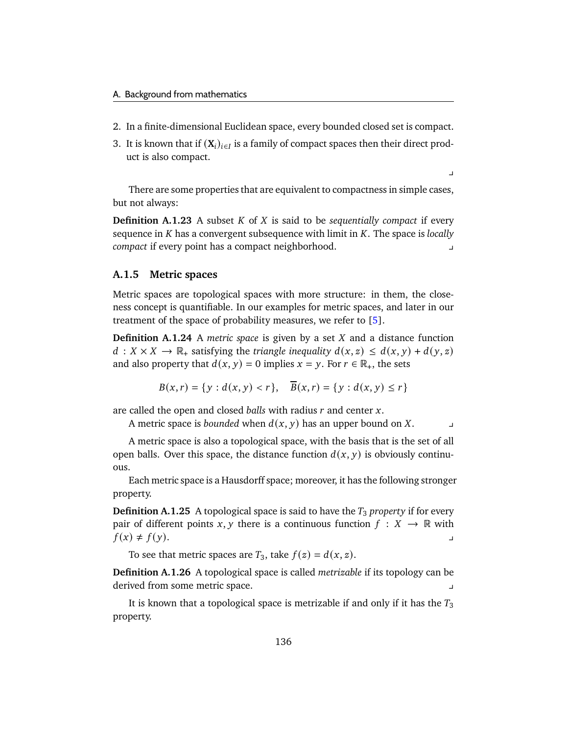- 2. In a finite-dimensional Euclidean space, every bounded closed set is compact.
- 3. It is known that if  $(X_i)_{i \in I}$  is a family of compact spaces then their direct product is also compact.

 $\overline{v}$ 

There are some properties that are equivalent to compactness in simple cases, but not always:

**Definition A.1.23** A subset  $K$  of  $X$  is said to be *sequentially compact* if every sequence in *K* has a convergent subsequence with limit in *K*. The space is *locally compact* if every point has a compact neighborhood. y

## **A.1.5 Metric spaces**

Metric spaces are topological spaces with more structure: in them, the closeness concept is quantifiable. In our examples for metric spaces, and later in our treatment of the space of probability measures, we refer to [\[5\]](#page-176-0).

**Definition A.1.24** A *metric space* is given by a set  $X$  and a distance function  $d: X \times X \to \mathbb{R}_+$  satisfying the *triangle inequality*  $d(x, z) \leq d(x, y) + d(y, z)$ and also property that  $d(x, y) = 0$  implies  $x = y$ . For  $r \in \mathbb{R}_+$ , the sets

$$
B(x,r) = \{ y : d(x,y) < r \}, \quad \overline{B}(x,r) = \{ y : d(x,y) \le r \}
$$

are called the open and closed *balls* with radius r and center x.

A metric space is *bounded* when  $d(x, y)$  has an upper bound on X.

A metric space is also a topological space, with the basis that is the set of all open balls. Over this space, the distance function  $d(x, y)$  is obviously continuous.

Each metric space is a Hausdorff space; moreover, it has the following stronger property.

**Definition A.1.25** A topological space is said to have the  $T_3$  *property* if for every pair of different points x, y there is a continuous function  $f : X \to \mathbb{R}$  with  $f(x) \neq f(y)$ .

To see that metric spaces are  $T_3$ , take  $f(z) = d(x, z)$ .

**Definition A.1.26** A topological space is called *metrizable* if its topology can be derived from some metric space. y

It is known that a topological space is metrizable if and only if it has the  $T_3$ property.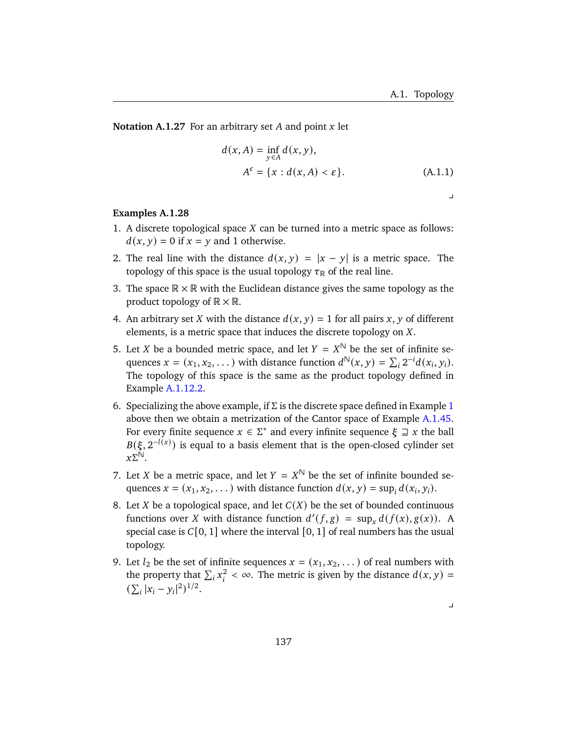**Notation A.1.27** For an arbitrary set  $A$  and point  $x$  let

$$
d(x, A) = \inf_{y \in A} d(x, y),
$$
  

$$
A^{\varepsilon} = \{x : d(x, A) < \varepsilon\}.
$$
 (A.1.1)

## $\overline{a}$

## **Examples A.1.28**

- <span id="page-142-0"></span>1. A discrete topological space  $X$  can be turned into a metric space as follows:  $d(x, y) = 0$  if  $x = y$  and 1 otherwise.
- 2. The real line with the distance  $d(x, y) = |x y|$  is a metric space. The topology of this space is the usual topology  $\tau_{\mathbb{R}}$  of the real line.
- 3. The space  $\mathbb{R} \times \mathbb{R}$  with the Euclidean distance gives the same topology as the product topology of  $\mathbb{R} \times \mathbb{R}$ .
- 4. An arbitrary set X with the distance  $d(x, y) = 1$  for all pairs x, y of different elements, is a metric space that induces the discrete topology on  $X$ .
- 5. Let *X* be a bounded metric space, and let  $Y = X^{\mathbb{N}}$  be the set of infinite sequences  $x = (x_1, x_2, ...)$  with distance function  $d^{\mathbb{N}}(x, y) = \sum_i 2^{-i} d(x_i, y_i)$ . The topology of this space is the same as the product topology defined in Example [A.1.12.](#page-139-0)[2.](#page-139-1)
- 6. Specializing the above example, if  $\Sigma$  is the discrete space defined in Example [1](#page-142-0) above then we obtain a metrization of the Cantor space of Example [A.1.4](#page-137-0)[5.](#page-137-2) For every finite sequence  $x \in \Sigma^*$  and every infinite sequence  $\xi \supseteq x$  the ball  $B(\xi, 2^{-l(x)})$  is equal to a basis element that is the open-closed cylinder set  $x\Sigma^{\mathbb{N}}$ .
- 7. Let *X* be a metric space, and let  $Y = X^{\mathbb{N}}$  be the set of infinite bounded sequences  $x = (x_1, x_2, ...)$  with distance function  $d(x, y) = \sup_i d(x_i, y_i)$ .
- 8. Let X be a topological space, and let  $C(X)$  be the set of bounded continuous functions over X with distance function  $d'(f,g) = \sup_x d(f(x), g(x))$ . A special case is  $C[0, 1]$  where the interval  $[0, 1]$  of real numbers has the usual topology.
- 9. Let  $l_2$  be the set of infinite sequences  $x = (x_1, x_2, ...)$  of real numbers with the property that  $\sum_i x_i^2 < \infty$ . The metric is given by the distance  $d(x, y) =$  $(\sum_i |x_i - y_i|^2)^{1/2}.$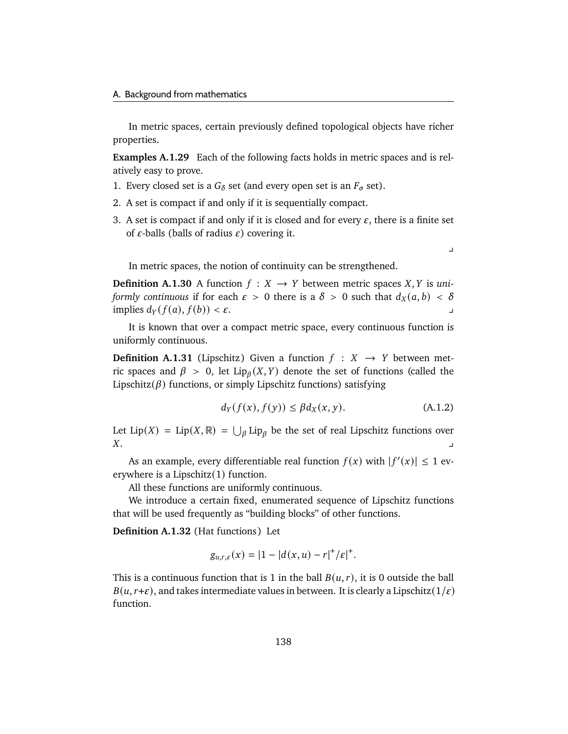In metric spaces, certain previously defined topological objects have richer properties.

**Examples A.1.29** Each of the following facts holds in metric spaces and is relatively easy to prove.

- 1. Every closed set is a  $G_{\delta}$  set (and every open set is an  $F_{\sigma}$  set).
- 2. A set is compact if and only if it is sequentially compact.
- 3. A set is compact if and only if it is closed and for every  $\varepsilon$ , there is a finite set of  $\varepsilon$ -balls (balls of radius  $\varepsilon$ ) covering it.

 $\overline{a}$ 

In metric spaces, the notion of continuity can be strengthened.

**Definition A.1.30** A function  $f : X \rightarrow Y$  between metric spaces X, Y is *uniformly continuous* if for each  $\varepsilon > 0$  there is a  $\delta > 0$  such that  $d_X(a, b) < \delta$ implies  $d_Y(f(a), f(b)) < \varepsilon$ .

It is known that over a compact metric space, every continuous function is uniformly continuous.

**Definition A.1.31** (Lipschitz) Given a function  $f : X \rightarrow Y$  between metric spaces and  $\beta > 0$ , let  $Lip_{\beta}(X, Y)$  denote the set of functions (called the Lipschitz( $\beta$ ) functions, or simply Lipschitz functions) satisfying

$$
d_Y(f(x), f(y)) \le \beta d_X(x, y). \tag{A.1.2}
$$

Let Lip(X) = Lip(X, R) =  $\bigcup_{\beta}$  Lip<sub> $\beta$ </sub> be the set of real Lipschitz functions over  $X.$ 

As an example, every differentiable real function  $f(x)$  with  $|f'(x)| \leq 1$  everywhere is a Lipschitz(1) function.

All these functions are uniformly continuous.

We introduce a certain fixed, enumerated sequence of Lipschitz functions that will be used frequently as "building blocks" of other functions.

**Definition A.1.32** (Hat functions) Let

$$
g_{u,r,\varepsilon}(x) = |1 - |d(x,u) - r|^{+}/\varepsilon|^{+}.
$$

This is a continuous function that is 1 in the ball  $B(u, r)$ , it is 0 outside the ball  $B(u, r+\varepsilon)$ , and takes intermediate values in between. It is clearly a Lipschitz(1/ $\varepsilon$ ) function.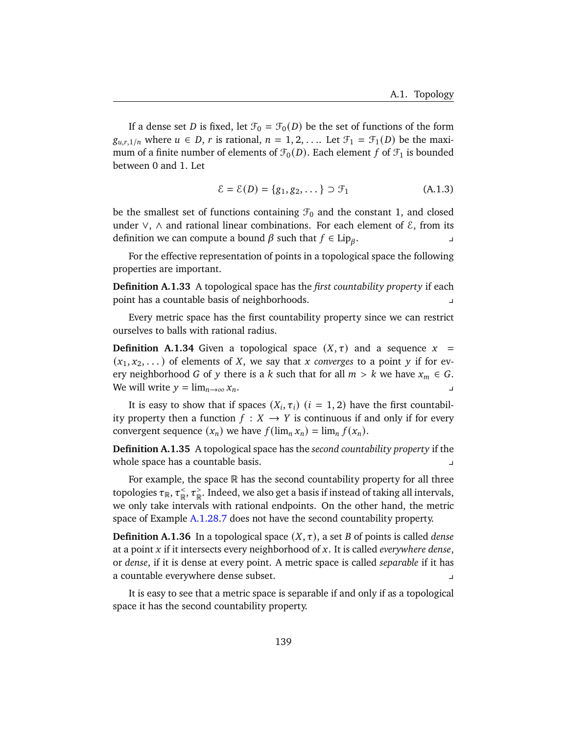If a dense set *D* is fixed, let  $\mathcal{F}_0 = \mathcal{F}_0(D)$  be the set of functions of the form  $g_{u,r,1/n}$  where  $u \in D$ , r is rational,  $n = 1, 2, \ldots$  Let  $\mathcal{F}_1 = \mathcal{F}_1(D)$  be the maximum of a finite number of elements of  $\mathcal{F}_0(D)$ . Each element f of  $\mathcal{F}_1$  is bounded between 0 and 1. Let

<span id="page-144-0"></span>
$$
\mathcal{E} = \mathcal{E}(D) = \{g_1, g_2, \dots\} \supset \mathcal{F}_1
$$
 (A.1.3)

be the smallest set of functions containing  $\mathcal{F}_0$  and the constant 1, and closed under ∨,  $\land$  and rational linear combinations. For each element of  $\&$ , from its definition we can compute a bound  $\beta$  such that  $f \in Lip_\beta$ .  $\mathbf{r}$  y  $\mathbf{r}$ 

For the effective representation of points in a topological space the following properties are important.

**Definition A.1.33** A topological space has the *first countability property* if each point has a countable basis of neighborhoods.

Every metric space has the first countability property since we can restrict ourselves to balls with rational radius.

**Definition A.1.34** Given a topological space  $(X, \tau)$  and a sequence  $x =$  $(x_1, x_2, \dots)$  of elements of X, we say that x converges to a point y if for every neighborhood G of y there is a k such that for all  $m > k$  we have  $x_m \in G$ . We will write  $y = \lim_{n \to \infty} x_n$ .

It is easy to show that if spaces  $(X_i, \tau_i)$   $(i = 1, 2)$  have the first countability property then a function  $f : X \to Y$  is continuous if and only if for every convergent sequence  $(x_n)$  we have  $f(\lim_n x_n) = \lim_n f(x_n)$ .

**Definition A.1.35** A topological space has the *second countability property* if the whole space has a countable basis.

For example, the space  $\mathbb R$  has the second countability property for all three topologies  $\tau_{\mathbb{R}}^{\frac{1}{\gamma}}, \tau_{\mathbb{R}}^{\leq}$  $\underset{\mathbb{R}}{\stackrel{<}{\cdot}}$  ,  $\tau_{\mathbb{R}}^{\geq}$  $_{\mathbb{R}}^>$ . Indeed, we also get a basis if instead of taking all intervals, we only take intervals with rational endpoints. On the other hand, the metric space of Example [A.1.28.](#page-142-0)[7](#page-142-1) does not have the second countability property.

**Definition A.1.36** In a topological space  $(X, \tau)$ , a set *B* of points is called *dense* at a point x if it intersects every neighborhood of x. It is called *everywhere dense*, or *dense*, if it is dense at every point. A metric space is called *separable* if it has a countable everywhere dense subset.

It is easy to see that a metric space is separable if and only if as a topological space it has the second countability property.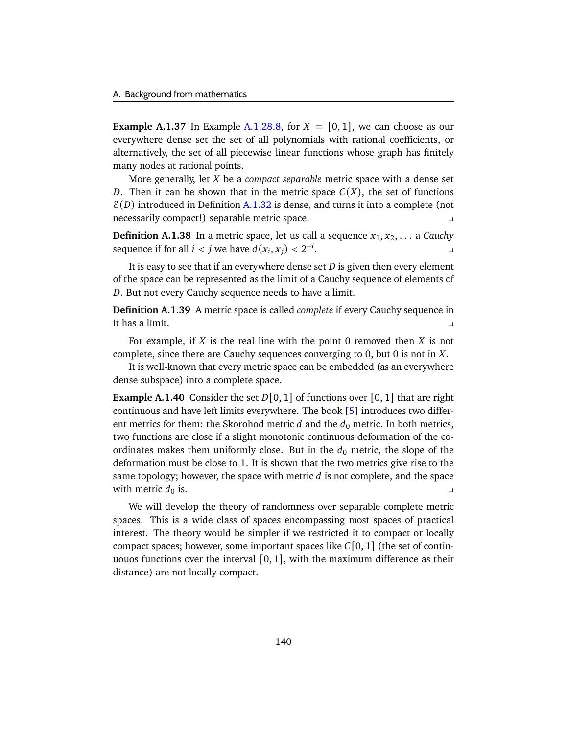<span id="page-145-0"></span>**Example A.1.37** In Example [A.1.28.](#page-142-0)[8,](#page-142-2) for  $X = \{0, 1\}$ , we can choose as our everywhere dense set the set of all polynomials with rational coefficients, or alternatively, the set of all piecewise linear functions whose graph has finitely many nodes at rational points.

More generally, let *X* be a *compact separable* metric space with a dense set D. Then it can be shown that in the metric space  $C(X)$ , the set of functions  $E(D)$  introduced in Definition [A.1.32](#page-143-0) is dense, and turns it into a complete (not necessarily compact!) separable metric space. y

**Definition A.1.38** In a metric space, let us call a sequence  $x_1, x_2, \ldots$  a *Cauchy* sequence if for all  $i < j$  we have  $d(x_i, x_j) < 2^{-i}$  $\mathbf{r}$  , where  $\mathbf{r}$  is the set of  $\mathbf{r}$ 

It is easy to see that if an everywhere dense set  $D$  is given then every element of the space can be represented as the limit of a Cauchy sequence of elements of . But not every Cauchy sequence needs to have a limit.

**Definition A.1.39** A metric space is called *complete* if every Cauchy sequence in it has a limit. y

For example, if  $X$  is the real line with the point 0 removed then  $X$  is not complete, since there are Cauchy sequences converging to  $0$ , but  $0$  is not in  $X$ .

It is well-known that every metric space can be embedded (as an everywhere dense subspace) into a complete space.

<span id="page-145-1"></span>**Example A.1.40** Consider the set  $D[0, 1]$  of functions over [0, 1] that are right continuous and have left limits everywhere. The book [\[5\]](#page-176-0) introduces two different metrics for them: the Skorohod metric d and the  $d_0$  metric. In both metrics, two functions are close if a slight monotonic continuous deformation of the coordinates makes them uniformly close. But in the  $d_0$  metric, the slope of the deformation must be close to 1. It is shown that the two metrics give rise to the same topology; however, the space with metric  $d$  is not complete, and the space with metric  $d_0$  is.

We will develop the theory of randomness over separable complete metric spaces. This is a wide class of spaces encompassing most spaces of practical interest. The theory would be simpler if we restricted it to compact or locally compact spaces; however, some important spaces like  $C[0, 1]$  (the set of continuouos functions over the interval  $[0, 1]$ , with the maximum difference as their distance) are not locally compact.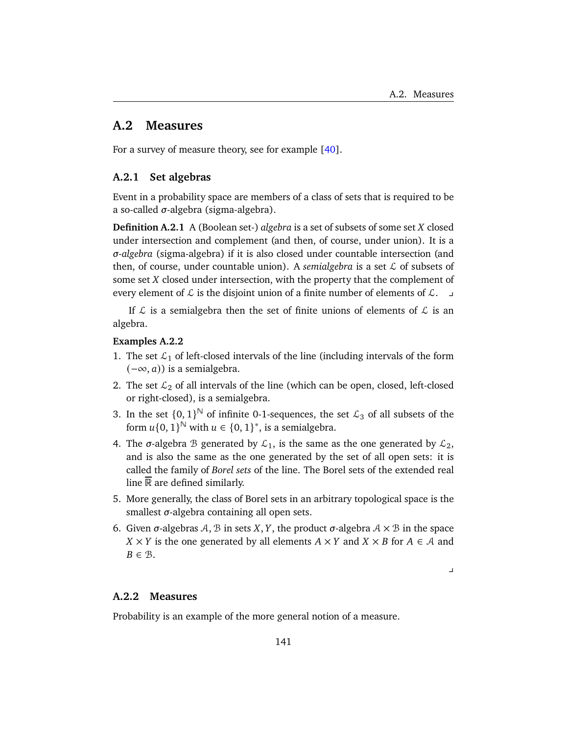# <span id="page-146-4"></span>**A.2 Measures**

For a survey of measure theory, see for example [\[40\]](#page-179-0).

# **A.2.1 Set algebras**

Event in a probability space are members of a class of sets that is required to be a so-called  $\sigma$ -algebra (sigma-algebra).

**Definition A.2.1** A (Boolean set-) *algebra* is a set of subsets of some set *X* closed under intersection and complement (and then, of course, under union). It is a *-algebra* (sigma-algebra) if it is also closed under countable intersection (and then, of course, under countable union). A *semialgebra* is a set  $\mathcal L$  of subsets of some set  $X$  closed under intersection, with the property that the complement of every element of  $\mathcal L$  is the disjoint union of a finite number of elements of  $\mathcal L$ .

If  $\mathcal L$  is a semialgebra then the set of finite unions of elements of  $\mathcal L$  is an algebra.

# <span id="page-146-0"></span>**Examples A.2.2**

- <span id="page-146-1"></span>1. The set  $\mathcal{L}_1$  of left-closed intervals of the line (including intervals of the form  $(-\infty, a)$ ) is a semialgebra.
- 2. The set  $\mathcal{L}_2$  of all intervals of the line (which can be open, closed, left-closed or right-closed), is a semialgebra.
- <span id="page-146-2"></span>3. In the set  $\{0,1\}^{\mathbb{N}}$  of infinite 0-1-sequences, the set  $\mathcal{L}_3$  of all subsets of the form  $u\{0, 1\}^{\mathbb{N}}$  with  $u \in \{0, 1\}^*$ , is a semialgebra.
- 4. The  $\sigma$ -algebra B generated by  $\mathcal{L}_1$ , is the same as the one generated by  $\mathcal{L}_2$ , and is also the same as the one generated by the set of all open sets: it is called the family of *Borel sets* of the line. The Borel sets of the extended real line R are defined similarly.
- 5. More generally, the class of Borel sets in an arbitrary topological space is the smallest  $\sigma$ -algebra containing all open sets.
- 6. Given  $\sigma$ -algebras A, B in sets X, Y, the product  $\sigma$ -algebra  $A \times B$  in the space  $X \times Y$  is the one generated by all elements  $A \times Y$  and  $X \times B$  for  $A \in \mathcal{A}$  and  $B \in \mathcal{B}$ .

 $\overline{\phantom{0}}$ 

### <span id="page-146-3"></span>**A.2.2 Measures**

Probability is an example of the more general notion of a measure.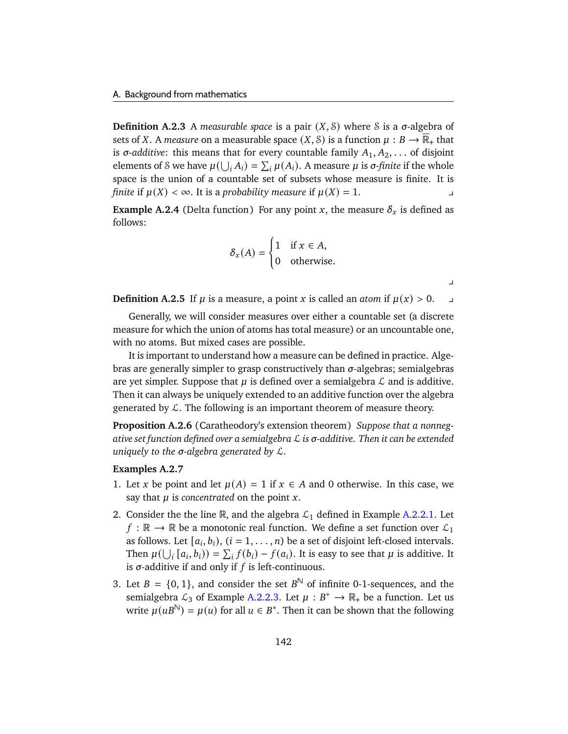**Definition A.2.3** A *measurable space* is a pair  $(X, \mathcal{S})$  where S is a  $\sigma$ -algebra of sets of *X*. A *measure* on a measurable space  $(X, \mathcal{S})$  is a function  $\mu : B \to \mathbb{R}_+$  that is  $\sigma$ -*additive*: this means that for every countable family  $A_1, A_2, \ldots$  of disjoint elements of S we have  $\mu(\bigcup_i A_i) = \sum_i \mu(A_i)$ . A measure  $\mu$  is  $\sigma$ -finite if the whole space is the union of a countable set of subsets whose measure is finite. It is *finite* if  $\mu(X) < \infty$ . It is a *probability measure* if  $\mu(X) = 1$ .

<span id="page-147-4"></span>**Example A.2.4** (Delta function) For any point x, the measure  $\delta_x$  is defined as follows:

$$
\delta_x(A) = \begin{cases} 1 & \text{if } x \in A, \\ 0 & \text{otherwise.} \end{cases}
$$

**Definition A.2.5** If  $\mu$  is a measure, a point  $x$  is called an *atom* if  $\mu(x) > 0$ .

 $\overline{\phantom{a}}$ 

Generally, we will consider measures over either a countable set (a discrete measure for which the union of atoms has total measure) or an uncountable one, with no atoms. But mixed cases are possible.

It is important to understand how a measure can be defined in practice. Algebras are generally simpler to grasp constructively than  $\sigma$ -algebras; semialgebras are yet simpler. Suppose that  $\mu$  is defined over a semialgebra  $\mathcal L$  and is additive. Then it can always be uniquely extended to an additive function over the algebra generated by  $\mathcal{L}$ . The following is an important theorem of measure theory.

<span id="page-147-3"></span>**Proposition A.2.6** (Caratheodory's extension theorem) *Suppose that a nonnegative set function defined over a semialgebra* L *is -additive. Then it can be extended uniquely to the σ-algebra generated by*  $\mathcal{L}$ *.* 

### <span id="page-147-0"></span>**Examples A.2.7**

- 1. Let x be point and let  $\mu(A) = 1$  if  $x \in A$  and 0 otherwise. In this case, we say that  $\mu$  is *concentrated* on the point  $x$ .
- <span id="page-147-2"></span>2. Consider the the line  $\mathbb R$ , and the algebra  $\mathcal{L}_1$  defined in Example [A.2.2](#page-146-0)[.1.](#page-146-1) Let  $f : \mathbb{R} \to \mathbb{R}$  be a monotonic real function. We define a set function over  $\mathcal{L}_1$ as follows. Let  $[a_i, b_i)$ ,  $(i = 1, ..., n)$  be a set of disjoint left-closed intervals. Then  $\mu(\bigcup_i [a_i, b_i)) = \sum_i f(b_i) - f(a_i)$ . It is easy to see that  $\mu$  is additive. It is  $\sigma$ -additive if and only if  $f$  is left-continuous.
- <span id="page-147-1"></span>3. Let  $B = \{0, 1\}$ , and consider the set  $B^{\mathbb{N}}$  of infinite 0-1-sequences, and the semialgebra  $\mathcal{L}_3$  of Example [A.2.2.](#page-146-0)[3.](#page-146-2) Let  $\mu : B^* \to \mathbb{R}_+$  be a function. Let us write  $\mu(uB^{\mathbb{N}}) = \mu(u)$  for all  $u \in B^*$ . Then it can be shown that the following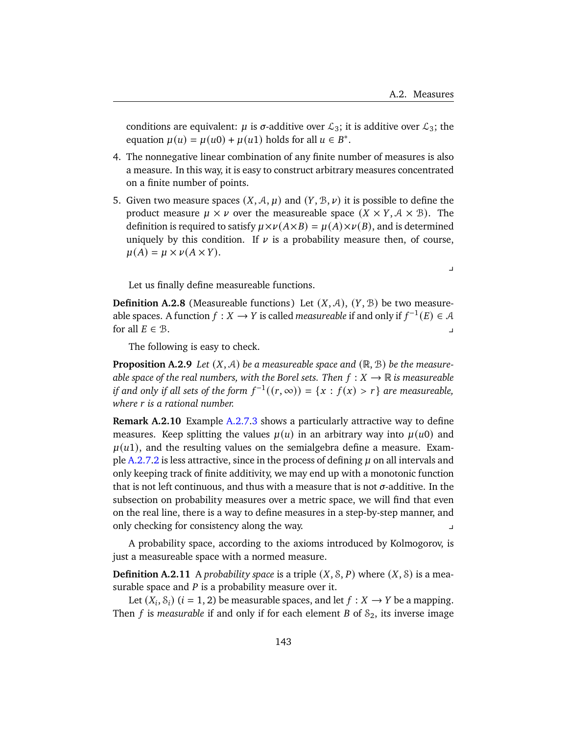$\overline{a}$ 

conditions are equivalent:  $\mu$  is  $\sigma$ -additive over  $\mathcal{L}_3$ ; it is additive over  $\mathcal{L}_3$ ; the equation  $\mu(u) = \mu(u0) + \mu(u1)$  holds for all  $u \in B^*$ .

- 4. The nonnegative linear combination of any finite number of measures is also a measure. In this way, it is easy to construct arbitrary measures concentrated on a finite number of points.
- 5. Given two measure spaces  $(X, \mathcal{A}, \mu)$  and  $(Y, \mathcal{B}, \nu)$  it is possible to define the product measure  $\mu \times \nu$  over the measureable space  $(X \times Y, A \times B)$ . The definition is required to satisfy  $\mu \times \nu(A \times B) = \mu(A) \times \nu(B)$ , and is determined uniquely by this condition. If  $\nu$  is a probability measure then, of course,  $\mu(A) = \mu \times \nu(A \times Y).$

Let us finally define measureable functions.

**Definition A.2.8** (Measureable functions) Let  $(X, \mathcal{A})$ ,  $(Y, \mathcal{B})$  be two measureable spaces. A function  $f : X \to Y$  is called *measureable* if and only if  $f^{-1}(E) \in A$ for all  $E \in \mathcal{B}$ .

The following is easy to check.

**Proposition A.2.9** *Let*  $(X, \mathcal{A})$  *be a measureable space and*  $(\mathbb{R}, \mathcal{B})$  *be the measureable space of the real numbers, with the Borel sets. Then*  $f: X \rightarrow \mathbb{R}$  *is measureable if and only if all sets of the form*  $f^{-1}((r, \infty)) = \{x : f(x) > r\}$  *are measureable, where is a rational number.*

**Remark A.2.10** Example [A.2.7.](#page-147-0)[3](#page-147-1) shows a particularly attractive way to define measures. Keep splitting the values  $\mu(u)$  in an arbitrary way into  $\mu(u)$  and  $\mu(u_1)$ , and the resulting values on the semialgebra define a measure. Exam-ple [A.2.7.](#page-147-0)[2](#page-147-2) is less attractive, since in the process of defining  $\mu$  on all intervals and only keeping track of finite additivity, we may end up with a monotonic function that is not left continuous, and thus with a measure that is not  $\sigma$ -additive. In the subsection on probability measures over a metric space, we will find that even on the real line, there is a way to define measures in a step-by-step manner, and only checking for consistency along the way.

A probability space, according to the axioms introduced by Kolmogorov, is just a measureable space with a normed measure.

**Definition A.2.11** A *probability space* is a triple  $(X, \mathcal{S}, P)$  where  $(X, \mathcal{S})$  is a measurable space and  $P$  is a probability measure over it.

Let  $(X_i, S_i)$   $(i = 1, 2)$  be measurable spaces, and let  $f : X \rightarrow Y$  be a mapping. Then  $f$  is *measurable* if and only if for each element  $B$  of  $S_2$ , its inverse image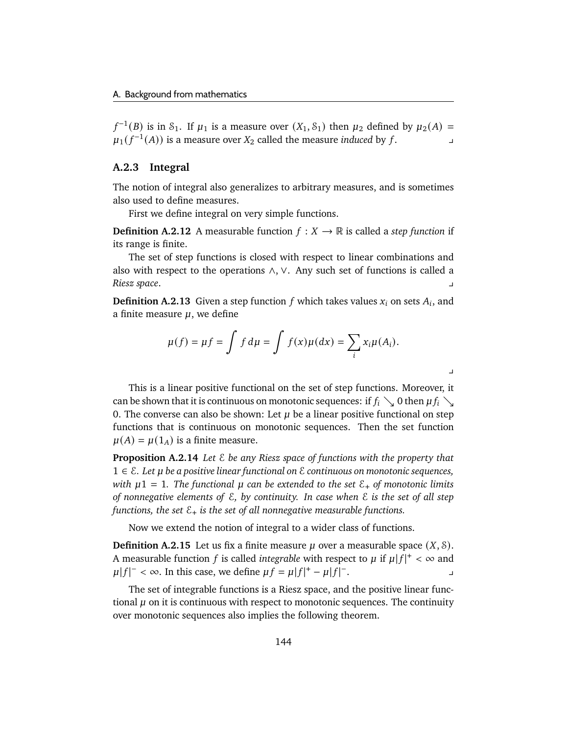$f^{-1}(B)$  is in S<sub>1</sub>. If  $\mu_1$  is a measure over  $(X_1, S_1)$  then  $\mu_2$  defined by  $\mu_2(A) =$  $\mu_1(f^{-1}(A))$  is a measure over  $X_2$  called the measure *induced* by f.

# <span id="page-149-0"></span>**A.2.3 Integral**

The notion of integral also generalizes to arbitrary measures, and is sometimes also used to define measures.

First we define integral on very simple functions.

**Definition A.2.12** A measurable function  $f : X \to \mathbb{R}$  is called a *step function* if its range is finite.

The set of step functions is closed with respect to linear combinations and also with respect to the operations ∧, ∨. Any such set of functions is called a *Riesz space*. y

**Definition A.2.13** Given a step function  $f$  which takes values  $x_i$  on sets  $A_i$ , and a finite measure  $\mu$ , we define

$$
\mu(f) = \mu f = \int f d\mu = \int f(x) \mu(dx) = \sum_i x_i \mu(A_i).
$$

y

This is a linear positive functional on the set of step functions. Moreover, it can be shown that it is continuous on monotonic sequences: if  $f_i \searrow 0$  then  $\mu f_i \searrow 0$ 0. The converse can also be shown: Let  $\mu$  be a linear positive functional on step functions that is continuous on monotonic sequences. Then the set function  $\mu(A) = \mu(1_A)$  is a finite measure.

<span id="page-149-1"></span>**Proposition A.2.14** *Let* E *be any Riesz space of functions with the property that* 1 ∈ E*. Let be a positive linear functional on* E *continuous on monotonic sequences, with*  $\mu$ 1 = 1*. The functional*  $\mu$  can be extended to the set  $\mathcal{E}_+$  of monotonic limits *of nonnegative elements of* E*, by continuity. In case when* E *is the set of all step functions, the set*  $\mathcal{E}_+$  *is the set of all nonnegative measurable functions.* 

Now we extend the notion of integral to a wider class of functions.

**Definition A.2.15** Let us fix a finite measure  $\mu$  over a measurable space  $(X, \mathcal{S})$ . A measurable function f is called *integrable* with respect to  $\mu$  if  $\mu |f|^{+} < \infty$  and  $\mu |f|^{-} < \infty$ . In this case, we define  $\mu f = \mu |f|^{+} - \mu |f|^{-}$ . We have the set of  $\mathcal{L}$ 

The set of integrable functions is a Riesz space, and the positive linear functional  $\mu$  on it is continuous with respect to monotonic sequences. The continuity over monotonic sequences also implies the following theorem.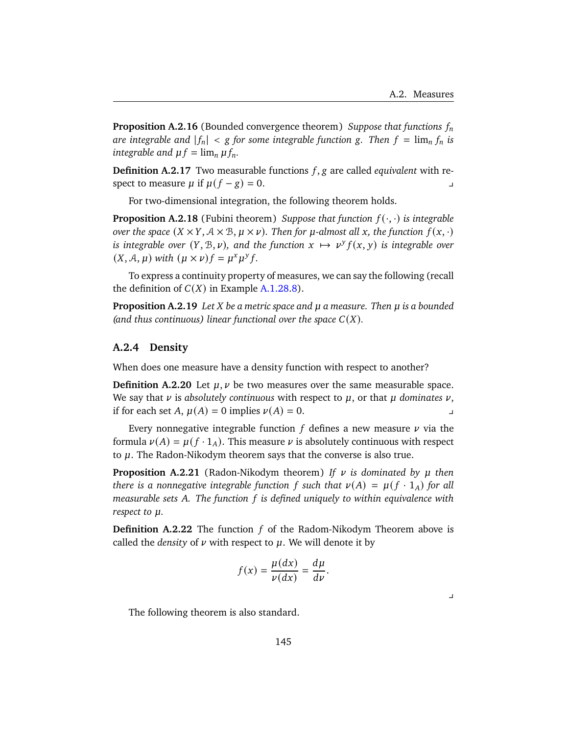**Proposition A.2.16** (Bounded convergence theorem) *Suppose that functions are integrable and*  $|f_n| < g$  *for some integrable function g. Then*  $f = \lim_n f_n$  *is integrable and*  $\mu f = \lim_{n} \mu f_n$ .

**Definition A.2.17** Two measurable functions  $f$ ,  $g$  are called *equivalent* with respect to measure  $\mu$  if  $\mu$ ( $f - g$ ) = 0.

For two-dimensional integration, the following theorem holds.

**Proposition A.2.18** (Fubini theorem) *Suppose that function*  $f(\cdot, \cdot)$  *is integrable over the space*  $(X \times Y, A \times B, \mu \times \nu)$ . Then for  $\mu$ -almost all x, the function  $f(x, \cdot)$ *is integrable over*  $(Y, \mathcal{B}, \nu)$ , and the function  $x \mapsto \nu^{y} f(x, y)$  is integrable over  $(X, \mathcal{A}, \mu)$  *with*  $(\mu \times \nu) f = \mu^x \mu^y f$ .

To express a continuity property of measures, we can say the following (recall the definition of  $C(X)$  in Example [A.1.28.](#page-142-0)[8\)](#page-142-2).

<span id="page-150-0"></span>**Proposition A.2.19** *Let X be a metric space and*  $\mu$  *a measure. Then*  $\mu$  *is a bounded (and thus continuous) linear functional over the space*  $C(X)$ *.* 

### **A.2.4 Density**

When does one measure have a density function with respect to another?

**Definition A.2.20** Let  $\mu$ ,  $\nu$  be two measures over the same measurable space. We say that  $\nu$  is *absolutely continuous* with respect to  $\mu$ , or that  $\mu$  dominates  $\nu$ , if for each set A,  $\mu(A) = 0$  implies  $\nu(A) = 0$ .

Every nonnegative integrable function  $f$  defines a new measure  $\nu$  via the formula  $\nu(A) = \mu(f \cdot 1_A)$ . This measure  $\nu$  is absolutely continuous with respect to  $\mu$ . The Radon-Nikodym theorem says that the converse is also true.

**Proposition A.2.21** (Radon-Nikodym theorem) If  $\nu$  is dominated by  $\mu$  then *there is a nonnegative integrable function* f such that  $\nu(A) = \mu(f \cdot 1_A)$  for all *measurable sets . The function is defined uniquely to within equivalence with respect to*  $\mu$ *.* 

**Definition A.2.22** The function  $f$  of the Radom-Nikodym Theorem above is called the *density* of  $\nu$  with respect to  $\mu$ . We will denote it by

$$
f(x) = \frac{\mu(dx)}{\nu(dx)} = \frac{d\mu}{d\nu}.
$$

 $\overline{\phantom{a}}$ 

The following theorem is also standard.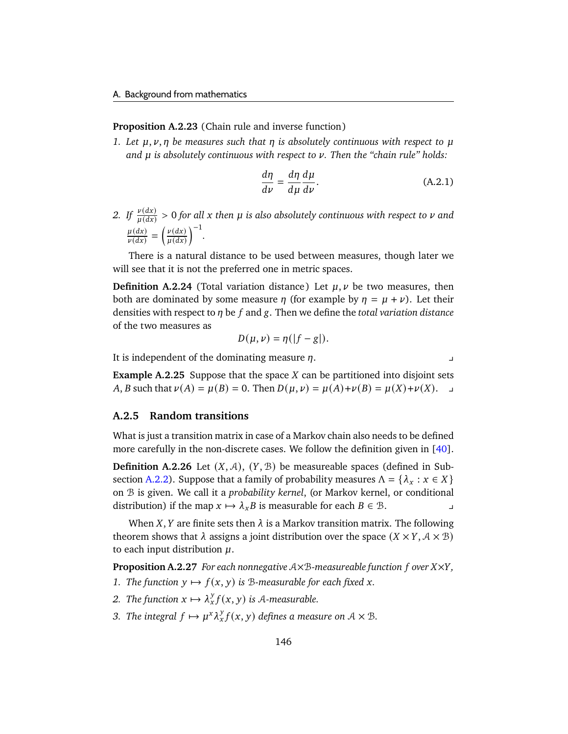### **Proposition A.2.23** (Chain rule and inverse function)

*1. Let*  $\mu$ ,  $\nu$ ,  $\eta$  be measures such that  $\eta$  is absolutely continuous with respect to  $\mu$ *and is absolutely continuous with respect to . Then the "chain rule" holds:*

$$
\frac{d\eta}{d\nu} = \frac{d\eta}{d\mu}\frac{d\mu}{d\nu}.
$$
\n(A.2.1)

2. If  $\frac{\nu(dx)}{\mu(dx)} > 0$  for all x then  $\mu$  is also absolutely continuous with respect to  $\nu$  and  $\mu(dx)$  $\frac{\mu(dx)}{\nu(dx)} = \left(\frac{\nu(dx)}{\mu(dx)}\right)$  $\frac{\nu(dx)}{\mu(dx)}\bigg)^{-1}.$ 

There is a natural distance to be used between measures, though later we will see that it is not the preferred one in metric spaces.

<span id="page-151-0"></span>**Definition A.2.24** (Total variation distance) Let  $\mu, \nu$  be two measures, then both are dominated by some measure  $\eta$  (for example by  $\eta = \mu + \nu$ ). Let their densities with respect to  $\eta$  be f and g. Then we define the *total variation distance* of the two measures as

$$
D(\mu, \nu) = \eta(|f - g|).
$$

It is independent of the dominating measure  $\eta$ .

**Example A.2.25** Suppose that the space  $X$  can be partitioned into disjoint sets A, B such that  $\nu(A) = \mu(B) = 0$ . Then  $D(\mu, \nu) = \mu(A)+\nu(B) = \mu(X)+\nu(X)$ .

### <span id="page-151-1"></span>**A.2.5 Random transitions**

What is just a transition matrix in case of a Markov chain also needs to be defined more carefully in the non-discrete cases. We follow the definition given in [\[40\]](#page-179-0).

**Definition A.2.26** Let  $(X, \mathcal{A})$ ,  $(Y, \mathcal{B})$  be measureable spaces (defined in Sub-section [A.2.2\)](#page-146-3). Suppose that a family of probability measures  $\Lambda = \{\lambda_x : x \in X\}$ on B is given. We call it a *probability kernel*, (or Markov kernel, or conditional distribution) if the map  $x \mapsto \lambda_x B$  is measurable for each  $B \in \mathcal{B}$ .

When  $X$ ,  $Y$  are finite sets then  $\lambda$  is a Markov transition matrix. The following theorem shows that  $\lambda$  assigns a joint distribution over the space  $(X \times Y, \mathcal{A} \times \mathcal{B})$ to each input distribution  $\mu$ .

**Proposition A.2.27** *For each nonnegative*  $A \times B$ *-measureable function f over*  $X \times Y$ *,* 

- *1. The function*  $y \mapsto f(x, y)$  *is* B-measurable for each fixed *x*.
- *2. The function*  $x \mapsto \lambda_x^y$  $\int_{x}^{y} f(x, y)$  is A-measurable.
- *3. The integral*  $f \mapsto \mu^x \lambda_x^y$  $\int_{x}^{y} f(x, y)$  defines a measure on  $A \times B$ .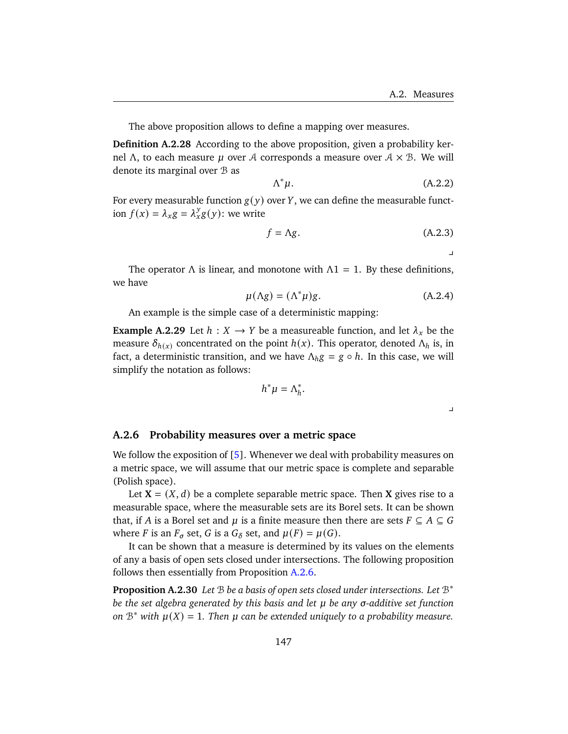The above proposition allows to define a mapping over measures.

**Definition A.2.28** According to the above proposition, given a probability kernel Λ, to each measure *μ* over *A* corresponds a measure over  $A \times B$ . We will denote its marginal over B as

$$
\Lambda^*\mu. \tag{A.2.2}
$$

For every measurable function  $g(y)$  over Y, we can define the measurable function  $f(x) = \lambda_x g = \lambda_x^y g(y)$ : we write

$$
f = \Lambda g. \tag{A.2.3}
$$

 $\mathbf{y}$ 

The operator  $\Lambda$  is linear, and monotone with  $\Lambda$ 1 = 1. By these definitions, we have

$$
\mu(\Lambda g) = (\Lambda^* \mu) g. \tag{A.2.4}
$$

An example is the simple case of a deterministic mapping:

<span id="page-152-1"></span>**Example A.2.29** Let  $h: X \to Y$  be a measureable function, and let  $\lambda_x$  be the measure  $\delta_{h(x)}$  concentrated on the point  $h(x)$ . This operator, denoted  $\Lambda_h$  is, in fact, a deterministic transition, and we have  $\Lambda_h g = g \circ h$ . In this case, we will simplify the notation as follows:

$$
h^*\mu=\Lambda_h^*
$$

.

### <span id="page-152-0"></span>**A.2.6 Probability measures over a metric space**

We follow the exposition of [\[5\]](#page-176-0). Whenever we deal with probability measures on a metric space, we will assume that our metric space is complete and separable (Polish space).

Let  $X = (X, d)$  be a complete separable metric space. Then X gives rise to a measurable space, where the measurable sets are its Borel sets. It can be shown that, if A is a Borel set and  $\mu$  is a finite measure then there are sets  $F \subseteq A \subseteq G$ where *F* is an  $F_{\sigma}$  set, *G* is a  $G_{\delta}$  set, and  $\mu(F) = \mu(G)$ .

It can be shown that a measure is determined by its values on the elements of any a basis of open sets closed under intersections. The following proposition follows then essentially from Proposition [A.2.6.](#page-147-3)

**Proposition A.2.30** *Let* B *be a basis of open sets closed under intersections. Let* B ∗ *be the set algebra generated by this basis and let*  $\mu$  *be any*  $\sigma$ *-additive set function on*  $B^*$  *with*  $\mu(X) = 1$ . Then  $\mu$  can be extended uniquely to a probability measure.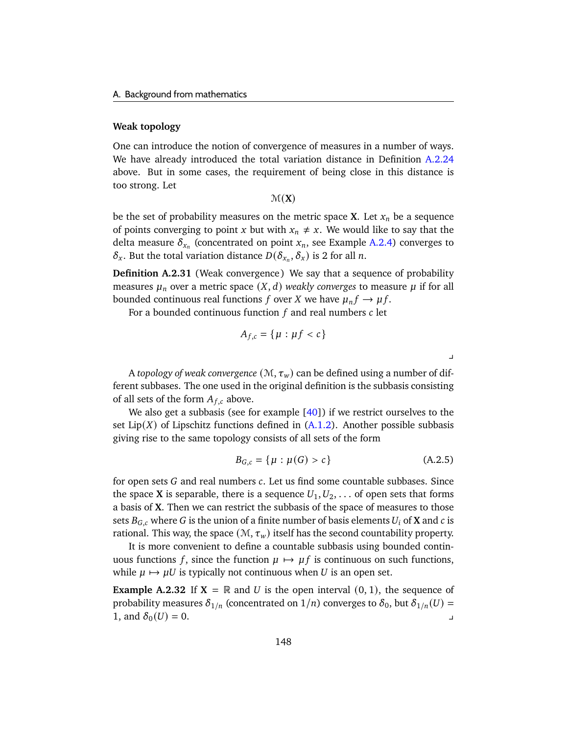### <span id="page-153-0"></span>**Weak topology**

One can introduce the notion of convergence of measures in a number of ways. We have already introduced the total variation distance in Definition [A.2.24](#page-151-0) above. But in some cases, the requirement of being close in this distance is too strong. Let

 $\mathcal{M}(\mathbf{X})$ 

be the set of probability measures on the metric space **X**. Let  $x_n$  be a sequence of points converging to point x but with  $x_n \neq x$ . We would like to say that the delta measure  $\delta_{x_n}$  (concentrated on point  $x_n$ , see Example [A.2.4\)](#page-147-4) converges to  $\delta_x$ . But the total variation distance  $D(\delta_{x_n}, \delta_x)$  is 2 for all n.

<span id="page-153-1"></span>**Definition A.2.31** (Weak convergence) We say that a sequence of probability measures  $\mu_n$  over a metric space  $(X, d)$  weakly converges to measure  $\mu$  if for all bounded continuous real functions f over X we have  $\mu_n f \to \mu f$ .

For a bounded continuous function  $f$  and real numbers  $c$  let

$$
A_{f,c}=\{\mu:\mu f
$$

A *topology of weak convergence*  $(M, \tau_w)$  can be defined using a number of different subbases. The one used in the original definition is the subbasis consisting of all sets of the form  $A_{f,c}$  above.

We also get a subbasis (see for example  $[40]$ ) if we restrict ourselves to the set  $Lip(X)$  of Lipschitz functions defined in  $(A.1.2)$ . Another possible subbasis giving rise to the same topology consists of all sets of the form

$$
B_{G,c} = \{ \mu : \mu(G) > c \}
$$
 (A.2.5)

 $\overline{a}$ 

for open sets  $G$  and real numbers  $c$ . Let us find some countable subbases. Since the space **X** is separable, there is a sequence  $U_1, U_2, \ldots$  of open sets that forms a basis of **X**. Then we can restrict the subbasis of the space of measures to those sets  $B_{G,c}$  where G is the union of a finite number of basis elements  $U_i$  of **X** and c is rational. This way, the space  $(M, \tau_w)$  itself has the second countability property.

It is more convenient to define a countable subbasis using bounded continuous functions f, since the function  $\mu \mapsto \mu f$  is continuous on such functions, while  $\mu \mapsto \mu U$  is typically not continuous when U is an open set.

**Example A.2.32** If  $X = \mathbb{R}$  and U is the open interval  $(0, 1)$ , the sequence of probability measures  $\delta_{1/n}$  (concentrated on  $1/n$ ) converges to  $\delta_0$ , but  $\delta_{1/n}(U)$  = 1, and  $\delta_0(U) = 0$ .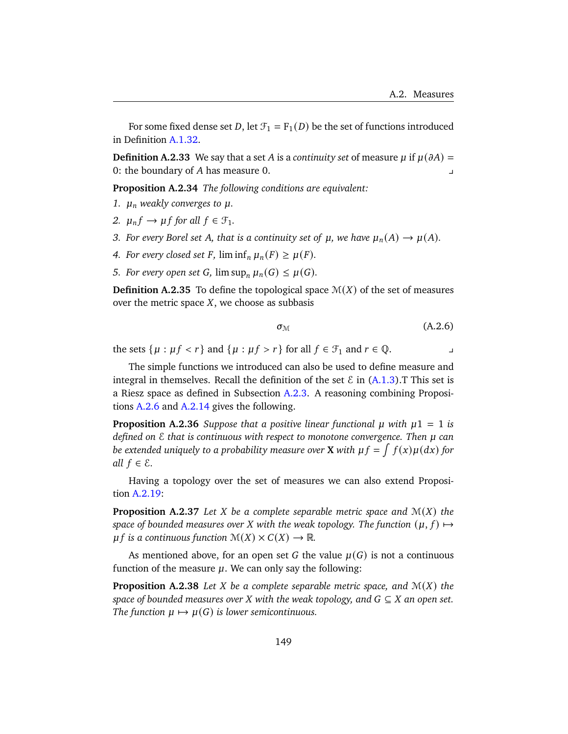For some fixed dense set D, let  $\mathcal{F}_1 = \mathcal{F}_1(D)$  be the set of functions introduced in Definition [A.1.32.](#page-143-0)

**Definition A.2.33** We say that a set A is a *continuity set* of measure  $\mu$  if  $\mu(\partial A)$  = 0: the boundary of  $A$  has measure 0.

**Proposition A.2.34** *The following conditions are equivalent:*

- *1.*  $\mu_n$  weakly converges to  $\mu$ .
- 2.  $\mu_n f \to \mu f$  for all  $f \in \mathcal{F}_1$ .
- *3. For every Borel set A, that is a continuity set of*  $\mu$ *, we have*  $\mu_n(A) \to \mu(A)$ *.*
- *4. For every closed set F*,  $\liminf_n \mu_n(F) \geq \mu(F)$ .
- *5. For every open set G*,  $\limsup_n \mu_n(G) \leq \mu(G)$ *.*

**Definition A.2.35** To define the topological space  $\mathcal{M}(X)$  of the set of measures over the metric space  $X$ , we choose as subbasis

$$
\sigma_{\mathcal{M}} \tag{A.2.6}
$$

the sets  $\{ \mu : \mu f < r \}$  and  $\{ \mu : \mu f > r \}$  for all  $f \in \mathcal{F}_1$  and  $r \in \mathbb{Q}$ .

The simple functions we introduced can also be used to define measure and integral in themselves. Recall the definition of the set  $\mathcal E$  in [\(A.1.3\)](#page-144-0). This set is a Riesz space as defined in Subsection [A.2.3.](#page-149-0) A reasoning combining Propositions [A.2.6](#page-147-3) and [A.2.14](#page-149-1) gives the following.

<span id="page-154-0"></span>**Proposition A.2.36** *Suppose that a positive linear functional*  $\mu$  *with*  $\mu$ 1 = 1 *is defined on* E *that is continuous with respect to monotone convergence. Then can be extended uniquely to a probability measure over X with*  $\mu f = \int f(x) \mu(dx)$  *for all*  $f \in \mathcal{E}$ *.* 

Having a topology over the set of measures we can also extend Proposition [A.2.19:](#page-150-0)

<span id="page-154-1"></span>**Proposition A.2.37** Let *X* be a complete separable metric space and  $\mathcal{M}(X)$  the *space of bounded measures over X* with the weak topology. The function  $(\mu, f) \mapsto$ *if* is a continuous function  $M(X) \times C(X) \rightarrow \mathbb{R}$ .

As mentioned above, for an open set G the value  $\mu(G)$  is not a continuous function of the measure  $\mu$ . We can only say the following:

**Proposition A.2.38** Let *X* be a complete separable metric space, and  $M(X)$  the *space of bounded measures over*  $X$  *with the weak topology, and*  $G \subseteq X$  *an open set. The function*  $\mu \mapsto \mu(G)$  *is lower semicontinuous.*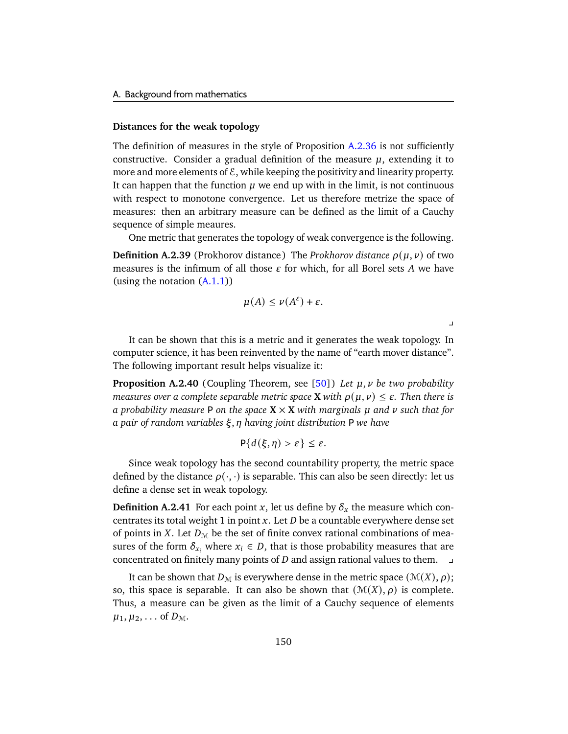### <span id="page-155-1"></span>**Distances for the weak topology**

(using the notation  $(A.1.1)$ )

The definition of measures in the style of Proposition [A.2.36](#page-154-0) is not sufficiently constructive. Consider a gradual definition of the measure  $\mu$ , extending it to more and more elements of  $\mathcal{E}$ , while keeping the positivity and linearity property. It can happen that the function  $\mu$  we end up with in the limit, is not continuous with respect to monotone convergence. Let us therefore metrize the space of measures: then an arbitrary measure can be defined as the limit of a Cauchy sequence of simple meaures.

One metric that generates the topology of weak convergence is the following. **Definition A.2.39** (Prokhorov distance) The *Prokhorov distance*  $\rho(\mu, \nu)$  of two measures is the infimum of all those  $\varepsilon$  for which, for all Borel sets A we have

$$
\mu(A) \le \nu(A^{\varepsilon}) + \varepsilon.
$$

 $\overline{a}$ 

It can be shown that this is a metric and it generates the weak topology. In computer science, it has been reinvented by the name of "earth mover distance". The following important result helps visualize it:

<span id="page-155-0"></span>**Proposition A.2.40** (Coupling Theorem, see [\[50\]](#page-179-1)) Let  $\mu$ ,  $\nu$  be two probability *measures over a complete separable metric space* **X** *with*  $\rho(\mu, \nu) \leq \varepsilon$ . Then there is *a probability measure* **P** *on the space*  $X \times X$  *with marginals*  $\mu$  *and*  $\nu$  *such that for a pair of random variables* , *having joint distribution* P *we have*

$$
P\{d(\xi,\eta) > \varepsilon\} \leq \varepsilon.
$$

Since weak topology has the second countability property, the metric space defined by the distance  $\rho(\cdot, \cdot)$  is separable. This can also be seen directly: let us define a dense set in weak topology.

**Definition A.2.41** For each point x, let us define by  $\delta_x$  the measure which concentrates its total weight 1 in point  $x$ . Let  $D$  be a countable everywhere dense set of points in X. Let  $D_M$  be the set of finite convex rational combinations of measures of the form  $\delta_{x_i}$  where  $x_i \in D$ , that is those probability measures that are concentrated on finitely many points of  $D$  and assign rational values to them.  $\Box$ 

It can be shown that  $D_M$  is everywhere dense in the metric space  $(\mathcal{M}(X), \rho)$ ; so, this space is separable. It can also be shown that  $(\mathcal{M}(X), \rho)$  is complete. Thus, a measure can be given as the limit of a Cauchy sequence of elements  $\mu_1, \mu_2, \ldots$  of  $D_{\mathcal{M}}$ .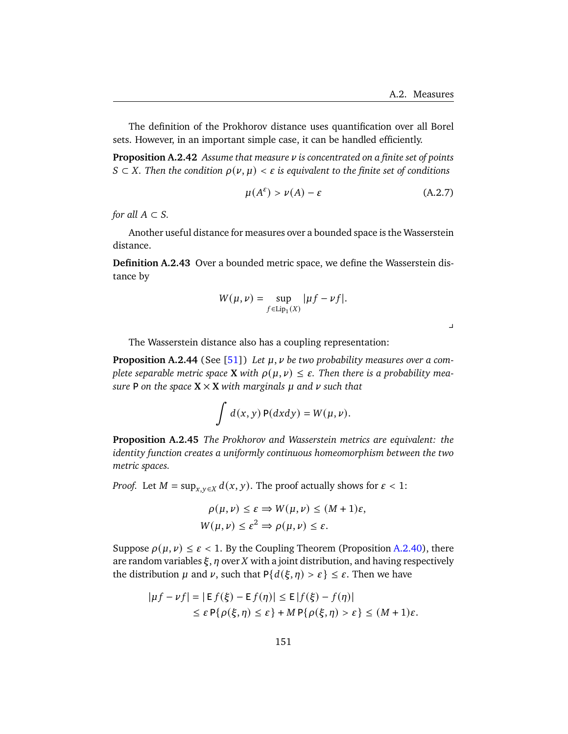The definition of the Prokhorov distance uses quantification over all Borel sets. However, in an important simple case, it can be handled efficiently.

**Proposition A.2.42** *Assume that measure is concentrated on a finite set of points*  $S ⊂ X$ . Then the condition  $ρ(ν, μ) < ε$  is equivalent to the finite set of conditions

$$
\mu(A^{\varepsilon}) > \nu(A) - \varepsilon \tag{A.2.7}
$$

*for all*  $A \subset S$ .

Another useful distance for measures over a bounded space is the Wasserstein distance.

**Definition A.2.43** Over a bounded metric space, we define the Wasserstein distance by

$$
W(\mu,\nu)=\sup_{f\in \text{Lip}_1(X)}|\mu f-\nu f|.
$$

 $\perp$ 

The Wasserstein distance also has a coupling representation:

Proposition A.2.44 (See [\[51\]](#page-180-0)) Let  $\mu$ ,  $\nu$  be two probability measures over a com*plete separable metric space* **X** *with*  $\rho(\mu, \nu) \leq \varepsilon$ . Then there is a probability mea*sure* **P** on the space  $X \times X$  with marginals  $\mu$  and  $\nu$  such that

$$
\int d(x,y) P(dxdy) = W(\mu,\nu).
$$

**Proposition A.2.45** *The Prokhorov and Wasserstein metrics are equivalent: the identity function creates a uniformly continuous homeomorphism between the two metric spaces.*

*Proof.* Let  $M = \sup_{x,y \in X} d(x, y)$ . The proof actually shows for  $\varepsilon < 1$ :

$$
\rho(\mu, \nu) \le \varepsilon \Rightarrow W(\mu, \nu) \le (M+1)\varepsilon,
$$
  
 
$$
W(\mu, \nu) \le \varepsilon^2 \Rightarrow \rho(\mu, \nu) \le \varepsilon.
$$

Suppose  $\rho(\mu, \nu) \leq \varepsilon < 1$ . By the Coupling Theorem (Proposition [A.2.40\)](#page-155-0), there are random variables  $\xi$ ,  $\eta$  over  $X$  with a joint distribution, and having respectively the distribution  $\mu$  and  $\nu$ , such that  $P\{d(\xi, \eta) > \varepsilon\} \leq \varepsilon$ . Then we have

$$
|{\mu}f - {\nu}f| = |E f(\xi) - E f(\eta)| \le E |f(\xi) - f(\eta)|
$$
  
\n
$$
\le \varepsilon P\{\rho(\xi, \eta) \le \varepsilon\} + MP\{\rho(\xi, \eta) > \varepsilon\} \le (M+1)\varepsilon.
$$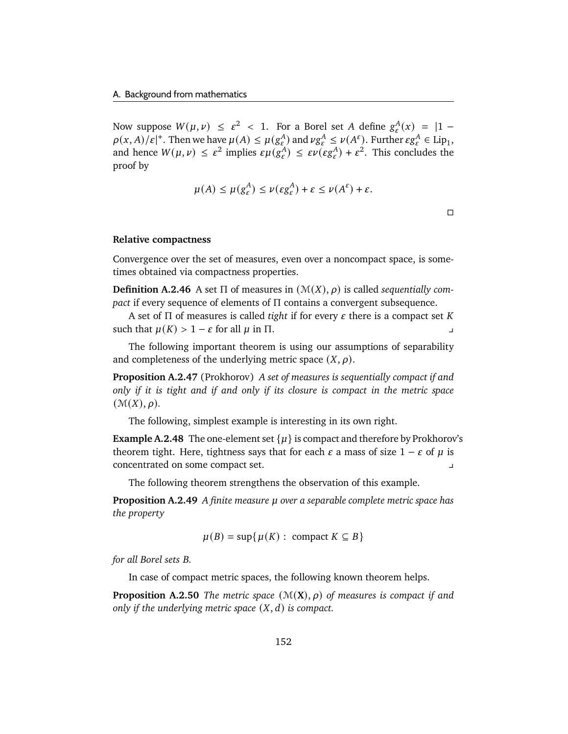Now suppose  $W(\mu, \nu) \leq \varepsilon^2 < 1$ . For a Borel set A define  $g_{\varepsilon}^A(x) = |1 - \varepsilon|$  $\rho(x, A)/\varepsilon$  |<sup>+</sup>. Then we have  $\mu(A) \leq \mu(g_{\varepsilon}^A)$  and  $\nu g_{\varepsilon}^A \leq \nu(A^{\varepsilon})$ . Further  $\varepsilon g_{\varepsilon}^A \in Lip_1$ , and hence  $W(\mu, \nu) \leq \varepsilon^2$  implies  $\varepsilon \mu(g_{\varepsilon}^A) \leq \varepsilon \nu(\varepsilon g_{\varepsilon}^A) + \varepsilon^2$ . This concludes the proof by

$$
\mu(A) \le \mu(g_{\varepsilon}^A) \le \nu(\varepsilon g_{\varepsilon}^A) + \varepsilon \le \nu(A^{\varepsilon}) + \varepsilon.
$$

 $\Box$ 

### **Relative compactness**

Convergence over the set of measures, even over a noncompact space, is sometimes obtained via compactness properties.

**Definition A.2.46** A set  $\Pi$  of measures in  $(\mathcal{M}(X), \rho)$  is called *sequentially compact* if every sequence of elements of Π contains a convergent subsequence.

A set of  $\Pi$  of measures is called *tight* if for every  $\varepsilon$  there is a compact set  $K$ such that  $\mu(K) > 1 - \varepsilon$  for all  $\mu$  in  $\Pi$ .

The following important theorem is using our assumptions of separability and completeness of the underlying metric space  $(X, \rho)$ .

**Proposition A.2.47** (Prokhorov) *A set of measures is sequentially compact if and only if it is tight and if and only if its closure is compact in the metric space*  $(\mathcal{M}(X), \rho)$ .

The following, simplest example is interesting in its own right.

**Example A.2.48** The one-element set  $\{ \mu \}$  is compact and therefore by Prokhorov's theorem tight. Here, tightness says that for each  $\varepsilon$  a mass of size  $1 - \varepsilon$  of  $\mu$  is concentrated on some compact set. y

The following theorem strengthens the observation of this example.

<span id="page-157-0"></span>**Proposition A.2.49** *A finite measure over a separable complete metric space has the property*

$$
\mu(B) = \sup \{ \mu(K) : \text{ compact } K \subseteq B \}
$$

*for all Borel sets B.* 

In case of compact metric spaces, the following known theorem helps.

**Proposition A.2.50** *The metric space*  $(\mathcal{M}(\mathbf{X}), \rho)$  *of measures is compact if and only if the underlying metric space*  $(X, d)$  *is compact.*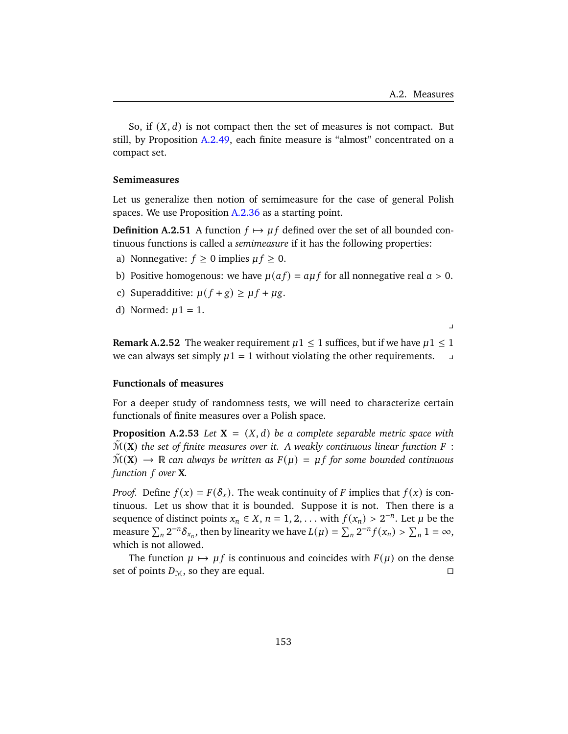So, if  $(X, d)$  is not compact then the set of measures is not compact. But still, by Proposition [A.2.49,](#page-157-0) each finite measure is "almost" concentrated on a compact set.

### **Semimeasures**

Let us generalize then notion of semimeasure for the case of general Polish spaces. We use Proposition [A.2.36](#page-154-0) as a starting point.

**Definition A.2.51** A function  $f \mapsto \mu f$  defined over the set of all bounded continuous functions is called a *semimeasure* if it has the following properties:

- a) Nonnegative:  $f \ge 0$  implies  $\mu f \ge 0$ .
- b) Positive homogenous: we have  $\mu(af) = a\mu f$  for all nonnegative real  $a > 0$ .
- c) Superadditive:  $\mu(f + g) \ge \mu f + \mu g$ .
- d) Normed:  $\mu$ 1 = 1.

 $\overline{v}$ 

**Remark A.2.52** The weaker requirement  $\mu$ 1  $\leq$  1 suffices, but if we have  $\mu$ 1  $\leq$  1 we can always set simply  $\mu$ 1 = 1 without violating the other requirements.  $\Box$ 

# **Functionals of measures**

For a deeper study of randomness tests, we will need to characterize certain functionals of finite measures over a Polish space.

**Proposition A.2.53** *Let*  $X = (X, d)$  *be a complete separable metric space with*  $\mathcal{M}(\mathbf{X})$  the set of finite measures over it. A weakly continuous linear function F :  $\mathcal{M}(\mathbf{X}) \to \mathbb{R}$  can always be written as  $F(\mu) = \mu f$  for some bounded continuous *function over* **X***.*

*Proof.* Define  $f(x) = F(\delta_x)$ . The weak continuity of F implies that  $f(x)$  is continuous. Let us show that it is bounded. Suppose it is not. Then there is a sequence of distinct points  $x_n \in X$ ,  $n = 1, 2, \ldots$  with  $f(x_n) > 2^{-n}$ . Let  $\mu$  be the measure  $\sum_n 2^{-n} \delta_{x_n}$ , then by linearity we have  $L(\mu) = \sum_n 2^{-n} f(x_n) > \sum_n 1 = \infty$ , which is not allowed.

The function  $\mu \mapsto \mu f$  is continuous and coincides with  $F(\mu)$  on the dense set of points  $D_M$ , so they are equal.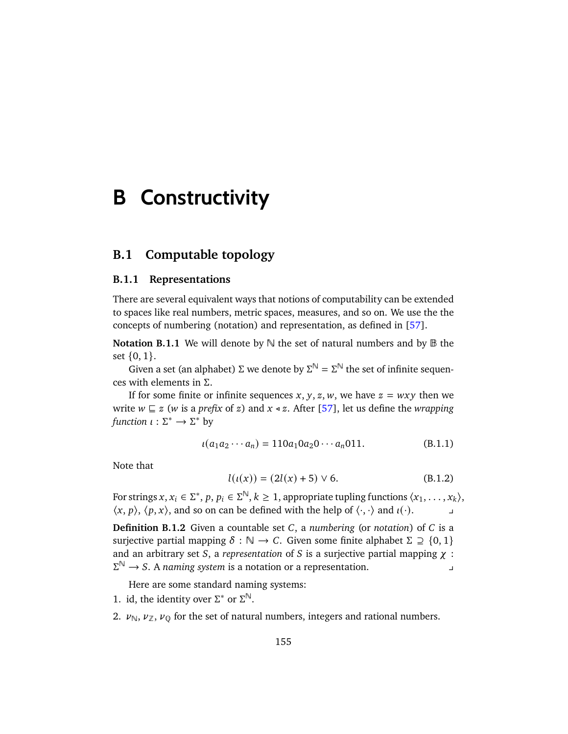# **B Constructivity**

# **B.1 Computable topology**

### **B.1.1 Representations**

There are several equivalent ways that notions of computability can be extended to spaces like real numbers, metric spaces, measures, and so on. We use the the concepts of numbering (notation) and representation, as defined in [\[57\]](#page-180-1).

**Notation B.1.1** We will denote by  $\mathbb N$  the set of natural numbers and by  $\mathbb B$  the set  $\{0, 1\}$ .

Given a set (an alphabet)  $\Sigma$  we denote by  $\Sigma^{\mathbb{N}} = \Sigma^{\mathbb{N}}$  the set of infinite sequences with elements in Σ.

If for some finite or infinite sequences x, y, z, w, we have  $z = wxy$  then we write  $w \sqsubseteq z$  (*w* is a *prefix* of z) and  $x \triangleleft z$ . After [\[57\]](#page-180-1), let us define the *wrapping function*  $\iota : \Sigma^* \to \Sigma^*$  by

$$
\iota(a_1a_2\cdots a_n) = 110a_10a_20\cdots a_n011. \tag{B.1.1}
$$

Note that

$$
l(\iota(x)) = (2l(x) + 5) \lor 6. \tag{B.1.2}
$$

For strings  $x, x_i \in \Sigma^*$ ,  $p, p_i \in \Sigma^{\mathbb{N}}, k \geq 1$ , appropriate tupling functions  $\langle x_1, \ldots, x_k \rangle$ ,  $\langle x, p \rangle$ ,  $\langle p, x \rangle$ , and so on can be defined with the help of  $\langle \cdot, \cdot \rangle$  and  $\iota(\cdot)$ .

**Definition B.1.2** Given a countable set  $C$ , a *numbering* (or *notation*) of  $C$  is a surjective partial mapping  $\delta : \mathbb{N} \to \mathbb{C}$ . Given some finite alphabet  $\Sigma \supseteq \{0, 1\}$ and an arbitrary set  $S$ , a *representation* of  $S$  is a surjective partial mapping  $\chi$  :  $\Sigma^{\mathbb{N}} \to S$ . A *naming system* is a notation or a representation.

Here are some standard naming systems:

- 1. id, the identity over  $\Sigma^*$  or  $\Sigma^{\mathbb{N}}$ .
- 2.  $\nu_{\mathbb{N}}, \nu_{\mathbb{Z}}, \nu_{0}$  for the set of natural numbers, integers and rational numbers.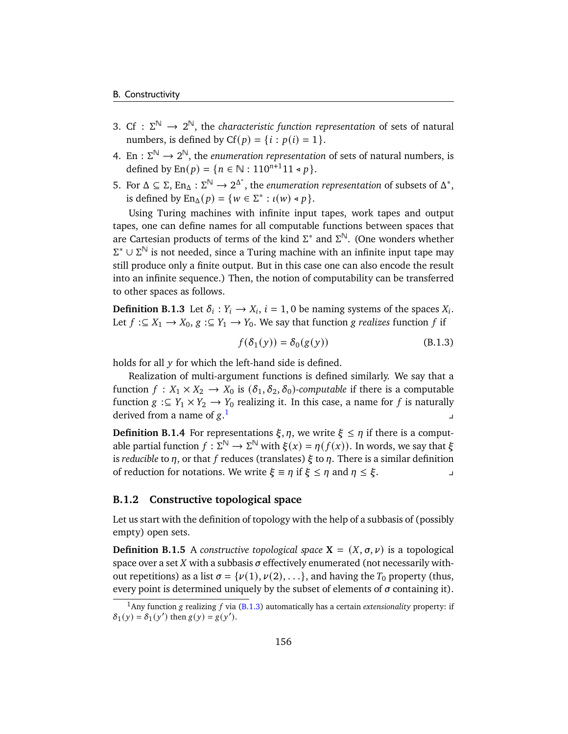- 3. Cf :  $\Sigma^{\mathbb{N}} \to 2^{\mathbb{N}}$ , the *characteristic function representation* of sets of natural numbers, is defined by  $Cf(p) = \{i : p(i) = 1\}.$
- 4. En :  $\Sigma^{\mathbb{N}} \to 2^{\mathbb{N}}$ , the *enumeration representation* of sets of natural numbers, is defined by  $En(p) = \{ n \in \mathbb{N} : 110^{n+1}11 \le p \}.$
- 5. For Δ ⊆ Σ, En<sub>Δ</sub> : Σ<sup>N</sup> → 2<sup>Δ\*</sup>, the *enumeration representation* of subsets of Δ<sup>\*</sup>, is defined by  $\text{En}_{\Delta}(p) = \{w \in \Sigma^* : \iota(w) \triangleleft p\}.$

Using Turing machines with infinite input tapes, work tapes and output tapes, one can define names for all computable functions between spaces that are Cartesian products of terms of the kind  $\Sigma^*$  and  $\Sigma^{\mathbb{N}}$ . (One wonders whether  $\Sigma^* \cup \Sigma^\mathbb{N}$  is not needed, since a Turing machine with an infinite input tape may still produce only a finite output. But in this case one can also encode the result into an infinite sequence.) Then, the notion of computability can be transferred to other spaces as follows.

**Definition B.1.3** Let  $\delta_i : Y_i \to X_i$ ,  $i = 1, 0$  be naming systems of the spaces  $X_i$ . Let  $f : \subseteq X_1 \to X_0$ ,  $g : \subseteq Y_1 \to Y_0$ . We say that function g *realizes* function f if

<span id="page-161-1"></span>
$$
f(\delta_1(y)) = \delta_0(g(y))
$$
 (B.1.3)

holds for all  $y$  for which the left-hand side is defined.

Realization of multi-argument functions is defined similarly. We say that a function  $f: X_1 \times X_2 \to X_0$  is  $(\delta_1, \delta_2, \delta_0)$ -computable if there is a computable function  $g : \subseteq Y_1 \times Y_2 \to Y_0$  realizing it. In this case, a name for f is naturally derived from a name of  $g<sup>1</sup>$  $g<sup>1</sup>$  $g<sup>1</sup>$  $\mathbf{I}$ 

**Definition B.1.4** For representations  $\xi, \eta$ , we write  $\xi \leq \eta$  if there is a computable partial function  $f : \Sigma^{\mathbb{N}} \to \Sigma^{\mathbb{N}}$  with  $\xi(x) = \eta(f(x))$ . In words, we say that  $\xi$ is *reducible* to  $\eta$ , or that f reduces (translates)  $\xi$  to  $\eta$ . There is a similar definition of reduction for notations. We write  $\xi \equiv \eta$  if  $\xi \leq \eta$  and  $\eta \leq \xi$ .

# **B.1.2 Constructive topological space**

Let us start with the definition of topology with the help of a subbasis of (possibly empty) open sets.

**Definition B.1.5** A *constructive topological space*  $X = (X, \sigma, \nu)$  is a topological space over a set  $X$  with a subbasis  $\sigma$  effectively enumerated (not necessarily without repetitions) as a list  $\sigma = {\nu(1), \nu(2), \ldots}$ , and having the  $T_0$  property (thus, every point is determined uniquely by the subset of elements of  $\sigma$  containing it).

<span id="page-161-0"></span><sup>&</sup>lt;sup>1</sup>Any function g realizing  $f$  via [\(B.1.3\)](#page-161-1) automatically has a certain *extensionality* property: if  $\delta_1(y) = \delta_1(y')$  then  $g(y) = g(y')$ .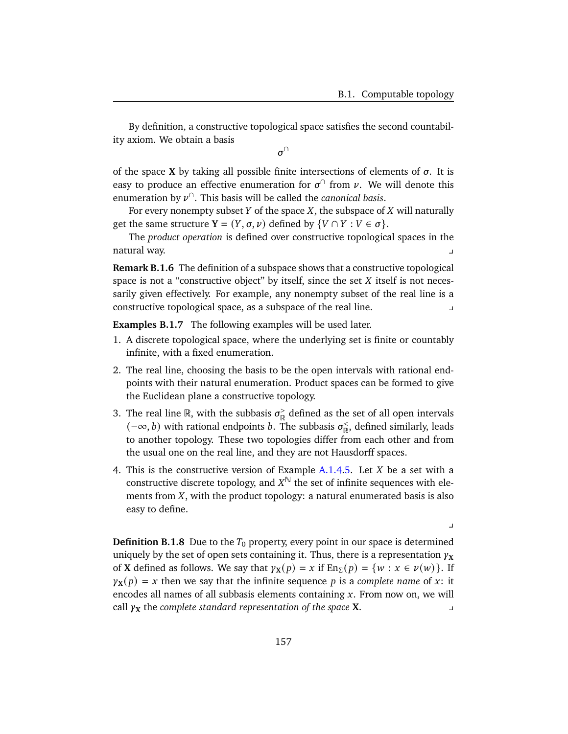$\perp$ 

By definition, a constructive topological space satisfies the second countability axiom. We obtain a basis

 $\sigma^{\cap}$ 

of the space **X** by taking all possible finite intersections of elements of  $\sigma$ . It is easy to produce an effective enumeration for  $\sigma^{\cap}$  from  $\nu$ . We will denote this enumeration by ∩ . This basis will be called the *canonical basis*.

For every nonempty subset Y of the space X, the subspace of  $X$  will naturally get the same structure **Y** =  $(Y, \sigma, \nu)$  defined by  $\{V \cap Y : V \in \sigma\}.$ 

The *product operation* is defined over constructive topological spaces in the natural way.

**Remark B.1.6** The definition of a subspace shows that a constructive topological space is not a "constructive object" by itself, since the set  $X$  itself is not necessarily given effectively. For example, any nonempty subset of the real line is a constructive topological space, as a subspace of the real line. y

<span id="page-162-0"></span>**Examples B.1.7** The following examples will be used later.

- 1. A discrete topological space, where the underlying set is finite or countably infinite, with a fixed enumeration.
- <span id="page-162-1"></span>2. The real line, choosing the basis to be the open intervals with rational endpoints with their natural enumeration. Product spaces can be formed to give the Euclidean plane a constructive topology.
- 3. The real line R, with the subbasis  $\sigma_{\mathbb{D}}^>$  $\frac{1}{\mathbb{R}}$  defined as the set of all open intervals  $(-\infty, b)$  with rational endpoints *b*. The subbasis  $\sigma_{\mathbb{R}}^{\leq}$  $\mathcal{R}^<$ , defined similarly, leads to another topology. These two topologies differ from each other and from the usual one on the real line, and they are not Hausdorff spaces.
- <span id="page-162-2"></span>4. This is the constructive version of Example  $A.1.4.5$  $A.1.4.5$ . Let  $X$  be a set with a constructive discrete topology, and  $X^{\mathbb{N}}$  the set of infinite sequences with elements from  $X$ , with the product topology: a natural enumerated basis is also easy to define.

**Definition B.1.8** Due to the  $T_0$  property, every point in our space is determined uniquely by the set of open sets containing it. Thus, there is a representation  $\gamma_X$ of **X** defined as follows. We say that  $\gamma_X(p) = x$  if  $En_{\Sigma}(p) = \{w : x \in \nu(w)\}\$ . If  $\gamma$ **x**(p) = x then we say that the infinite sequence p is a *complete name* of x: it encodes all names of all subbasis elements containing  $x$ . From now on, we will  $\alpha$  call  $\gamma$ **x** the *complete standard representation of the space* **X**.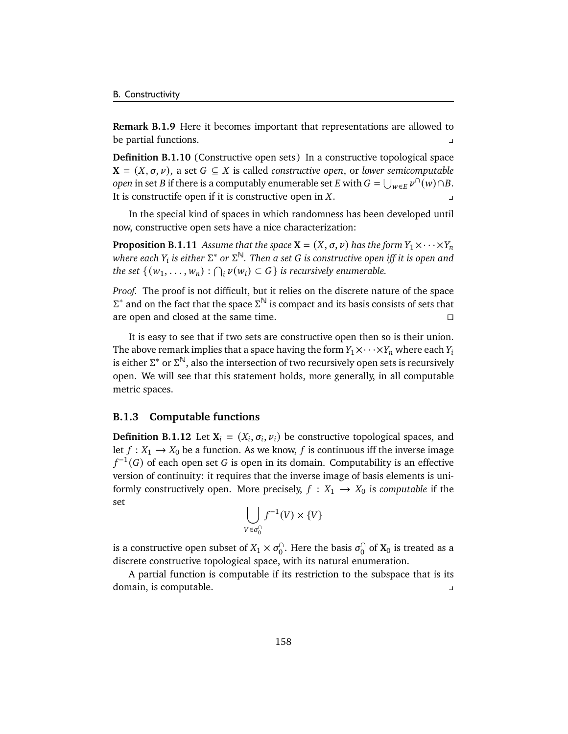**Remark B.1.9** Here it becomes important that representations are allowed to be partial functions. y

**Definition B.1.10** (Constructive open sets) In a constructive topological space  $X = (X, \sigma, \nu)$ , a set  $G \subseteq X$  is called *constructive open*, or *lower semicomputable open* in set *B* if there is a computably enumerable set *E* with  $G = \bigcup_{w \in E} \nu^{\cap}(w) \cap B$ . It is constructife open if it is constructive open in  $X$ .

In the special kind of spaces in which randomness has been developed until now, constructive open sets have a nice characterization:

**Proposition B.1.11** *Assume that the space*  $X = (X, \sigma, \nu)$  *has the form*  $Y_1 \times \cdots \times Y_n$  $\emph{where each $\text{Y}_i$ is either $\Sigma^*$ or $\Sigma^{\mathbb{N}}$. Then a set $G$ is constructive open iff it is open and$ *the set*  $\{(w_1, \ldots, w_n) : \bigcap_i \nu(w_i) \subset G\}$  *is recursively enumerable.* 

*Proof.* The proof is not difficult, but it relies on the discrete nature of the space  $\Sigma^*$  and on the fact that the space  $\Sigma^{\mathbb{N}}$  is compact and its basis consists of sets that are open and closed at the same time.

It is easy to see that if two sets are constructive open then so is their union. The above remark implies that a space having the form  $Y_1 \times \cdots \times Y_n$  where each  $Y_i$ is either  $\Sigma^*$  or  $\Sigma^{\mathbb{N}}$ , also the intersection of two recursively open sets is recursively open. We will see that this statement holds, more generally, in all computable metric spaces.

### **B.1.3 Computable functions**

**Definition B.1.12** Let  $X_i = (X_i, \sigma_i, \nu_i)$  be constructive topological spaces, and let  $f : X_1 \to X_0$  be a function. As we know, f is continuous iff the inverse image  $f^{-1}(G)$  of each open set  $G$  is open in its domain. Computability is an effective version of continuity: it requires that the inverse image of basis elements is uniformly constructively open. More precisely,  $f : X_1 \rightarrow X_0$  is *computable* if the set

$$
\bigcup_{V \in \sigma_0^{\cap}} f^{-1}(V) \times \{V\}
$$

is a constructive open subset of  $X_1 \times \sigma_0^{\cap}$  $_0^\cap$ . Here the basis  $\sigma_0^\cap$  $\int_0^1$  of  $\mathbf{X}_0$  is treated as a discrete constructive topological space, with its natural enumeration.

A partial function is computable if its restriction to the subspace that is its domain, is computable. y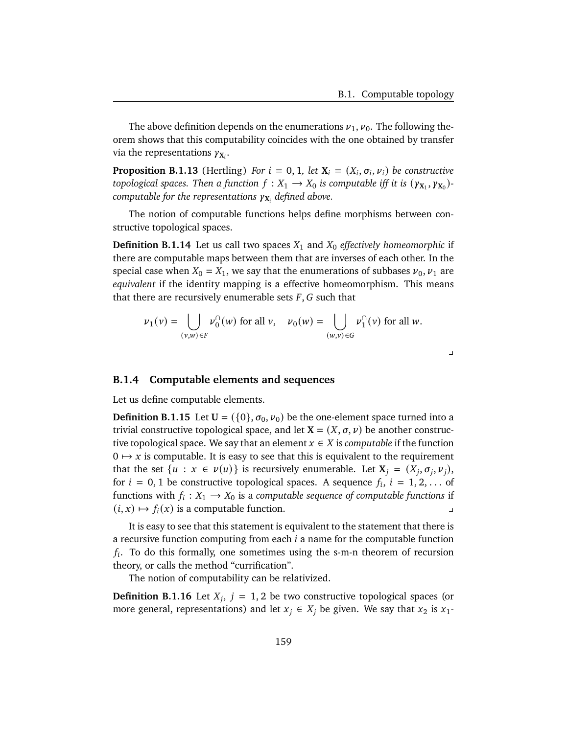$\overline{\phantom{a}}$ 

The above definition depends on the enumerations  $v_1, v_0$ . The following theorem shows that this computability coincides with the one obtained by transfer via the representations  $\gamma_{X_i}$ .

**Proposition B.1.13** (Hertling) *For*  $i = 0, 1$ *, let*  $X_i = (X_i, \sigma_i, \nu_i)$  *be constructive topological spaces. Then a function*  $f: X_1 \to X_0$  *is computable iff it is*  $(\gamma_{X_1}, \gamma_{X_0})$ computable for the representations  $\gamma_{\mathbf{X}_i}$  defined above.

The notion of computable functions helps define morphisms between constructive topological spaces.

**Definition B.1.14** Let us call two spaces  $X_1$  and  $X_0$  *effectively homeomorphic* if there are computable maps between them that are inverses of each other. In the special case when  $X_0 = X_1$ , we say that the enumerations of subbases  $\nu_0$ ,  $\nu_1$  are *equivalent* if the identity mapping is a effective homeomorphism. This means that there are recursively enumerable sets  $F$ ,  $G$  such that

$$
\nu_1(\nu) = \bigcup_{(\nu,w)\in F} \nu_0^{\cap}(w) \text{ for all } \nu, \quad \nu_0(w) = \bigcup_{(w,v)\in G} \nu_1^{\cap}(v) \text{ for all } w.
$$

### <span id="page-164-0"></span>**B.1.4 Computable elements and sequences**

Let us define computable elements.

**Definition B.1.15** Let  $U = (\{0\}, \sigma_0, \nu_0)$  be the one-element space turned into a trivial constructive topological space, and let  $X = (X, \sigma, \nu)$  be another constructive topological space. We say that an element  $x \in X$  is *computable* if the function  $0 \mapsto x$  is computable. It is easy to see that this is equivalent to the requirement that the set  $\{u : x \in \nu(u)\}$  is recursively enumerable. Let  $X_i = (X_i, \sigma_i, \nu_i),$ for  $i = 0, 1$  be constructive topological spaces. A sequence  $f_i$ ,  $i = 1, 2, \ldots$  of functions with  $f_i: X_1 \to X_0$  is a *computable sequence of computable functions* if  $(i, x) \mapsto f_i(x)$  is a computable function.

It is easy to see that this statement is equivalent to the statement that there is a recursive function computing from each  $i$  a name for the computable function  $f_i$ . To do this formally, one sometimes using the s-m-n theorem of recursion theory, or calls the method "currification".

The notion of computability can be relativized.

**Definition B.1.16** Let  $X_i$ ,  $j = 1, 2$  be two constructive topological spaces (or more general, representations) and let  $x_j \in X_j$  be given. We say that  $x_2$  is  $x_1$ -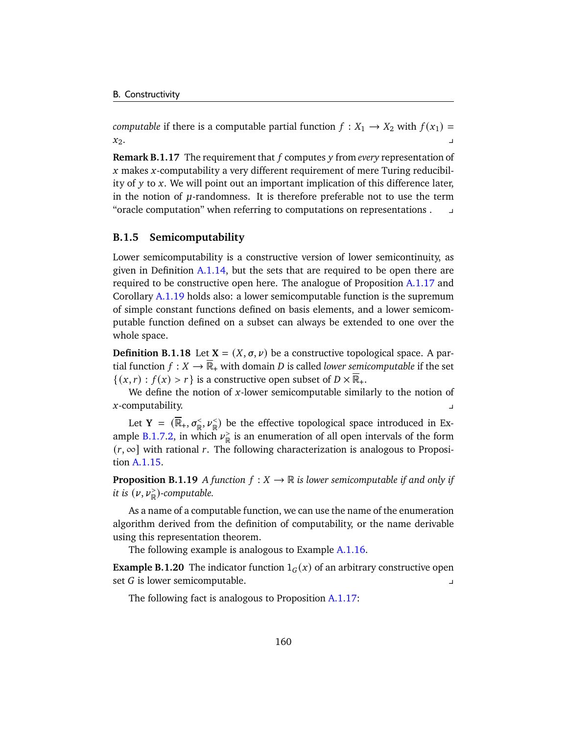*computable* if there is a computable partial function  $f : X_1 \rightarrow X_2$  with  $f(x_1) =$  $x_2$ .

**Remark B.1.17** The requirement that f computes y from *every* representation of  $x$  makes  $x$ -computability a very different requirement of mere Turing reducibility of  $y$  to  $x$ . We will point out an important implication of this difference later, in the notion of  $\mu$ -randomness. It is therefore preferable not to use the term "oracle computation" when referring to computations on representations . y

### **B.1.5 Semicomputability**

Lower semicomputability is a constructive version of lower semicontinuity, as given in Definition [A.1.14,](#page-139-0) but the sets that are required to be open there are required to be constructive open here. The analogue of Proposition [A.1.17](#page-140-0) and Corollary [A.1.19](#page-140-1) holds also: a lower semicomputable function is the supremum of simple constant functions defined on basis elements, and a lower semicomputable function defined on a subset can always be extended to one over the whole space.

**Definition B.1.18** Let  $X = (X, \sigma, \nu)$  be a constructive topological space. A partial function  $f : X \to \overline{\mathbb{R}}_+$  with domain *D* is called *lower semicomputable* if the set  $\{(x, r) : f(x) > r\}$  is a constructive open subset of  $D \times \mathbb{R}_+$ .

We define the notion of  $x$ -lower semicomputable similarly to the notion of  $x$ -computability.

Let  $Y = (\overline{\mathbb{R}}_+, \sigma_{\mathbb{R}}^+, \nu_{\mathbb{R}}^+)$  be the effective topological space introduced in Ex-ample [B.1.7.](#page-162-0)[2,](#page-162-1) in which  $\nu_{\mathbb{R}}^>$  $_{\mathbb{R}}^>$  is an enumeration of all open intervals of the form  $(r, \infty]$  with rational r. The following characterization is analogous to Proposition [A.1.15.](#page-139-1)

**Proposition B.1.19** *A* function  $f: X \to \mathbb{R}$  *is lower semicomputable if and only if it is*  $(\nu, \nu_{\mathbb{R}}^{\ge})$ -computable.

As a name of a computable function, we can use the name of the enumeration algorithm derived from the definition of computability, or the name derivable using this representation theorem.

The following example is analogous to Example [A.1.16.](#page-139-2)

**Example B.1.20** The indicator function  $1_G(x)$  of an arbitrary constructive open set  $G$  is lower semicomputable.

The following fact is analogous to Proposition [A.1.17:](#page-140-0)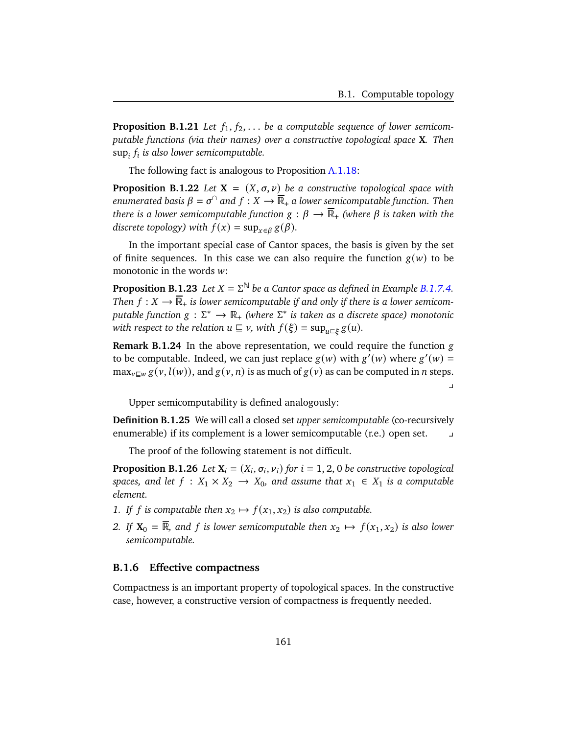$\overline{a}$ 

**Proposition B.1.21** Let  $f_1, f_2, \ldots$  be a computable sequence of lower semicom*putable functions (via their names) over a constructive topological space* **X***. Then* sup<sub>i</sub>  $f_i$  is also lower semicomputable.

The following fact is analogous to Proposition [A.1.18:](#page-140-2)

**Proposition B.1.22** *Let*  $X = (X, \sigma, \nu)$  *be a constructive topological space with*  $e$ numerated basis  $\beta = \sigma^\cap$  and  $f: X \to \overline{\mathbb{R}}_+$  a lower semicomputable function. Then *there is a lower semicomputable function*  $g : \beta \to \overline{\mathbb{R}}_+$  *(where*  $\beta$  *is taken with the discrete topology)* with  $f(x) = \sup_{x \in \beta} g(\beta)$ .

In the important special case of Cantor spaces, the basis is given by the set of finite sequences. In this case we can also require the function  $g(w)$  to be monotonic in the words  $w$ :

**Proposition B.1.23** *Let*  $X = \Sigma^{\mathbb{N}}$  *be a Cantor space as defined in Example [B.1.7.](#page-162-0)[4.](#page-162-2) Then*  $f: X \to \overline{\mathbb{R}}_+$  *is lower semicomputable if and only if there is a lower semicomputable function g* : Σ\* →  $\overline{\mathbb{R}}_+$  (where Σ\* is taken as a discrete space) monotonic with respect to the relation  $u \sqsubseteq v$ , with  $f(\xi) = \sup_{u \sqsubseteq \xi} g(u)$ .

**Remark B.1.24** In the above representation, we could require the function g to be computable. Indeed, we can just replace  $g(w)$  with  $g'(w)$  where  $g'(w)$  $\max_{v \in w} g(v, l(w))$ , and  $g(v, n)$  is as much of  $g(v)$  as can be computed in *n* steps.

Upper semicomputability is defined analogously:

**Definition B.1.25** We will call a closed set *upper semicomputable* (co-recursively enumerable) if its complement is a lower semicomputable (r.e.) open set. y

The proof of the following statement is not difficult.

**Proposition B.1.26** *Let*  $X_i = (X_i, \sigma_i, \nu_i)$  *for*  $i = 1, 2, 0$  *be constructive topological spaces, and let*  $f : X_1 \times X_2 \to X_0$ *, and assume that*  $x_1 \in X_1$  *is a computable element.*

- *1.* If f is computable then  $x_2 \mapsto f(x_1, x_2)$  is also computable.
- *2.* If  $X_0 = \overline{R}$ , and f is lower semicomputable then  $x_2 \mapsto f(x_1, x_2)$  is also lower *semicomputable.*

### **B.1.6 Effective compactness**

Compactness is an important property of topological spaces. In the constructive case, however, a constructive version of compactness is frequently needed.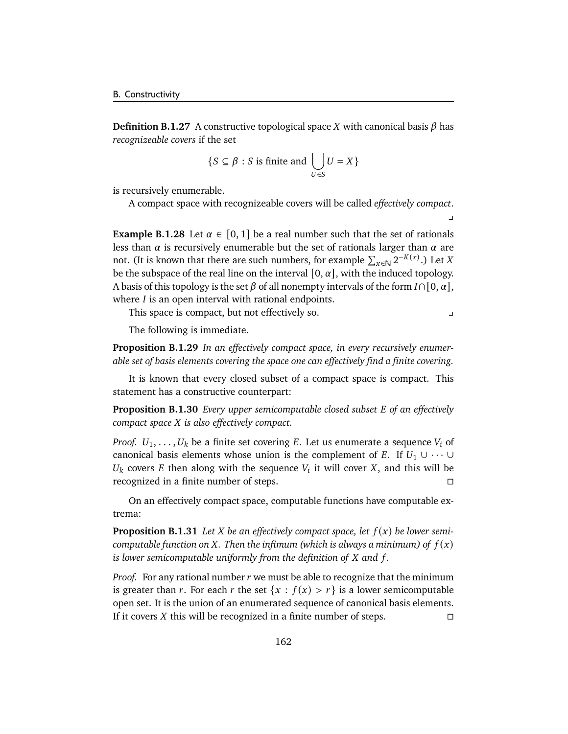**Definition B.1.27** A constructive topological space *X* with canonical basis  $\beta$  has *recognizeable covers* if the set

$$
\{S \subseteq \beta : S \text{ is finite and } \bigcup_{U \in S} U = X\}
$$

is recursively enumerable.

A compact space with recognizeable covers will be called *effectively compact*.

**Example B.1.28** Let  $\alpha \in [0, 1]$  be a real number such that the set of rationals less than  $\alpha$  is recursively enumerable but the set of rationals larger than  $\alpha$  are not. (It is known that there are such numbers, for example  $\sum_{x \in \mathbb{N}} 2^{-K(x)}$ .) Let X be the subspace of the real line on the interval  $[0, \alpha]$ , with the induced topology. A basis of this topology is the set  $\beta$  of all nonempty intervals of the form  $I \cap [0, \alpha]$ , where  $I$  is an open interval with rational endpoints.

This space is compact, but not effectively so. y

 $\mathbf{y}$ 

The following is immediate.

**Proposition B.1.29** *In an effectively compact space, in every recursively enumerable set of basis elements covering the space one can effectively find a finite covering.*

It is known that every closed subset of a compact space is compact. This statement has a constructive counterpart:

**Proposition B.1.30** *Every upper semicomputable closed subset E* of an effectively *compact space is also effectively compact.*

*Proof.*  $U_1, \ldots, U_k$  be a finite set covering E. Let us enumerate a sequence  $V_i$  of canonical basis elements whose union is the complement of E. If  $U_1 \cup \cdots \cup$  $U_k$  covers E then along with the sequence  $V_i$  it will cover X, and this will be recognized in a finite number of steps.

On an effectively compact space, computable functions have computable extrema:

**Proposition B.1.31** Let *X* be an effectively compact space, let  $f(x)$  be lower semi*computable function on X*. Then the infimum (which is always a minimum) of  $f(x)$ *is lower semicomputable uniformly from the definition of X and f.* 

*Proof.* For any rational number r we must be able to recognize that the minimum is greater than r. For each r the set  ${x : f(x) > r}$  is a lower semicomputable open set. It is the union of an enumerated sequence of canonical basis elements. If it covers *X* this will be recognized in a finite number of steps.  $\Box$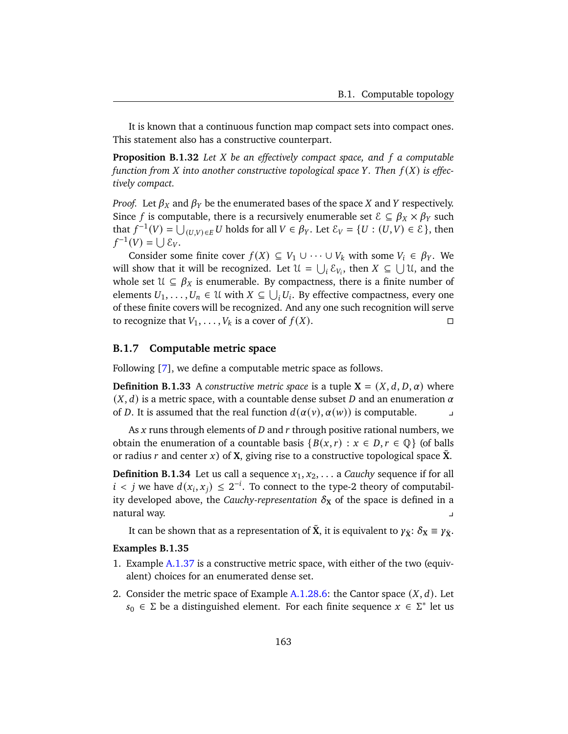It is known that a continuous function map compact sets into compact ones. This statement also has a constructive counterpart.

**Proposition B.1.32** *Let be an effectively compact space, and a computable function from* X into another constructive topological space Y. Then  $f(X)$  is effec*tively compact.*

*Proof.* Let  $\beta_X$  and  $\beta_Y$  be the enumerated bases of the space X and Y respectively. Since *f* is computable, there is a recursively enumerable set  $\mathcal{E} \subseteq \beta_X \times \beta_Y$  such that  $f^{-1}(V) = \bigcup_{(U,V) \in E} U$  holds for all  $V \in \beta_Y$ . Let  $\mathcal{E}_V = \{U : (U,V) \in \mathcal{E}\}\)$ , then  $f^{-1}(V) = \bigcup \mathcal{E}_V.$ 

Consider some finite cover  $f(X) \subseteq V_1 \cup \cdots \cup V_k$  with some  $V_i \in \beta_Y$ . We will show that it will be recognized. Let  $\mathcal{U} = \bigcup_i \mathcal{E}_{V_i}$ , then  $X \subseteq \bigcup \mathcal{U}$ , and the whole set  $\mathcal{U} \subseteq \beta_X$  is enumerable. By compactness, there is a finite number of elements  $U_1, \ldots, U_n \in \mathcal{U}$  with  $X \subseteq \bigcup_i U_i$ . By effective compactness, every one of these finite covers will be recognized. And any one such recognition will serve to recognize that  $V_1, \ldots, V_k$  is a cover of  $f(X)$ .

# <span id="page-168-0"></span>**B.1.7 Computable metric space**

Following [\[7\]](#page-176-1), we define a computable metric space as follows.

**Definition B.1.33** A *constructive metric space* is a tuple  $X = (X, d, D, \alpha)$  where  $(X, d)$  is a metric space, with a countable dense subset D and an enumeration  $\alpha$ of D. It is assumed that the real function  $d(\alpha(v), \alpha(w))$  is computable.

As x runs through elements of  $D$  and  $r$  through positive rational numbers, we obtain the enumeration of a countable basis  $\{B(x, r) : x \in D, r \in \mathbb{Q}\}\$  (of balls or radius r and center x) of **X**, giving rise to a constructive topological space  $\hat{\mathbf{X}}$ .

**Definition B.1.34** Let us call a sequence  $x_1, x_2, \ldots$  a *Cauchy* sequence if for all  $i < j$  we have  $d(x_i, x_j) \leq 2^{-i}$ . To connect to the type-2 theory of computability developed above, the *Cauchy-representation*  $\delta_X$  of the space is defined in a natural way. y

It can be shown that as a representation of  $\tilde{\mathbf{X}}$ , it is equivalent to  $\gamma_{\tilde{\mathbf{X}}}$ :  $\delta_{\mathbf{X}} \equiv \gamma_{\tilde{\mathbf{X}}}$ .

### **Examples B.1.35**

- 1. Example [A.1.37](#page-145-0) is a constructive metric space, with either of the two (equivalent) choices for an enumerated dense set.
- 2. Consider the metric space of Example [A.1.28.](#page-142-0)[6:](#page-142-4) the Cantor space  $(X, d)$ . Let  $s_0 \in \Sigma$  be a distinguished element. For each finite sequence  $x \in \Sigma^*$  let us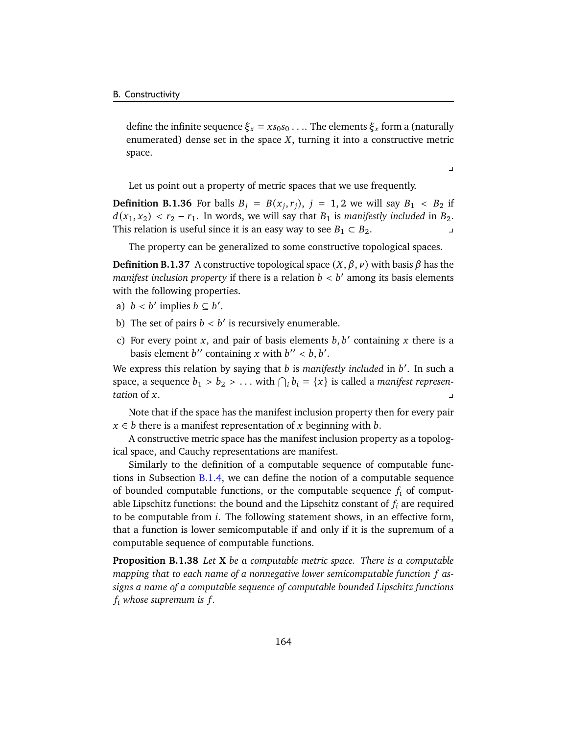define the infinite sequence  $\xi_x = xs_0s_0 \dots$  The elements  $\xi_x$  form a (naturally enumerated) dense set in the space  $X$ , turning it into a constructive metric space.

 $\overline{v}$ 

Let us point out a property of metric spaces that we use frequently.

**Definition B.1.36** For balls  $B_j = B(x_j, r_j)$ ,  $j = 1, 2$  we will say  $B_1 < B_2$  if  $d(x_1, x_2) < r_2 - r_1$ . In words, we will say that  $B_1$  is *manifestly included* in  $B_2$ . This relation is useful since it is an easy way to see  $B_1 \subset B_2$ . ∠ y

The property can be generalized to some constructive topological spaces.

**Definition B.1.37** A constructive topological space  $(X, \beta, \nu)$  with basis  $\beta$  has the *manifest inclusion property* if there is a relation  $b < b'$  among its basis elements with the following properties.

- a)  $b < b'$  implies  $b \subseteq b'$ .
- b) The set of pairs  $b < b'$  is recursively enumerable.
- c) For every point x, and pair of basis elements  $b, b'$  containing x there is a basis element b'' containing x with  $b'' < b, b'.$

We express this relation by saying that *b* is *manifestly included* in *b'*. In such a space, a sequence  $b_1 > b_2 > ...$  with  $\bigcap_i b_i = \{x\}$  is called a *manifest represen*- $\alpha$  *tation* of  $x$ .

Note that if the space has the manifest inclusion property then for every pair  $x \in b$  there is a manifest representation of x beginning with b.

A constructive metric space has the manifest inclusion property as a topological space, and Cauchy representations are manifest.

Similarly to the definition of a computable sequence of computable functions in Subsection [B.1.4,](#page-164-0) we can define the notion of a computable sequence of bounded computable functions, or the computable sequence  $f_i$  of computable Lipschitz functions: the bound and the Lipschitz constant of  $f_i$  are required to be computable from  $i$ . The following statement shows, in an effective form, that a function is lower semicomputable if and only if it is the supremum of a computable sequence of computable functions.

**Proposition B.1.38** *Let* **X** *be a computable metric space. There is a computable mapping that to each name of a nonnegative lower semicomputable function assigns a name of a computable sequence of computable bounded Lipschitz functions*  $f_i$  whose supremum is  $f$ .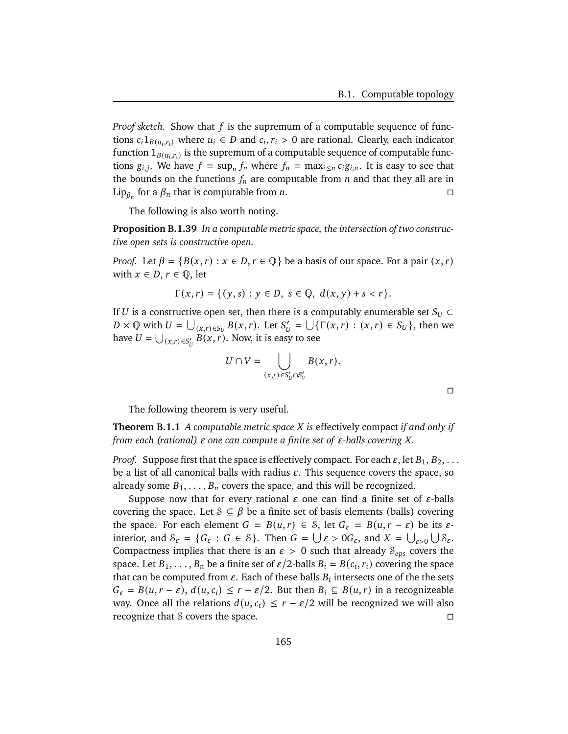$\Box$ 

*Proof sketch.* Show that  $f$  is the supremum of a computable sequence of functions  $c_i 1_{B(u_i,r_i)}$  where  $u_i \in D$  and  $c_i, r_i > 0$  are rational. Clearly, each indicator function  $1_{B\left(u_i,r_i\right)}$  is the supremum of a computable sequence of computable functions  $g_{i,j}$ . We have  $f = \sup_n f_n$  where  $f_n = \max_{i \leq n} c_i g_{i,n}$ . It is easy to see that the bounds on the functions  $f_n$  are computable from  $n$  and that they all are in Lip<sub> $\beta_n$ </sub> for a  $\beta_n$  that is computable from *n*.

The following is also worth noting.

**Proposition B.1.39** *In a computable metric space, the intersection of two constructive open sets is constructive open.*

*Proof.* Let  $\beta = \{B(x, r) : x \in D, r \in \mathbb{Q}\}\$ be a basis of our space. For a pair  $(x, r)$ with  $x \in D$ ,  $r \in \mathbb{Q}$ , let

$$
\Gamma(x,r) = \{ (y,s) : y \in D, s \in \mathbb{Q}, d(x,y) + s < r \}.
$$

If U is a constructive open set, then there is a computably enumerable set  $S_U \subset$  $D \times \mathbb{Q}$  with  $U = \bigcup_{(x,r) \in S_U} B(x,r)$ . Let  $S'_U = \bigcup \{ \Gamma(x,r) : (x,r) \in S_U \}$ , then we have  $U = \bigcup_{(x,r) \in S_U'} B(x,r)$ . Now, it is easy to see

$$
U \cap V = \bigcup_{(x,r) \in S'_U \cap S'_V} B(x,r).
$$

The following theorem is very useful.

**Theorem B.1.1** *A computable metric space is* effectively compact *if and only if from each (rational)*  $\varepsilon$  *one can compute a finite set of*  $\varepsilon$ -balls covering X.

*Proof.* Suppose first that the space is effectively compact. For each  $\varepsilon$ , let  $B_1, B_2, \ldots$ be a list of all canonical balls with radius  $\varepsilon$ . This sequence covers the space, so already some  $B_1, \ldots, B_n$  covers the space, and this will be recognized.

Suppose now that for every rational  $\varepsilon$  one can find a finite set of  $\varepsilon$ -balls covering the space. Let  $S \subseteq \beta$  be a finite set of basis elements (balls) covering the space. For each element  $G = B(u, r) \in S$ , let  $G_{\varepsilon} = B(u, r - \varepsilon)$  be its  $\varepsilon$ interior, and  $S_{\varepsilon} = \{ G_{\varepsilon} : G \in S \}$ . Then  $G = \bigcup \varepsilon > 0 G_{\varepsilon}$ , and  $X = \bigcup_{\varepsilon > 0} \bigcup S_{\varepsilon}$ . Compactness implies that there is an  $\varepsilon > 0$  such that already  $S_{eps}$  covers the space. Let  $B_1, \ldots, B_n$  be a finite set of  $\varepsilon/2$ -balls  $B_i = B(c_i, r_i)$  covering the space that can be computed from  $\varepsilon$ . Each of these balls  $B_i$  intersects one of the the sets  $G_{\varepsilon} = B(u, r - \varepsilon), d(u, c_i) \leq r - \varepsilon/2$ . But then  $B_i \subseteq B(u, r)$  in a recognizeable way. Once all the relations  $d(u, c_i) \leq r - \varepsilon/2$  will be recognized we will also recognize that S covers the space.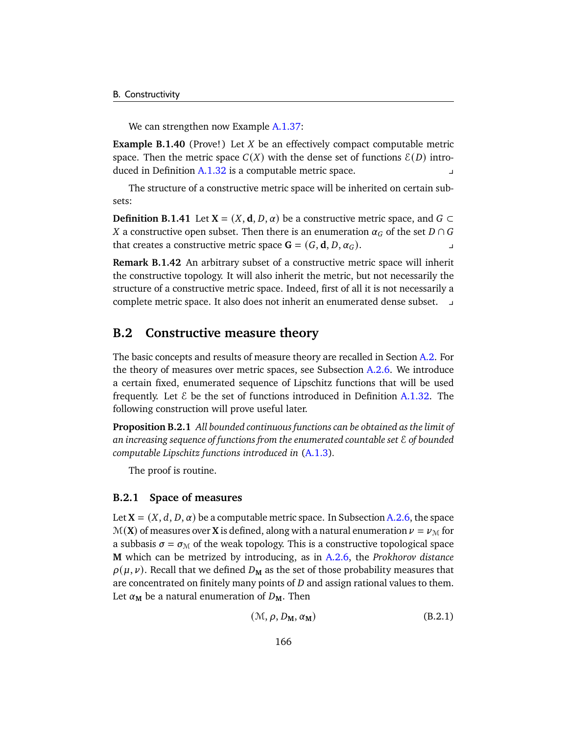We can strengthen now Example [A.1.37:](#page-145-0)

<span id="page-171-0"></span>**Example B.1.40** (Prove!) Let  $X$  be an effectively compact computable metric space. Then the metric space  $C(X)$  with the dense set of functions  $E(D)$  introduced in Definition  $A.1.32$  is a computable metric space.

The structure of a constructive metric space will be inherited on certain subsets:

**Definition B.1.41** Let **X** =  $(X, d, D, \alpha)$  be a constructive metric space, and *G* ⊂ X a constructive open subset. Then there is an enumeration  $\alpha_G$  of the set  $D \cap G$ that creates a constructive metric space  $G = (G, d, D, \alpha_G)$ .

**Remark B.1.42** An arbitrary subset of a constructive metric space will inherit the constructive topology. It will also inherit the metric, but not necessarily the structure of a constructive metric space. Indeed, first of all it is not necessarily a complete metric space. It also does not inherit an enumerated dense subset. y

# **B.2 Constructive measure theory**

The basic concepts and results of measure theory are recalled in Section [A.2.](#page-146-4) For the theory of measures over metric spaces, see Subsection  $A.2.6$ . We introduce a certain fixed, enumerated sequence of Lipschitz functions that will be used frequently. Let  $\&$  be the set of functions introduced in Definition [A.1.32.](#page-143-0) The following construction will prove useful later.

**Proposition B.2.1** *All bounded continuous functions can be obtained as the limit of an increasing sequence of functions from the enumerated countable set* E *of bounded computable Lipschitz functions introduced in* [\(A.1.3\)](#page-144-0)*.*

The proof is routine.

### **B.2.1 Space of measures**

Let  $X = (X, d, D, \alpha)$  be a computable metric space. In Subsection [A.2.6,](#page-152-0) the space  $M(X)$  of measures over **X** is defined, along with a natural enumeration  $\nu = \nu_M$  for a subbasis  $\sigma = \sigma_{\text{M}}$  of the weak topology. This is a constructive topological space **M** which can be metrized by introducing, as in [A.2.6,](#page-155-1) the *Prokhorov distance*  $\rho(\mu, \nu)$ . Recall that we defined  $D_M$  as the set of those probability measures that are concentrated on finitely many points of  $D$  and assign rational values to them. Let  $\alpha_M$  be a natural enumeration of  $D_M$ . Then

$$
(\mathcal{M}, \rho, D_{\mathbf{M}}, \alpha_{\mathbf{M}}) \tag{B.2.1}
$$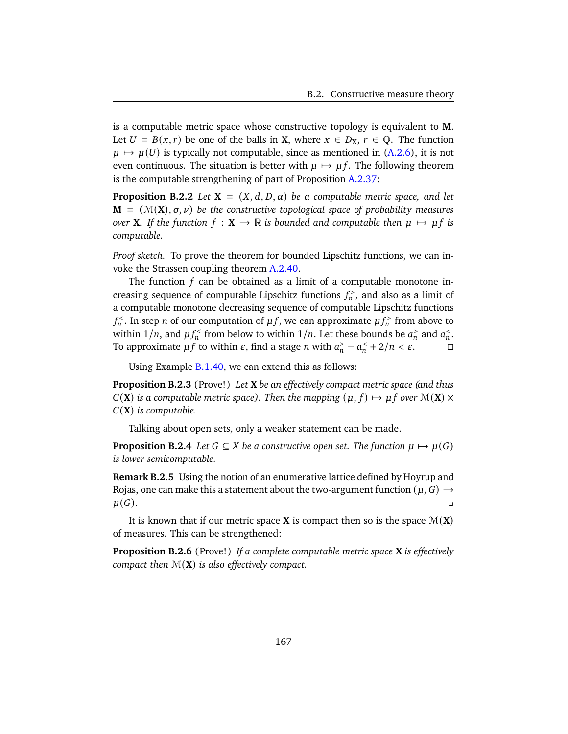is a computable metric space whose constructive topology is equivalent to **M**. Let  $U = B(x, r)$  be one of the balls in **X**, where  $x \in D_X$ ,  $r \in \mathbb{Q}$ . The function  $\mu \mapsto \mu(U)$  is typically not computable, since as mentioned in [\(A.2.6\)](#page-153-0), it is not even continuous. The situation is better with  $\mu \mapsto \mu f$ . The following theorem is the computable strengthening of part of Proposition [A.2.37:](#page-154-1)

<span id="page-172-0"></span>**Proposition B.2.2** *Let*  $X = (X, d, D, \alpha)$  *be a computable metric space, and let*  $M = (M(X), \sigma, \nu)$  be the constructive topological space of probability measures *over* **X***. If the function*  $f : \mathbf{X} \to \mathbb{R}$  *is bounded and computable then*  $\mu \mapsto \mu f$  *is computable.*

*Proof sketch.* To prove the theorem for bounded Lipschitz functions, we can invoke the Strassen coupling theorem [A.2.40.](#page-155-0)

The function  $f$  can be obtained as a limit of a computable monotone increasing sequence of computable Lipschitz functions  $f_n^>$ , and also as a limit of a computable monotone decreasing sequence of computable Lipschitz functions  $f_n^{\lt}$ . In step *n* of our computation of  $\mu f$ , we can approximate  $\mu f_n^{\gt}$  from above to within  $1/n$ , and  $\mu f_n^{\text{S}}$  from below to within  $1/n$ . Let these bounds be  $a_n^{\text{S}}$  and  $a_n^{\text{S}}$ . To approximate  $\mu f$  to within  $\varepsilon$ , find a stage *n* with  $a_n > -a_n < +2/n < \varepsilon$ .

Using Example [B.1.40,](#page-171-0) we can extend this as follows:

**Proposition B.2.3** (Prove!) *Let* **X** *be an effectively compact metric space (and thus*  $C(X)$  *is a computable metric space). Then the mapping*  $(\mu, f) \mapsto \mu f$  *over*  $\mathcal{M}(X) \times$ (**X**) *is computable.*

Talking about open sets, only a weaker statement can be made.

**Proposition B.2.4** *Let*  $G \subseteq X$  *be a constructive open set. The function*  $\mu \mapsto \mu(G)$ *is lower semicomputable.*

**Remark B.2.5** Using the notion of an enumerative lattice defined by Hoyrup and Rojas, one can make this a statement about the two-argument function  $(\mu, G) \rightarrow$  $\mu(G).$ 

It is known that if our metric space **X** is compact then so is the space  $\mathcal{M}(\mathbf{X})$ of measures. This can be strengthened:

**Proposition B.2.6** (Prove!) *If a complete computable metric space* **X** *is effectively compact then* M(**X**) *is also effectively compact.*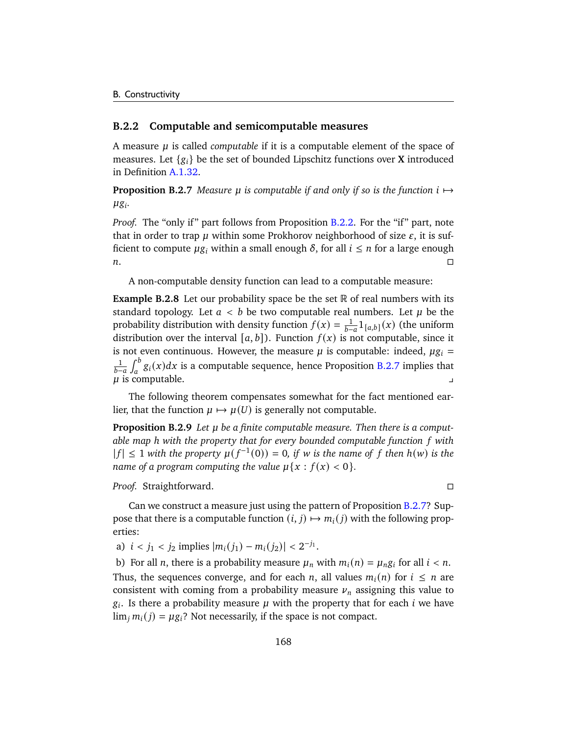### **B.2.2 Computable and semicomputable measures**

A measure  $\mu$  is called *computable* if it is a computable element of the space of measures. Let  $\{g_i\}$  be the set of bounded Lipschitz functions over **X** introduced in Definition [A.1.32.](#page-143-0)

<span id="page-173-0"></span>**Proposition B.2.7** *Measure*  $\mu$  *is computable if and only if so is the function*  $i \mapsto$ *.*

*Proof.* The "only if" part follows from Proposition [B.2.2.](#page-172-0) For the "if" part, note that in order to trap  $\mu$  within some Prokhorov neighborhood of size  $\varepsilon$ , it is sufficient to compute  $\mu g_i$  within a small enough  $\delta$ , for all  $i \leq n$  for a large enough  $n.$ 

A non-computable density function can lead to a computable measure:

**Example B.2.8** Let our probability space be the set R of real numbers with its standard topology. Let  $a < b$  be two computable real numbers. Let  $\mu$  be the probability distribution with density function  $f(x) = \frac{1}{b-a} 1_{[a,b]}(x)$  (the uniform distribution over the interval  $[a, b]$ ). Function  $f(x)$  is not computable, since it is not even continuous. However, the measure  $\mu$  is computable: indeed,  $\mu$ g<sub>i</sub> =  $\frac{1}{b-a}\int_a^b g_i(x)dx$  is a computable sequence, hence Proposition [B.2.7](#page-173-0) implies that  $\mu$  is computable.

The following theorem compensates somewhat for the fact mentioned earlier, that the function  $\mu \mapsto \mu(U)$  is generally not computable.

**Proposition B.2.9** *Let be a finite computable measure. Then there is a computable map* ℎ *with the property that for every bounded computable function with*  $|f| \leq 1$  with the property  $\mu(f^{-1}(0)) = 0$ , if w is the name of f then  $h(w)$  is the *name of a program computing the value*  $\mu\{x : f(x) < 0\}$ .

*Proof.* Straightforward.

Can we construct a measure just using the pattern of Proposition [B.2.7?](#page-173-0) Suppose that there is a computable function  $(i, j) \mapsto m_i(j)$  with the following properties:

a)  $i < j_1 < j_2$  implies  $|m_i(j_1) - m_i(j_2)| < 2^{-j_1}$ .

b) For all *n*, there is a probability measure  $\mu_n$  with  $m_i(n) = \mu_n g_i$  for all  $i < n$ . Thus, the sequences converge, and for each *n*, all values  $m_i(n)$  for  $i \leq n$  are consistent with coming from a probability measure  $\nu_n$  assigning this value to  $g_i$ . Is there a probability measure  $\mu$  with the property that for each *i* we have  $\lim_i m_i(j) = \mu g_i$ ? Not necessarily, if the space is not compact.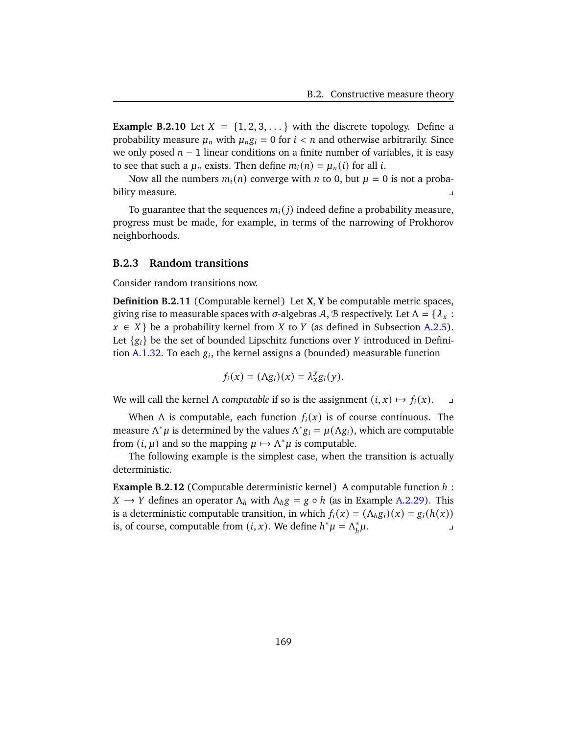**Example B.2.10** Let  $X = \{1, 2, 3, ...\}$  with the discrete topology. Define a probability measure  $\mu_n$  with  $\mu_n g_i = 0$  for  $i < n$  and otherwise arbitrarily. Since we only posed  $n - 1$  linear conditions on a finite number of variables, it is easy to see that such a  $\mu_n$  exists. Then define  $m_i(n) = \mu_n(i)$  for all *i*.

Now all the numbers  $m_i(n)$  converge with *n* to 0, but  $\mu = 0$  is not a probability measure.

To guarantee that the sequences  $m_i(i)$  indeed define a probability measure, progress must be made, for example, in terms of the narrowing of Prokhorov neighborhoods.

### **B.2.3 Random transitions**

Consider random transitions now.

**Definition B.2.11** (Computable kernel) Let **X**, **Y** be computable metric spaces, giving rise to measurable spaces with  $\sigma$ -algebras A, B respectively. Let  $\Lambda = {\lambda_x : \lambda_y = \lambda_z}$  $x \in X$  be a probability kernel from X to Y (as defined in Subsection [A.2.5\)](#page-151-1). Let  ${g_i}$  be the set of bounded Lipschitz functions over Y introduced in Defini-tion [A.1.32.](#page-143-0) To each  $g_i$ , the kernel assigns a (bounded) measurable function

$$
f_i(x) = (\Lambda g_i)(x) = \lambda_x^y g_i(y).
$$

We will call the kernel  $\Lambda$  *computable* if so is the assignment  $(i, x) \mapsto f_i(x)$ .

When  $\Lambda$  is computable, each function  $f_i(x)$  is of course continuous. The measure  $\Lambda^* \mu$  is determined by the values  $\Lambda^* g_i = \mu(\Lambda g_i)$ , which are computable from  $(i, \mu)$  and so the mapping  $\mu \mapsto \Lambda^* \mu$  is computable.

The following example is the simplest case, when the transition is actually deterministic.

**Example B.2.12** (Computable deterministic kernel) A computable function  $h$  :  $X \rightarrow Y$  defines an operator  $\Lambda_h$  with  $\Lambda_h g = g \circ h$  (as in Example [A.2.29\)](#page-152-1). This is a deterministic computable transition, in which  $f_i(x) = (\Lambda_h g_i)(x) = g_i(h(x))$ is, of course, computable from  $(i, x)$ . We define  $h^* \mu = \Lambda_h^*$  $\mu$ .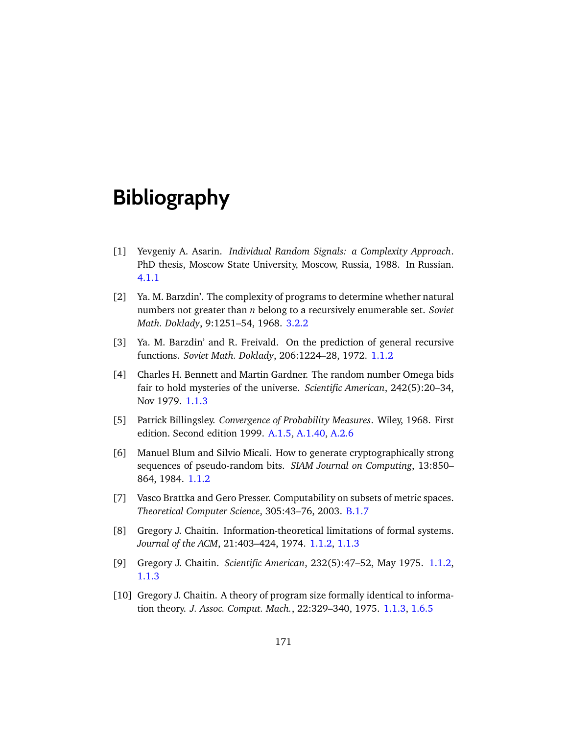# **Bibliography**

- [1] Yevgeniy A. Asarin. *Individual Random Signals: a Complexity Approach*. PhD thesis, Moscow State University, Moscow, Russia, 1988. In Russian. [4.1.1](#page-88-0)
- [2] Ya. M. Barzdin'. The complexity of programs to determine whether natural numbers not greater than belong to a recursively enumerable set. *Soviet Math. Doklady*, 9:1251–54, 1968. [3.2.2](#page-81-0)
- [3] Ya. M. Barzdin' and R. Freivald. On the prediction of general recursive functions. *Soviet Math. Doklady*, 206:1224–28, 1972. [1.1.2](#page-12-0)
- [4] Charles H. Bennett and Martin Gardner. The random number Omega bids fair to hold mysteries of the universe. *Scientific American*, 242(5):20–34, Nov 1979. [1.1.3](#page-13-0)
- <span id="page-176-0"></span>[5] Patrick Billingsley. *Convergence of Probability Measures*. Wiley, 1968. First edition. Second edition 1999. [A.1.5,](#page-141-0) [A.1.40,](#page-145-1) [A.2.6](#page-152-0)
- [6] Manuel Blum and Silvio Micali. How to generate cryptographically strong sequences of pseudo-random bits. *SIAM Journal on Computing*, 13:850– 864, 1984. [1.1.2](#page-11-0)
- <span id="page-176-1"></span>[7] Vasco Brattka and Gero Presser. Computability on subsets of metric spaces. *Theoretical Computer Science*, 305:43–76, 2003. [B.1.7](#page-168-0)
- [8] Gregory J. Chaitin. Information-theoretical limitations of formal systems. *Journal of the ACM*, 21:403–424, 1974. [1.1.2,](#page-13-1) [1.1.3](#page-13-0)
- [9] Gregory J. Chaitin. *Scientific American*, 232(5):47–52, May 1975. [1.1.2,](#page-13-1) [1.1.3](#page-13-0)
- [10] Gregory J. Chaitin. A theory of program size formally identical to information theory. *J. Assoc. Comput. Mach.*, 22:329–340, 1975. [1.1.3,](#page-13-0) [1.6.5](#page-35-0)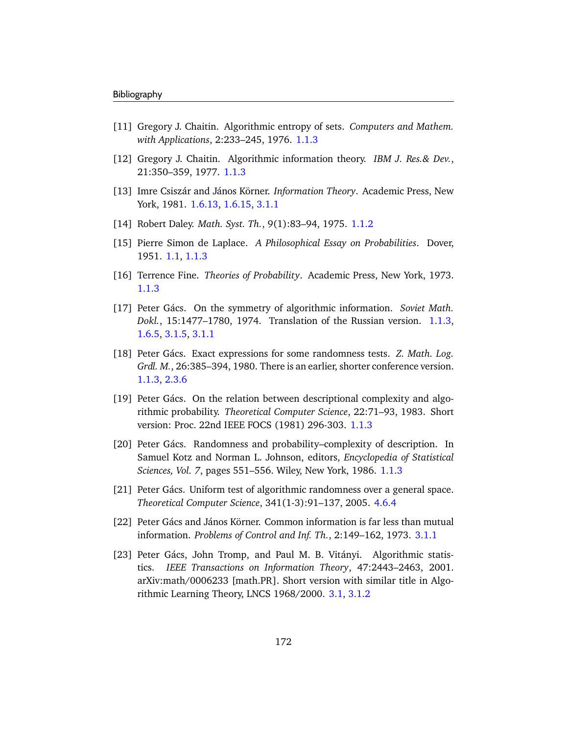- [11] Gregory J. Chaitin. Algorithmic entropy of sets. *Computers and Mathem. with Applications*, 2:233–245, 1976. [1.1.3](#page-13-0)
- [12] Gregory J. Chaitin. Algorithmic information theory. *IBM J. Res.& Dev.*, 21:350–359, 1977. [1.1.3](#page-13-0)
- [13] Imre Csiszár and János Körner. *Information Theory*. Academic Press, New York, 1981. [1.6.13,](#page-34-0) [1.6.15,](#page-35-1) [3.1.1](#page-68-0)
- [14] Robert Daley. *Math. Syst. Th.*, 9(1):83–94, 1975. [1.1.2](#page-11-0)
- [15] Pierre Simon de Laplace. *A Philosophical Essay on Probabilities*. Dover, 1951. [1.1,](#page-6-0) [1.1.3](#page-13-0)
- [16] Terrence Fine. *Theories of Probability*. Academic Press, New York, 1973. [1.1.3](#page-13-0)
- [17] Peter Gács. On the symmetry of algorithmic information. *Soviet Math. Dokl.*, 15:1477–1780, 1974. Translation of the Russian version. [1.1.3,](#page-13-0) [1.6.5,](#page-35-0) [3.1.5,](#page-72-0) [3.1.1](#page-73-0)
- [18] Peter Gács. Exact expressions for some randomness tests. *Z. Math. Log. Grdl. M.*, 26:385–394, 1980. There is an earlier, shorter conference version. [1.1.3,](#page-13-0) [2.3.6](#page-62-0)
- [19] Peter Gács. On the relation between descriptional complexity and algorithmic probability. *Theoretical Computer Science*, 22:71–93, 1983. Short version: Proc. 22nd IEEE FOCS (1981) 296-303. [1.1.3](#page-13-0)
- [20] Peter Gács. Randomness and probability–complexity of description. In Samuel Kotz and Norman L. Johnson, editors, *Encyclopedia of Statistical Sciences, Vol. 7*, pages 551–556. Wiley, New York, 1986. [1.1.3](#page-13-0)
- [21] Peter Gács. Uniform test of algorithmic randomness over a general space. *Theoretical Computer Science*, 341(1-3):91–137, 2005. [4.6.4](#page-118-0)
- [22] Peter Gács and János Körner. Common information is far less than mutual information. *Problems of Control and Inf. Th.*, 2:149–162, 1973. [3.1.1](#page-70-0)
- [23] Peter Gács, John Tromp, and Paul M. B. Vitányi. Algorithmic statistics. *IEEE Transactions on Information Theory*, 47:2443–2463, 2001. arXiv:math/0006233 [math.PR]. Short version with similar title in Algorithmic Learning Theory, LNCS 1968/2000. [3.1,](#page-68-1) [3.1.2](#page-77-0)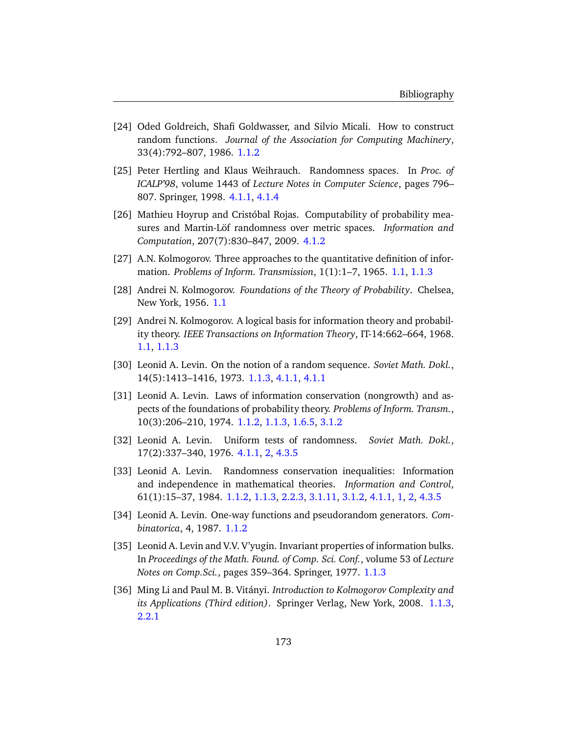- [24] Oded Goldreich, Shafi Goldwasser, and Silvio Micali. How to construct random functions. *Journal of the Association for Computing Machinery*, 33(4):792–807, 1986. [1.1.2](#page-11-0)
- [25] Peter Hertling and Klaus Weihrauch. Randomness spaces. In *Proc. of ICALP'98*, volume 1443 of *Lecture Notes in Computer Science*, pages 796– 807. Springer, 1998. [4.1.1,](#page-88-0) [4.1.4](#page-94-0)
- [26] Mathieu Hoyrup and Cristóbal Rojas. Computability of probability measures and Martin-Löf randomness over metric spaces. *Information and Computation*, 207(7):830–847, 2009. [4.1.2](#page-91-0)
- [27] A.N. Kolmogorov. Three approaches to the quantitative definition of information. *Problems of Inform. Transmission*, 1(1):1–7, 1965. [1.1,](#page-6-0) [1.1.3](#page-13-0)
- [28] Andrei N. Kolmogorov. *Foundations of the Theory of Probability*. Chelsea, New York, 1956. [1.1](#page-6-0)
- [29] Andrei N. Kolmogorov. A logical basis for information theory and probability theory. *IEEE Transactions on Information Theory*, IT-14:662–664, 1968. [1.1,](#page-6-0) [1.1.3](#page-13-0)
- [30] Leonid A. Levin. On the notion of a random sequence. *Soviet Math. Dokl.*, 14(5):1413–1416, 1973. [1.1.3,](#page-13-0) [4.1.1,](#page-88-0) [4.1.1](#page-89-0)
- [31] Leonid A. Levin. Laws of information conservation (nongrowth) and aspects of the foundations of probability theory. *Problems of Inform. Transm.*, 10(3):206–210, 1974. [1.1.2,](#page-13-1) [1.1.3,](#page-13-0) [1.6.5,](#page-35-0) [3.1.2](#page-77-0)
- [32] Leonid A. Levin. Uniform tests of randomness. *Soviet Math. Dokl.*, 17(2):337–340, 1976. [4.1.1,](#page-88-0) [2,](#page-89-1) [4.3.5](#page-106-0)
- [33] Leonid A. Levin. Randomness conservation inequalities: Information and independence in mathematical theories. *Information and Control*, 61(1):15–37, 1984. [1.1.2,](#page-13-1) [1.1.3,](#page-13-0) [2.2.3,](#page-48-0) [3.1.11,](#page-74-0) [3.1.2,](#page-77-0) [4.1.1,](#page-88-0) [1,](#page-89-2) [2,](#page-89-1) [4.3.5](#page-106-0)
- [34] Leonid A. Levin. One-way functions and pseudorandom generators. *Combinatorica*, 4, 1987. [1.1.2](#page-11-0)
- [35] Leonid A. Levin and V.V. V'yugin. Invariant properties of information bulks. In *Proceedings of the Math. Found. of Comp. Sci. Conf.*, volume 53 of *Lecture Notes on Comp.Sci.*, pages 359–364. Springer, 1977. [1.1.3](#page-13-0)
- [36] Ming Li and Paul M. B. Vitányi. *Introduction to Kolmogorov Complexity and its Applications (Third edition)*. Springer Verlag, New York, 2008. [1.1.3,](#page-13-0) [2.2.1](#page-45-0)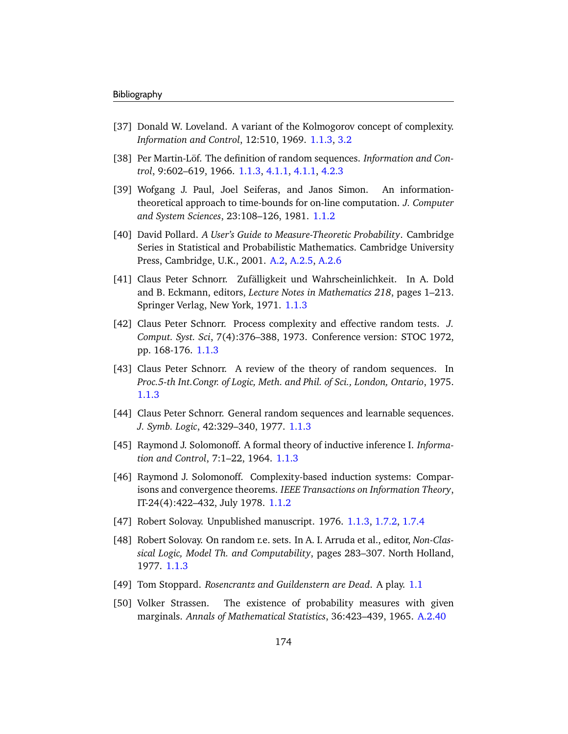- [37] Donald W. Loveland. A variant of the Kolmogorov concept of complexity. *Information and Control*, 12:510, 1969. [1.1.3,](#page-13-0) [3.2](#page-79-0)
- [38] Per Martin-Löf. The definition of random sequences. *Information and Control*, 9:602–619, 1966. [1.1.3,](#page-13-0) [4.1.1,](#page-88-0) [4.1.1,](#page-89-0) [4.2.3](#page-99-0)
- [39] Wofgang J. Paul, Joel Seiferas, and Janos Simon. An informationtheoretical approach to time-bounds for on-line computation. *J. Computer and System Sciences*, 23:108–126, 1981. [1.1.2](#page-12-1)
- <span id="page-179-0"></span>[40] David Pollard. *A User's Guide to Measure-Theoretic Probability*. Cambridge Series in Statistical and Probabilistic Mathematics. Cambridge University Press, Cambridge, U.K., 2001. [A.2,](#page-146-4) [A.2.5,](#page-151-1) [A.2.6](#page-153-1)
- [41] Claus Peter Schnorr. Zufälligkeit und Wahrscheinlichkeit. In A. Dold and B. Eckmann, editors, *Lecture Notes in Mathematics 218*, pages 1–213. Springer Verlag, New York, 1971. [1.1.3](#page-13-0)
- [42] Claus Peter Schnorr. Process complexity and effective random tests. *J. Comput. Syst. Sci*, 7(4):376–388, 1973. Conference version: STOC 1972, pp. 168-176. [1.1.3](#page-13-0)
- [43] Claus Peter Schnorr. A review of the theory of random sequences. In *Proc.5-th Int.Congr. of Logic, Meth. and Phil. of Sci., London, Ontario*, 1975. [1.1.3](#page-13-0)
- [44] Claus Peter Schnorr. General random sequences and learnable sequences. *J. Symb. Logic*, 42:329–340, 1977. [1.1.3](#page-13-0)
- [45] Raymond J. Solomonoff. A formal theory of inductive inference I. *Information and Control*, 7:1–22, 1964. [1.1.3](#page-13-0)
- [46] Raymond J. Solomonoff. Complexity-based induction systems: Comparisons and convergence theorems. *IEEE Transactions on Information Theory*, IT-24(4):422–432, July 1978. [1.1.2](#page-12-0)
- [47] Robert Solovay. Unpublished manuscript. 1976. [1.1.3,](#page-13-0) [1.7.2,](#page-38-0) [1.7.4](#page-40-0)
- [48] Robert Solovay. On random r.e. sets. In A. I. Arruda et al., editor, *Non-Classical Logic, Model Th. and Computability*, pages 283–307. North Holland, 1977. [1.1.3](#page-13-0)
- [49] Tom Stoppard. *Rosencrantz and Guildenstern are Dead*. A play. [1.1](#page-6-0)
- <span id="page-179-1"></span>[50] Volker Strassen. The existence of probability measures with given marginals. *Annals of Mathematical Statistics*, 36:423–439, 1965. [A.2.40](#page-155-0)